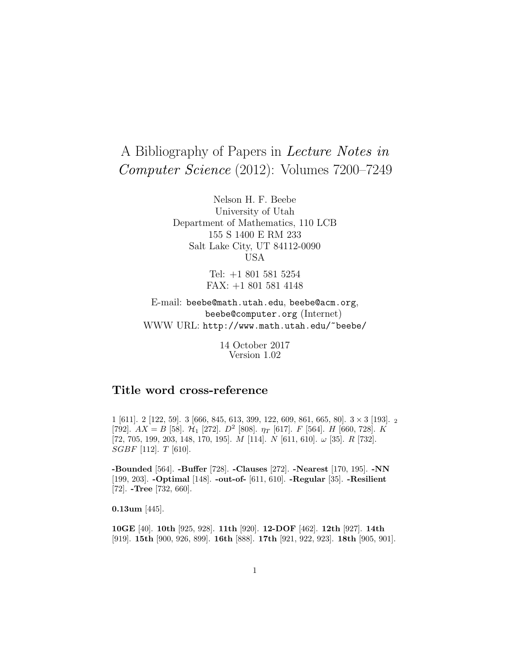# A Bibliography of Papers in Lecture Notes in Computer Science (2012): Volumes 7200–7249

Nelson H. F. Beebe University of Utah Department of Mathematics, 110 LCB 155 S 1400 E RM 233 Salt Lake City, UT 84112-0090 USA

> Tel: +1 801 581 5254 FAX: +1 801 581 4148

E-mail: beebe@math.utah.edu, beebe@acm.org, beebe@computer.org (Internet) WWW URL: http://www.math.utah.edu/~beebe/

> 14 October 2017 Version 1.02

# **Title word cross-reference**

1 [611]. 2 [122, 59]. 3 [666, 845, 613, 399, 122, 609, 861, 665, 80]. 3 × 3 [193]. <sup>2</sup> [792].  $AX = B$  [58].  $\mathcal{H}_1$  [272].  $D^2$  [808].  $\eta_T$  [617].  $F$  [564].  $H$  [660, 728].  $K$  $[72, 705, 199, 203, 148, 170, 195]$ . *M*  $[114]$ . *N*  $[611, 610]$ .  $\omega$   $[35]$ . *R*  $[732]$ . SGBF [112]. T [610].

**-Bounded** [564]. **-Buffer** [728]. **-Clauses** [272]. **-Nearest** [170, 195]. **-NN** [199, 203]. **-Optimal** [148]. **-out-of-** [611, 610]. **-Regular** [35]. **-Resilient** [72]. **-Tree** [732, 660].

**0.13um** [445].

**10GE** [40]. **10th** [925, 928]. **11th** [920]. **12-DOF** [462]. **12th** [927]. **14th** [919]. **15th** [900, 926, 899]. **16th** [888]. **17th** [921, 922, 923]. **18th** [905, 901].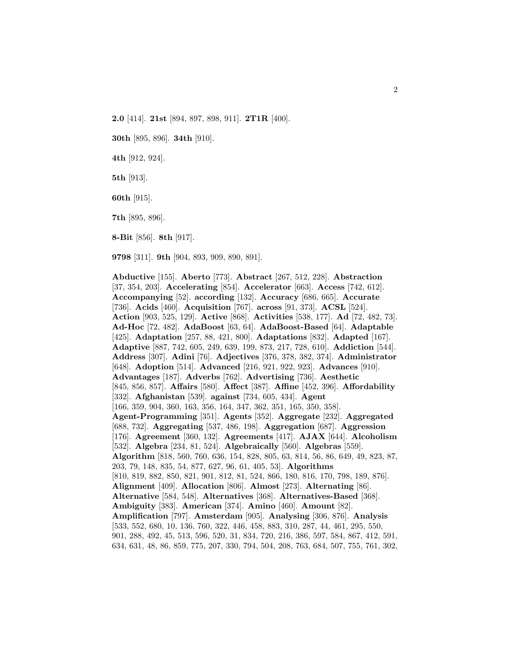**2.0** [414]. **21st** [894, 897, 898, 911]. **2T1R** [400].

**30th** [895, 896]. **34th** [910].

**4th** [912, 924].

**5th** [913].

**60th** [915].

**7th** [895, 896].

**8-Bit** [856]. **8th** [917].

**9798** [311]. **9th** [904, 893, 909, 890, 891].

**Abductive** [155]. **Aberto** [773]. **Abstract** [267, 512, 228]. **Abstraction** [37, 354, 203]. **Accelerating** [854]. **Accelerator** [663]. **Access** [742, 612]. **Accompanying** [52]. **according** [132]. **Accuracy** [686, 665]. **Accurate** [736]. **Acids** [460]. **Acquisition** [767]. **across** [91, 373]. **ACSL** [524]. **Action** [903, 525, 129]. **Active** [868]. **Activities** [538, 177]. **Ad** [72, 482, 73]. **Ad-Hoc** [72, 482]. **AdaBoost** [63, 64]. **AdaBoost-Based** [64]. **Adaptable** [425]. **Adaptation** [257, 88, 421, 800]. **Adaptations** [832]. **Adapted** [167]. **Adaptive** [887, 742, 605, 249, 639, 199, 873, 217, 728, 610]. **Addiction** [544]. **Address** [307]. **Adini** [76]. **Adjectives** [376, 378, 382, 374]. **Administrator** [648]. **Adoption** [514]. **Advanced** [216, 921, 922, 923]. **Advances** [910]. **Advantages** [187]. **Adverbs** [762]. **Advertising** [736]. **Aesthetic** [845, 856, 857]. **Affairs** [580]. **Affect** [387]. **Affine** [452, 396]. **Affordability** [332]. **Afghanistan** [539]. **against** [734, 605, 434]. **Agent** [166, 359, 904, 360, 163, 356, 164, 347, 362, 351, 165, 350, 358]. **Agent-Programming** [351]. **Agents** [352]. **Aggregate** [232]. **Aggregated** [688, 732]. **Aggregating** [537, 486, 198]. **Aggregation** [687]. **Aggression** [176]. **Agreement** [360, 132]. **Agreements** [417]. **AJAX** [644]. **Alcoholism** [532]. **Algebra** [234, 81, 524]. **Algebraically** [560]. **Algebras** [559]. **Algorithm** [818, 560, 760, 636, 154, 828, 805, 63, 814, 56, 86, 649, 49, 823, 87, 203, 79, 148, 835, 54, 877, 627, 96, 61, 405, 53]. **Algorithms** [810, 819, 882, 850, 821, 901, 812, 81, 524, 866, 180, 816, 170, 798, 189, 876]. **Alignment** [409]. **Allocation** [806]. **Almost** [273]. **Alternating** [86]. **Alternative** [584, 548]. **Alternatives** [368]. **Alternatives-Based** [368]. **Ambiguity** [383]. **American** [374]. **Amino** [460]. **Amount** [82]. **Amplification** [797]. **Amsterdam** [905]. **Analysing** [306, 876]. **Analysis** [533, 552, 680, 10, 136, 760, 322, 446, 458, 883, 310, 287, 44, 461, 295, 550, 901, 288, 492, 45, 513, 596, 520, 31, 834, 720, 216, 386, 597, 584, 867, 412, 591, 634, 631, 48, 86, 859, 775, 207, 330, 794, 504, 208, 763, 684, 507, 755, 761, 302,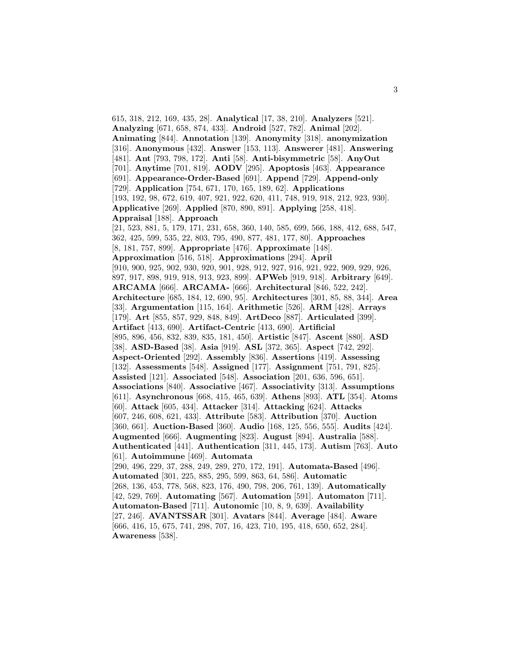615, 318, 212, 169, 435, 28]. **Analytical** [17, 38, 210]. **Analyzers** [521]. **Analyzing** [671, 658, 874, 433]. **Android** [527, 782]. **Animal** [202]. **Animating** [844]. **Annotation** [139]. **Anonymity** [318]. **anonymization** [316]. **Anonymous** [432]. **Answer** [153, 113]. **Answerer** [481]. **Answering** [481]. **Ant** [793, 798, 172]. **Anti** [58]. **Anti-bisymmetric** [58]. **AnyOut** [701]. **Anytime** [701, 819]. **AODV** [295]. **Apoptosis** [463]. **Appearance** [691]. **Appearance-Order-Based** [691]. **Append** [729]. **Append-only** [729]. **Application** [754, 671, 170, 165, 189, 62]. **Applications** [193, 192, 98, 672, 619, 407, 921, 922, 620, 411, 748, 919, 918, 212, 923, 930]. **Applicative** [269]. **Applied** [870, 890, 891]. **Applying** [258, 418]. **Appraisal** [188]. **Approach** [21, 523, 881, 5, 179, 171, 231, 658, 360, 140, 585, 699, 566, 188, 412, 688, 547, 362, 425, 599, 535, 22, 803, 795, 490, 877, 481, 177, 80]. **Approaches** [8, 181, 757, 899]. **Appropriate** [476]. **Approximate** [148]. **Approximation** [516, 518]. **Approximations** [294]. **April** [910, 900, 925, 902, 930, 920, 901, 928, 912, 927, 916, 921, 922, 909, 929, 926, 897, 917, 898, 919, 918, 913, 923, 899]. **APWeb** [919, 918]. **Arbitrary** [649]. **ARCAMA** [666]. **ARCAMA-** [666]. **Architectural** [846, 522, 242]. **Architecture** [685, 184, 12, 690, 95]. **Architectures** [301, 85, 88, 344]. **Area** [33]. **Argumentation** [115, 164]. **Arithmetic** [526]. **ARM** [428]. **Arrays** [179]. **Art** [855, 857, 929, 848, 849]. **ArtDeco** [887]. **Articulated** [399]. **Artifact** [413, 690]. **Artifact-Centric** [413, 690]. **Artificial** [895, 896, 456, 832, 839, 835, 181, 450]. **Artistic** [847]. **Ascent** [880]. **ASD** [38]. **ASD-Based** [38]. **Asia** [919]. **ASL** [372, 365]. **Aspect** [742, 292]. **Aspect-Oriented** [292]. **Assembly** [836]. **Assertions** [419]. **Assessing** [132]. **Assessments** [548]. **Assigned** [177]. **Assignment** [751, 791, 825]. **Assisted** [121]. **Associated** [548]. **Association** [201, 636, 596, 651]. **Associations** [840]. **Associative** [467]. **Associativity** [313]. **Assumptions** [611]. **Asynchronous** [668, 415, 465, 639]. **Athens** [893]. **ATL** [354]. **Atoms** [60]. **Attack** [605, 434]. **Attacker** [314]. **Attacking** [624]. **Attacks** [607, 246, 608, 621, 433]. **Attribute** [583]. **Attribution** [370]. **Auction** [360, 661]. **Auction-Based** [360]. **Audio** [168, 125, 556, 555]. **Audits** [424]. **Augmented** [666]. **Augmenting** [823]. **August** [894]. **Australia** [588]. **Authenticated** [441]. **Authentication** [311, 445, 173]. **Autism** [763]. **Auto** [61]. **Autoimmune** [469]. **Automata** [290, 496, 229, 37, 288, 249, 289, 270, 172, 191]. **Automata-Based** [496]. **Automated** [301, 225, 885, 295, 599, 863, 64, 586]. **Automatic** [268, 136, 453, 778, 568, 823, 176, 490, 798, 206, 761, 139]. **Automatically** [42, 529, 769]. **Automating** [567]. **Automation** [591]. **Automaton** [711]. **Automaton-Based** [711]. **Autonomic** [10, 8, 9, 639]. **Availability** [27, 246]. **AVANTSSAR** [301]. **Avatars** [844]. **Average** [484]. **Aware** [666, 416, 15, 675, 741, 298, 707, 16, 423, 710, 195, 418, 650, 652, 284]. **Awareness** [538].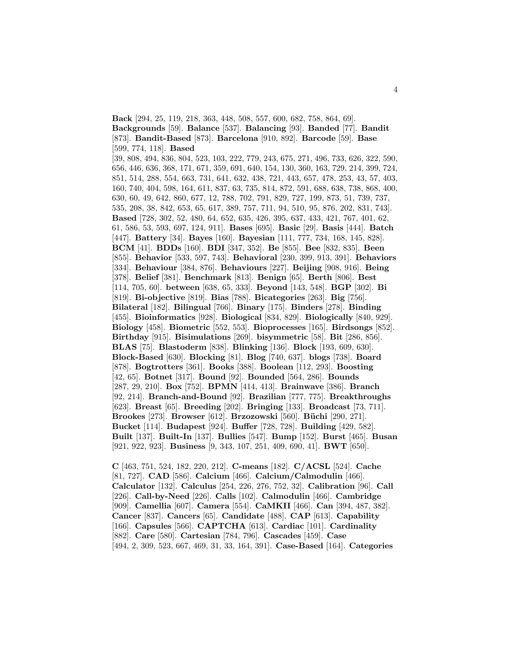**Back** [294, 25, 119, 218, 363, 448, 508, 557, 600, 682, 758, 864, 69]. **Backgrounds** [59]. **Balance** [537]. **Balancing** [93]. **Banded** [77]. **Bandit** [873]. **Bandit-Based** [873]. **Barcelona** [910, 892]. **Barcode** [59]. **Base** [599, 774, 118]. **Based** [39, 808, 494, 836, 804, 523, 103, 222, 779, 243, 675, 271, 496, 733, 626, 322, 590,

656, 446, 636, 368, 171, 671, 359, 691, 640, 154, 130, 360, 163, 729, 214, 399, 724, 851, 514, 288, 554, 663, 731, 641, 632, 438, 721, 443, 657, 478, 253, 43, 57, 403, 160, 740, 404, 598, 164, 611, 837, 63, 735, 814, 872, 591, 688, 638, 738, 868, 400, 630, 60, 49, 642, 860, 677, 12, 788, 702, 791, 829, 727, 199, 873, 51, 739, 737, 535, 208, 38, 842, 653, 65, 617, 389, 757, 711, 94, 510, 95, 876, 202, 831, 743]. **Based** [728, 302, 52, 480, 64, 652, 635, 426, 395, 637, 433, 421, 767, 401, 62, 61, 586, 53, 593, 697, 124, 911]. **Bases** [695]. **Basic** [29]. **Basis** [444]. **Batch** [447]. **Battery** [34]. **Bayes** [160]. **Bayesian** [111, 777, 734, 168, 145, 828]. **BCM** [41]. **BDDs** [160]. **BDI** [347, 352]. **Be** [855]. **Bee** [832, 835]. **Been** [855]. **Behavior** [533, 597, 743]. **Behavioral** [230, 399, 913, 391]. **Behaviors** [334]. **Behaviour** [384, 876]. **Behaviours** [227]. **Beijing** [908, 916]. **Being** [378]. **Belief** [381]. **Benchmark** [813]. **Benign** [65]. **Berth** [806]. **Best** [114, 705, 60]. **between** [638, 65, 333]. **Beyond** [143, 548]. **BGP** [302]. **Bi** [819]. **Bi-objective** [819]. **Bias** [788]. **Bicategories** [263]. **Big** [756]. **Bilateral** [182]. **Bilingual** [766]. **Binary** [175]. **Binders** [278]. **Binding** [455]. **Bioinformatics** [928]. **Biological** [834, 829]. **Biologically** [840, 929]. **Biology** [458]. **Biometric** [552, 553]. **Bioprocesses** [165]. **Birdsongs** [852]. **Birthday** [915]. **Bisimulations** [269]. **bisymmetric** [58]. **Bit** [286, 856]. **BLAS** [75]. **Blastoderm** [838]. **Blinking** [136]. **Block** [193, 609, 630]. **Block-Based** [630]. **Blocking** [81]. **Blog** [740, 637]. **blogs** [738]. **Board** [878]. **Bogtrotters** [361]. **Books** [388]. **Boolean** [112, 293]. **Boosting** [42, 65]. **Botnet** [317]. **Bound** [92]. **Bounded** [564, 286]. **Bounds** [287, 29, 210]. **Box** [752]. **BPMN** [414, 413]. **Brainwave** [386]. **Branch** [92, 214]. **Branch-and-Bound** [92]. **Brazilian** [777, 775]. **Breakthroughs** [623]. **Breast** [65]. **Breeding** [202]. **Bringing** [133]. **Broadcast** [73, 711]. **Brookes** [273]. **Browser** [612]. **Brzozowski** [560]. **B¨uchi** [290, 271]. **Bucket** [114]. **Budapest** [924]. **Buffer** [728, 728]. **Building** [429, 582]. **Built** [137]. **Built-In** [137]. **Bullies** [547]. **Bump** [152]. **Burst** [465]. **Busan** [921, 922, 923]. **Business** [9, 343, 107, 251, 409, 690, 41]. **BWT** [650].

**C** [463, 751, 524, 182, 220, 212]. **C-means** [182]. **C/ACSL** [524]. **Cache** [81, 727]. **CAD** [586]. **Calcium** [466]. **Calcium/Calmodulin** [466]. **Calculator** [132]. **Calculus** [254, 226, 276, 752, 32]. **Calibration** [96]. **Call** [226]. **Call-by-Need** [226]. **Calls** [102]. **Calmodulin** [466]. **Cambridge** [909]. **Camellia** [607]. **Camera** [554]. **CaMKII** [466]. **Can** [394, 487, 382]. **Cancer** [837]. **Cancers** [65]. **Candidate** [488]. **CAP** [613]. **Capability** [166]. **Capsules** [566]. **CAPTCHA** [613]. **Cardiac** [101]. **Cardinality** [882]. **Care** [580]. **Cartesian** [784, 796]. **Cascades** [459]. **Case** [494, 2, 309, 523, 667, 469, 31, 33, 164, 391]. **Case-Based** [164]. **Categories**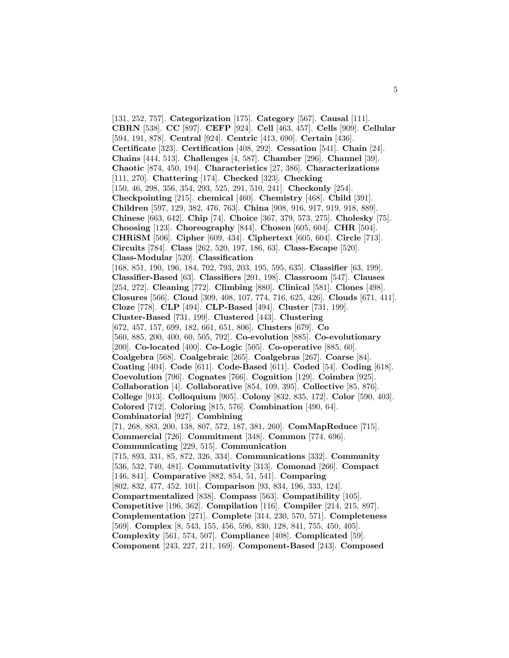[131, 252, 757]. **Categorization** [175]. **Category** [567]. **Causal** [111]. **CBRN** [538]. **CC** [897]. **CEFP** [924]. **Cell** [463, 457]. **Cells** [909]. **Cellular** [594, 191, 878]. **Central** [924]. **Centric** [413, 690]. **Certain** [436]. **Certificate** [323]. **Certification** [408, 292]. **Cessation** [541]. **Chain** [24]. **Chains** [444, 513]. **Challenges** [4, 587]. **Chamber** [296]. **Channel** [39]. **Chaotic** [874, 450, 194]. **Characteristics** [27, 386]. **Characterizations** [111, 270]. **Chattering** [174]. **Checked** [323]. **Checking** [150, 46, 298, 356, 354, 293, 525, 291, 510, 241]. **Checkonly** [254]. **Checkpointing** [215]. **chemical** [460]. **Chemistry** [468]. **Child** [391]. **Children** [597, 129, 382, 476, 763]. **China** [908, 916, 917, 919, 918, 889]. **Chinese** [663, 642]. **Chip** [74]. **Choice** [367, 379, 573, 275]. **Cholesky** [75]. **Choosing** [123]. **Choreography** [844]. **Chosen** [605, 604]. **CHR** [504]. **CHRiSM** [506]. **Cipher** [609, 434]. **Ciphertext** [605, 604]. **Circle** [713]. **Circuits** [784]. **Class** [262, 520, 197, 186, 63]. **Class-Escape** [520]. **Class-Modular** [520]. **Classification** [168, 851, 190, 196, 184, 702, 793, 203, 195, 595, 635]. **Classifier** [63, 199]. **Classifier-Based** [63]. **Classifiers** [201, 198]. **Classroom** [547]. **Clauses** [254, 272]. **Cleaning** [772]. **Climbing** [880]. **Clinical** [581]. **Clones** [498]. **Closures** [566]. **Cloud** [309, 408, 107, 774, 716, 625, 426]. **Clouds** [671, 411]. **Cloze** [778]. **CLP** [494]. **CLP-Based** [494]. **Cluster** [731, 199]. **Cluster-Based** [731, 199]. **Clustered** [443]. **Clustering** [672, 457, 157, 699, 182, 661, 651, 806]. **Clusters** [679]. **Co** [560, 885, 200, 400, 60, 505, 792]. **Co-evolution** [885]. **Co-evolutionary** [200]. **Co-located** [400]. **Co-Logic** [505]. **Co-operative** [885, 60]. **Coalgebra** [568]. **Coalgebraic** [265]. **Coalgebras** [267]. **Coarse** [84]. **Coating** [404]. **Code** [611]. **Code-Based** [611]. **Coded** [54]. **Coding** [618]. **Coevolution** [796]. **Cognates** [766]. **Cognition** [129]. **Coimbra** [925]. **Collaboration** [4]. **Collaborative** [854, 109, 395]. **Collective** [85, 876]. **College** [913]. **Colloquium** [905]. **Colony** [832, 835, 172]. **Color** [590, 403]. **Colored** [712]. **Coloring** [815, 576]. **Combination** [490, 64]. **Combinatorial** [927]. **Combining** [71, 268, 883, 200, 138, 807, 572, 187, 381, 260]. **ComMapReduce** [715]. **Commercial** [726]. **Commitment** [348]. **Common** [774, 696]. **Communicating** [229, 515]. **Communication** [715, 893, 331, 85, 872, 326, 334]. **Communications** [332]. **Community** [536, 532, 740, 481]. **Commutativity** [313]. **Comonad** [266]. **Compact** [146, 841]. **Comparative** [882, 854, 51, 541]. **Comparing** [802, 832, 477, 452, 101]. **Comparison** [93, 834, 196, 333, 124]. **Compartmentalized** [838]. **Compass** [563]. **Compatibility** [105]. **Competitive** [196, 362]. **Compilation** [116]. **Compiler** [214, 215, 897]. **Complementation** [271]. **Complete** [314, 230, 570, 571]. **Completeness** [569]. **Complex** [8, 543, 155, 456, 596, 830, 128, 841, 755, 450, 405]. **Complexity** [561, 574, 507]. **Compliance** [408]. **Complicated** [59]. **Component** [243, 227, 211, 169]. **Component-Based** [243]. **Composed**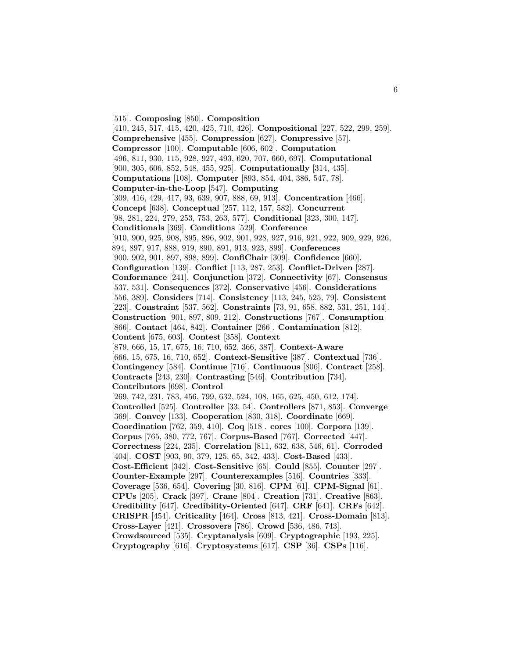[515]. **Composing** [850]. **Composition** [410, 245, 517, 415, 420, 425, 710, 426]. **Compositional** [227, 522, 299, 259]. **Comprehensive** [455]. **Compression** [627]. **Compressive** [57]. **Compressor** [100]. **Computable** [606, 602]. **Computation** [496, 811, 930, 115, 928, 927, 493, 620, 707, 660, 697]. **Computational** [900, 305, 606, 852, 548, 455, 925]. **Computationally** [314, 435]. **Computations** [108]. **Computer** [893, 854, 404, 386, 547, 78]. **Computer-in-the-Loop** [547]. **Computing** [309, 416, 429, 417, 93, 639, 907, 888, 69, 913]. **Concentration** [466]. **Concept** [638]. **Conceptual** [257, 112, 157, 582]. **Concurrent** [98, 281, 224, 279, 253, 753, 263, 577]. **Conditional** [323, 300, 147]. **Conditionals** [369]. **Conditions** [529]. **Conference** [910, 900, 925, 908, 895, 896, 902, 901, 928, 927, 916, 921, 922, 909, 929, 926, 894, 897, 917, 888, 919, 890, 891, 913, 923, 899]. **Conferences** [900, 902, 901, 897, 898, 899]. **ConfiChair** [309]. **Confidence** [660]. **Configuration** [139]. **Conflict** [113, 287, 253]. **Conflict-Driven** [287]. **Conformance** [241]. **Conjunction** [372]. **Connectivity** [67]. **Consensus** [537, 531]. **Consequences** [372]. **Conservative** [456]. **Considerations** [556, 389]. **Considers** [714]. **Consistency** [113, 245, 525, 79]. **Consistent** [223]. **Constraint** [537, 562]. **Constraints** [73, 91, 658, 882, 531, 251, 144]. **Construction** [901, 897, 809, 212]. **Constructions** [767]. **Consumption** [866]. **Contact** [464, 842]. **Container** [266]. **Contamination** [812]. **Content** [675, 603]. **Contest** [358]. **Context** [879, 666, 15, 17, 675, 16, 710, 652, 366, 387]. **Context-Aware** [666, 15, 675, 16, 710, 652]. **Context-Sensitive** [387]. **Contextual** [736]. **Contingency** [584]. **Continue** [716]. **Continuous** [806]. **Contract** [258]. **Contracts** [243, 230]. **Contrasting** [546]. **Contribution** [734]. **Contributors** [698]. **Control** [269, 742, 231, 783, 456, 799, 632, 524, 108, 165, 625, 450, 612, 174]. **Controlled** [525]. **Controller** [33, 54]. **Controllers** [871, 853]. **Converge** [369]. **Convey** [133]. **Cooperation** [830, 318]. **Coordinate** [669]. **Coordination** [762, 359, 410]. **Coq** [518]. **cores** [100]. **Corpora** [139]. **Corpus** [765, 380, 772, 767]. **Corpus-Based** [767]. **Corrected** [447]. **Correctness** [224, 235]. **Correlation** [811, 632, 638, 546, 61]. **Corroded** [404]. **COST** [903, 90, 379, 125, 65, 342, 433]. **Cost-Based** [433]. **Cost-Efficient** [342]. **Cost-Sensitive** [65]. **Could** [855]. **Counter** [297]. **Counter-Example** [297]. **Counterexamples** [516]. **Countries** [333]. **Coverage** [536, 654]. **Covering** [30, 816]. **CPM** [61]. **CPM-Signal** [61]. **CPUs** [205]. **Crack** [397]. **Crane** [804]. **Creation** [731]. **Creative** [863]. **Credibility** [647]. **Credibility-Oriented** [647]. **CRF** [641]. **CRFs** [642]. **CRISPR** [454]. **Criticality** [464]. **Cross** [813, 421]. **Cross-Domain** [813]. **Cross-Layer** [421]. **Crossovers** [786]. **Crowd** [536, 486, 743]. **Crowdsourced** [535]. **Cryptanalysis** [609]. **Cryptographic** [193, 225]. **Cryptography** [616]. **Cryptosystems** [617]. **CSP** [36]. **CSPs** [116].

6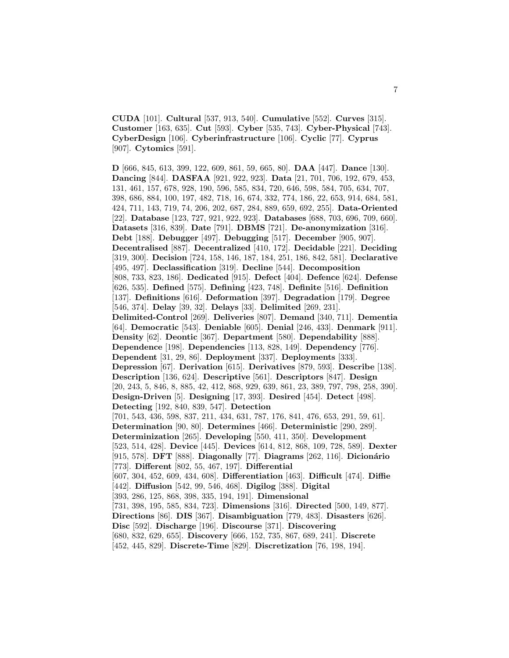**CUDA** [101]. **Cultural** [537, 913, 540]. **Cumulative** [552]. **Curves** [315]. **Customer** [163, 635]. **Cut** [593]. **Cyber** [535, 743]. **Cyber-Physical** [743]. **CyberDesign** [106]. **Cyberinfrastructure** [106]. **Cyclic** [77]. **Cyprus** [907]. **Cytomics** [591].

**D** [666, 845, 613, 399, 122, 609, 861, 59, 665, 80]. **DAA** [447]. **Dance** [130]. **Dancing** [844]. **DASFAA** [921, 922, 923]. **Data** [21, 701, 706, 192, 679, 453, 131, 461, 157, 678, 928, 190, 596, 585, 834, 720, 646, 598, 584, 705, 634, 707, 398, 686, 884, 100, 197, 482, 718, 16, 674, 332, 774, 186, 22, 653, 914, 684, 581, 424, 711, 143, 719, 74, 206, 202, 687, 284, 889, 659, 692, 255]. **Data-Oriented** [22]. **Database** [123, 727, 921, 922, 923]. **Databases** [688, 703, 696, 709, 660]. **Datasets** [316, 839]. **Date** [791]. **DBMS** [721]. **De-anonymization** [316]. **Debt** [188]. **Debugger** [497]. **Debugging** [517]. **December** [905, 907]. **Decentralised** [887]. **Decentralized** [410, 172]. **Decidable** [221]. **Deciding** [319, 300]. **Decision** [724, 158, 146, 187, 184, 251, 186, 842, 581]. **Declarative** [495, 497]. **Declassification** [319]. **Decline** [544]. **Decomposition** [808, 733, 823, 186]. **Dedicated** [915]. **Defect** [404]. **Defence** [624]. **Defense** [626, 535]. **Defined** [575]. **Defining** [423, 748]. **Definite** [516]. **Definition** [137]. **Definitions** [616]. **Deformation** [397]. **Degradation** [179]. **Degree** [546, 374]. **Delay** [39, 32]. **Delays** [33]. **Delimited** [269, 231]. **Delimited-Control** [269]. **Deliveries** [807]. **Demand** [340, 711]. **Dementia** [64]. **Democratic** [543]. **Deniable** [605]. **Denial** [246, 433]. **Denmark** [911]. **Density** [62]. **Deontic** [367]. **Department** [580]. **Dependability** [888]. **Dependence** [198]. **Dependencies** [113, 828, 149]. **Dependency** [776]. **Dependent** [31, 29, 86]. **Deployment** [337]. **Deployments** [333]. **Depression** [67]. **Derivation** [615]. **Derivatives** [879, 593]. **Describe** [138]. **Description** [136, 624]. **Descriptive** [561]. **Descriptors** [847]. **Design** [20, 243, 5, 846, 8, 885, 42, 412, 868, 929, 639, 861, 23, 389, 797, 798, 258, 390]. **Design-Driven** [5]. **Designing** [17, 393]. **Desired** [454]. **Detect** [498]. **Detecting** [192, 840, 839, 547]. **Detection** [701, 543, 436, 598, 837, 211, 434, 631, 787, 176, 841, 476, 653, 291, 59, 61]. **Determination** [90, 80]. **Determines** [466]. **Deterministic** [290, 289]. **Determinization** [265]. **Developing** [550, 411, 350]. **Development** [523, 514, 428]. **Device** [445]. **Devices** [614, 812, 868, 109, 728, 589]. **Dexter** [915, 578]. **DFT** [888]. **Diagonally** [77]. **Diagrams** [262, 116]. **Dicionário** [773]. **Different** [802, 55, 467, 197]. **Differential** [607, 304, 452, 609, 434, 608]. **Differentiation** [463]. **Difficult** [474]. **Diffie** [442]. **Diffusion** [542, 99, 546, 468]. **Digilog** [388]. **Digital** [393, 286, 125, 868, 398, 335, 194, 191]. **Dimensional** [731, 398, 195, 585, 834, 723]. **Dimensions** [316]. **Directed** [500, 149, 877]. **Directions** [86]. **DIS** [367]. **Disambiguation** [779, 483]. **Disasters** [626]. **Disc** [592]. **Discharge** [196]. **Discourse** [371]. **Discovering** [680, 832, 629, 655]. **Discovery** [666, 152, 735, 867, 689, 241]. **Discrete**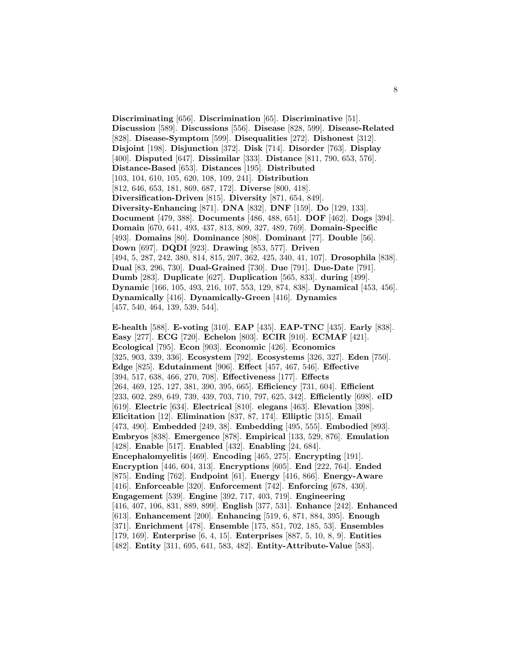**Discriminating** [656]. **Discrimination** [65]. **Discriminative** [51]. **Discussion** [589]. **Discussions** [556]. **Disease** [828, 599]. **Disease-Related** [828]. **Disease-Symptom** [599]. **Disequalities** [272]. **Dishonest** [312]. **Disjoint** [198]. **Disjunction** [372]. **Disk** [714]. **Disorder** [763]. **Display** [400]. **Disputed** [647]. **Dissimilar** [333]. **Distance** [811, 790, 653, 576]. **Distance-Based** [653]. **Distances** [195]. **Distributed** [103, 104, 610, 105, 620, 108, 109, 241]. **Distribution** [812, 646, 653, 181, 869, 687, 172]. **Diverse** [800, 418]. **Diversification-Driven** [815]. **Diversity** [871, 654, 849]. **Diversity-Enhancing** [871]. **DNA** [832]. **DNF** [159]. **Do** [129, 133]. **Document** [479, 388]. **Documents** [486, 488, 651]. **DOF** [462]. **Dogs** [394]. **Domain** [670, 641, 493, 437, 813, 809, 327, 489, 769]. **Domain-Specific** [493]. **Domains** [80]. **Dominance** [808]. **Dominant** [77]. **Double** [56]. **Down** [697]. **DQDI** [923]. **Drawing** [853, 577]. **Driven** [494, 5, 287, 242, 380, 814, 815, 207, 362, 425, 340, 41, 107]. **Drosophila** [838]. **Dual** [83, 296, 730]. **Dual-Grained** [730]. **Due** [791]. **Due-Date** [791]. **Dumb** [283]. **Duplicate** [627]. **Duplication** [565, 833]. **during** [499]. **Dynamic** [166, 105, 493, 216, 107, 553, 129, 874, 838]. **Dynamical** [453, 456]. **Dynamically** [416]. **Dynamically-Green** [416]. **Dynamics** [457, 540, 464, 139, 539, 544].

**E-health** [588]. **E-voting** [310]. **EAP** [435]. **EAP-TNC** [435]. **Early** [838]. **Easy** [277]. **ECG** [720]. **Echelon** [803]. **ECIR** [910]. **ECMAF** [421]. **Ecological** [795]. **Econ** [903]. **Economic** [426]. **Economics** [325, 903, 339, 336]. **Ecosystem** [792]. **Ecosystems** [326, 327]. **Eden** [750]. **Edge** [825]. **Edutainment** [906]. **Effect** [457, 467, 546]. **Effective** [394, 517, 638, 466, 270, 708]. **Effectiveness** [177]. **Effects** [264, 469, 125, 127, 381, 390, 395, 665]. **Efficiency** [731, 604]. **Efficient** [233, 602, 289, 649, 739, 439, 703, 710, 797, 625, 342]. **Efficiently** [698]. **eID** [619]. **Electric** [634]. **Electrical** [810]. **elegans** [463]. **Elevation** [398]. **Elicitation** [12]. **Elimination** [837, 87, 174]. **Elliptic** [315]. **Email** [473, 490]. **Embedded** [249, 38]. **Embedding** [495, 555]. **Embodied** [893]. **Embryos** [838]. **Emergence** [878]. **Empirical** [133, 529, 876]. **Emulation** [428]. **Enable** [517]. **Enabled** [432]. **Enabling** [24, 684]. **Encephalomyelitis** [469]. **Encoding** [465, 275]. **Encrypting** [191]. **Encryption** [446, 604, 313]. **Encryptions** [605]. **End** [222, 764]. **Ended** [875]. **Ending** [762]. **Endpoint** [61]. **Energy** [416, 866]. **Energy-Aware** [416]. **Enforceable** [320]. **Enforcement** [742]. **Enforcing** [678, 430]. **Engagement** [539]. **Engine** [392, 717, 403, 719]. **Engineering** [416, 407, 106, 831, 889, 899]. **English** [377, 531]. **Enhance** [242]. **Enhanced** [613]. **Enhancement** [200]. **Enhancing** [519, 6, 871, 884, 395]. **Enough** [371]. **Enrichment** [478]. **Ensemble** [175, 851, 702, 185, 53]. **Ensembles** [179, 169]. **Enterprise** [6, 4, 15]. **Enterprises** [887, 5, 10, 8, 9]. **Entities** [482]. **Entity** [311, 695, 641, 583, 482]. **Entity-Attribute-Value** [583].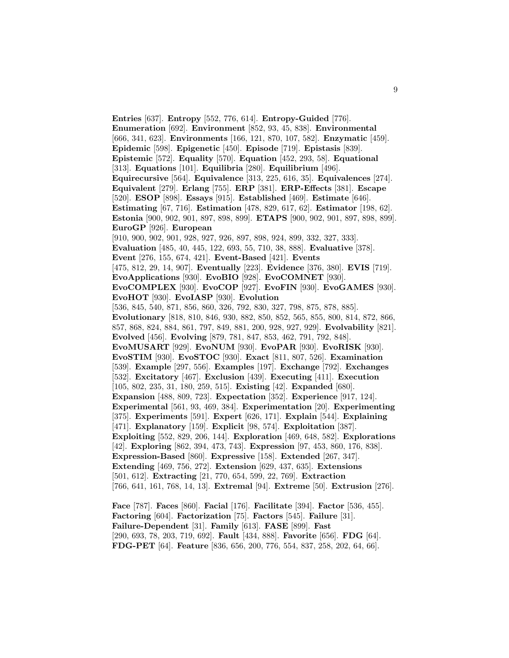**Entries** [637]. **Entropy** [552, 776, 614]. **Entropy-Guided** [776]. **Enumeration** [692]. **Environment** [852, 93, 45, 838]. **Environmental** [666, 341, 623]. **Environments** [166, 121, 870, 107, 582]. **Enzymatic** [459]. **Epidemic** [598]. **Epigenetic** [450]. **Episode** [719]. **Epistasis** [839]. **Epistemic** [572]. **Equality** [570]. **Equation** [452, 293, 58]. **Equational** [313]. **Equations** [101]. **Equilibria** [280]. **Equilibrium** [496]. **Equirecursive** [564]. **Equivalence** [313, 225, 616, 35]. **Equivalences** [274]. **Equivalent** [279]. **Erlang** [755]. **ERP** [381]. **ERP-Effects** [381]. **Escape** [520]. **ESOP** [898]. **Essays** [915]. **Established** [469]. **Estimate** [646]. **Estimating** [67, 716]. **Estimation** [478, 829, 617, 62]. **Estimator** [198, 62]. **Estonia** [900, 902, 901, 897, 898, 899]. **ETAPS** [900, 902, 901, 897, 898, 899]. **EuroGP** [926]. **European** [910, 900, 902, 901, 928, 927, 926, 897, 898, 924, 899, 332, 327, 333]. **Evaluation** [485, 40, 445, 122, 693, 55, 710, 38, 888]. **Evaluative** [378]. **Event** [276, 155, 674, 421]. **Event-Based** [421]. **Events** [475, 812, 29, 14, 907]. **Eventually** [223]. **Evidence** [376, 380]. **EVIS** [719]. **EvoApplications** [930]. **EvoBIO** [928]. **EvoCOMNET** [930]. **EvoCOMPLEX** [930]. **EvoCOP** [927]. **EvoFIN** [930]. **EvoGAMES** [930]. **EvoHOT** [930]. **EvoIASP** [930]. **Evolution** [536, 845, 540, 871, 856, 860, 326, 792, 830, 327, 798, 875, 878, 885]. **Evolutionary** [818, 810, 846, 930, 882, 850, 852, 565, 855, 800, 814, 872, 866, 857, 868, 824, 884, 861, 797, 849, 881, 200, 928, 927, 929]. **Evolvability** [821]. **Evolved** [456]. **Evolving** [879, 781, 847, 853, 462, 791, 792, 848]. **EvoMUSART** [929]. **EvoNUM** [930]. **EvoPAR** [930]. **EvoRISK** [930]. **EvoSTIM** [930]. **EvoSTOC** [930]. **Exact** [811, 807, 526]. **Examination** [539]. **Example** [297, 556]. **Examples** [197]. **Exchange** [792]. **Exchanges** [532]. **Excitatory** [467]. **Exclusion** [439]. **Executing** [411]. **Execution** [105, 802, 235, 31, 180, 259, 515]. **Existing** [42]. **Expanded** [680]. **Expansion** [488, 809, 723]. **Expectation** [352]. **Experience** [917, 124]. **Experimental** [561, 93, 469, 384]. **Experimentation** [20]. **Experimenting** [375]. **Experiments** [591]. **Expert** [626, 171]. **Explain** [544]. **Explaining** [471]. **Explanatory** [159]. **Explicit** [98, 574]. **Exploitation** [387]. **Exploiting** [552, 829, 206, 144]. **Exploration** [469, 648, 582]. **Explorations** [42]. **Exploring** [862, 394, 473, 743]. **Expression** [97, 453, 860, 176, 838]. **Expression-Based** [860]. **Expressive** [158]. **Extended** [267, 347]. **Extending** [469, 756, 272]. **Extension** [629, 437, 635]. **Extensions** [501, 612]. **Extracting** [21, 770, 654, 599, 22, 769]. **Extraction** [766, 641, 161, 768, 14, 13]. **Extremal** [94]. **Extreme** [50]. **Extrusion** [276].

**Face** [787]. **Faces** [860]. **Facial** [176]. **Facilitate** [394]. **Factor** [536, 455]. **Factoring** [604]. **Factorization** [75]. **Factors** [545]. **Failure** [31]. **Failure-Dependent** [31]. **Family** [613]. **FASE** [899]. **Fast** [290, 693, 78, 203, 719, 692]. **Fault** [434, 888]. **Favorite** [656]. **FDG** [64]. **FDG-PET** [64]. **Feature** [836, 656, 200, 776, 554, 837, 258, 202, 64, 66].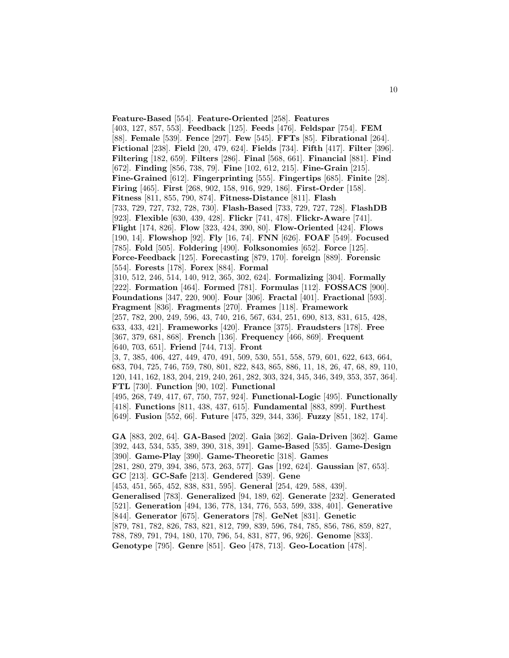**Feature-Based** [554]. **Feature-Oriented** [258]. **Features** [403, 127, 857, 553]. **Feedback** [125]. **Feeds** [476]. **Feldspar** [754]. **FEM** [88]. **Female** [539]. **Fence** [297]. **Few** [545]. **FFTs** [85]. **Fibrational** [264]. **Fictional** [238]. **Field** [20, 479, 624]. **Fields** [734]. **Fifth** [417]. **Filter** [396]. **Filtering** [182, 659]. **Filters** [286]. **Final** [568, 661]. **Financial** [881]. **Find** [672]. **Finding** [856, 738, 79]. **Fine** [102, 612, 215]. **Fine-Grain** [215]. **Fine-Grained** [612]. **Fingerprinting** [555]. **Fingertips** [685]. **Finite** [28]. **Firing** [465]. **First** [268, 902, 158, 916, 929, 186]. **First-Order** [158]. **Fitness** [811, 855, 790, 874]. **Fitness-Distance** [811]. **Flash** [733, 729, 727, 732, 728, 730]. **Flash-Based** [733, 729, 727, 728]. **FlashDB** [923]. **Flexible** [630, 439, 428]. **Flickr** [741, 478]. **Flickr-Aware** [741]. **Flight** [174, 826]. **Flow** [323, 424, 390, 80]. **Flow-Oriented** [424]. **Flows** [190, 14]. **Flowshop** [92]. **Fly** [16, 74]. **FNN** [626]. **FOAF** [549]. **Focused** [785]. **Fold** [505]. **Foldering** [490]. **Folksonomies** [652]. **Force** [125]. **Force-Feedback** [125]. **Forecasting** [879, 170]. **foreign** [889]. **Forensic** [554]. **Forests** [178]. **Forex** [884]. **Formal** [310, 512, 246, 514, 140, 912, 365, 302, 624]. **Formalizing** [304]. **Formally** [222]. **Formation** [464]. **Formed** [781]. **Formulas** [112]. **FOSSACS** [900]. **Foundations** [347, 220, 900]. **Four** [306]. **Fractal** [401]. **Fractional** [593]. **Fragment** [836]. **Fragments** [270]. **Frames** [118]. **Framework** [257, 782, 200, 249, 596, 43, 740, 216, 567, 634, 251, 690, 813, 831, 615, 428, 633, 433, 421]. **Frameworks** [420]. **France** [375]. **Fraudsters** [178]. **Free** [367, 379, 681, 868]. **French** [136]. **Frequency** [466, 869]. **Frequent** [640, 703, 651]. **Friend** [744, 713]. **Front** [3, 7, 385, 406, 427, 449, 470, 491, 509, 530, 551, 558, 579, 601, 622, 643, 664, 683, 704, 725, 746, 759, 780, 801, 822, 843, 865, 886, 11, 18, 26, 47, 68, 89, 110, 120, 141, 162, 183, 204, 219, 240, 261, 282, 303, 324, 345, 346, 349, 353, 357, 364]. **FTL** [730]. **Function** [90, 102]. **Functional** [495, 268, 749, 417, 67, 750, 757, 924]. **Functional-Logic** [495]. **Functionally** [418]. **Functions** [811, 438, 437, 615]. **Fundamental** [883, 899]. **Furthest** [649]. **Fusion** [552, 66]. **Future** [475, 329, 344, 336]. **Fuzzy** [851, 182, 174]. **GA** [883, 202, 64]. **GA-Based** [202]. **Gaia** [362]. **Gaia-Driven** [362]. **Game** [392, 443, 534, 535, 389, 390, 318, 391]. **Game-Based** [535]. **Game-Design** [390]. **Game-Play** [390]. **Game-Theoretic** [318]. **Games** [281, 280, 279, 394, 386, 573, 263, 577]. **Gas** [192, 624]. **Gaussian** [87, 653]. **GC** [213]. **GC-Safe** [213]. **Gendered** [539]. **Gene** [453, 451, 565, 452, 838, 831, 595]. **General** [254, 429, 588, 439]. **Generalised** [783]. **Generalized** [94, 189, 62]. **Generate** [232]. **Generated** [521]. **Generation** [494, 136, 778, 134, 776, 553, 599, 338, 401]. **Generative** [844]. **Generator** [675]. **Generators** [78]. **GeNet** [831]. **Genetic** [879, 781, 782, 826, 783, 821, 812, 799, 839, 596, 784, 785, 856, 786, 859, 827, 788, 789, 791, 794, 180, 170, 796, 54, 831, 877, 96, 926]. **Genome** [833]. **Genotype** [795]. **Genre** [851]. **Geo** [478, 713]. **Geo-Location** [478].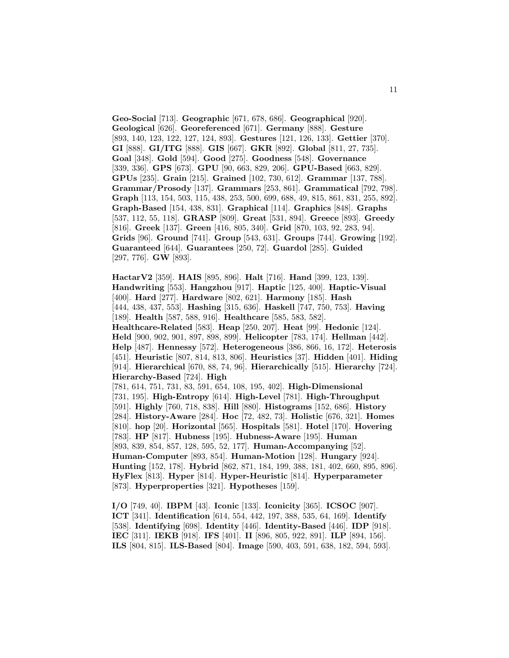**Geo-Social** [713]. **Geographic** [671, 678, 686]. **Geographical** [920]. **Geological** [626]. **Georeferenced** [671]. **Germany** [888]. **Gesture** [893, 140, 123, 122, 127, 124, 893]. **Gestures** [121, 126, 133]. **Gettier** [370]. **GI** [888]. **GI/ITG** [888]. **GIS** [667]. **GKR** [892]. **Global** [811, 27, 735]. **Goal** [348]. **Gold** [594]. **Good** [275]. **Goodness** [548]. **Governance** [339, 336]. **GPS** [673]. **GPU** [90, 663, 829, 206]. **GPU-Based** [663, 829]. **GPUs** [235]. **Grain** [215]. **Grained** [102, 730, 612]. **Grammar** [137, 788]. **Grammar/Prosody** [137]. **Grammars** [253, 861]. **Grammatical** [792, 798]. **Graph** [113, 154, 503, 115, 438, 253, 500, 699, 688, 49, 815, 861, 831, 255, 892]. **Graph-Based** [154, 438, 831]. **Graphical** [114]. **Graphics** [848]. **Graphs** [537, 112, 55, 118]. **GRASP** [809]. **Great** [531, 894]. **Greece** [893]. **Greedy** [816]. **Greek** [137]. **Green** [416, 805, 340]. **Grid** [870, 103, 92, 283, 94]. **Grids** [96]. **Ground** [741]. **Group** [543, 631]. **Groups** [744]. **Growing** [192]. **Guaranteed** [644]. **Guarantees** [250, 72]. **Guardol** [285]. **Guided** [297, 776]. **GW** [893].

**HactarV2** [359]. **HAIS** [895, 896]. **Halt** [716]. **Hand** [399, 123, 139]. **Handwriting** [553]. **Hangzhou** [917]. **Haptic** [125, 400]. **Haptic-Visual** [400]. **Hard** [277]. **Hardware** [802, 621]. **Harmony** [185]. **Hash** [444, 438, 437, 553]. **Hashing** [315, 636]. **Haskell** [747, 750, 753]. **Having** [189]. **Health** [587, 588, 916]. **Healthcare** [585, 583, 582]. **Healthcare-Related** [583]. **Heap** [250, 207]. **Heat** [99]. **Hedonic** [124]. **Held** [900, 902, 901, 897, 898, 899]. **Helicopter** [783, 174]. **Hellman** [442]. **Help** [487]. **Hennessy** [572]. **Heterogeneous** [386, 866, 16, 172]. **Heterosis** [451]. **Heuristic** [807, 814, 813, 806]. **Heuristics** [37]. **Hidden** [401]. **Hiding** [914]. **Hierarchical** [670, 88, 74, 96]. **Hierarchically** [515]. **Hierarchy** [724]. **Hierarchy-Based** [724]. **High** [781, 614, 751, 731, 83, 591, 654, 108, 195, 402]. **High-Dimensional** [731, 195]. **High-Entropy** [614]. **High-Level** [781]. **High-Throughput** [591]. **Highly** [760, 718, 838]. **Hill** [880]. **Histograms** [152, 686]. **History** [284]. **History-Aware** [284]. **Hoc** [72, 482, 73]. **Holistic** [676, 321]. **Homes** [810]. **hop** [20]. **Horizontal** [565]. **Hospitals** [581]. **Hotel** [170]. **Hovering** [783]. **HP** [817]. **Hubness** [195]. **Hubness-Aware** [195]. **Human** [893, 839, 854, 857, 128, 595, 52, 177]. **Human-Accompanying** [52]. **Human-Computer** [893, 854]. **Human-Motion** [128]. **Hungary** [924]. **Hunting** [152, 178]. **Hybrid** [862, 871, 184, 199, 388, 181, 402, 660, 895, 896]. **HyFlex** [813]. **Hyper** [814]. **Hyper-Heuristic** [814]. **Hyperparameter** [873]. **Hyperproperties** [321]. **Hypotheses** [159].

**I/O** [749, 40]. **IBPM** [43]. **Iconic** [133]. **Iconicity** [365]. **ICSOC** [907]. **ICT** [341]. **Identification** [614, 554, 442, 197, 388, 535, 64, 169]. **Identify** [538]. **Identifying** [698]. **Identity** [446]. **Identity-Based** [446]. **IDP** [918]. **IEC** [311]. **IEKB** [918]. **IFS** [401]. **II** [896, 805, 922, 891]. **ILP** [894, 156]. **ILS** [804, 815]. **ILS-Based** [804]. **Image** [590, 403, 591, 638, 182, 594, 593].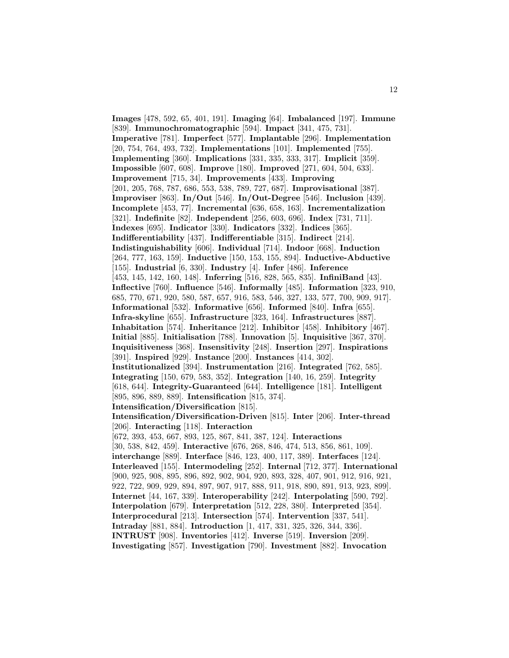**Images** [478, 592, 65, 401, 191]. **Imaging** [64]. **Imbalanced** [197]. **Immune** [839]. **Immunochromatographic** [594]. **Impact** [341, 475, 731]. **Imperative** [781]. **Imperfect** [577]. **Implantable** [296]. **Implementation** [20, 754, 764, 493, 732]. **Implementations** [101]. **Implemented** [755]. **Implementing** [360]. **Implications** [331, 335, 333, 317]. **Implicit** [359]. **Impossible** [607, 608]. **Improve** [180]. **Improved** [271, 604, 504, 633]. **Improvement** [715, 34]. **Improvements** [433]. **Improving** [201, 205, 768, 787, 686, 553, 538, 789, 727, 687]. **Improvisational** [387]. **Improviser** [863]. **In/Out** [546]. **In/Out-Degree** [546]. **Inclusion** [439]. **Incomplete** [453, 77]. **Incremental** [636, 658, 163]. **Incrementalization** [321]. **Indefinite** [82]. **Independent** [256, 603, 696]. **Index** [731, 711]. **Indexes** [695]. **Indicator** [330]. **Indicators** [332]. **Indices** [365]. **Indifferentiability** [437]. **Indifferentiable** [315]. **Indirect** [214]. **Indistinguishability** [606]. **Individual** [714]. **Indoor** [668]. **Induction** [264, 777, 163, 159]. **Inductive** [150, 153, 155, 894]. **Inductive-Abductive** [155]. **Industrial** [6, 330]. **Industry** [4]. **Infer** [486]. **Inference** [453, 145, 142, 160, 148]. **Inferring** [516, 828, 565, 835]. **InfiniBand** [43]. **Inflective** [760]. **Influence** [546]. **Informally** [485]. **Information** [323, 910, 685, 770, 671, 920, 580, 587, 657, 916, 583, 546, 327, 133, 577, 700, 909, 917]. **Informational** [532]. **Informative** [656]. **Informed** [840]. **Infra** [655]. **Infra-skyline** [655]. **Infrastructure** [323, 164]. **Infrastructures** [887]. **Inhabitation** [574]. **Inheritance** [212]. **Inhibitor** [458]. **Inhibitory** [467]. **Initial** [885]. **Initialisation** [788]. **Innovation** [5]. **Inquisitive** [367, 370]. **Inquisitiveness** [368]. **Insensitivity** [248]. **Insertion** [297]. **Inspirations** [391]. **Inspired** [929]. **Instance** [200]. **Instances** [414, 302]. **Institutionalized** [394]. **Instrumentation** [216]. **Integrated** [762, 585]. **Integrating** [150, 679, 583, 352]. **Integration** [140, 16, 259]. **Integrity** [618, 644]. **Integrity-Guaranteed** [644]. **Intelligence** [181]. **Intelligent** [895, 896, 889, 889]. **Intensification** [815, 374]. **Intensification/Diversification** [815]. **Intensification/Diversification-Driven** [815]. **Inter** [206]. **Inter-thread** [206]. **Interacting** [118]. **Interaction** [672, 393, 453, 667, 893, 125, 867, 841, 387, 124]. **Interactions** [30, 538, 842, 459]. **Interactive** [676, 268, 846, 474, 513, 856, 861, 109]. **interchange** [889]. **Interface** [846, 123, 400, 117, 389]. **Interfaces** [124]. **Interleaved** [155]. **Intermodeling** [252]. **Internal** [712, 377]. **International** [900, 925, 908, 895, 896, 892, 902, 904, 920, 893, 328, 407, 901, 912, 916, 921, 922, 722, 909, 929, 894, 897, 907, 917, 888, 911, 918, 890, 891, 913, 923, 899]. **Internet** [44, 167, 339]. **Interoperability** [242]. **Interpolating** [590, 792]. **Interpolation** [679]. **Interpretation** [512, 228, 380]. **Interpreted** [354]. **Interprocedural** [213]. **Intersection** [574]. **Intervention** [337, 541]. **Intraday** [881, 884]. **Introduction** [1, 417, 331, 325, 326, 344, 336]. **INTRUST** [908]. **Inventories** [412]. **Inverse** [519]. **Inversion** [209]. **Investigating** [857]. **Investigation** [790]. **Investment** [882]. **Invocation**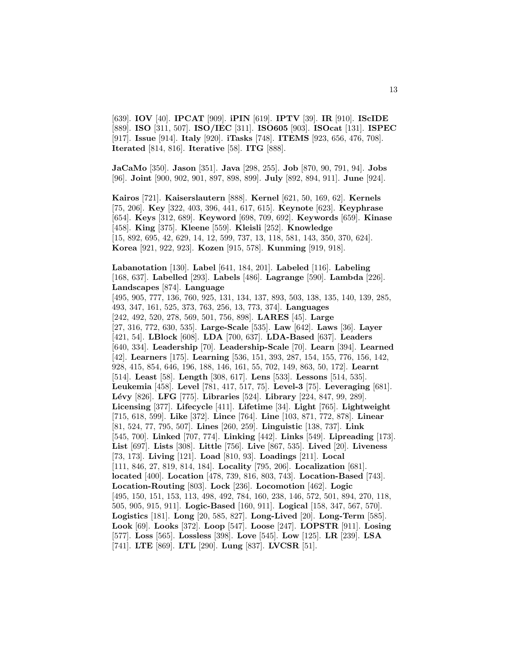[639]. **IOV** [40]. **IPCAT** [909]. **iPIN** [619]. **IPTV** [39]. **IR** [910]. **IScIDE** [889]. **ISO** [311, 507]. **ISO/IEC** [311]. **ISO605** [903]. **ISOcat** [131]. **ISPEC** [917]. **Issue** [914]. **Italy** [920]. **iTasks** [748]. **ITEMS** [923, 656, 476, 708]. **Iterated** [814, 816]. **Iterative** [58]. **ITG** [888].

**JaCaMo** [350]. **Jason** [351]. **Java** [298, 255]. **Job** [870, 90, 791, 94]. **Jobs** [96]. **Joint** [900, 902, 901, 897, 898, 899]. **July** [892, 894, 911]. **June** [924].

**Kairos** [721]. **Kaiserslautern** [888]. **Kernel** [621, 50, 169, 62]. **Kernels** [75, 206]. **Key** [322, 403, 396, 441, 617, 615]. **Keynote** [623]. **Keyphrase** [654]. **Keys** [312, 689]. **Keyword** [698, 709, 692]. **Keywords** [659]. **Kinase** [458]. **King** [375]. **Kleene** [559]. **Kleisli** [252]. **Knowledge** [15, 892, 695, 42, 629, 14, 12, 599, 737, 13, 118, 581, 143, 350, 370, 624]. **Korea** [921, 922, 923]. **Kozen** [915, 578]. **Kunming** [919, 918].

**Labanotation** [130]. **Label** [641, 184, 201]. **Labeled** [116]. **Labeling** [168, 637]. **Labelled** [293]. **Labels** [486]. **Lagrange** [590]. **Lambda** [226]. **Landscapes** [874]. **Language** [495, 905, 777, 136, 760, 925, 131, 134, 137, 893, 503, 138, 135, 140, 139, 285, 493, 347, 161, 525, 373, 763, 256, 13, 773, 374]. **Languages** [242, 492, 520, 278, 569, 501, 756, 898]. **LARES** [45]. **Large** [27, 316, 772, 630, 535]. **Large-Scale** [535]. **Law** [642]. **Laws** [36]. **Layer** [421, 54]. **LBlock** [608]. **LDA** [700, 637]. **LDA-Based** [637]. **Leaders** [640, 334]. **Leadership** [70]. **Leadership-Scale** [70]. **Learn** [394]. **Learned** [42]. **Learners** [175]. **Learning** [536, 151, 393, 287, 154, 155, 776, 156, 142, 928, 415, 854, 646, 196, 188, 146, 161, 55, 702, 149, 863, 50, 172]. **Learnt** [514]. **Least** [58]. **Length** [308, 617]. **Lens** [533]. **Lessons** [514, 535]. **Leukemia** [458]. **Level** [781, 417, 517, 75]. **Level-3** [75]. **Leveraging** [681]. **L´evy** [826]. **LFG** [775]. **Libraries** [524]. **Library** [224, 847, 99, 289]. **Licensing** [377]. **Lifecycle** [411]. **Lifetime** [34]. **Light** [765]. **Lightweight** [715, 618, 599]. **Like** [372]. **Lince** [764]. **Line** [103, 871, 772, 878]. **Linear** [81, 524, 77, 795, 507]. **Lines** [260, 259]. **Linguistic** [138, 737]. **Link** [545, 700]. **Linked** [707, 774]. **Linking** [442]. **Links** [549]. **Lipreading** [173]. **List** [697]. **Lists** [308]. **Little** [756]. **Live** [867, 535]. **Lived** [20]. **Liveness** [73, 173]. **Living** [121]. **Load** [810, 93]. **Loadings** [211]. **Local** [111, 846, 27, 819, 814, 184]. **Locality** [795, 206]. **Localization** [681]. **located** [400]. **Location** [478, 739, 816, 803, 743]. **Location-Based** [743]. **Location-Routing** [803]. **Lock** [236]. **Locomotion** [462]. **Logic** [495, 150, 151, 153, 113, 498, 492, 784, 160, 238, 146, 572, 501, 894, 270, 118, 505, 905, 915, 911]. **Logic-Based** [160, 911]. **Logical** [158, 347, 567, 570]. **Logistics** [181]. **Long** [20, 585, 827]. **Long-Lived** [20]. **Long-Term** [585]. **Look** [69]. **Looks** [372]. **Loop** [547]. **Loose** [247]. **LOPSTR** [911]. **Losing** [577]. **Loss** [565]. **Lossless** [398]. **Love** [545]. **Low** [125]. **LR** [239]. **LSA** [741]. **LTE** [869]. **LTL** [290]. **Lung** [837]. **LVCSR** [51].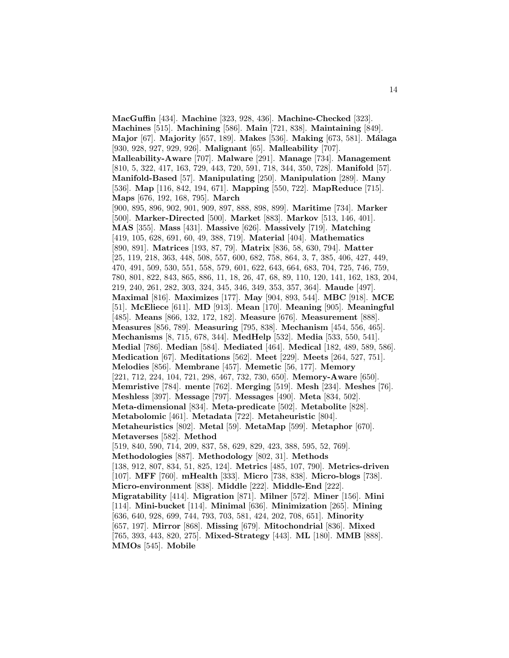**MacGuffin** [434]. **Machine** [323, 928, 436]. **Machine-Checked** [323]. **Machines** [515]. **Machining** [586]. **Main** [721, 838]. **Maintaining** [849]. **Major** [67]. **Majority** [657, 189]. **Makes** [536]. **Making** [673, 581]. **M´alaga** [930, 928, 927, 929, 926]. **Malignant** [65]. **Malleability** [707]. **Malleability-Aware** [707]. **Malware** [291]. **Manage** [734]. **Management** [810, 5, 322, 417, 163, 729, 443, 720, 591, 718, 344, 350, 728]. **Manifold** [57]. **Manifold-Based** [57]. **Manipulating** [250]. **Manipulation** [289]. **Many** [536]. **Map** [116, 842, 194, 671]. **Mapping** [550, 722]. **MapReduce** [715]. **Maps** [676, 192, 168, 795]. **March** [900, 895, 896, 902, 901, 909, 897, 888, 898, 899]. **Maritime** [734]. **Marker** [500]. **Marker-Directed** [500]. **Market** [883]. **Markov** [513, 146, 401]. **MAS** [355]. **Mass** [431]. **Massive** [626]. **Massively** [719]. **Matching** [419, 105, 628, 691, 60, 49, 388, 719]. **Material** [404]. **Mathematics** [890, 891]. **Matrices** [193, 87, 79]. **Matrix** [836, 58, 630, 794]. **Matter** [25, 119, 218, 363, 448, 508, 557, 600, 682, 758, 864, 3, 7, 385, 406, 427, 449, 470, 491, 509, 530, 551, 558, 579, 601, 622, 643, 664, 683, 704, 725, 746, 759, 780, 801, 822, 843, 865, 886, 11, 18, 26, 47, 68, 89, 110, 120, 141, 162, 183, 204, 219, 240, 261, 282, 303, 324, 345, 346, 349, 353, 357, 364]. **Maude** [497]. **Maximal** [816]. **Maximizes** [177]. **May** [904, 893, 544]. **MBC** [918]. **MCE** [51]. **McEliece** [611]. **MD** [913]. **Mean** [170]. **Meaning** [905]. **Meaningful** [485]. **Means** [866, 132, 172, 182]. **Measure** [676]. **Measurement** [888]. **Measures** [856, 789]. **Measuring** [795, 838]. **Mechanism** [454, 556, 465]. **Mechanisms** [8, 715, 678, 344]. **MedHelp** [532]. **Media** [533, 550, 541]. **Medial** [786]. **Median** [584]. **Mediated** [464]. **Medical** [182, 489, 589, 586]. **Medication** [67]. **Meditations** [562]. **Meet** [229]. **Meets** [264, 527, 751]. **Melodies** [856]. **Membrane** [457]. **Memetic** [56, 177]. **Memory** [221, 712, 224, 104, 721, 298, 467, 732, 730, 650]. **Memory-Aware** [650]. **Memristive** [784]. **mente** [762]. **Merging** [519]. **Mesh** [234]. **Meshes** [76]. **Meshless** [397]. **Message** [797]. **Messages** [490]. **Meta** [834, 502]. **Meta-dimensional** [834]. **Meta-predicate** [502]. **Metabolite** [828]. **Metabolomic** [461]. **Metadata** [722]. **Metaheuristic** [804]. **Metaheuristics** [802]. **Metal** [59]. **MetaMap** [599]. **Metaphor** [670]. **Metaverses** [582]. **Method** [519, 840, 590, 714, 209, 837, 58, 629, 829, 423, 388, 595, 52, 769]. **Methodologies** [887]. **Methodology** [802, 31]. **Methods** [138, 912, 807, 834, 51, 825, 124]. **Metrics** [485, 107, 790]. **Metrics-driven** [107]. **MFF** [760]. **mHealth** [333]. **Micro** [738, 838]. **Micro-blogs** [738]. **Micro-environment** [838]. **Middle** [222]. **Middle-End** [222]. **Migratability** [414]. **Migration** [871]. **Milner** [572]. **Miner** [156]. **Mini** [114]. **Mini-bucket** [114]. **Minimal** [636]. **Minimization** [265]. **Mining** [636, 640, 928, 699, 744, 793, 703, 581, 424, 202, 708, 651]. **Minority** [657, 197]. **Mirror** [868]. **Missing** [679]. **Mitochondrial** [836]. **Mixed** [765, 393, 443, 820, 275]. **Mixed-Strategy** [443]. **ML** [180]. **MMB** [888]. **MMOs** [545]. **Mobile**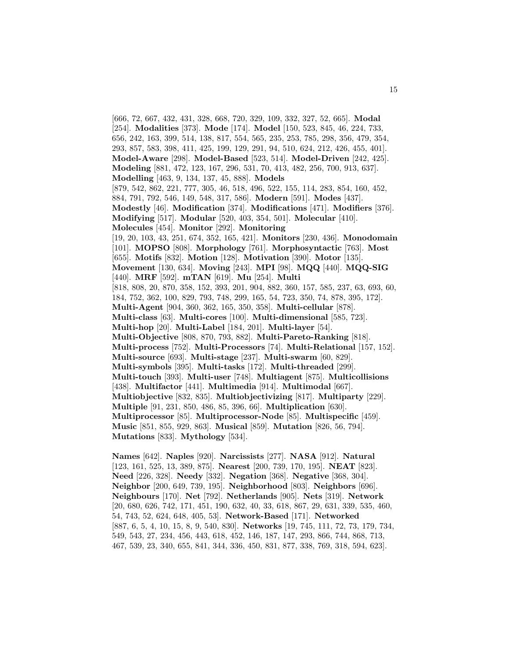[666, 72, 667, 432, 431, 328, 668, 720, 329, 109, 332, 327, 52, 665]. **Modal** [254]. **Modalities** [373]. **Mode** [174]. **Model** [150, 523, 845, 46, 224, 733, 656, 242, 163, 399, 514, 138, 817, 554, 565, 235, 253, 785, 298, 356, 479, 354, 293, 857, 583, 398, 411, 425, 199, 129, 291, 94, 510, 624, 212, 426, 455, 401]. **Model-Aware** [298]. **Model-Based** [523, 514]. **Model-Driven** [242, 425]. **Modeling** [881, 472, 123, 167, 296, 531, 70, 413, 482, 256, 700, 913, 637]. **Modelling** [463, 9, 134, 137, 45, 888]. **Models** [879, 542, 862, 221, 777, 305, 46, 518, 496, 522, 155, 114, 283, 854, 160, 452, 884, 791, 792, 546, 149, 548, 317, 586]. **Modern** [591]. **Modes** [437]. **Modestly** [46]. **Modification** [374]. **Modifications** [471]. **Modifiers** [376]. **Modifying** [517]. **Modular** [520, 403, 354, 501]. **Molecular** [410]. **Molecules** [454]. **Monitor** [292]. **Monitoring** [19, 20, 103, 43, 251, 674, 352, 165, 421]. **Monitors** [230, 436]. **Monodomain** [101]. **MOPSO** [808]. **Morphology** [761]. **Morphosyntactic** [763]. **Most** [655]. **Motifs** [832]. **Motion** [128]. **Motivation** [390]. **Motor** [135]. **Movement** [130, 634]. **Moving** [243]. **MPI** [98]. **MQQ** [440]. **MQQ-SIG** [440]. **MRF** [592]. **mTAN** [619]. **Mu** [254]. **Multi** [818, 808, 20, 870, 358, 152, 393, 201, 904, 882, 360, 157, 585, 237, 63, 693, 60, 184, 752, 362, 100, 829, 793, 748, 299, 165, 54, 723, 350, 74, 878, 395, 172]. **Multi-Agent** [904, 360, 362, 165, 350, 358]. **Multi-cellular** [878]. **Multi-class** [63]. **Multi-cores** [100]. **Multi-dimensional** [585, 723]. **Multi-hop** [20]. **Multi-Label** [184, 201]. **Multi-layer** [54]. **Multi-Objective** [808, 870, 793, 882]. **Multi-Pareto-Ranking** [818]. **Multi-process** [752]. **Multi-Processors** [74]. **Multi-Relational** [157, 152]. **Multi-source** [693]. **Multi-stage** [237]. **Multi-swarm** [60, 829]. **Multi-symbols** [395]. **Multi-tasks** [172]. **Multi-threaded** [299]. **Multi-touch** [393]. **Multi-user** [748]. **Multiagent** [875]. **Multicollisions** [438]. **Multifactor** [441]. **Multimedia** [914]. **Multimodal** [667]. **Multiobjective** [832, 835]. **Multiobjectivizing** [817]. **Multiparty** [229]. **Multiple** [91, 231, 850, 486, 85, 396, 66]. **Multiplication** [630]. **Multiprocessor** [85]. **Multiprocessor-Node** [85]. **Multispecific** [459]. **Music** [851, 855, 929, 863]. **Musical** [859]. **Mutation** [826, 56, 794]. **Mutations** [833]. **Mythology** [534].

**Names** [642]. **Naples** [920]. **Narcissists** [277]. **NASA** [912]. **Natural** [123, 161, 525, 13, 389, 875]. **Nearest** [200, 739, 170, 195]. **NEAT** [823]. **Need** [226, 328]. **Needy** [332]. **Negation** [368]. **Negative** [368, 304]. **Neighbor** [200, 649, 739, 195]. **Neighborhood** [803]. **Neighbors** [696]. **Neighbours** [170]. **Net** [792]. **Netherlands** [905]. **Nets** [319]. **Network** [20, 680, 626, 742, 171, 451, 190, 632, 40, 33, 618, 867, 29, 631, 339, 535, 460, 54, 743, 52, 624, 648, 405, 53]. **Network-Based** [171]. **Networked** [887, 6, 5, 4, 10, 15, 8, 9, 540, 830]. **Networks** [19, 745, 111, 72, 73, 179, 734, 549, 543, 27, 234, 456, 443, 618, 452, 146, 187, 147, 293, 866, 744, 868, 713, 467, 539, 23, 340, 655, 841, 344, 336, 450, 831, 877, 338, 769, 318, 594, 623].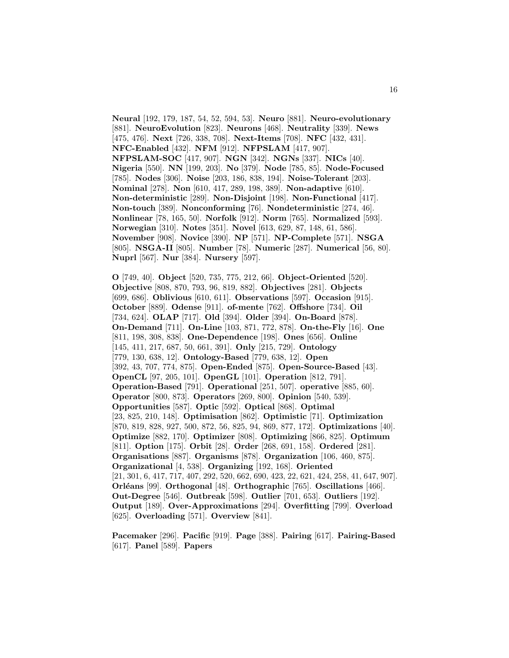**Neural** [192, 179, 187, 54, 52, 594, 53]. **Neuro** [881]. **Neuro-evolutionary** [881]. **NeuroEvolution** [823]. **Neurons** [468]. **Neutrality** [339]. **News** [475, 476]. **Next** [726, 338, 708]. **Next-Items** [708]. **NFC** [432, 431]. **NFC-Enabled** [432]. **NFM** [912]. **NFPSLAM** [417, 907]. **NFPSLAM-SOC** [417, 907]. **NGN** [342]. **NGNs** [337]. **NICs** [40]. **Nigeria** [550]. **NN** [199, 203]. **No** [379]. **Node** [785, 85]. **Node-Focused** [785]. **Nodes** [306]. **Noise** [203, 186, 838, 194]. **Noise-Tolerant** [203]. **Nominal** [278]. **Non** [610, 417, 289, 198, 389]. **Non-adaptive** [610]. **Non-deterministic** [289]. **Non-Disjoint** [198]. **Non-Functional** [417]. **Non-touch** [389]. **Nonconforming** [76]. **Nondeterministic** [274, 46]. **Nonlinear** [78, 165, 50]. **Norfolk** [912]. **Norm** [765]. **Normalized** [593]. **Norwegian** [310]. **Notes** [351]. **Novel** [613, 629, 87, 148, 61, 586]. **November** [908]. **Novice** [390]. **NP** [571]. **NP-Complete** [571]. **NSGA** [805]. **NSGA-II** [805]. **Number** [78]. **Numeric** [287]. **Numerical** [56, 80]. **Nuprl** [567]. **Nur** [384]. **Nursery** [597].

**O** [749, 40]. **Object** [520, 735, 775, 212, 66]. **Object-Oriented** [520]. **Objective** [808, 870, 793, 96, 819, 882]. **Objectives** [281]. **Objects** [699, 686]. **Oblivious** [610, 611]. **Observations** [597]. **Occasion** [915]. **October** [889]. **Odense** [911]. **of-mente** [762]. **Offshore** [734]. **Oil** [734, 624]. **OLAP** [717]. **Old** [394]. **Older** [394]. **On-Board** [878]. **On-Demand** [711]. **On-Line** [103, 871, 772, 878]. **On-the-Fly** [16]. **One** [811, 198, 308, 838]. **One-Dependence** [198]. **Ones** [656]. **Online** [145, 411, 217, 687, 50, 661, 391]. **Only** [215, 729]. **Ontology** [779, 130, 638, 12]. **Ontology-Based** [779, 638, 12]. **Open** [392, 43, 707, 774, 875]. **Open-Ended** [875]. **Open-Source-Based** [43]. **OpenCL** [97, 205, 101]. **OpenGL** [101]. **Operation** [812, 791]. **Operation-Based** [791]. **Operational** [251, 507]. **operative** [885, 60]. **Operator** [800, 873]. **Operators** [269, 800]. **Opinion** [540, 539]. **Opportunities** [587]. **Optic** [592]. **Optical** [868]. **Optimal** [23, 825, 210, 148]. **Optimisation** [862]. **Optimistic** [71]. **Optimization** [870, 819, 828, 927, 500, 872, 56, 825, 94, 869, 877, 172]. **Optimizations** [40]. **Optimize** [882, 170]. **Optimizer** [808]. **Optimizing** [866, 825]. **Optimum** [811]. **Option** [175]. **Orbit** [28]. **Order** [268, 691, 158]. **Ordered** [281]. **Organisations** [887]. **Organisms** [878]. **Organization** [106, 460, 875]. **Organizational** [4, 538]. **Organizing** [192, 168]. **Oriented** [21, 301, 6, 417, 717, 407, 292, 520, 662, 690, 423, 22, 621, 424, 258, 41, 647, 907]. **Orl´eans** [99]. **Orthogonal** [48]. **Orthographic** [765]. **Oscillations** [466]. **Out-Degree** [546]. **Outbreak** [598]. **Outlier** [701, 653]. **Outliers** [192]. **Output** [189]. **Over-Approximations** [294]. **Overfitting** [799]. **Overload** [625]. **Overloading** [571]. **Overview** [841].

**Pacemaker** [296]. **Pacific** [919]. **Page** [388]. **Pairing** [617]. **Pairing-Based** [617]. **Panel** [589]. **Papers**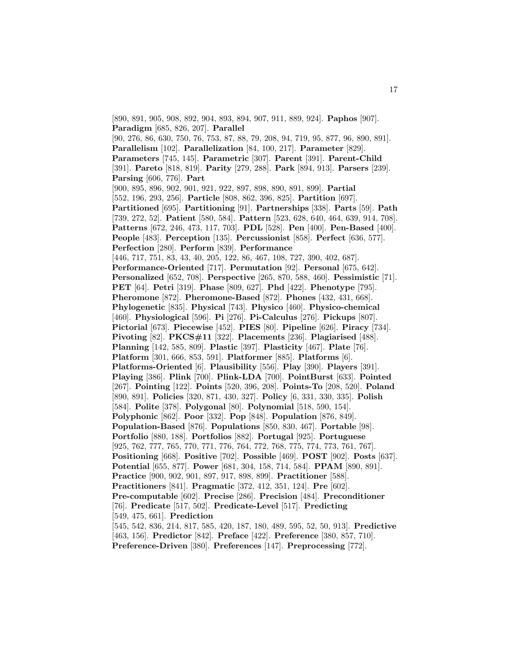[890, 891, 905, 908, 892, 904, 893, 894, 907, 911, 889, 924]. **Paphos** [907]. **Paradigm** [685, 826, 207]. **Parallel** [90, 276, 86, 630, 750, 76, 753, 87, 88, 79, 208, 94, 719, 95, 877, 96, 890, 891]. **Parallelism** [102]. **Parallelization** [84, 100, 217]. **Parameter** [829]. **Parameters** [745, 145]. **Parametric** [307]. **Parent** [391]. **Parent-Child** [391]. **Pareto** [818, 819]. **Parity** [279, 288]. **Park** [894, 913]. **Parsers** [239]. **Parsing** [606, 776]. **Part** [900, 895, 896, 902, 901, 921, 922, 897, 898, 890, 891, 899]. **Partial** [552, 196, 293, 256]. **Particle** [808, 862, 396, 825]. **Partition** [697]. **Partitioned** [695]. **Partitioning** [91]. **Partnerships** [338]. **Parts** [59]. **Path** [739, 272, 52]. **Patient** [580, 584]. **Pattern** [523, 628, 640, 464, 639, 914, 708]. **Patterns** [672, 246, 473, 117, 703]. **PDL** [528]. **Pen** [400]. **Pen-Based** [400]. **People** [483]. **Perception** [135]. **Percussionist** [858]. **Perfect** [636, 577]. **Perfection** [280]. **Perform** [839]. **Performance** [446, 717, 751, 83, 43, 40, 205, 122, 86, 467, 108, 727, 390, 402, 687]. **Performance-Oriented** [717]. **Permutation** [92]. **Personal** [675, 642]. **Personalized** [652, 708]. **Perspective** [265, 870, 588, 460]. **Pessimistic** [71]. **PET** [64]. **Petri** [319]. **Phase** [809, 627]. **Phd** [422]. **Phenotype** [795]. **Pheromone** [872]. **Pheromone-Based** [872]. **Phones** [432, 431, 668]. **Phylogenetic** [835]. **Physical** [743]. **Physico** [460]. **Physico-chemical** [460]. **Physiological** [596]. **Pi** [276]. **Pi-Calculus** [276]. **Pickups** [807]. **Pictorial** [673]. **Piecewise** [452]. **PIES** [80]. **Pipeline** [626]. **Piracy** [734]. **Pivoting** [82]. **PKCS#11** [322]. **Placements** [236]. **Plagiarised** [488]. **Planning** [142, 585, 809]. **Plastic** [397]. **Plasticity** [467]. **Plate** [76]. **Platform** [301, 666, 853, 591]. **Platformer** [885]. **Platforms** [6]. **Platforms-Oriented** [6]. **Plausibility** [556]. **Play** [390]. **Players** [391]. **Playing** [386]. **Plink** [700]. **Plink-LDA** [700]. **PointBurst** [633]. **Pointed** [267]. **Pointing** [122]. **Points** [520, 396, 208]. **Points-To** [208, 520]. **Poland** [890, 891]. **Policies** [320, 871, 430, 327]. **Policy** [6, 331, 330, 335]. **Polish** [584]. **Polite** [378]. **Polygonal** [80]. **Polynomial** [518, 590, 154]. **Polyphonic** [862]. **Poor** [332]. **Pop** [848]. **Population** [876, 849]. **Population-Based** [876]. **Populations** [850, 830, 467]. **Portable** [98]. **Portfolio** [880, 188]. **Portfolios** [882]. **Portugal** [925]. **Portuguese** [925, 762, 777, 765, 770, 771, 776, 764, 772, 768, 775, 774, 773, 761, 767]. **Positioning** [668]. **Positive** [702]. **Possible** [469]. **POST** [902]. **Posts** [637]. **Potential** [655, 877]. **Power** [681, 304, 158, 714, 584]. **PPAM** [890, 891]. **Practice** [900, 902, 901, 897, 917, 898, 899]. **Practitioner** [588]. **Practitioners** [841]. **Pragmatic** [372, 412, 351, 124]. **Pre** [602]. **Pre-computable** [602]. **Precise** [286]. **Precision** [484]. **Preconditioner** [76]. **Predicate** [517, 502]. **Predicate-Level** [517]. **Predicting** [549, 475, 661]. **Prediction** [545, 542, 836, 214, 817, 585, 420, 187, 180, 489, 595, 52, 50, 913]. **Predictive** [463, 156]. **Predictor** [842]. **Preface** [422]. **Preference** [380, 857, 710].

**Preference-Driven** [380]. **Preferences** [147]. **Preprocessing** [772].

17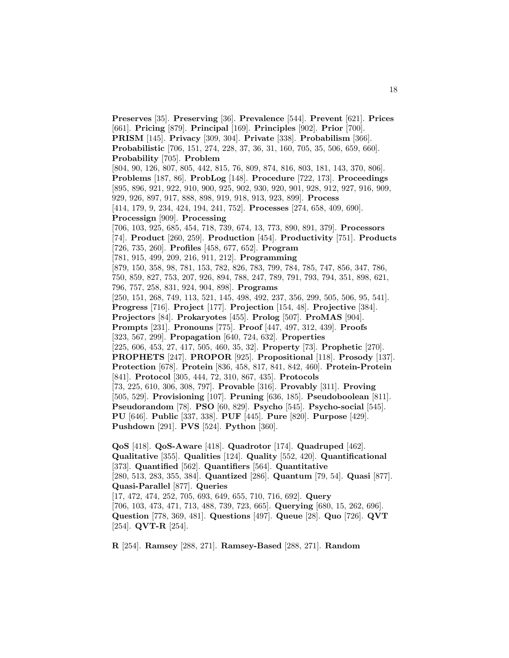**Preserves** [35]. **Preserving** [36]. **Prevalence** [544]. **Prevent** [621]. **Prices** [661]. **Pricing** [879]. **Principal** [169]. **Principles** [902]. **Prior** [700]. **PRISM** [145]. **Privacy** [309, 304]. **Private** [338]. **Probabilism** [366]. **Probabilistic** [706, 151, 274, 228, 37, 36, 31, 160, 705, 35, 506, 659, 660]. **Probability** [705]. **Problem** [804, 90, 126, 807, 805, 442, 815, 76, 809, 874, 816, 803, 181, 143, 370, 806]. **Problems** [187, 86]. **ProbLog** [148]. **Procedure** [722, 173]. **Proceedings** [895, 896, 921, 922, 910, 900, 925, 902, 930, 920, 901, 928, 912, 927, 916, 909, 929, 926, 897, 917, 888, 898, 919, 918, 913, 923, 899]. **Process** [414, 179, 9, 234, 424, 194, 241, 752]. **Processes** [274, 658, 409, 690]. **Processign** [909]. **Processing** [706, 103, 925, 685, 454, 718, 739, 674, 13, 773, 890, 891, 379]. **Processors** [74]. **Product** [260, 259]. **Production** [454]. **Productivity** [751]. **Products** [726, 735, 260]. **Profiles** [458, 677, 652]. **Program** [781, 915, 499, 209, 216, 911, 212]. **Programming** [879, 150, 358, 98, 781, 153, 782, 826, 783, 799, 784, 785, 747, 856, 347, 786, 750, 859, 827, 753, 207, 926, 894, 788, 247, 789, 791, 793, 794, 351, 898, 621, 796, 757, 258, 831, 924, 904, 898]. **Programs** [250, 151, 268, 749, 113, 521, 145, 498, 492, 237, 356, 299, 505, 506, 95, 541]. **Progress** [716]. **Project** [177]. **Projection** [154, 48]. **Projective** [384]. **Projectors** [84]. **Prokaryotes** [455]. **Prolog** [507]. **ProMAS** [904]. **Prompts** [231]. **Pronouns** [775]. **Proof** [447, 497, 312, 439]. **Proofs** [323, 567, 299]. **Propagation** [640, 724, 632]. **Properties** [225, 606, 453, 27, 417, 505, 460, 35, 32]. **Property** [73]. **Prophetic** [270]. **PROPHETS** [247]. **PROPOR** [925]. **Propositional** [118]. **Prosody** [137]. **Protection** [678]. **Protein** [836, 458, 817, 841, 842, 460]. **Protein-Protein** [841]. **Protocol** [305, 444, 72, 310, 867, 435]. **Protocols** [73, 225, 610, 306, 308, 797]. **Provable** [316]. **Provably** [311]. **Proving** [505, 529]. **Provisioning** [107]. **Pruning** [636, 185]. **Pseudoboolean** [811]. **Pseudorandom** [78]. **PSO** [60, 829]. **Psycho** [545]. **Psycho-social** [545]. **PU** [646]. **Public** [337, 338]. **PUF** [445]. **Pure** [820]. **Purpose** [429]. **Pushdown** [291]. **PVS** [524]. **Python** [360].

**QoS** [418]. **QoS-Aware** [418]. **Quadrotor** [174]. **Quadruped** [462]. **Qualitative** [355]. **Qualities** [124]. **Quality** [552, 420]. **Quantificational** [373]. **Quantified** [562]. **Quantifiers** [564]. **Quantitative** [280, 513, 283, 355, 384]. **Quantized** [286]. **Quantum** [79, 54]. **Quasi** [877]. **Quasi-Parallel** [877]. **Queries** [17, 472, 474, 252, 705, 693, 649, 655, 710, 716, 692]. **Query** [706, 103, 473, 471, 713, 488, 739, 723, 665]. **Querying** [680, 15, 262, 696]. **Question** [778, 369, 481]. **Questions** [497]. **Queue** [28]. **Quo** [726]. **QVT** [254]. **QVT-R** [254].

**R** [254]. **Ramsey** [288, 271]. **Ramsey-Based** [288, 271]. **Random**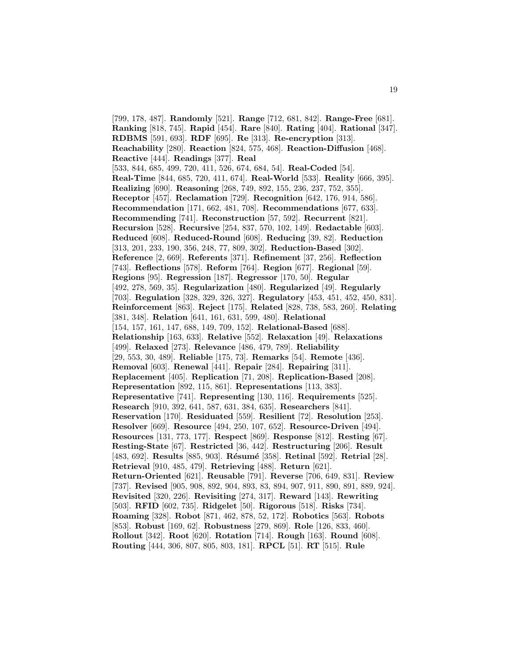[799, 178, 487]. **Randomly** [521]. **Range** [712, 681, 842]. **Range-Free** [681]. **Ranking** [818, 745]. **Rapid** [454]. **Rare** [840]. **Rating** [404]. **Rational** [347]. **RDBMS** [591, 693]. **RDF** [695]. **Re** [313]. **Re-encryption** [313]. **Reachability** [280]. **Reaction** [824, 575, 468]. **Reaction-Diffusion** [468]. **Reactive** [444]. **Readings** [377]. **Real** [533, 844, 685, 499, 720, 411, 526, 674, 684, 54]. **Real-Coded** [54]. **Real-Time** [844, 685, 720, 411, 674]. **Real-World** [533]. **Reality** [666, 395]. **Realizing** [690]. **Reasoning** [268, 749, 892, 155, 236, 237, 752, 355]. **Receptor** [457]. **Reclamation** [729]. **Recognition** [642, 176, 914, 586]. **Recommendation** [171, 662, 481, 708]. **Recommendations** [677, 633]. **Recommending** [741]. **Reconstruction** [57, 592]. **Recurrent** [821]. **Recursion** [528]. **Recursive** [254, 837, 570, 102, 149]. **Redactable** [603]. **Reduced** [608]. **Reduced-Round** [608]. **Reducing** [39, 82]. **Reduction** [313, 201, 233, 190, 356, 248, 77, 809, 302]. **Reduction-Based** [302]. **Reference** [2, 669]. **Referents** [371]. **Refinement** [37, 256]. **Reflection** [743]. **Reflections** [578]. **Reform** [764]. **Region** [677]. **Regional** [59]. **Regions** [95]. **Regression** [187]. **Regressor** [170, 50]. **Regular** [492, 278, 569, 35]. **Regularization** [480]. **Regularized** [49]. **Regularly** [703]. **Regulation** [328, 329, 326, 327]. **Regulatory** [453, 451, 452, 450, 831]. **Reinforcement** [863]. **Reject** [175]. **Related** [828, 738, 583, 260]. **Relating** [381, 348]. **Relation** [641, 161, 631, 599, 480]. **Relational** [154, 157, 161, 147, 688, 149, 709, 152]. **Relational-Based** [688]. **Relationship** [163, 633]. **Relative** [552]. **Relaxation** [49]. **Relaxations** [499]. **Relaxed** [273]. **Relevance** [486, 479, 789]. **Reliability** [29, 553, 30, 489]. **Reliable** [175, 73]. **Remarks** [54]. **Remote** [436]. **Removal** [603]. **Renewal** [441]. **Repair** [284]. **Repairing** [311]. **Replacement** [405]. **Replication** [71, 208]. **Replication-Based** [208]. **Representation** [892, 115, 861]. **Representations** [113, 383]. **Representative** [741]. **Representing** [130, 116]. **Requirements** [525]. **Research** [910, 392, 641, 587, 631, 384, 635]. **Researchers** [841]. **Reservation** [170]. **Residuated** [559]. **Resilient** [72]. **Resolution** [253]. **Resolver** [669]. **Resource** [494, 250, 107, 652]. **Resource-Driven** [494]. **Resources** [131, 773, 177]. **Respect** [869]. **Response** [812]. **Resting** [67]. **Resting-State** [67]. **Restricted** [36, 442]. **Restructuring** [206]. **Result** [483, 692]. **Results** [885, 903]. **Résumé** [358]. **Retinal** [592]. **Retrial** [28]. **Retrieval** [910, 485, 479]. **Retrieving** [488]. **Return** [621]. **Return-Oriented** [621]. **Reusable** [791]. **Reverse** [706, 649, 831]. **Review** [737]. **Revised** [905, 908, 892, 904, 893, 83, 894, 907, 911, 890, 891, 889, 924]. **Revisited** [320, 226]. **Revisiting** [274, 317]. **Reward** [143]. **Rewriting** [503]. **RFID** [602, 735]. **Ridgelet** [50]. **Rigorous** [518]. **Risks** [734]. **Roaming** [328]. **Robot** [871, 462, 878, 52, 172]. **Robotics** [563]. **Robots** [853]. **Robust** [169, 62]. **Robustness** [279, 869]. **Role** [126, 833, 460]. **Rollout** [342]. **Root** [620]. **Rotation** [714]. **Rough** [163]. **Round** [608]. **Routing** [444, 306, 807, 805, 803, 181]. **RPCL** [51]. **RT** [515]. **Rule**

19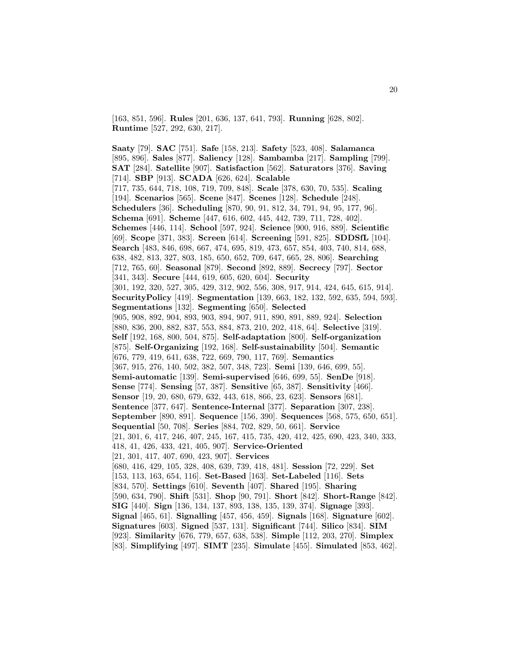[163, 851, 596]. **Rules** [201, 636, 137, 641, 793]. **Running** [628, 802]. **Runtime** [527, 292, 630, 217].

**Saaty** [79]. **SAC** [751]. **Safe** [158, 213]. **Safety** [523, 408]. **Salamanca** [895, 896]. **Sales** [877]. **Saliency** [128]. **Sambamba** [217]. **Sampling** [799]. **SAT** [284]. **Satellite** [907]. **Satisfaction** [562]. **Saturators** [376]. **Saving** [714]. **SBP** [913]. **SCADA** [626, 624]. **Scalable** [717, 735, 644, 718, 108, 719, 709, 848]. **Scale** [378, 630, 70, 535]. **Scaling** [194]. **Scenarios** [565]. **Scene** [847]. **Scenes** [128]. **Schedule** [248]. **Schedulers** [36]. **Scheduling** [870, 90, 91, 812, 34, 791, 94, 95, 177, 96]. **Schema** [691]. **Scheme** [447, 616, 602, 445, 442, 739, 711, 728, 402]. **Schemes** [446, 114]. **School** [597, 924]. **Science** [900, 916, 889]. **Scientific** [69]. **Scope** [371, 383]. **Screen** [614]. **Screening** [591, 825]. **SDDSfL** [104]. **Search** [483, 846, 698, 667, 474, 695, 819, 473, 657, 854, 403, 740, 814, 688, 638, 482, 813, 327, 803, 185, 650, 652, 709, 647, 665, 28, 806]. **Searching** [712, 765, 60]. **Seasonal** [879]. **Second** [892, 889]. **Secrecy** [797]. **Sector** [341, 343]. **Secure** [444, 619, 605, 620, 604]. **Security** [301, 192, 320, 527, 305, 429, 312, 902, 556, 308, 917, 914, 424, 645, 615, 914]. **SecurityPolicy** [419]. **Segmentation** [139, 663, 182, 132, 592, 635, 594, 593]. **Segmentations** [132]. **Segmenting** [650]. **Selected** [905, 908, 892, 904, 893, 903, 894, 907, 911, 890, 891, 889, 924]. **Selection** [880, 836, 200, 882, 837, 553, 884, 873, 210, 202, 418, 64]. **Selective** [319]. **Self** [192, 168, 800, 504, 875]. **Self-adaptation** [800]. **Self-organization** [875]. **Self-Organizing** [192, 168]. **Self-sustainability** [504]. **Semantic** [676, 779, 419, 641, 638, 722, 669, 790, 117, 769]. **Semantics** [367, 915, 276, 140, 502, 382, 507, 348, 723]. **Semi** [139, 646, 699, 55]. **Semi-automatic** [139]. **Semi-supervised** [646, 699, 55]. **SenDe** [918]. **Sense** [774]. **Sensing** [57, 387]. **Sensitive** [65, 387]. **Sensitivity** [466]. **Sensor** [19, 20, 680, 679, 632, 443, 618, 866, 23, 623]. **Sensors** [681]. **Sentence** [377, 647]. **Sentence-Internal** [377]. **Separation** [307, 238]. **September** [890, 891]. **Sequence** [156, 390]. **Sequences** [568, 575, 650, 651]. **Sequential** [50, 708]. **Series** [884, 702, 829, 50, 661]. **Service** [21, 301, 6, 417, 246, 407, 245, 167, 415, 735, 420, 412, 425, 690, 423, 340, 333, 418, 41, 426, 433, 421, 405, 907]. **Service-Oriented** [21, 301, 417, 407, 690, 423, 907]. **Services** [680, 416, 429, 105, 328, 408, 639, 739, 418, 481]. **Session** [72, 229]. **Set** [153, 113, 163, 654, 116]. **Set-Based** [163]. **Set-Labeled** [116]. **Sets** [834, 570]. **Settings** [610]. **Seventh** [407]. **Shared** [195]. **Sharing** [590, 634, 790]. **Shift** [531]. **Shop** [90, 791]. **Short** [842]. **Short-Range** [842]. **SIG** [440]. **Sign** [136, 134, 137, 893, 138, 135, 139, 374]. **Signage** [393]. **Signal** [465, 61]. **Signalling** [457, 456, 459]. **Signals** [168]. **Signature** [602]. **Signatures** [603]. **Signed** [537, 131]. **Significant** [744]. **Silico** [834]. **SIM** [923]. **Similarity** [676, 779, 657, 638, 538]. **Simple** [112, 203, 270]. **Simplex** [83]. **Simplifying** [497]. **SIMT** [235]. **Simulate** [455]. **Simulated** [853, 462].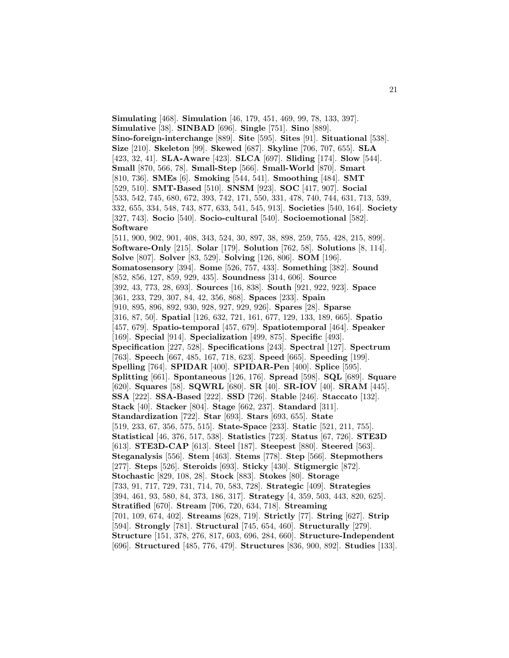**Simulating** [468]. **Simulation** [46, 179, 451, 469, 99, 78, 133, 397]. **Simulative** [38]. **SINBAD** [696]. **Single** [751]. **Sino** [889]. **Sino-foreign-interchange** [889]. **Site** [595]. **Sites** [91]. **Situational** [538]. **Size** [210]. **Skeleton** [99]. **Skewed** [687]. **Skyline** [706, 707, 655]. **SLA** [423, 32, 41]. **SLA-Aware** [423]. **SLCA** [697]. **Sliding** [174]. **Slow** [544]. **Small** [870, 566, 78]. **Small-Step** [566]. **Small-World** [870]. **Smart** [810, 736]. **SMEs** [6]. **Smoking** [544, 541]. **Smoothing** [484]. **SMT** [529, 510]. **SMT-Based** [510]. **SNSM** [923]. **SOC** [417, 907]. **Social** [533, 542, 745, 680, 672, 393, 742, 171, 550, 331, 478, 740, 744, 631, 713, 539, 332, 655, 334, 548, 743, 877, 633, 541, 545, 913]. **Societies** [540, 164]. **Society** [327, 743]. **Socio** [540]. **Socio-cultural** [540]. **Socioemotional** [582]. **Software** [511, 900, 902, 901, 408, 343, 524, 30, 897, 38, 898, 259, 755, 428, 215, 899]. **Software-Only** [215]. **Solar** [179]. **Solution** [762, 58]. **Solutions** [8, 114]. **Solve** [807]. **Solver** [83, 529]. **Solving** [126, 806]. **SOM** [196]. **Somatosensory** [394]. **Some** [526, 757, 433]. **Something** [382]. **Sound** [852, 856, 127, 859, 929, 435]. **Soundness** [314, 606]. **Source** [392, 43, 773, 28, 693]. **Sources** [16, 838]. **South** [921, 922, 923]. **Space** [361, 233, 729, 307, 84, 42, 356, 868]. **Spaces** [233]. **Spain** [910, 895, 896, 892, 930, 928, 927, 929, 926]. **Spares** [28]. **Sparse** [316, 87, 50]. **Spatial** [126, 632, 721, 161, 677, 129, 133, 189, 665]. **Spatio** [457, 679]. **Spatio-temporal** [457, 679]. **Spatiotemporal** [464]. **Speaker** [169]. **Special** [914]. **Specialization** [499, 875]. **Specific** [493]. **Specification** [227, 528]. **Specifications** [243]. **Spectral** [127]. **Spectrum** [763]. **Speech** [667, 485, 167, 718, 623]. **Speed** [665]. **Speeding** [199]. **Spelling** [764]. **SPIDAR** [400]. **SPIDAR-Pen** [400]. **Splice** [595]. **Splitting** [661]. **Spontaneous** [126, 176]. **Spread** [598]. **SQL** [689]. **Square** [620]. **Squares** [58]. **SQWRL** [680]. **SR** [40]. **SR-IOV** [40]. **SRAM** [445]. **SSA** [222]. **SSA-Based** [222]. **SSD** [726]. **Stable** [246]. **Staccato** [132]. **Stack** [40]. **Stacker** [804]. **Stage** [662, 237]. **Standard** [311]. **Standardization** [722]. **Star** [693]. **Stars** [693, 655]. **State** [519, 233, 67, 356, 575, 515]. **State-Space** [233]. **Static** [521, 211, 755]. **Statistical** [46, 376, 517, 538]. **Statistics** [723]. **Status** [67, 726]. **STE3D** [613]. **STE3D-CAP** [613]. **Steel** [187]. **Steepest** [880]. **Steered** [563]. **Steganalysis** [556]. **Stem** [463]. **Stems** [778]. **Step** [566]. **Stepmothers** [277]. **Steps** [526]. **Steroids** [693]. **Sticky** [430]. **Stigmergic** [872]. **Stochastic** [829, 108, 28]. **Stock** [883]. **Stokes** [80]. **Storage** [733, 91, 717, 729, 731, 714, 70, 583, 728]. **Strategic** [409]. **Strategies** [394, 461, 93, 580, 84, 373, 186, 317]. **Strategy** [4, 359, 503, 443, 820, 625]. **Stratified** [670]. **Stream** [706, 720, 634, 718]. **Streaming** [701, 109, 674, 402]. **Streams** [628, 719]. **Strictly** [77]. **String** [627]. **Strip** [594]. **Strongly** [781]. **Structural** [745, 654, 460]. **Structurally** [279]. **Structure** [151, 378, 276, 817, 603, 696, 284, 660]. **Structure-Independent** [696]. **Structured** [485, 776, 479]. **Structures** [836, 900, 892]. **Studies** [133].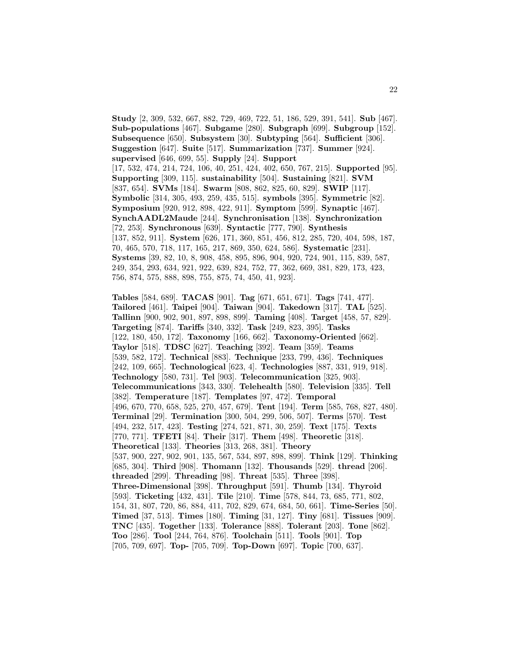**Study** [2, 309, 532, 667, 882, 729, 469, 722, 51, 186, 529, 391, 541]. **Sub** [467]. **Sub-populations** [467]. **Subgame** [280]. **Subgraph** [699]. **Subgroup** [152]. **Subsequence** [650]. **Subsystem** [30]. **Subtyping** [564]. **Sufficient** [306]. **Suggestion** [647]. **Suite** [517]. **Summarization** [737]. **Summer** [924]. **supervised** [646, 699, 55]. **Supply** [24]. **Support** [17, 532, 474, 214, 724, 106, 40, 251, 424, 402, 650, 767, 215]. **Supported** [95]. **Supporting** [309, 115]. **sustainability** [504]. **Sustaining** [821]. **SVM** [837, 654]. **SVMs** [184]. **Swarm** [808, 862, 825, 60, 829]. **SWIP** [117]. **Symbolic** [314, 305, 493, 259, 435, 515]. **symbols** [395]. **Symmetric** [82]. **Symposium** [920, 912, 898, 422, 911]. **Symptom** [599]. **Synaptic** [467]. **SynchAADL2Maude** [244]. **Synchronisation** [138]. **Synchronization** [72, 253]. **Synchronous** [639]. **Syntactic** [777, 790]. **Synthesis** [137, 852, 911]. **System** [626, 171, 360, 851, 456, 812, 285, 720, 404, 598, 187, 70, 465, 570, 718, 117, 165, 217, 869, 350, 624, 586]. **Systematic** [231]. **Systems** [39, 82, 10, 8, 908, 458, 895, 896, 904, 920, 724, 901, 115, 839, 587, 249, 354, 293, 634, 921, 922, 639, 824, 752, 77, 362, 669, 381, 829, 173, 423, 756, 874, 575, 888, 898, 755, 875, 74, 450, 41, 923].

**Tables** [584, 689]. **TACAS** [901]. **Tag** [671, 651, 671]. **Tags** [741, 477]. **Tailored** [461]. **Taipei** [904]. **Taiwan** [904]. **Takedown** [317]. **TAL** [525]. **Tallinn** [900, 902, 901, 897, 898, 899]. **Taming** [408]. **Target** [458, 57, 829]. **Targeting** [874]. **Tariffs** [340, 332]. **Task** [249, 823, 395]. **Tasks** [122, 180, 450, 172]. **Taxonomy** [166, 662]. **Taxonomy-Oriented** [662]. **Taylor** [518]. **TDSC** [627]. **Teaching** [392]. **Team** [359]. **Teams** [539, 582, 172]. **Technical** [883]. **Technique** [233, 799, 436]. **Techniques** [242, 109, 665]. **Technological** [623, 4]. **Technologies** [887, 331, 919, 918]. **Technology** [580, 731]. **Tel** [903]. **Telecommunication** [325, 903]. **Telecommunications** [343, 330]. **Telehealth** [580]. **Television** [335]. **Tell** [382]. **Temperature** [187]. **Templates** [97, 472]. **Temporal** [496, 670, 770, 658, 525, 270, 457, 679]. **Tent** [194]. **Term** [585, 768, 827, 480]. **Terminal** [29]. **Termination** [300, 504, 299, 506, 507]. **Terms** [570]. **Test** [494, 232, 517, 423]. **Testing** [274, 521, 871, 30, 259]. **Text** [175]. **Texts** [770, 771]. **TFETI** [84]. **Their** [317]. **Them** [498]. **Theoretic** [318]. **Theoretical** [133]. **Theories** [313, 268, 381]. **Theory** [537, 900, 227, 902, 901, 135, 567, 534, 897, 898, 899]. **Think** [129]. **Thinking** [685, 304]. **Third** [908]. **Thomann** [132]. **Thousands** [529]. **thread** [206]. **threaded** [299]. **Threading** [98]. **Threat** [535]. **Three** [398]. **Three-Dimensional** [398]. **Throughput** [591]. **Thumb** [134]. **Thyroid** [593]. **Ticketing** [432, 431]. **Tile** [210]. **Time** [578, 844, 73, 685, 771, 802, 154, 31, 807, 720, 86, 884, 411, 702, 829, 674, 684, 50, 661]. **Time-Series** [50]. **Timed** [37, 513]. **Times** [180]. **Timing** [31, 127]. **Tiny** [681]. **Tissues** [909]. **TNC** [435]. **Together** [133]. **Tolerance** [888]. **Tolerant** [203]. **Tone** [862]. **Too** [286]. **Tool** [244, 764, 876]. **Toolchain** [511]. **Tools** [901]. **Top** [705, 709, 697]. **Top-** [705, 709]. **Top-Down** [697]. **Topic** [700, 637].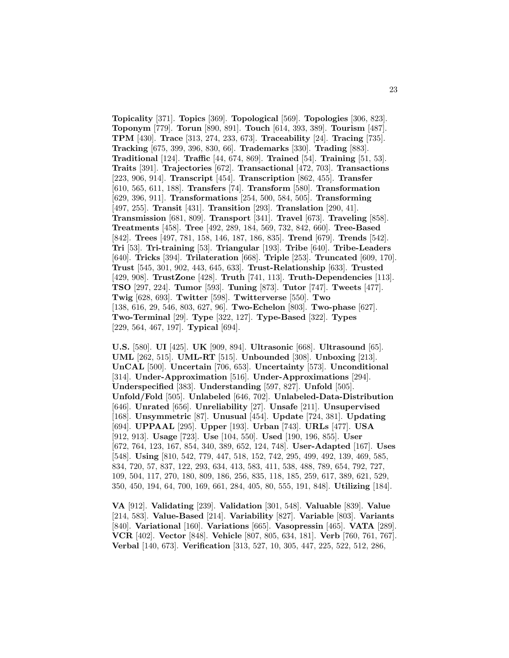**Topicality** [371]. **Topics** [369]. **Topological** [569]. **Topologies** [306, 823]. **Toponym** [779]. **Torun** [890, 891]. **Touch** [614, 393, 389]. **Tourism** [487]. **TPM** [430]. **Trace** [313, 274, 233, 673]. **Traceability** [24]. **Tracing** [735]. **Tracking** [675, 399, 396, 830, 66]. **Trademarks** [330]. **Trading** [883]. **Traditional** [124]. **Traffic** [44, 674, 869]. **Trained** [54]. **Training** [51, 53]. **Traits** [391]. **Trajectories** [672]. **Transactional** [472, 703]. **Transactions** [223, 906, 914]. **Transcript** [454]. **Transcription** [862, 455]. **Transfer** [610, 565, 611, 188]. **Transfers** [74]. **Transform** [580]. **Transformation** [629, 396, 911]. **Transformations** [254, 500, 584, 505]. **Transforming** [497, 255]. **Transit** [431]. **Transition** [293]. **Translation** [290, 41]. **Transmission** [681, 809]. **Transport** [341]. **Travel** [673]. **Traveling** [858]. **Treatments** [458]. **Tree** [492, 289, 184, 569, 732, 842, 660]. **Tree-Based** [842]. **Trees** [497, 781, 158, 146, 187, 186, 835]. **Trend** [679]. **Trends** [542]. **Tri** [53]. **Tri-training** [53]. **Triangular** [193]. **Tribe** [640]. **Tribe-Leaders** [640]. **Tricks** [394]. **Trilateration** [668]. **Triple** [253]. **Truncated** [609, 170]. **Trust** [545, 301, 902, 443, 645, 633]. **Trust-Relationship** [633]. **Trusted** [429, 908]. **TrustZone** [428]. **Truth** [741, 113]. **Truth-Dependencies** [113]. **TSO** [297, 224]. **Tumor** [593]. **Tuning** [873]. **Tutor** [747]. **Tweets** [477]. **Twig** [628, 693]. **Twitter** [598]. **Twitterverse** [550]. **Two** [138, 616, 29, 546, 803, 627, 96]. **Two-Echelon** [803]. **Two-phase** [627]. **Two-Terminal** [29]. **Type** [322, 127]. **Type-Based** [322]. **Types** [229, 564, 467, 197]. **Typical** [694].

**U.S.** [580]. **UI** [425]. **UK** [909, 894]. **Ultrasonic** [668]. **Ultrasound** [65]. **UML** [262, 515]. **UML-RT** [515]. **Unbounded** [308]. **Unboxing** [213]. **UnCAL** [500]. **Uncertain** [706, 653]. **Uncertainty** [573]. **Unconditional** [314]. **Under-Approximation** [516]. **Under-Approximations** [294]. **Underspecified** [383]. **Understanding** [597, 827]. **Unfold** [505]. **Unfold/Fold** [505]. **Unlabeled** [646, 702]. **Unlabeled-Data-Distribution** [646]. **Unrated** [656]. **Unreliability** [27]. **Unsafe** [211]. **Unsupervised** [168]. **Unsymmetric** [87]. **Unusual** [454]. **Update** [724, 381]. **Updating** [694]. **UPPAAL** [295]. **Upper** [193]. **Urban** [743]. **URLs** [477]. **USA** [912, 913]. **Usage** [723]. **Use** [104, 550]. **Used** [190, 196, 855]. **User** [672, 764, 123, 167, 854, 340, 389, 652, 124, 748]. **User-Adapted** [167]. **Uses** [548]. **Using** [810, 542, 779, 447, 518, 152, 742, 295, 499, 492, 139, 469, 585, 834, 720, 57, 837, 122, 293, 634, 413, 583, 411, 538, 488, 789, 654, 792, 727, 109, 504, 117, 270, 180, 809, 186, 256, 835, 118, 185, 259, 617, 389, 621, 529, 350, 450, 194, 64, 700, 169, 661, 284, 405, 80, 555, 191, 848]. **Utilizing** [184].

**VA** [912]. **Validating** [239]. **Validation** [301, 548]. **Valuable** [839]. **Value** [214, 583]. **Value-Based** [214]. **Variability** [827]. **Variable** [803]. **Variants** [840]. **Variational** [160]. **Variations** [665]. **Vasopressin** [465]. **VATA** [289]. **VCR** [402]. **Vector** [848]. **Vehicle** [807, 805, 634, 181]. **Verb** [760, 761, 767]. **Verbal** [140, 673]. **Verification** [313, 527, 10, 305, 447, 225, 522, 512, 286,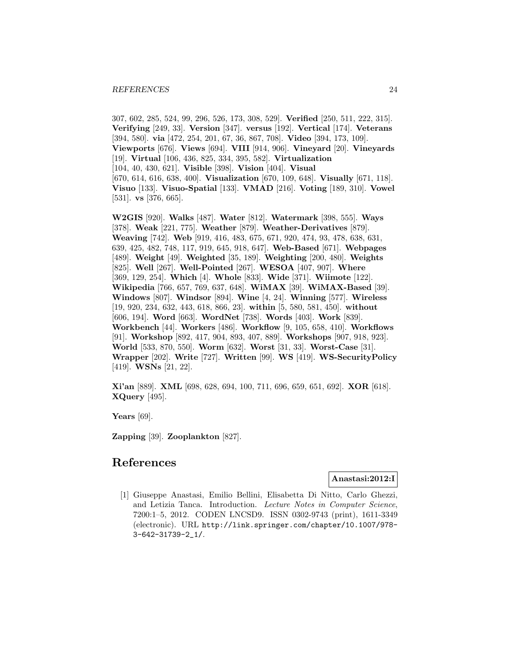307, 602, 285, 524, 99, 296, 526, 173, 308, 529]. **Verified** [250, 511, 222, 315]. **Verifying** [249, 33]. **Version** [347]. **versus** [192]. **Vertical** [174]. **Veterans** [394, 580]. **via** [472, 254, 201, 67, 36, 867, 708]. **Video** [394, 173, 109]. **Viewports** [676]. **Views** [694]. **VIII** [914, 906]. **Vineyard** [20]. **Vineyards** [19]. **Virtual** [106, 436, 825, 334, 395, 582]. **Virtualization** [104, 40, 430, 621]. **Visible** [398]. **Vision** [404]. **Visual** [670, 614, 616, 638, 400]. **Visualization** [670, 109, 648]. **Visually** [671, 118]. **Visuo** [133]. **Visuo-Spatial** [133]. **VMAD** [216]. **Voting** [189, 310]. **Vowel** [531]. **vs** [376, 665].

**W2GIS** [920]. **Walks** [487]. **Water** [812]. **Watermark** [398, 555]. **Ways** [378]. **Weak** [221, 775]. **Weather** [879]. **Weather-Derivatives** [879]. **Weaving** [742]. **Web** [919, 416, 483, 675, 671, 920, 474, 93, 478, 638, 631, 639, 425, 482, 748, 117, 919, 645, 918, 647]. **Web-Based** [671]. **Webpages** [489]. **Weight** [49]. **Weighted** [35, 189]. **Weighting** [200, 480]. **Weights** [825]. **Well** [267]. **Well-Pointed** [267]. **WESOA** [407, 907]. **Where** [369, 129, 254]. **Which** [4]. **Whole** [833]. **Wide** [371]. **Wiimote** [122]. **Wikipedia** [766, 657, 769, 637, 648]. **WiMAX** [39]. **WiMAX-Based** [39]. **Windows** [807]. **Windsor** [894]. **Wine** [4, 24]. **Winning** [577]. **Wireless** [19, 920, 234, 632, 443, 618, 866, 23]. **within** [5, 580, 581, 450]. **without** [606, 194]. **Word** [663]. **WordNet** [738]. **Words** [403]. **Work** [839]. **Workbench** [44]. **Workers** [486]. **Workflow** [9, 105, 658, 410]. **Workflows** [91]. **Workshop** [892, 417, 904, 893, 407, 889]. **Workshops** [907, 918, 923]. **World** [533, 870, 550]. **Worm** [632]. **Worst** [31, 33]. **Worst-Case** [31]. **Wrapper** [202]. **Write** [727]. **Written** [99]. **WS** [419]. **WS-SecurityPolicy** [419]. **WSNs** [21, 22].

**Xi'an** [889]. **XML** [698, 628, 694, 100, 711, 696, 659, 651, 692]. **XOR** [618]. **XQuery** [495].

**Years** [69].

**Zapping** [39]. **Zooplankton** [827].

# **References**

## **Anastasi:2012:I**

[1] Giuseppe Anastasi, Emilio Bellini, Elisabetta Di Nitto, Carlo Ghezzi, and Letizia Tanca. Introduction. Lecture Notes in Computer Science, 7200:1–5, 2012. CODEN LNCSD9. ISSN 0302-9743 (print), 1611-3349 (electronic). URL http://link.springer.com/chapter/10.1007/978- 3-642-31739-2\_1/.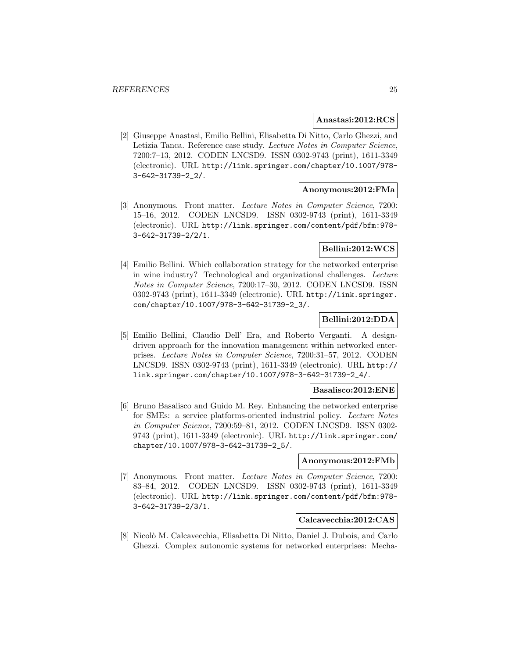#### **Anastasi:2012:RCS**

[2] Giuseppe Anastasi, Emilio Bellini, Elisabetta Di Nitto, Carlo Ghezzi, and Letizia Tanca. Reference case study. Lecture Notes in Computer Science, 7200:7–13, 2012. CODEN LNCSD9. ISSN 0302-9743 (print), 1611-3349 (electronic). URL http://link.springer.com/chapter/10.1007/978- 3-642-31739-2\_2/.

#### **Anonymous:2012:FMa**

[3] Anonymous. Front matter. Lecture Notes in Computer Science, 7200: 15–16, 2012. CODEN LNCSD9. ISSN 0302-9743 (print), 1611-3349 (electronic). URL http://link.springer.com/content/pdf/bfm:978- 3-642-31739-2/2/1.

## **Bellini:2012:WCS**

[4] Emilio Bellini. Which collaboration strategy for the networked enterprise in wine industry? Technological and organizational challenges. Lecture Notes in Computer Science, 7200:17–30, 2012. CODEN LNCSD9. ISSN 0302-9743 (print), 1611-3349 (electronic). URL http://link.springer. com/chapter/10.1007/978-3-642-31739-2\_3/.

## **Bellini:2012:DDA**

[5] Emilio Bellini, Claudio Dell' Era, and Roberto Verganti. A designdriven approach for the innovation management within networked enterprises. Lecture Notes in Computer Science, 7200:31–57, 2012. CODEN LNCSD9. ISSN 0302-9743 (print), 1611-3349 (electronic). URL http:// link.springer.com/chapter/10.1007/978-3-642-31739-2\_4/.

#### **Basalisco:2012:ENE**

[6] Bruno Basalisco and Guido M. Rey. Enhancing the networked enterprise for SMEs: a service platforms-oriented industrial policy. Lecture Notes in Computer Science, 7200:59–81, 2012. CODEN LNCSD9. ISSN 0302- 9743 (print), 1611-3349 (electronic). URL http://link.springer.com/ chapter/10.1007/978-3-642-31739-2\_5/.

## **Anonymous:2012:FMb**

[7] Anonymous. Front matter. Lecture Notes in Computer Science, 7200: 83–84, 2012. CODEN LNCSD9. ISSN 0302-9743 (print), 1611-3349 (electronic). URL http://link.springer.com/content/pdf/bfm:978- 3-642-31739-2/3/1.

## **Calcavecchia:2012:CAS**

[8] Nicolò M. Calcavecchia, Elisabetta Di Nitto, Daniel J. Dubois, and Carlo Ghezzi. Complex autonomic systems for networked enterprises: Mecha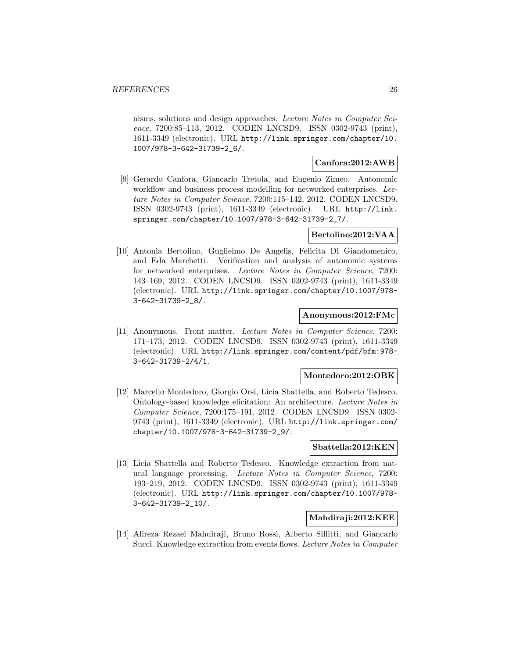nisms, solutions and design approaches. Lecture Notes in Computer Science, 7200:85-113, 2012. CODEN LNCSD9. ISSN 0302-9743 (print), 1611-3349 (electronic). URL http://link.springer.com/chapter/10. 1007/978-3-642-31739-2\_6/.

#### **Canfora:2012:AWB**

[9] Gerardo Canfora, Giancarlo Tretola, and Eugenio Zimeo. Autonomic workflow and business process modelling for networked enterprises. Lecture Notes in Computer Science, 7200:115–142, 2012. CODEN LNCSD9. ISSN 0302-9743 (print), 1611-3349 (electronic). URL http://link. springer.com/chapter/10.1007/978-3-642-31739-2\_7/.

## **Bertolino:2012:VAA**

[10] Antonia Bertolino, Guglielmo De Angelis, Felicita Di Giandomenico, and Eda Marchetti. Verification and analysis of autonomic systems for networked enterprises. Lecture Notes in Computer Science, 7200: 143–169, 2012. CODEN LNCSD9. ISSN 0302-9743 (print), 1611-3349 (electronic). URL http://link.springer.com/chapter/10.1007/978- 3-642-31739-2\_8/.

#### **Anonymous:2012:FMc**

[11] Anonymous. Front matter. Lecture Notes in Computer Science, 7200: 171–173, 2012. CODEN LNCSD9. ISSN 0302-9743 (print), 1611-3349 (electronic). URL http://link.springer.com/content/pdf/bfm:978- 3-642-31739-2/4/1.

#### **Montedoro:2012:OBK**

[12] Marcello Montedoro, Giorgio Orsi, Licia Sbattella, and Roberto Tedesco. Ontology-based knowledge elicitation: An architecture. Lecture Notes in Computer Science, 7200:175–191, 2012. CODEN LNCSD9. ISSN 0302- 9743 (print), 1611-3349 (electronic). URL http://link.springer.com/ chapter/10.1007/978-3-642-31739-2\_9/.

#### **Sbattella:2012:KEN**

[13] Licia Sbattella and Roberto Tedesco. Knowledge extraction from natural language processing. Lecture Notes in Computer Science, 7200: 193–219, 2012. CODEN LNCSD9. ISSN 0302-9743 (print), 1611-3349 (electronic). URL http://link.springer.com/chapter/10.1007/978- 3-642-31739-2\_10/.

#### **Mahdiraji:2012:KEE**

[14] Alireza Rezaei Mahdiraji, Bruno Rossi, Alberto Sillitti, and Giancarlo Succi. Knowledge extraction from events flows. Lecture Notes in Computer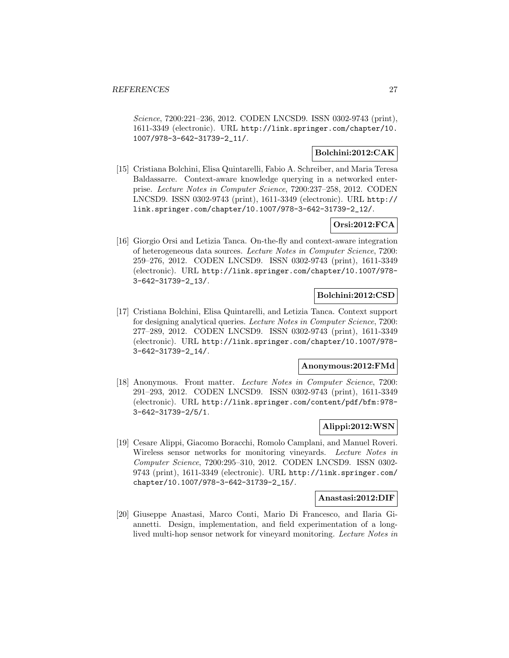Science, 7200:221–236, 2012. CODEN LNCSD9. ISSN 0302-9743 (print), 1611-3349 (electronic). URL http://link.springer.com/chapter/10. 1007/978-3-642-31739-2\_11/.

## **Bolchini:2012:CAK**

[15] Cristiana Bolchini, Elisa Quintarelli, Fabio A. Schreiber, and Maria Teresa Baldassarre. Context-aware knowledge querying in a networked enterprise. Lecture Notes in Computer Science, 7200:237–258, 2012. CODEN LNCSD9. ISSN 0302-9743 (print), 1611-3349 (electronic). URL http:// link.springer.com/chapter/10.1007/978-3-642-31739-2\_12/.

## **Orsi:2012:FCA**

[16] Giorgio Orsi and Letizia Tanca. On-the-fly and context-aware integration of heterogeneous data sources. Lecture Notes in Computer Science, 7200: 259–276, 2012. CODEN LNCSD9. ISSN 0302-9743 (print), 1611-3349 (electronic). URL http://link.springer.com/chapter/10.1007/978- 3-642-31739-2\_13/.

## **Bolchini:2012:CSD**

[17] Cristiana Bolchini, Elisa Quintarelli, and Letizia Tanca. Context support for designing analytical queries. Lecture Notes in Computer Science, 7200: 277–289, 2012. CODEN LNCSD9. ISSN 0302-9743 (print), 1611-3349 (electronic). URL http://link.springer.com/chapter/10.1007/978- 3-642-31739-2\_14/.

## **Anonymous:2012:FMd**

[18] Anonymous. Front matter. Lecture Notes in Computer Science, 7200: 291–293, 2012. CODEN LNCSD9. ISSN 0302-9743 (print), 1611-3349 (electronic). URL http://link.springer.com/content/pdf/bfm:978- 3-642-31739-2/5/1.

## **Alippi:2012:WSN**

[19] Cesare Alippi, Giacomo Boracchi, Romolo Camplani, and Manuel Roveri. Wireless sensor networks for monitoring vineyards. Lecture Notes in Computer Science, 7200:295–310, 2012. CODEN LNCSD9. ISSN 0302- 9743 (print), 1611-3349 (electronic). URL http://link.springer.com/ chapter/10.1007/978-3-642-31739-2\_15/.

#### **Anastasi:2012:DIF**

[20] Giuseppe Anastasi, Marco Conti, Mario Di Francesco, and Ilaria Giannetti. Design, implementation, and field experimentation of a longlived multi-hop sensor network for vineyard monitoring. Lecture Notes in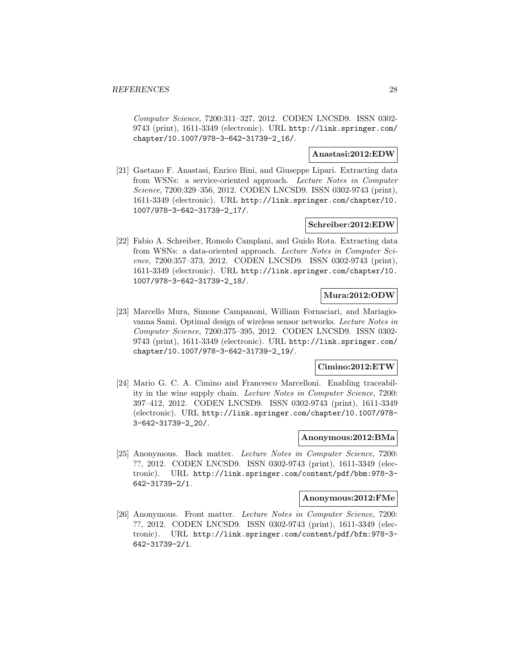Computer Science, 7200:311–327, 2012. CODEN LNCSD9. ISSN 0302- 9743 (print), 1611-3349 (electronic). URL http://link.springer.com/ chapter/10.1007/978-3-642-31739-2\_16/.

## **Anastasi:2012:EDW**

[21] Gaetano F. Anastasi, Enrico Bini, and Giuseppe Lipari. Extracting data from WSNs: a service-oriented approach. Lecture Notes in Computer Science, 7200:329–356, 2012. CODEN LNCSD9. ISSN 0302-9743 (print), 1611-3349 (electronic). URL http://link.springer.com/chapter/10. 1007/978-3-642-31739-2\_17/.

## **Schreiber:2012:EDW**

[22] Fabio A. Schreiber, Romolo Camplani, and Guido Rota. Extracting data from WSNs: a data-oriented approach. Lecture Notes in Computer Science, 7200:357–373, 2012. CODEN LNCSD9. ISSN 0302-9743 (print), 1611-3349 (electronic). URL http://link.springer.com/chapter/10. 1007/978-3-642-31739-2\_18/.

## **Mura:2012:ODW**

[23] Marcello Mura, Simone Campanoni, William Fornaciari, and Mariagiovanna Sami. Optimal design of wireless sensor networks. Lecture Notes in Computer Science, 7200:375–395, 2012. CODEN LNCSD9. ISSN 0302- 9743 (print), 1611-3349 (electronic). URL http://link.springer.com/ chapter/10.1007/978-3-642-31739-2\_19/.

## **Cimino:2012:ETW**

[24] Mario G. C. A. Cimino and Francesco Marcelloni. Enabling traceability in the wine supply chain. Lecture Notes in Computer Science, 7200: 397–412, 2012. CODEN LNCSD9. ISSN 0302-9743 (print), 1611-3349 (electronic). URL http://link.springer.com/chapter/10.1007/978- 3-642-31739-2\_20/.

## **Anonymous:2012:BMa**

[25] Anonymous. Back matter. Lecture Notes in Computer Science, 7200: ??, 2012. CODEN LNCSD9. ISSN 0302-9743 (print), 1611-3349 (electronic). URL http://link.springer.com/content/pdf/bbm:978-3- 642-31739-2/1.

## **Anonymous:2012:FMe**

[26] Anonymous. Front matter. Lecture Notes in Computer Science, 7200: ??, 2012. CODEN LNCSD9. ISSN 0302-9743 (print), 1611-3349 (electronic). URL http://link.springer.com/content/pdf/bfm:978-3- 642-31739-2/1.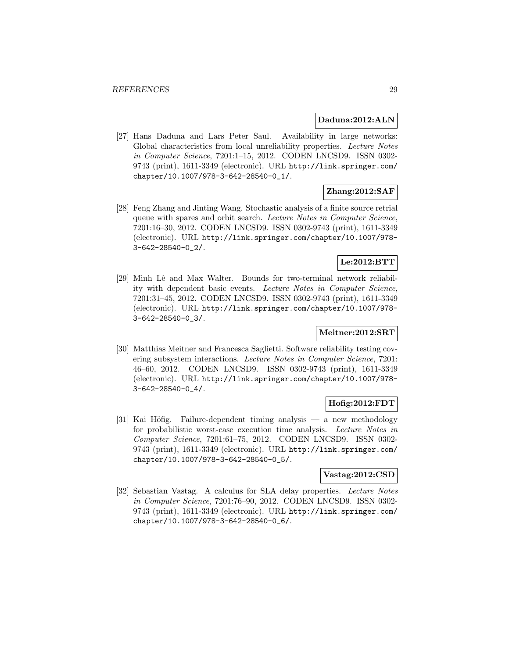#### **Daduna:2012:ALN**

[27] Hans Daduna and Lars Peter Saul. Availability in large networks: Global characteristics from local unreliability properties. Lecture Notes in Computer Science, 7201:1–15, 2012. CODEN LNCSD9. ISSN 0302- 9743 (print), 1611-3349 (electronic). URL http://link.springer.com/ chapter/10.1007/978-3-642-28540-0\_1/.

# **Zhang:2012:SAF**

[28] Feng Zhang and Jinting Wang. Stochastic analysis of a finite source retrial queue with spares and orbit search. Lecture Notes in Computer Science, 7201:16–30, 2012. CODEN LNCSD9. ISSN 0302-9743 (print), 1611-3349 (electronic). URL http://link.springer.com/chapter/10.1007/978- 3-642-28540-0\_2/.

## **Le:2012:BTT**

[29] Minh Lê and Max Walter. Bounds for two-terminal network reliability with dependent basic events. Lecture Notes in Computer Science, 7201:31–45, 2012. CODEN LNCSD9. ISSN 0302-9743 (print), 1611-3349 (electronic). URL http://link.springer.com/chapter/10.1007/978- 3-642-28540-0\_3/.

## **Meitner:2012:SRT**

[30] Matthias Meitner and Francesca Saglietti. Software reliability testing covering subsystem interactions. Lecture Notes in Computer Science, 7201: 46–60, 2012. CODEN LNCSD9. ISSN 0302-9743 (print), 1611-3349 (electronic). URL http://link.springer.com/chapter/10.1007/978- 3-642-28540-0\_4/.

## **Hofig:2012:FDT**

[31] Kai Höfig. Failure-dependent timing analysis — a new methodology for probabilistic worst-case execution time analysis. Lecture Notes in Computer Science, 7201:61–75, 2012. CODEN LNCSD9. ISSN 0302- 9743 (print), 1611-3349 (electronic). URL http://link.springer.com/ chapter/10.1007/978-3-642-28540-0\_5/.

## **Vastag:2012:CSD**

[32] Sebastian Vastag. A calculus for SLA delay properties. Lecture Notes in Computer Science, 7201:76–90, 2012. CODEN LNCSD9. ISSN 0302- 9743 (print), 1611-3349 (electronic). URL http://link.springer.com/ chapter/10.1007/978-3-642-28540-0\_6/.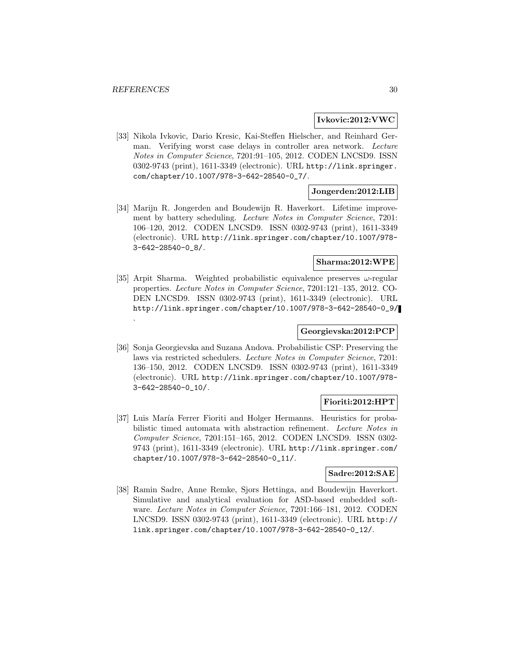.

#### **Ivkovic:2012:VWC**

[33] Nikola Ivkovic, Dario Kresic, Kai-Steffen Hielscher, and Reinhard German. Verifying worst case delays in controller area network. Lecture Notes in Computer Science, 7201:91–105, 2012. CODEN LNCSD9. ISSN 0302-9743 (print), 1611-3349 (electronic). URL http://link.springer. com/chapter/10.1007/978-3-642-28540-0\_7/.

## **Jongerden:2012:LIB**

[34] Marijn R. Jongerden and Boudewijn R. Haverkort. Lifetime improvement by battery scheduling. Lecture Notes in Computer Science, 7201: 106–120, 2012. CODEN LNCSD9. ISSN 0302-9743 (print), 1611-3349 (electronic). URL http://link.springer.com/chapter/10.1007/978- 3-642-28540-0\_8/.

#### **Sharma:2012:WPE**

[35] Arpit Sharma. Weighted probabilistic equivalence preserves  $\omega$ -regular properties. Lecture Notes in Computer Science, 7201:121–135, 2012. CO-DEN LNCSD9. ISSN 0302-9743 (print), 1611-3349 (electronic). URL http://link.springer.com/chapter/10.1007/978-3-642-28540-0\_9/

## **Georgievska:2012:PCP**

[36] Sonja Georgievska and Suzana Andova. Probabilistic CSP: Preserving the laws via restricted schedulers. Lecture Notes in Computer Science, 7201: 136–150, 2012. CODEN LNCSD9. ISSN 0302-9743 (print), 1611-3349 (electronic). URL http://link.springer.com/chapter/10.1007/978- 3-642-28540-0\_10/.

## **Fioriti:2012:HPT**

[37] Luis María Ferrer Fioriti and Holger Hermanns. Heuristics for probabilistic timed automata with abstraction refinement. Lecture Notes in Computer Science, 7201:151–165, 2012. CODEN LNCSD9. ISSN 0302- 9743 (print), 1611-3349 (electronic). URL http://link.springer.com/ chapter/10.1007/978-3-642-28540-0\_11/.

#### **Sadre:2012:SAE**

[38] Ramin Sadre, Anne Remke, Sjors Hettinga, and Boudewijn Haverkort. Simulative and analytical evaluation for ASD-based embedded software. Lecture Notes in Computer Science, 7201:166–181, 2012. CODEN LNCSD9. ISSN 0302-9743 (print), 1611-3349 (electronic). URL http:// link.springer.com/chapter/10.1007/978-3-642-28540-0\_12/.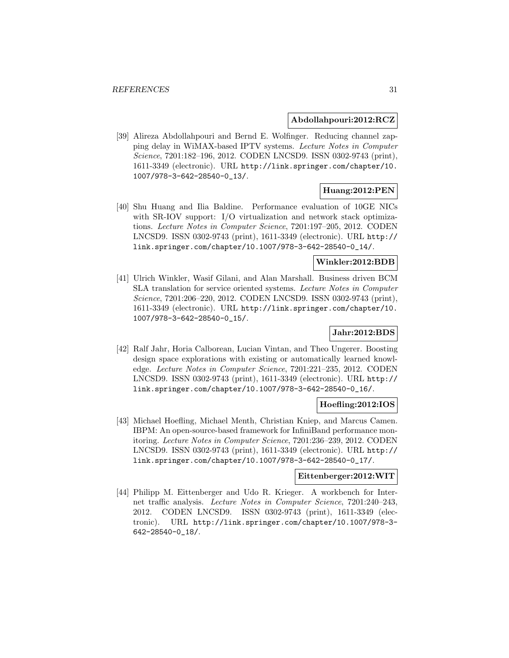#### **Abdollahpouri:2012:RCZ**

[39] Alireza Abdollahpouri and Bernd E. Wolfinger. Reducing channel zapping delay in WiMAX-based IPTV systems. Lecture Notes in Computer Science, 7201:182–196, 2012. CODEN LNCSD9. ISSN 0302-9743 (print), 1611-3349 (electronic). URL http://link.springer.com/chapter/10. 1007/978-3-642-28540-0\_13/.

## **Huang:2012:PEN**

[40] Shu Huang and Ilia Baldine. Performance evaluation of 10GE NICs with SR-IOV support: I/O virtualization and network stack optimizations. Lecture Notes in Computer Science, 7201:197–205, 2012. CODEN LNCSD9. ISSN 0302-9743 (print), 1611-3349 (electronic). URL http:// link.springer.com/chapter/10.1007/978-3-642-28540-0\_14/.

#### **Winkler:2012:BDB**

[41] Ulrich Winkler, Wasif Gilani, and Alan Marshall. Business driven BCM SLA translation for service oriented systems. Lecture Notes in Computer Science, 7201:206–220, 2012. CODEN LNCSD9. ISSN 0302-9743 (print), 1611-3349 (electronic). URL http://link.springer.com/chapter/10. 1007/978-3-642-28540-0\_15/.

## **Jahr:2012:BDS**

[42] Ralf Jahr, Horia Calborean, Lucian Vintan, and Theo Ungerer. Boosting design space explorations with existing or automatically learned knowledge. Lecture Notes in Computer Science, 7201:221–235, 2012. CODEN LNCSD9. ISSN 0302-9743 (print), 1611-3349 (electronic). URL http:// link.springer.com/chapter/10.1007/978-3-642-28540-0\_16/.

## **Hoefling:2012:IOS**

[43] Michael Hoefling, Michael Menth, Christian Kniep, and Marcus Camen. IBPM: An open-source-based framework for InfiniBand performance monitoring. Lecture Notes in Computer Science, 7201:236–239, 2012. CODEN LNCSD9. ISSN 0302-9743 (print), 1611-3349 (electronic). URL http:// link.springer.com/chapter/10.1007/978-3-642-28540-0\_17/.

## **Eittenberger:2012:WIT**

[44] Philipp M. Eittenberger and Udo R. Krieger. A workbench for Internet traffic analysis. Lecture Notes in Computer Science, 7201:240–243, 2012. CODEN LNCSD9. ISSN 0302-9743 (print), 1611-3349 (electronic). URL http://link.springer.com/chapter/10.1007/978-3- 642-28540-0\_18/.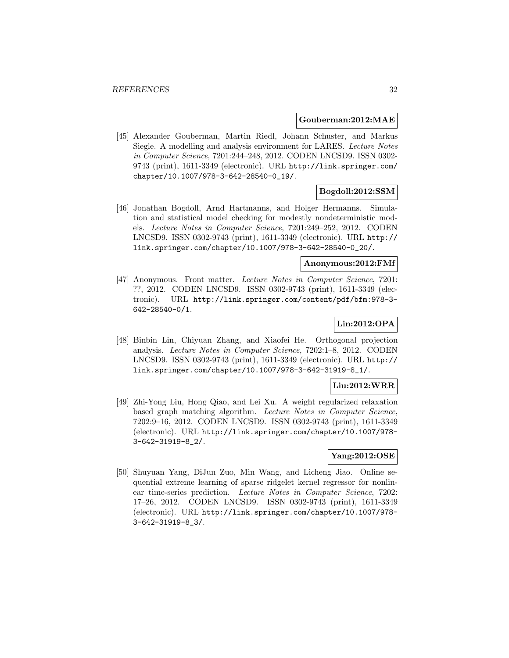#### **Gouberman:2012:MAE**

[45] Alexander Gouberman, Martin Riedl, Johann Schuster, and Markus Siegle. A modelling and analysis environment for LARES. Lecture Notes in Computer Science, 7201:244–248, 2012. CODEN LNCSD9. ISSN 0302- 9743 (print), 1611-3349 (electronic). URL http://link.springer.com/ chapter/10.1007/978-3-642-28540-0\_19/.

## **Bogdoll:2012:SSM**

[46] Jonathan Bogdoll, Arnd Hartmanns, and Holger Hermanns. Simulation and statistical model checking for modestly nondeterministic models. Lecture Notes in Computer Science, 7201:249–252, 2012. CODEN LNCSD9. ISSN 0302-9743 (print), 1611-3349 (electronic). URL http:// link.springer.com/chapter/10.1007/978-3-642-28540-0\_20/.

#### **Anonymous:2012:FMf**

[47] Anonymous. Front matter. Lecture Notes in Computer Science, 7201: ??, 2012. CODEN LNCSD9. ISSN 0302-9743 (print), 1611-3349 (electronic). URL http://link.springer.com/content/pdf/bfm:978-3- 642-28540-0/1.

# **Lin:2012:OPA**

[48] Binbin Lin, Chiyuan Zhang, and Xiaofei He. Orthogonal projection analysis. Lecture Notes in Computer Science, 7202:1–8, 2012. CODEN LNCSD9. ISSN 0302-9743 (print), 1611-3349 (electronic). URL http:// link.springer.com/chapter/10.1007/978-3-642-31919-8\_1/.

## **Liu:2012:WRR**

[49] Zhi-Yong Liu, Hong Qiao, and Lei Xu. A weight regularized relaxation based graph matching algorithm. Lecture Notes in Computer Science, 7202:9–16, 2012. CODEN LNCSD9. ISSN 0302-9743 (print), 1611-3349 (electronic). URL http://link.springer.com/chapter/10.1007/978- 3-642-31919-8\_2/.

## **Yang:2012:OSE**

[50] Shuyuan Yang, DiJun Zuo, Min Wang, and Licheng Jiao. Online sequential extreme learning of sparse ridgelet kernel regressor for nonlinear time-series prediction. Lecture Notes in Computer Science, 7202: 17–26, 2012. CODEN LNCSD9. ISSN 0302-9743 (print), 1611-3349 (electronic). URL http://link.springer.com/chapter/10.1007/978- 3-642-31919-8\_3/.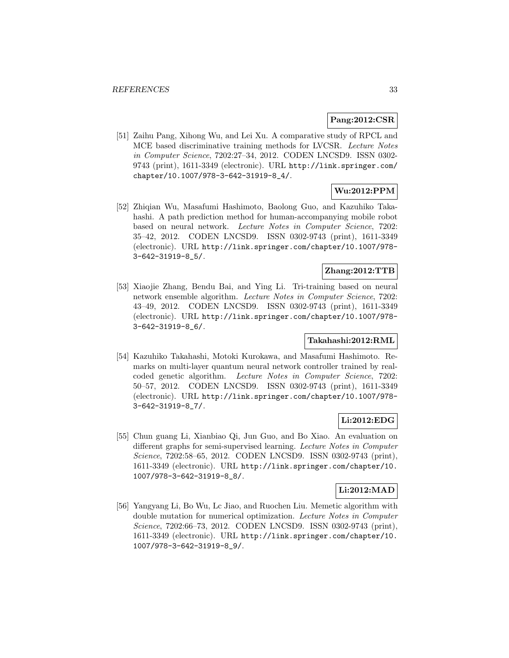## **Pang:2012:CSR**

[51] Zaihu Pang, Xihong Wu, and Lei Xu. A comparative study of RPCL and MCE based discriminative training methods for LVCSR. Lecture Notes in Computer Science, 7202:27–34, 2012. CODEN LNCSD9. ISSN 0302- 9743 (print), 1611-3349 (electronic). URL http://link.springer.com/ chapter/10.1007/978-3-642-31919-8\_4/.

# **Wu:2012:PPM**

[52] Zhiqian Wu, Masafumi Hashimoto, Baolong Guo, and Kazuhiko Takahashi. A path prediction method for human-accompanying mobile robot based on neural network. Lecture Notes in Computer Science, 7202: 35–42, 2012. CODEN LNCSD9. ISSN 0302-9743 (print), 1611-3349 (electronic). URL http://link.springer.com/chapter/10.1007/978- 3-642-31919-8\_5/.

## **Zhang:2012:TTB**

[53] Xiaojie Zhang, Bendu Bai, and Ying Li. Tri-training based on neural network ensemble algorithm. Lecture Notes in Computer Science, 7202: 43–49, 2012. CODEN LNCSD9. ISSN 0302-9743 (print), 1611-3349 (electronic). URL http://link.springer.com/chapter/10.1007/978- 3-642-31919-8\_6/.

## **Takahashi:2012:RML**

[54] Kazuhiko Takahashi, Motoki Kurokawa, and Masafumi Hashimoto. Remarks on multi-layer quantum neural network controller trained by realcoded genetic algorithm. Lecture Notes in Computer Science, 7202: 50–57, 2012. CODEN LNCSD9. ISSN 0302-9743 (print), 1611-3349 (electronic). URL http://link.springer.com/chapter/10.1007/978- 3-642-31919-8\_7/.

## **Li:2012:EDG**

[55] Chun guang Li, Xianbiao Qi, Jun Guo, and Bo Xiao. An evaluation on different graphs for semi-supervised learning. Lecture Notes in Computer Science, 7202:58–65, 2012. CODEN LNCSD9. ISSN 0302-9743 (print), 1611-3349 (electronic). URL http://link.springer.com/chapter/10. 1007/978-3-642-31919-8\_8/.

## **Li:2012:MAD**

[56] Yangyang Li, Bo Wu, Lc Jiao, and Ruochen Liu. Memetic algorithm with double mutation for numerical optimization. Lecture Notes in Computer Science, 7202:66-73, 2012. CODEN LNCSD9. ISSN 0302-9743 (print), 1611-3349 (electronic). URL http://link.springer.com/chapter/10. 1007/978-3-642-31919-8\_9/.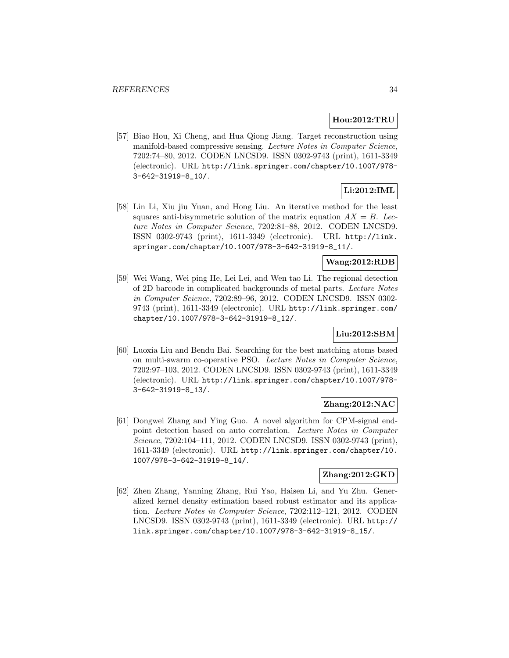## **Hou:2012:TRU**

[57] Biao Hou, Xi Cheng, and Hua Qiong Jiang. Target reconstruction using manifold-based compressive sensing. Lecture Notes in Computer Science, 7202:74–80, 2012. CODEN LNCSD9. ISSN 0302-9743 (print), 1611-3349 (electronic). URL http://link.springer.com/chapter/10.1007/978- 3-642-31919-8\_10/.

# **Li:2012:IML**

[58] Lin Li, Xiu jiu Yuan, and Hong Liu. An iterative method for the least squares anti-bisymmetric solution of the matrix equation  $AX = B$ . Lecture Notes in Computer Science, 7202:81–88, 2012. CODEN LNCSD9. ISSN 0302-9743 (print), 1611-3349 (electronic). URL http://link. springer.com/chapter/10.1007/978-3-642-31919-8\_11/.

## **Wang:2012:RDB**

[59] Wei Wang, Wei ping He, Lei Lei, and Wen tao Li. The regional detection of 2D barcode in complicated backgrounds of metal parts. Lecture Notes in Computer Science, 7202:89–96, 2012. CODEN LNCSD9. ISSN 0302- 9743 (print), 1611-3349 (electronic). URL http://link.springer.com/ chapter/10.1007/978-3-642-31919-8\_12/.

## **Liu:2012:SBM**

[60] Luoxia Liu and Bendu Bai. Searching for the best matching atoms based on multi-swarm co-operative PSO. Lecture Notes in Computer Science, 7202:97–103, 2012. CODEN LNCSD9. ISSN 0302-9743 (print), 1611-3349 (electronic). URL http://link.springer.com/chapter/10.1007/978- 3-642-31919-8\_13/.

## **Zhang:2012:NAC**

[61] Dongwei Zhang and Ying Guo. A novel algorithm for CPM-signal endpoint detection based on auto correlation. Lecture Notes in Computer Science, 7202:104–111, 2012. CODEN LNCSD9. ISSN 0302-9743 (print), 1611-3349 (electronic). URL http://link.springer.com/chapter/10. 1007/978-3-642-31919-8\_14/.

## **Zhang:2012:GKD**

[62] Zhen Zhang, Yanning Zhang, Rui Yao, Haisen Li, and Yu Zhu. Generalized kernel density estimation based robust estimator and its application. Lecture Notes in Computer Science, 7202:112–121, 2012. CODEN LNCSD9. ISSN 0302-9743 (print), 1611-3349 (electronic). URL http:// link.springer.com/chapter/10.1007/978-3-642-31919-8\_15/.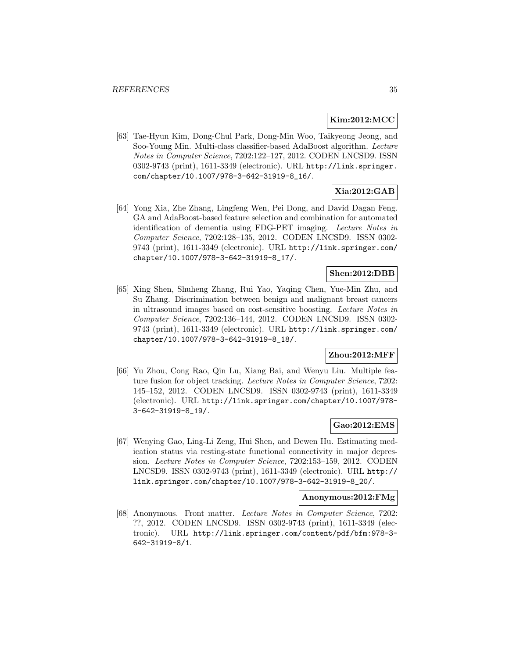## **Kim:2012:MCC**

[63] Tae-Hyun Kim, Dong-Chul Park, Dong-Min Woo, Taikyeong Jeong, and Soo-Young Min. Multi-class classifier-based AdaBoost algorithm. Lecture Notes in Computer Science, 7202:122–127, 2012. CODEN LNCSD9. ISSN 0302-9743 (print), 1611-3349 (electronic). URL http://link.springer. com/chapter/10.1007/978-3-642-31919-8\_16/.

# **Xia:2012:GAB**

[64] Yong Xia, Zhe Zhang, Lingfeng Wen, Pei Dong, and David Dagan Feng. GA and AdaBoost-based feature selection and combination for automated identification of dementia using FDG-PET imaging. Lecture Notes in Computer Science, 7202:128–135, 2012. CODEN LNCSD9. ISSN 0302- 9743 (print), 1611-3349 (electronic). URL http://link.springer.com/ chapter/10.1007/978-3-642-31919-8\_17/.

## **Shen:2012:DBB**

[65] Xing Shen, Shuheng Zhang, Rui Yao, Yaqing Chen, Yue-Min Zhu, and Su Zhang. Discrimination between benign and malignant breast cancers in ultrasound images based on cost-sensitive boosting. Lecture Notes in Computer Science, 7202:136–144, 2012. CODEN LNCSD9. ISSN 0302- 9743 (print), 1611-3349 (electronic). URL http://link.springer.com/ chapter/10.1007/978-3-642-31919-8\_18/.

## **Zhou:2012:MFF**

[66] Yu Zhou, Cong Rao, Qin Lu, Xiang Bai, and Wenyu Liu. Multiple feature fusion for object tracking. Lecture Notes in Computer Science, 7202: 145–152, 2012. CODEN LNCSD9. ISSN 0302-9743 (print), 1611-3349 (electronic). URL http://link.springer.com/chapter/10.1007/978- 3-642-31919-8\_19/.

## **Gao:2012:EMS**

[67] Wenying Gao, Ling-Li Zeng, Hui Shen, and Dewen Hu. Estimating medication status via resting-state functional connectivity in major depression. Lecture Notes in Computer Science, 7202:153–159, 2012. CODEN LNCSD9. ISSN 0302-9743 (print), 1611-3349 (electronic). URL http:// link.springer.com/chapter/10.1007/978-3-642-31919-8\_20/.

## **Anonymous:2012:FMg**

[68] Anonymous. Front matter. Lecture Notes in Computer Science, 7202: ??, 2012. CODEN LNCSD9. ISSN 0302-9743 (print), 1611-3349 (electronic). URL http://link.springer.com/content/pdf/bfm:978-3- 642-31919-8/1.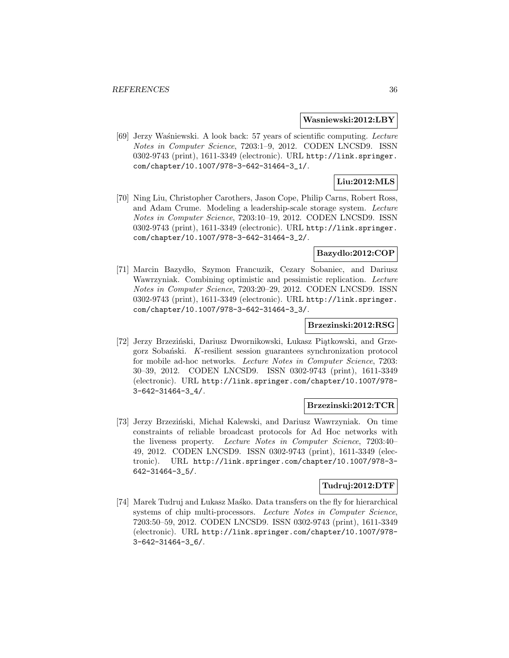#### **Wasniewski:2012:LBY**

[69] Jerzy Waśniewski. A look back: 57 years of scientific computing. Lecture Notes in Computer Science, 7203:1–9, 2012. CODEN LNCSD9. ISSN 0302-9743 (print), 1611-3349 (electronic). URL http://link.springer. com/chapter/10.1007/978-3-642-31464-3\_1/.

# **Liu:2012:MLS**

[70] Ning Liu, Christopher Carothers, Jason Cope, Philip Carns, Robert Ross, and Adam Crume. Modeling a leadership-scale storage system. Lecture Notes in Computer Science, 7203:10–19, 2012. CODEN LNCSD9. ISSN 0302-9743 (print), 1611-3349 (electronic). URL http://link.springer. com/chapter/10.1007/978-3-642-31464-3\_2/.

## **Bazydlo:2012:COP**

[71] Marcin Bazydło, Szymon Francuzik, Cezary Sobaniec, and Dariusz Wawrzyniak. Combining optimistic and pessimistic replication. Lecture Notes in Computer Science, 7203:20–29, 2012. CODEN LNCSD9. ISSN 0302-9743 (print), 1611-3349 (electronic). URL http://link.springer. com/chapter/10.1007/978-3-642-31464-3\_3/.

## **Brzezinski:2012:RSG**

[72] Jerzy Brzeziński, Dariusz Dwornikowski, Łukasz Piątkowski, and Grze $g$ orz Sobański. K-resilient session guarantees synchronization protocol for mobile ad-hoc networks. Lecture Notes in Computer Science, 7203: 30–39, 2012. CODEN LNCSD9. ISSN 0302-9743 (print), 1611-3349 (electronic). URL http://link.springer.com/chapter/10.1007/978- 3-642-31464-3\_4/.

#### **Brzezinski:2012:TCR**

[73] Jerzy Brzeziński, Michał Kalewski, and Dariusz Wawrzyniak. On time constraints of reliable broadcast protocols for Ad Hoc networks with the liveness property. Lecture Notes in Computer Science, 7203:40– 49, 2012. CODEN LNCSD9. ISSN 0302-9743 (print), 1611-3349 (electronic). URL http://link.springer.com/chapter/10.1007/978-3- 642-31464-3\_5/.

## **Tudruj:2012:DTF**

[74] Marek Tudruj and Lukasz Masko. Data transfers on the fly for hierarchical systems of chip multi-processors. Lecture Notes in Computer Science, 7203:50–59, 2012. CODEN LNCSD9. ISSN 0302-9743 (print), 1611-3349 (electronic). URL http://link.springer.com/chapter/10.1007/978- 3-642-31464-3\_6/.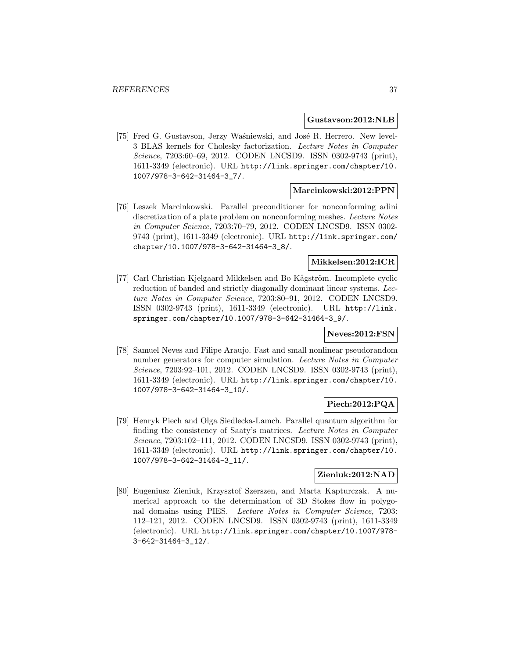#### **Gustavson:2012:NLB**

[75] Fred G. Gustavson, Jerzy Waśniewski, and José R. Herrero. New level-3 BLAS kernels for Cholesky factorization. Lecture Notes in Computer Science, 7203:60–69, 2012. CODEN LNCSD9. ISSN 0302-9743 (print), 1611-3349 (electronic). URL http://link.springer.com/chapter/10. 1007/978-3-642-31464-3\_7/.

### **Marcinkowski:2012:PPN**

[76] Leszek Marcinkowski. Parallel preconditioner for nonconforming adini discretization of a plate problem on nonconforming meshes. Lecture Notes in Computer Science, 7203:70–79, 2012. CODEN LNCSD9. ISSN 0302- 9743 (print), 1611-3349 (electronic). URL http://link.springer.com/ chapter/10.1007/978-3-642-31464-3\_8/.

### **Mikkelsen:2012:ICR**

[77] Carl Christian Kjelgaard Mikkelsen and Bo Kågström. Incomplete cyclic reduction of banded and strictly diagonally dominant linear systems. Lecture Notes in Computer Science, 7203:80–91, 2012. CODEN LNCSD9. ISSN 0302-9743 (print), 1611-3349 (electronic). URL http://link. springer.com/chapter/10.1007/978-3-642-31464-3\_9/.

# **Neves:2012:FSN**

[78] Samuel Neves and Filipe Araujo. Fast and small nonlinear pseudorandom number generators for computer simulation. Lecture Notes in Computer Science, 7203:92–101, 2012. CODEN LNCSD9. ISSN 0302-9743 (print), 1611-3349 (electronic). URL http://link.springer.com/chapter/10. 1007/978-3-642-31464-3\_10/.

# **Piech:2012:PQA**

[79] Henryk Piech and Olga Siedlecka-Lamch. Parallel quantum algorithm for finding the consistency of Saaty's matrices. Lecture Notes in Computer Science, 7203:102–111, 2012. CODEN LNCSD9. ISSN 0302-9743 (print), 1611-3349 (electronic). URL http://link.springer.com/chapter/10. 1007/978-3-642-31464-3\_11/.

# **Zieniuk:2012:NAD**

[80] Eugeniusz Zieniuk, Krzysztof Szerszen, and Marta Kapturczak. A numerical approach to the determination of 3D Stokes flow in polygonal domains using PIES. Lecture Notes in Computer Science, 7203: 112–121, 2012. CODEN LNCSD9. ISSN 0302-9743 (print), 1611-3349 (electronic). URL http://link.springer.com/chapter/10.1007/978- 3-642-31464-3\_12/.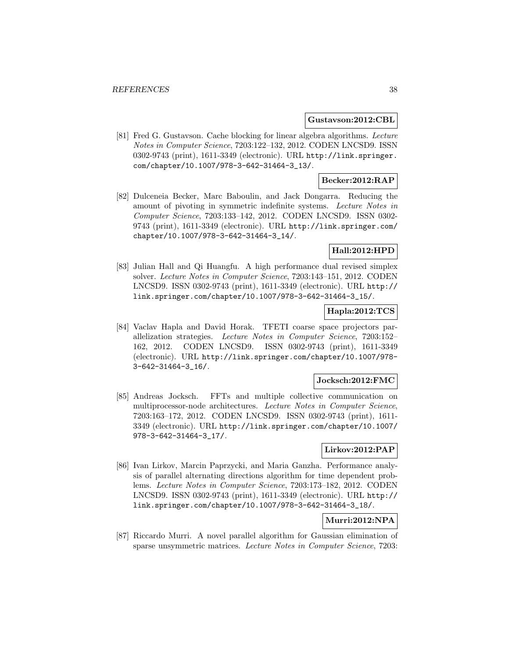#### **Gustavson:2012:CBL**

[81] Fred G. Gustavson. Cache blocking for linear algebra algorithms. Lecture Notes in Computer Science, 7203:122–132, 2012. CODEN LNCSD9. ISSN 0302-9743 (print), 1611-3349 (electronic). URL http://link.springer. com/chapter/10.1007/978-3-642-31464-3\_13/.

# **Becker:2012:RAP**

[82] Dulceneia Becker, Marc Baboulin, and Jack Dongarra. Reducing the amount of pivoting in symmetric indefinite systems. Lecture Notes in Computer Science, 7203:133–142, 2012. CODEN LNCSD9. ISSN 0302- 9743 (print), 1611-3349 (electronic). URL http://link.springer.com/ chapter/10.1007/978-3-642-31464-3\_14/.

# **Hall:2012:HPD**

[83] Julian Hall and Qi Huangfu. A high performance dual revised simplex solver. Lecture Notes in Computer Science, 7203:143–151, 2012. CODEN LNCSD9. ISSN 0302-9743 (print), 1611-3349 (electronic). URL http:// link.springer.com/chapter/10.1007/978-3-642-31464-3\_15/.

# **Hapla:2012:TCS**

[84] Vaclav Hapla and David Horak. TFETI coarse space projectors parallelization strategies. Lecture Notes in Computer Science, 7203:152– 162, 2012. CODEN LNCSD9. ISSN 0302-9743 (print), 1611-3349 (electronic). URL http://link.springer.com/chapter/10.1007/978- 3-642-31464-3\_16/.

# **Jocksch:2012:FMC**

[85] Andreas Jocksch. FFTs and multiple collective communication on multiprocessor-node architectures. Lecture Notes in Computer Science, 7203:163–172, 2012. CODEN LNCSD9. ISSN 0302-9743 (print), 1611- 3349 (electronic). URL http://link.springer.com/chapter/10.1007/ 978-3-642-31464-3\_17/.

## **Lirkov:2012:PAP**

[86] Ivan Lirkov, Marcin Paprzycki, and Maria Ganzha. Performance analysis of parallel alternating directions algorithm for time dependent problems. Lecture Notes in Computer Science, 7203:173–182, 2012. CODEN LNCSD9. ISSN 0302-9743 (print), 1611-3349 (electronic). URL http:// link.springer.com/chapter/10.1007/978-3-642-31464-3\_18/.

# **Murri:2012:NPA**

[87] Riccardo Murri. A novel parallel algorithm for Gaussian elimination of sparse unsymmetric matrices. Lecture Notes in Computer Science, 7203: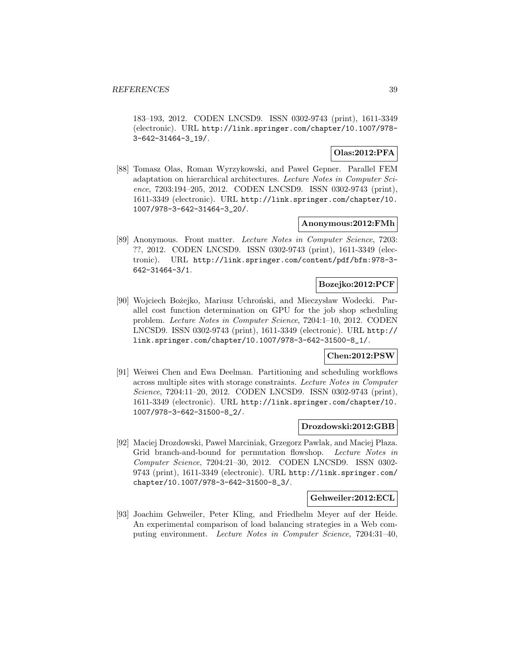183–193, 2012. CODEN LNCSD9. ISSN 0302-9743 (print), 1611-3349 (electronic). URL http://link.springer.com/chapter/10.1007/978- 3-642-31464-3\_19/.

# **Olas:2012:PFA**

[88] Tomasz Olas, Roman Wyrzykowski, and Pawel Gepner. Parallel FEM adaptation on hierarchical architectures. Lecture Notes in Computer Science, 7203:194–205, 2012. CODEN LNCSD9. ISSN 0302-9743 (print), 1611-3349 (electronic). URL http://link.springer.com/chapter/10. 1007/978-3-642-31464-3\_20/.

# **Anonymous:2012:FMh**

[89] Anonymous. Front matter. Lecture Notes in Computer Science, 7203: ??, 2012. CODEN LNCSD9. ISSN 0302-9743 (print), 1611-3349 (electronic). URL http://link.springer.com/content/pdf/bfm:978-3- 642-31464-3/1.

# **Bozejko:2012:PCF**

[90] Wojciech Bożejko, Mariusz Uchroński, and Mieczysław Wodecki. Parallel cost function determination on GPU for the job shop scheduling problem. Lecture Notes in Computer Science, 7204:1–10, 2012. CODEN LNCSD9. ISSN 0302-9743 (print), 1611-3349 (electronic). URL http:// link.springer.com/chapter/10.1007/978-3-642-31500-8\_1/.

# **Chen:2012:PSW**

[91] Weiwei Chen and Ewa Deelman. Partitioning and scheduling workflows across multiple sites with storage constraints. Lecture Notes in Computer Science, 7204:11-20, 2012. CODEN LNCSD9. ISSN 0302-9743 (print), 1611-3349 (electronic). URL http://link.springer.com/chapter/10. 1007/978-3-642-31500-8\_2/.

#### **Drozdowski:2012:GBB**

[92] Maciej Drozdowski, Paweł Marciniak, Grzegorz Pawlak, and Maciej Płaza. Grid branch-and-bound for permutation flowshop. Lecture Notes in Computer Science, 7204:21–30, 2012. CODEN LNCSD9. ISSN 0302- 9743 (print), 1611-3349 (electronic). URL http://link.springer.com/ chapter/10.1007/978-3-642-31500-8\_3/.

## **Gehweiler:2012:ECL**

[93] Joachim Gehweiler, Peter Kling, and Friedhelm Meyer auf der Heide. An experimental comparison of load balancing strategies in a Web computing environment. Lecture Notes in Computer Science, 7204:31–40,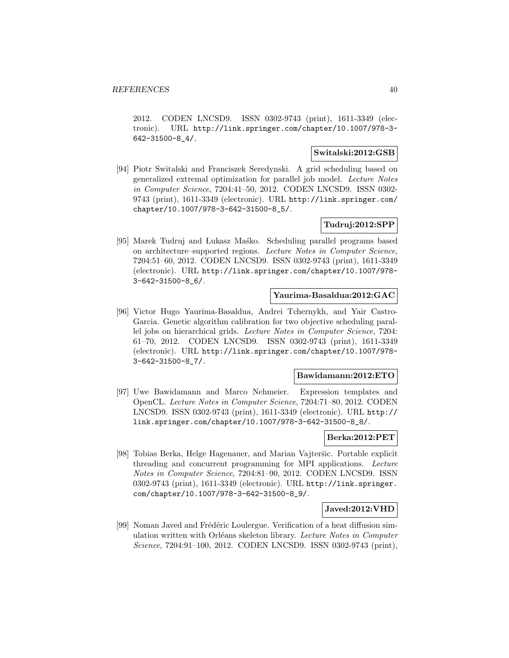2012. CODEN LNCSD9. ISSN 0302-9743 (print), 1611-3349 (electronic). URL http://link.springer.com/chapter/10.1007/978-3- 642-31500-8\_4/.

## **Switalski:2012:GSB**

[94] Piotr Switalski and Franciszek Seredynski. A grid scheduling based on generalized extremal optimization for parallel job model. Lecture Notes in Computer Science, 7204:41–50, 2012. CODEN LNCSD9. ISSN 0302- 9743 (print), 1611-3349 (electronic). URL http://link.springer.com/ chapter/10.1007/978-3-642-31500-8\_5/.

# **Tudruj:2012:SPP**

[95] Marek Tudruj and Lukasz Masko. Scheduling parallel programs based on architecture–supported regions. Lecture Notes in Computer Science, 7204:51–60, 2012. CODEN LNCSD9. ISSN 0302-9743 (print), 1611-3349 (electronic). URL http://link.springer.com/chapter/10.1007/978- 3-642-31500-8\_6/.

### **Yaurima-Basaldua:2012:GAC**

[96] Victor Hugo Yaurima-Basaldua, Andrei Tchernykh, and Yair Castro-Garcia. Genetic algorithm calibration for two objective scheduling parallel jobs on hierarchical grids. Lecture Notes in Computer Science, 7204: 61–70, 2012. CODEN LNCSD9. ISSN 0302-9743 (print), 1611-3349 (electronic). URL http://link.springer.com/chapter/10.1007/978- 3-642-31500-8\_7/.

## **Bawidamann:2012:ETO**

[97] Uwe Bawidamann and Marco Nehmeier. Expression templates and OpenCL. Lecture Notes in Computer Science, 7204:71–80, 2012. CODEN LNCSD9. ISSN 0302-9743 (print), 1611-3349 (electronic). URL http:// link.springer.com/chapter/10.1007/978-3-642-31500-8\_8/.

# **Berka:2012:PET**

[98] Tobias Berka, Helge Hagenauer, and Marian Vajteršic. Portable explicit threading and concurrent programming for MPI applications. Lecture Notes in Computer Science, 7204:81–90, 2012. CODEN LNCSD9. ISSN 0302-9743 (print), 1611-3349 (electronic). URL http://link.springer. com/chapter/10.1007/978-3-642-31500-8\_9/.

## **Javed:2012:VHD**

[99] Noman Javed and Frédéric Loulergue. Verification of a heat diffusion simulation written with Orléans skeleton library. Lecture Notes in Computer Science, 7204:91–100, 2012. CODEN LNCSD9. ISSN 0302-9743 (print),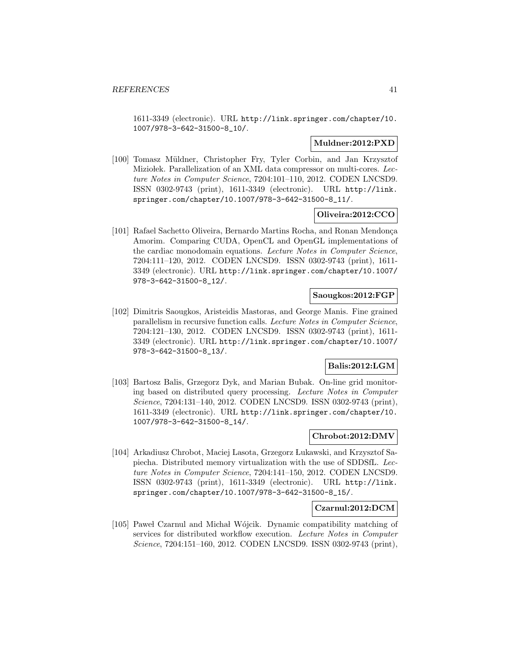1611-3349 (electronic). URL http://link.springer.com/chapter/10. 1007/978-3-642-31500-8\_10/.

# **Muldner:2012:PXD**

[100] Tomasz Müldner, Christopher Fry, Tyler Corbin, and Jan Krzysztof Miziołek. Parallelization of an XML data compressor on multi-cores. Lecture Notes in Computer Science, 7204:101–110, 2012. CODEN LNCSD9. ISSN 0302-9743 (print), 1611-3349 (electronic). URL http://link. springer.com/chapter/10.1007/978-3-642-31500-8\_11/.

# **Oliveira:2012:CCO**

[101] Rafael Sachetto Oliveira, Bernardo Martins Rocha, and Ronan Mendonça Amorim. Comparing CUDA, OpenCL and OpenGL implementations of the cardiac monodomain equations. Lecture Notes in Computer Science, 7204:111–120, 2012. CODEN LNCSD9. ISSN 0302-9743 (print), 1611- 3349 (electronic). URL http://link.springer.com/chapter/10.1007/ 978-3-642-31500-8\_12/.

## **Saougkos:2012:FGP**

[102] Dimitris Saougkos, Aristeidis Mastoras, and George Manis. Fine grained parallelism in recursive function calls. Lecture Notes in Computer Science, 7204:121–130, 2012. CODEN LNCSD9. ISSN 0302-9743 (print), 1611- 3349 (electronic). URL http://link.springer.com/chapter/10.1007/ 978-3-642-31500-8\_13/.

# **Balis:2012:LGM**

[103] Bartosz Balis, Grzegorz Dyk, and Marian Bubak. On-line grid monitoring based on distributed query processing. Lecture Notes in Computer Science, 7204:131–140, 2012. CODEN LNCSD9. ISSN 0302-9743 (print), 1611-3349 (electronic). URL http://link.springer.com/chapter/10. 1007/978-3-642-31500-8\_14/.

## **Chrobot:2012:DMV**

[104] Arkadiusz Chrobot, Maciej Lasota, Grzegorz Lukawski, and Krzysztof Sapiecha. Distributed memory virtualization with the use of SDDSfL. Lecture Notes in Computer Science, 7204:141–150, 2012. CODEN LNCSD9. ISSN 0302-9743 (print), 1611-3349 (electronic). URL http://link. springer.com/chapter/10.1007/978-3-642-31500-8\_15/.

### **Czarnul:2012:DCM**

[105] Paweł Czarnul and Michał Wójcik. Dynamic compatibility matching of services for distributed workflow execution. Lecture Notes in Computer Science, 7204:151–160, 2012. CODEN LNCSD9. ISSN 0302-9743 (print),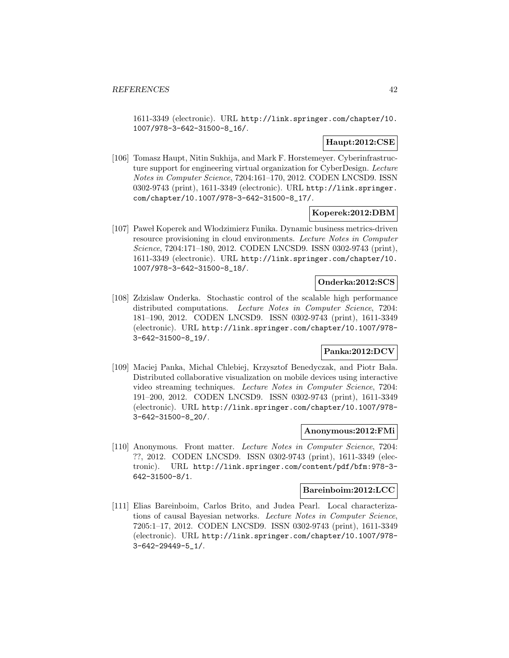1611-3349 (electronic). URL http://link.springer.com/chapter/10. 1007/978-3-642-31500-8\_16/.

# **Haupt:2012:CSE**

[106] Tomasz Haupt, Nitin Sukhija, and Mark F. Horstemeyer. Cyberinfrastructure support for engineering virtual organization for CyberDesign. Lecture Notes in Computer Science, 7204:161–170, 2012. CODEN LNCSD9. ISSN 0302-9743 (print), 1611-3349 (electronic). URL http://link.springer. com/chapter/10.1007/978-3-642-31500-8\_17/.

# **Koperek:2012:DBM**

[107] Paweł Koperek and Włodzimierz Funika. Dynamic business metrics-driven resource provisioning in cloud environments. Lecture Notes in Computer Science, 7204:171–180, 2012. CODEN LNCSD9. ISSN 0302-9743 (print), 1611-3349 (electronic). URL http://link.springer.com/chapter/10. 1007/978-3-642-31500-8\_18/.

## **Onderka:2012:SCS**

[108] Zdzislaw Onderka. Stochastic control of the scalable high performance distributed computations. Lecture Notes in Computer Science, 7204: 181–190, 2012. CODEN LNCSD9. ISSN 0302-9743 (print), 1611-3349 (electronic). URL http://link.springer.com/chapter/10.1007/978- 3-642-31500-8\_19/.

## **Panka:2012:DCV**

[109] Maciej Panka, Michal Chlebiej, Krzysztof Benedyczak, and Piotr Bała. Distributed collaborative visualization on mobile devices using interactive video streaming techniques. Lecture Notes in Computer Science, 7204: 191–200, 2012. CODEN LNCSD9. ISSN 0302-9743 (print), 1611-3349 (electronic). URL http://link.springer.com/chapter/10.1007/978- 3-642-31500-8\_20/.

#### **Anonymous:2012:FMi**

[110] Anonymous. Front matter. Lecture Notes in Computer Science, 7204: ??, 2012. CODEN LNCSD9. ISSN 0302-9743 (print), 1611-3349 (electronic). URL http://link.springer.com/content/pdf/bfm:978-3- 642-31500-8/1.

#### **Bareinboim:2012:LCC**

[111] Elias Bareinboim, Carlos Brito, and Judea Pearl. Local characterizations of causal Bayesian networks. Lecture Notes in Computer Science, 7205:1–17, 2012. CODEN LNCSD9. ISSN 0302-9743 (print), 1611-3349 (electronic). URL http://link.springer.com/chapter/10.1007/978- 3-642-29449-5\_1/.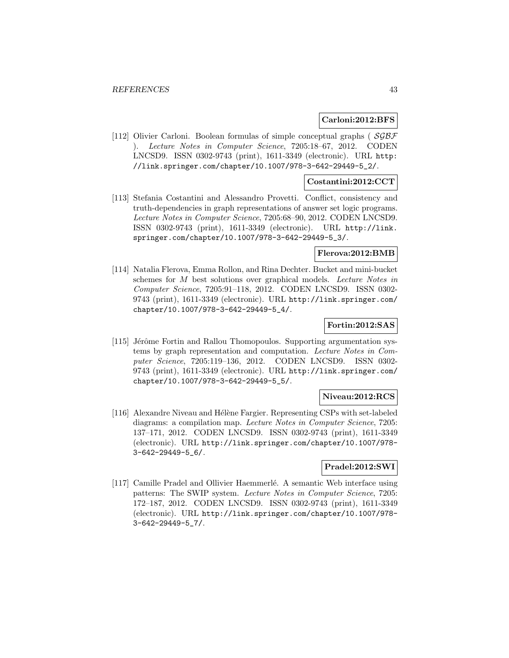### **Carloni:2012:BFS**

[112] Olivier Carloni. Boolean formulas of simple conceptual graphs ( $SGBF$ ). Lecture Notes in Computer Science, 7205:18–67, 2012. CODEN LNCSD9. ISSN 0302-9743 (print), 1611-3349 (electronic). URL http: //link.springer.com/chapter/10.1007/978-3-642-29449-5\_2/.

## **Costantini:2012:CCT**

[113] Stefania Costantini and Alessandro Provetti. Conflict, consistency and truth-dependencies in graph representations of answer set logic programs. Lecture Notes in Computer Science, 7205:68–90, 2012. CODEN LNCSD9. ISSN 0302-9743 (print), 1611-3349 (electronic). URL http://link. springer.com/chapter/10.1007/978-3-642-29449-5\_3/.

### **Flerova:2012:BMB**

[114] Natalia Flerova, Emma Rollon, and Rina Dechter. Bucket and mini-bucket schemes for M best solutions over graphical models. Lecture Notes in Computer Science, 7205:91–118, 2012. CODEN LNCSD9. ISSN 0302- 9743 (print), 1611-3349 (electronic). URL http://link.springer.com/ chapter/10.1007/978-3-642-29449-5\_4/.

# **Fortin:2012:SAS**

[115] Jérôme Fortin and Rallou Thomopoulos. Supporting argumentation systems by graph representation and computation. Lecture Notes in Computer Science, 7205:119–136, 2012. CODEN LNCSD9. ISSN 0302- 9743 (print), 1611-3349 (electronic). URL http://link.springer.com/ chapter/10.1007/978-3-642-29449-5\_5/.

## **Niveau:2012:RCS**

[116] Alexandre Niveau and Hélène Fargier. Representing CSPs with set-labeled diagrams: a compilation map. Lecture Notes in Computer Science, 7205: 137–171, 2012. CODEN LNCSD9. ISSN 0302-9743 (print), 1611-3349 (electronic). URL http://link.springer.com/chapter/10.1007/978- 3-642-29449-5\_6/.

# **Pradel:2012:SWI**

[117] Camille Pradel and Ollivier Haemmerlé. A semantic Web interface using patterns: The SWIP system. Lecture Notes in Computer Science, 7205: 172–187, 2012. CODEN LNCSD9. ISSN 0302-9743 (print), 1611-3349 (electronic). URL http://link.springer.com/chapter/10.1007/978- 3-642-29449-5\_7/.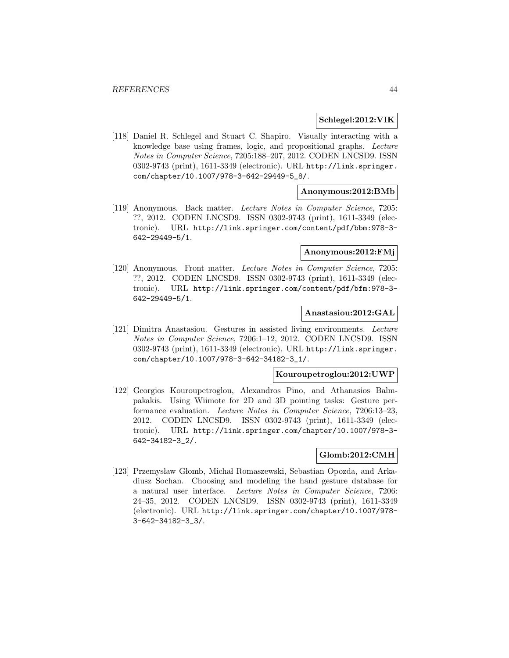### **Schlegel:2012:VIK**

[118] Daniel R. Schlegel and Stuart C. Shapiro. Visually interacting with a knowledge base using frames, logic, and propositional graphs. Lecture Notes in Computer Science, 7205:188–207, 2012. CODEN LNCSD9. ISSN 0302-9743 (print), 1611-3349 (electronic). URL http://link.springer. com/chapter/10.1007/978-3-642-29449-5\_8/.

## **Anonymous:2012:BMb**

[119] Anonymous. Back matter. Lecture Notes in Computer Science, 7205: ??, 2012. CODEN LNCSD9. ISSN 0302-9743 (print), 1611-3349 (electronic). URL http://link.springer.com/content/pdf/bbm:978-3- 642-29449-5/1.

# **Anonymous:2012:FMj**

[120] Anonymous. Front matter. Lecture Notes in Computer Science, 7205: ??, 2012. CODEN LNCSD9. ISSN 0302-9743 (print), 1611-3349 (electronic). URL http://link.springer.com/content/pdf/bfm:978-3- 642-29449-5/1.

#### **Anastasiou:2012:GAL**

[121] Dimitra Anastasiou. Gestures in assisted living environments. Lecture Notes in Computer Science, 7206:1–12, 2012. CODEN LNCSD9. ISSN 0302-9743 (print), 1611-3349 (electronic). URL http://link.springer. com/chapter/10.1007/978-3-642-34182-3\_1/.

## **Kouroupetroglou:2012:UWP**

[122] Georgios Kouroupetroglou, Alexandros Pino, and Athanasios Balmpakakis. Using Wiimote for 2D and 3D pointing tasks: Gesture performance evaluation. Lecture Notes in Computer Science, 7206:13–23, 2012. CODEN LNCSD9. ISSN 0302-9743 (print), 1611-3349 (electronic). URL http://link.springer.com/chapter/10.1007/978-3- 642-34182-3\_2/.

#### **Glomb:2012:CMH**

[123] Przemysław Głomb, Michał Romaszewski, Sebastian Opozda, and Arkadiusz Sochan. Choosing and modeling the hand gesture database for a natural user interface. Lecture Notes in Computer Science, 7206: 24–35, 2012. CODEN LNCSD9. ISSN 0302-9743 (print), 1611-3349 (electronic). URL http://link.springer.com/chapter/10.1007/978- 3-642-34182-3\_3/.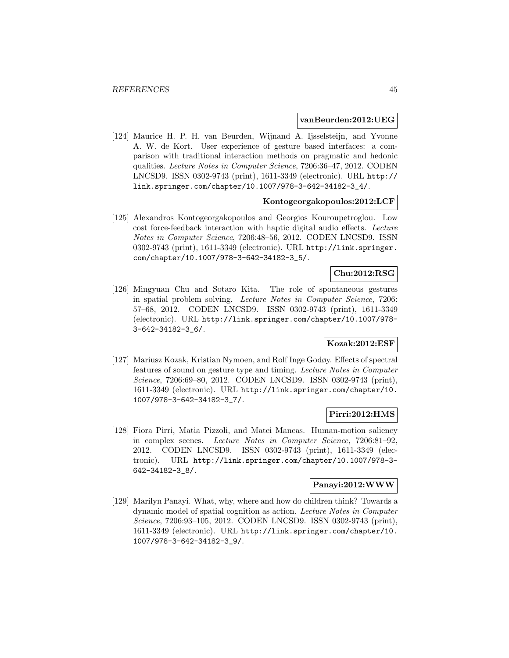#### **vanBeurden:2012:UEG**

[124] Maurice H. P. H. van Beurden, Wijnand A. Ijsselsteijn, and Yvonne A. W. de Kort. User experience of gesture based interfaces: a comparison with traditional interaction methods on pragmatic and hedonic qualities. Lecture Notes in Computer Science, 7206:36–47, 2012. CODEN LNCSD9. ISSN 0302-9743 (print), 1611-3349 (electronic). URL http:// link.springer.com/chapter/10.1007/978-3-642-34182-3\_4/.

### **Kontogeorgakopoulos:2012:LCF**

[125] Alexandros Kontogeorgakopoulos and Georgios Kouroupetroglou. Low cost force-feedback interaction with haptic digital audio effects. Lecture Notes in Computer Science, 7206:48–56, 2012. CODEN LNCSD9. ISSN 0302-9743 (print), 1611-3349 (electronic). URL http://link.springer. com/chapter/10.1007/978-3-642-34182-3\_5/.

# **Chu:2012:RSG**

[126] Mingyuan Chu and Sotaro Kita. The role of spontaneous gestures in spatial problem solving. Lecture Notes in Computer Science, 7206: 57–68, 2012. CODEN LNCSD9. ISSN 0302-9743 (print), 1611-3349 (electronic). URL http://link.springer.com/chapter/10.1007/978- 3-642-34182-3\_6/.

# **Kozak:2012:ESF**

[127] Mariusz Kozak, Kristian Nymoen, and Rolf Inge Godøy. Effects of spectral features of sound on gesture type and timing. Lecture Notes in Computer Science, 7206:69–80, 2012. CODEN LNCSD9. ISSN 0302-9743 (print), 1611-3349 (electronic). URL http://link.springer.com/chapter/10. 1007/978-3-642-34182-3\_7/.

# **Pirri:2012:HMS**

[128] Fiora Pirri, Matia Pizzoli, and Matei Mancas. Human-motion saliency in complex scenes. Lecture Notes in Computer Science, 7206:81–92, 2012. CODEN LNCSD9. ISSN 0302-9743 (print), 1611-3349 (electronic). URL http://link.springer.com/chapter/10.1007/978-3- 642-34182-3\_8/.

# **Panayi:2012:WWW**

[129] Marilyn Panayi. What, why, where and how do children think? Towards a dynamic model of spatial cognition as action. Lecture Notes in Computer Science, 7206:93–105, 2012. CODEN LNCSD9. ISSN 0302-9743 (print), 1611-3349 (electronic). URL http://link.springer.com/chapter/10. 1007/978-3-642-34182-3\_9/.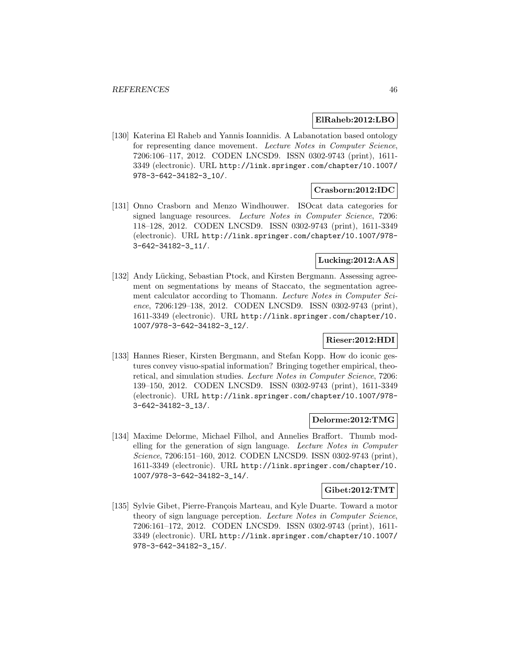# **ElRaheb:2012:LBO**

[130] Katerina El Raheb and Yannis Ioannidis. A Labanotation based ontology for representing dance movement. Lecture Notes in Computer Science, 7206:106–117, 2012. CODEN LNCSD9. ISSN 0302-9743 (print), 1611- 3349 (electronic). URL http://link.springer.com/chapter/10.1007/ 978-3-642-34182-3\_10/.

# **Crasborn:2012:IDC**

[131] Onno Crasborn and Menzo Windhouwer. ISOcat data categories for signed language resources. Lecture Notes in Computer Science, 7206: 118–128, 2012. CODEN LNCSD9. ISSN 0302-9743 (print), 1611-3349 (electronic). URL http://link.springer.com/chapter/10.1007/978- 3-642-34182-3\_11/.

# **Lucking:2012:AAS**

[132] Andy Lücking, Sebastian Ptock, and Kirsten Bergmann. Assessing agreement on segmentations by means of Staccato, the segmentation agreement calculator according to Thomann. Lecture Notes in Computer Science, 7206:129–138, 2012. CODEN LNCSD9. ISSN 0302-9743 (print), 1611-3349 (electronic). URL http://link.springer.com/chapter/10. 1007/978-3-642-34182-3\_12/.

# **Rieser:2012:HDI**

[133] Hannes Rieser, Kirsten Bergmann, and Stefan Kopp. How do iconic gestures convey visuo-spatial information? Bringing together empirical, theoretical, and simulation studies. Lecture Notes in Computer Science, 7206: 139–150, 2012. CODEN LNCSD9. ISSN 0302-9743 (print), 1611-3349 (electronic). URL http://link.springer.com/chapter/10.1007/978- 3-642-34182-3\_13/.

### **Delorme:2012:TMG**

[134] Maxime Delorme, Michael Filhol, and Annelies Braffort. Thumb modelling for the generation of sign language. Lecture Notes in Computer Science, 7206:151–160, 2012. CODEN LNCSD9. ISSN 0302-9743 (print), 1611-3349 (electronic). URL http://link.springer.com/chapter/10. 1007/978-3-642-34182-3\_14/.

#### **Gibet:2012:TMT**

[135] Sylvie Gibet, Pierre-François Marteau, and Kyle Duarte. Toward a motor theory of sign language perception. Lecture Notes in Computer Science, 7206:161–172, 2012. CODEN LNCSD9. ISSN 0302-9743 (print), 1611- 3349 (electronic). URL http://link.springer.com/chapter/10.1007/ 978-3-642-34182-3\_15/.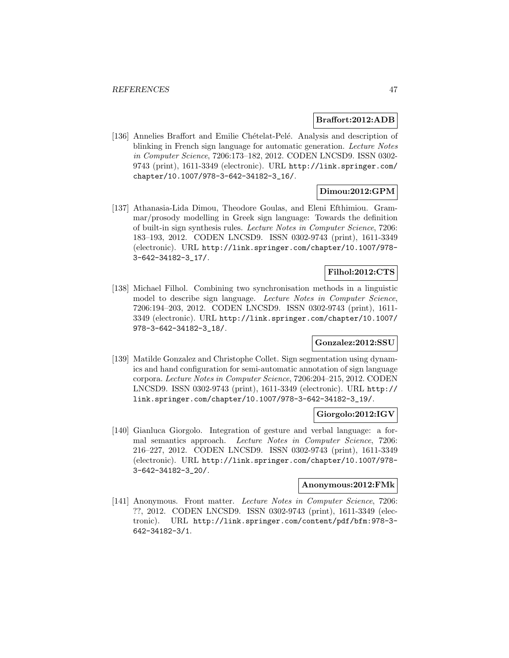### **Braffort:2012:ADB**

[136] Annelies Braffort and Emilie Chételat-Pelé. Analysis and description of blinking in French sign language for automatic generation. Lecture Notes in Computer Science, 7206:173–182, 2012. CODEN LNCSD9. ISSN 0302- 9743 (print), 1611-3349 (electronic). URL http://link.springer.com/ chapter/10.1007/978-3-642-34182-3\_16/.

## **Dimou:2012:GPM**

[137] Athanasia-Lida Dimou, Theodore Goulas, and Eleni Efthimiou. Grammar/prosody modelling in Greek sign language: Towards the definition of built-in sign synthesis rules. Lecture Notes in Computer Science, 7206: 183–193, 2012. CODEN LNCSD9. ISSN 0302-9743 (print), 1611-3349 (electronic). URL http://link.springer.com/chapter/10.1007/978- 3-642-34182-3\_17/.

# **Filhol:2012:CTS**

[138] Michael Filhol. Combining two synchronisation methods in a linguistic model to describe sign language. Lecture Notes in Computer Science, 7206:194–203, 2012. CODEN LNCSD9. ISSN 0302-9743 (print), 1611- 3349 (electronic). URL http://link.springer.com/chapter/10.1007/ 978-3-642-34182-3\_18/.

# **Gonzalez:2012:SSU**

[139] Matilde Gonzalez and Christophe Collet. Sign segmentation using dynamics and hand configuration for semi-automatic annotation of sign language corpora. Lecture Notes in Computer Science, 7206:204–215, 2012. CODEN LNCSD9. ISSN 0302-9743 (print), 1611-3349 (electronic). URL http:// link.springer.com/chapter/10.1007/978-3-642-34182-3\_19/.

# **Giorgolo:2012:IGV**

[140] Gianluca Giorgolo. Integration of gesture and verbal language: a formal semantics approach. Lecture Notes in Computer Science, 7206: 216–227, 2012. CODEN LNCSD9. ISSN 0302-9743 (print), 1611-3349 (electronic). URL http://link.springer.com/chapter/10.1007/978- 3-642-34182-3\_20/.

### **Anonymous:2012:FMk**

[141] Anonymous. Front matter. Lecture Notes in Computer Science, 7206: ??, 2012. CODEN LNCSD9. ISSN 0302-9743 (print), 1611-3349 (electronic). URL http://link.springer.com/content/pdf/bfm:978-3- 642-34182-3/1.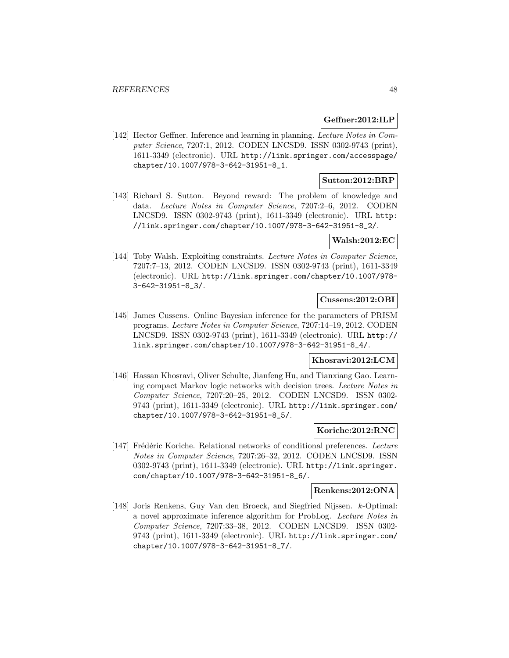### **Geffner:2012:ILP**

[142] Hector Geffner. Inference and learning in planning. Lecture Notes in Computer Science, 7207:1, 2012. CODEN LNCSD9. ISSN 0302-9743 (print), 1611-3349 (electronic). URL http://link.springer.com/accesspage/ chapter/10.1007/978-3-642-31951-8\_1.

## **Sutton:2012:BRP**

[143] Richard S. Sutton. Beyond reward: The problem of knowledge and data. Lecture Notes in Computer Science, 7207:2–6, 2012. CODEN LNCSD9. ISSN 0302-9743 (print), 1611-3349 (electronic). URL http: //link.springer.com/chapter/10.1007/978-3-642-31951-8\_2/.

## **Walsh:2012:EC**

[144] Toby Walsh. Exploiting constraints. Lecture Notes in Computer Science, 7207:7–13, 2012. CODEN LNCSD9. ISSN 0302-9743 (print), 1611-3349 (electronic). URL http://link.springer.com/chapter/10.1007/978- 3-642-31951-8\_3/.

## **Cussens:2012:OBI**

[145] James Cussens. Online Bayesian inference for the parameters of PRISM programs. Lecture Notes in Computer Science, 7207:14–19, 2012. CODEN LNCSD9. ISSN 0302-9743 (print), 1611-3349 (electronic). URL http:// link.springer.com/chapter/10.1007/978-3-642-31951-8\_4/.

# **Khosravi:2012:LCM**

[146] Hassan Khosravi, Oliver Schulte, Jianfeng Hu, and Tianxiang Gao. Learning compact Markov logic networks with decision trees. Lecture Notes in Computer Science, 7207:20–25, 2012. CODEN LNCSD9. ISSN 0302- 9743 (print), 1611-3349 (electronic). URL http://link.springer.com/ chapter/10.1007/978-3-642-31951-8\_5/.

### **Koriche:2012:RNC**

[147] Frédéric Koriche. Relational networks of conditional preferences. Lecture Notes in Computer Science, 7207:26–32, 2012. CODEN LNCSD9. ISSN 0302-9743 (print), 1611-3349 (electronic). URL http://link.springer. com/chapter/10.1007/978-3-642-31951-8\_6/.

#### **Renkens:2012:ONA**

[148] Joris Renkens, Guy Van den Broeck, and Siegfried Nijssen. k-Optimal: a novel approximate inference algorithm for ProbLog. Lecture Notes in Computer Science, 7207:33–38, 2012. CODEN LNCSD9. ISSN 0302- 9743 (print), 1611-3349 (electronic). URL http://link.springer.com/ chapter/10.1007/978-3-642-31951-8\_7/.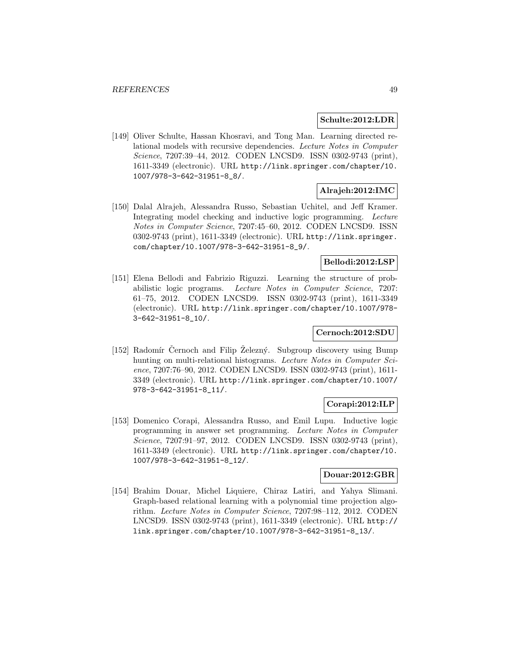#### **Schulte:2012:LDR**

[149] Oliver Schulte, Hassan Khosravi, and Tong Man. Learning directed relational models with recursive dependencies. Lecture Notes in Computer Science, 7207:39–44, 2012. CODEN LNCSD9. ISSN 0302-9743 (print), 1611-3349 (electronic). URL http://link.springer.com/chapter/10. 1007/978-3-642-31951-8\_8/.

## **Alrajeh:2012:IMC**

[150] Dalal Alrajeh, Alessandra Russo, Sebastian Uchitel, and Jeff Kramer. Integrating model checking and inductive logic programming. Lecture Notes in Computer Science, 7207:45–60, 2012. CODEN LNCSD9. ISSN 0302-9743 (print), 1611-3349 (electronic). URL http://link.springer. com/chapter/10.1007/978-3-642-31951-8\_9/.

## **Bellodi:2012:LSP**

[151] Elena Bellodi and Fabrizio Riguzzi. Learning the structure of probabilistic logic programs. Lecture Notes in Computer Science, 7207: 61–75, 2012. CODEN LNCSD9. ISSN 0302-9743 (print), 1611-3349 (electronic). URL http://link.springer.com/chapter/10.1007/978- 3-642-31951-8\_10/.

# **Cernoch:2012:SDU**

[152] Radomír Cernoch and Filip Zelezný. Subgroup discovery using Bump hunting on multi-relational histograms. Lecture Notes in Computer Science, 7207:76–90, 2012. CODEN LNCSD9. ISSN 0302-9743 (print), 1611- 3349 (electronic). URL http://link.springer.com/chapter/10.1007/ 978-3-642-31951-8\_11/.

# **Corapi:2012:ILP**

[153] Domenico Corapi, Alessandra Russo, and Emil Lupu. Inductive logic programming in answer set programming. Lecture Notes in Computer Science, 7207:91–97, 2012. CODEN LNCSD9. ISSN 0302-9743 (print), 1611-3349 (electronic). URL http://link.springer.com/chapter/10. 1007/978-3-642-31951-8\_12/.

### **Douar:2012:GBR**

[154] Brahim Douar, Michel Liquiere, Chiraz Latiri, and Yahya Slimani. Graph-based relational learning with a polynomial time projection algorithm. Lecture Notes in Computer Science, 7207:98–112, 2012. CODEN LNCSD9. ISSN 0302-9743 (print), 1611-3349 (electronic). URL http:// link.springer.com/chapter/10.1007/978-3-642-31951-8\_13/.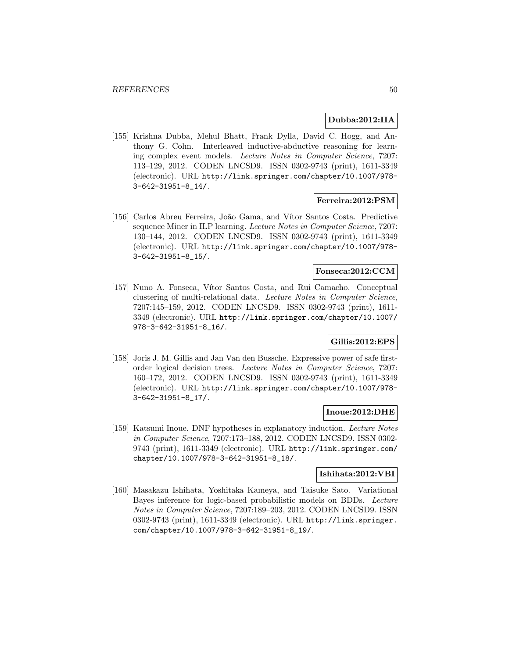## **Dubba:2012:IIA**

[155] Krishna Dubba, Mehul Bhatt, Frank Dylla, David C. Hogg, and Anthony G. Cohn. Interleaved inductive-abductive reasoning for learning complex event models. Lecture Notes in Computer Science, 7207: 113–129, 2012. CODEN LNCSD9. ISSN 0302-9743 (print), 1611-3349 (electronic). URL http://link.springer.com/chapter/10.1007/978- 3-642-31951-8\_14/.

## **Ferreira:2012:PSM**

[156] Carlos Abreu Ferreira, João Gama, and Vítor Santos Costa. Predictive sequence Miner in ILP learning. Lecture Notes in Computer Science, 7207: 130–144, 2012. CODEN LNCSD9. ISSN 0302-9743 (print), 1611-3349 (electronic). URL http://link.springer.com/chapter/10.1007/978- 3-642-31951-8\_15/.

### **Fonseca:2012:CCM**

[157] Nuno A. Fonseca, Vítor Santos Costa, and Rui Camacho. Conceptual clustering of multi-relational data. Lecture Notes in Computer Science, 7207:145–159, 2012. CODEN LNCSD9. ISSN 0302-9743 (print), 1611- 3349 (electronic). URL http://link.springer.com/chapter/10.1007/ 978-3-642-31951-8\_16/.

# **Gillis:2012:EPS**

[158] Joris J. M. Gillis and Jan Van den Bussche. Expressive power of safe firstorder logical decision trees. Lecture Notes in Computer Science, 7207: 160–172, 2012. CODEN LNCSD9. ISSN 0302-9743 (print), 1611-3349 (electronic). URL http://link.springer.com/chapter/10.1007/978- 3-642-31951-8\_17/.

## **Inoue:2012:DHE**

[159] Katsumi Inoue. DNF hypotheses in explanatory induction. Lecture Notes in Computer Science, 7207:173–188, 2012. CODEN LNCSD9. ISSN 0302- 9743 (print), 1611-3349 (electronic). URL http://link.springer.com/ chapter/10.1007/978-3-642-31951-8\_18/.

# **Ishihata:2012:VBI**

[160] Masakazu Ishihata, Yoshitaka Kameya, and Taisuke Sato. Variational Bayes inference for logic-based probabilistic models on BDDs. Lecture Notes in Computer Science, 7207:189–203, 2012. CODEN LNCSD9. ISSN 0302-9743 (print), 1611-3349 (electronic). URL http://link.springer. com/chapter/10.1007/978-3-642-31951-8\_19/.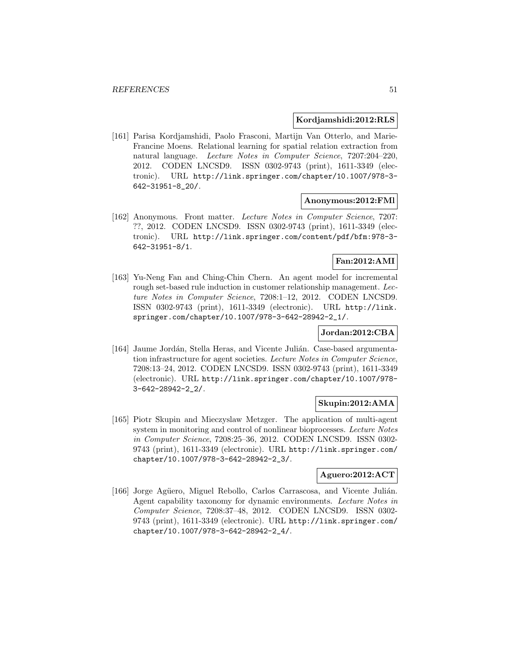### **Kordjamshidi:2012:RLS**

[161] Parisa Kordjamshidi, Paolo Frasconi, Martijn Van Otterlo, and Marie-Francine Moens. Relational learning for spatial relation extraction from natural language. Lecture Notes in Computer Science, 7207:204–220, 2012. CODEN LNCSD9. ISSN 0302-9743 (print), 1611-3349 (electronic). URL http://link.springer.com/chapter/10.1007/978-3- 642-31951-8\_20/.

### **Anonymous:2012:FMl**

[162] Anonymous. Front matter. Lecture Notes in Computer Science, 7207: ??, 2012. CODEN LNCSD9. ISSN 0302-9743 (print), 1611-3349 (electronic). URL http://link.springer.com/content/pdf/bfm:978-3- 642-31951-8/1.

# **Fan:2012:AMI**

[163] Yu-Neng Fan and Ching-Chin Chern. An agent model for incremental rough set-based rule induction in customer relationship management. Lecture Notes in Computer Science, 7208:1–12, 2012. CODEN LNCSD9. ISSN 0302-9743 (print), 1611-3349 (electronic). URL http://link. springer.com/chapter/10.1007/978-3-642-28942-2\_1/.

# **Jordan:2012:CBA**

[164] Jaume Jordán, Stella Heras, and Vicente Julián. Case-based argumentation infrastructure for agent societies. Lecture Notes in Computer Science, 7208:13–24, 2012. CODEN LNCSD9. ISSN 0302-9743 (print), 1611-3349 (electronic). URL http://link.springer.com/chapter/10.1007/978- 3-642-28942-2\_2/.

## **Skupin:2012:AMA**

[165] Piotr Skupin and Mieczyslaw Metzger. The application of multi-agent system in monitoring and control of nonlinear bioprocesses. Lecture Notes in Computer Science, 7208:25–36, 2012. CODEN LNCSD9. ISSN 0302- 9743 (print), 1611-3349 (electronic). URL http://link.springer.com/ chapter/10.1007/978-3-642-28942-2\_3/.

### **Aguero:2012:ACT**

[166] Jorge Agüero, Miguel Rebollo, Carlos Carrascosa, and Vicente Julián. Agent capability taxonomy for dynamic environments. Lecture Notes in Computer Science, 7208:37–48, 2012. CODEN LNCSD9. ISSN 0302- 9743 (print), 1611-3349 (electronic). URL http://link.springer.com/ chapter/10.1007/978-3-642-28942-2\_4/.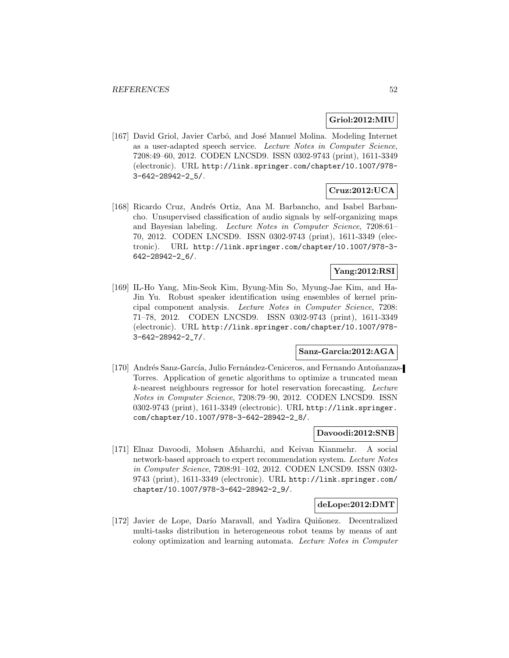## **Griol:2012:MIU**

[167] David Griol, Javier Carbó, and José Manuel Molina. Modeling Internet as a user-adapted speech service. Lecture Notes in Computer Science, 7208:49–60, 2012. CODEN LNCSD9. ISSN 0302-9743 (print), 1611-3349 (electronic). URL http://link.springer.com/chapter/10.1007/978- 3-642-28942-2\_5/.

# **Cruz:2012:UCA**

[168] Ricardo Cruz, Andrés Ortiz, Ana M. Barbancho, and Isabel Barbancho. Unsupervised classification of audio signals by self-organizing maps and Bayesian labeling. Lecture Notes in Computer Science, 7208:61– 70, 2012. CODEN LNCSD9. ISSN 0302-9743 (print), 1611-3349 (electronic). URL http://link.springer.com/chapter/10.1007/978-3- 642-28942-2\_6/.

# **Yang:2012:RSI**

[169] IL-Ho Yang, Min-Seok Kim, Byung-Min So, Myung-Jae Kim, and Ha-Jin Yu. Robust speaker identification using ensembles of kernel principal component analysis. Lecture Notes in Computer Science, 7208: 71–78, 2012. CODEN LNCSD9. ISSN 0302-9743 (print), 1611-3349 (electronic). URL http://link.springer.com/chapter/10.1007/978- 3-642-28942-2\_7/.

#### **Sanz-Garcia:2012:AGA**

[170] Andrés Sanz-García, Julio Fernández-Ceniceros, and Fernando Antoñanzas-Torres. Application of genetic algorithms to optimize a truncated mean k-nearest neighbours regressor for hotel reservation forecasting. Lecture Notes in Computer Science, 7208:79–90, 2012. CODEN LNCSD9. ISSN 0302-9743 (print), 1611-3349 (electronic). URL http://link.springer. com/chapter/10.1007/978-3-642-28942-2\_8/.

#### **Davoodi:2012:SNB**

[171] Elnaz Davoodi, Mohsen Afsharchi, and Keivan Kianmehr. A social network-based approach to expert recommendation system. Lecture Notes in Computer Science, 7208:91–102, 2012. CODEN LNCSD9. ISSN 0302- 9743 (print), 1611-3349 (electronic). URL http://link.springer.com/ chapter/10.1007/978-3-642-28942-2\_9/.

### **deLope:2012:DMT**

[172] Javier de Lope, Darío Maravall, and Yadira Quiñonez. Decentralized multi-tasks distribution in heterogeneous robot teams by means of ant colony optimization and learning automata. Lecture Notes in Computer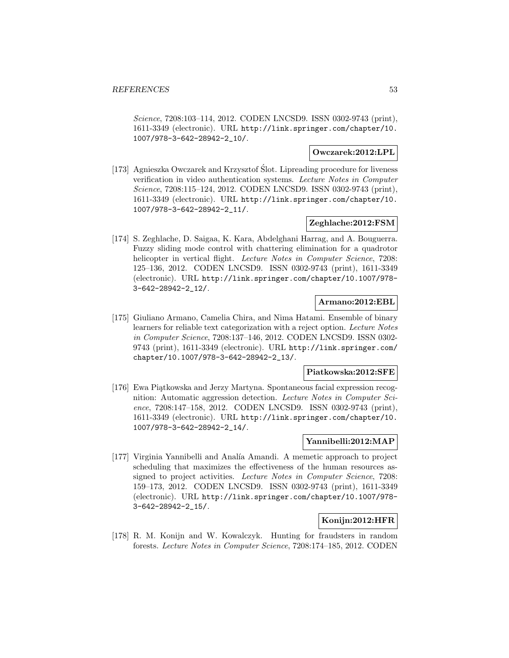Science, 7208:103–114, 2012. CODEN LNCSD9. ISSN 0302-9743 (print), 1611-3349 (electronic). URL http://link.springer.com/chapter/10. 1007/978-3-642-28942-2\_10/.

## **Owczarek:2012:LPL**

[173] Agnieszka Owczarek and Krzysztof Slot. Lipreading procedure for liveness ´ verification in video authentication systems. Lecture Notes in Computer Science, 7208:115–124, 2012. CODEN LNCSD9. ISSN 0302-9743 (print), 1611-3349 (electronic). URL http://link.springer.com/chapter/10. 1007/978-3-642-28942-2\_11/.

# **Zeghlache:2012:FSM**

[174] S. Zeghlache, D. Saigaa, K. Kara, Abdelghani Harrag, and A. Bouguerra. Fuzzy sliding mode control with chattering elimination for a quadrotor helicopter in vertical flight. Lecture Notes in Computer Science, 7208: 125–136, 2012. CODEN LNCSD9. ISSN 0302-9743 (print), 1611-3349 (electronic). URL http://link.springer.com/chapter/10.1007/978- 3-642-28942-2\_12/.

# **Armano:2012:EBL**

[175] Giuliano Armano, Camelia Chira, and Nima Hatami. Ensemble of binary learners for reliable text categorization with a reject option. Lecture Notes in Computer Science, 7208:137–146, 2012. CODEN LNCSD9. ISSN 0302- 9743 (print), 1611-3349 (electronic). URL http://link.springer.com/ chapter/10.1007/978-3-642-28942-2\_13/.

#### **Piatkowska:2012:SFE**

[176] Ewa Piątkowska and Jerzy Martyna. Spontaneous facial expression recognition: Automatic aggression detection. Lecture Notes in Computer Science, 7208:147–158, 2012. CODEN LNCSD9. ISSN 0302-9743 (print), 1611-3349 (electronic). URL http://link.springer.com/chapter/10. 1007/978-3-642-28942-2\_14/.

# **Yannibelli:2012:MAP**

[177] Virginia Yannibelli and Analía Amandi. A memetic approach to project scheduling that maximizes the effectiveness of the human resources assigned to project activities. Lecture Notes in Computer Science, 7208: 159–173, 2012. CODEN LNCSD9. ISSN 0302-9743 (print), 1611-3349 (electronic). URL http://link.springer.com/chapter/10.1007/978- 3-642-28942-2\_15/.

# **Konijn:2012:HFR**

[178] R. M. Konijn and W. Kowalczyk. Hunting for fraudsters in random forests. Lecture Notes in Computer Science, 7208:174–185, 2012. CODEN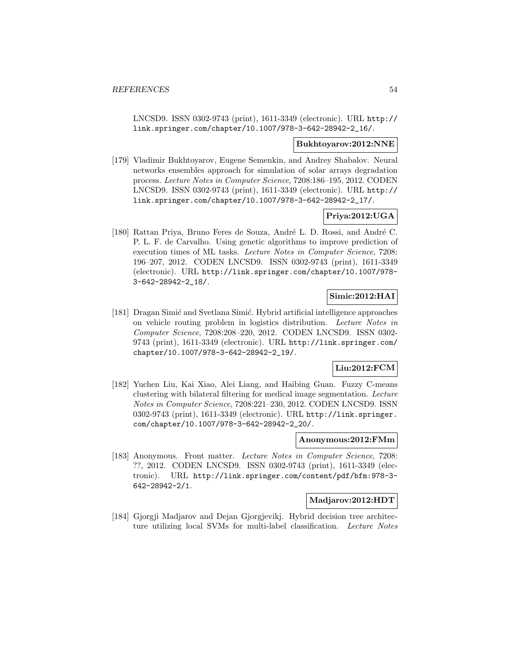LNCSD9. ISSN 0302-9743 (print), 1611-3349 (electronic). URL http:// link.springer.com/chapter/10.1007/978-3-642-28942-2\_16/.

### **Bukhtoyarov:2012:NNE**

[179] Vladimir Bukhtoyarov, Eugene Semenkin, and Andrey Shabalov. Neural networks ensembles approach for simulation of solar arrays degradation process. Lecture Notes in Computer Science, 7208:186–195, 2012. CODEN LNCSD9. ISSN 0302-9743 (print), 1611-3349 (electronic). URL http:// link.springer.com/chapter/10.1007/978-3-642-28942-2\_17/.

# **Priya:2012:UGA**

[180] Rattan Priya, Bruno Feres de Souza, André L. D. Rossi, and André C. P. L. F. de Carvalho. Using genetic algorithms to improve prediction of execution times of ML tasks. Lecture Notes in Computer Science, 7208: 196–207, 2012. CODEN LNCSD9. ISSN 0302-9743 (print), 1611-3349 (electronic). URL http://link.springer.com/chapter/10.1007/978- 3-642-28942-2\_18/.

# **Simic:2012:HAI**

[181] Dragan Simić and Svetlana Simić. Hybrid artificial intelligence approaches on vehicle routing problem in logistics distribution. Lecture Notes in Computer Science, 7208:208–220, 2012. CODEN LNCSD9. ISSN 0302- 9743 (print), 1611-3349 (electronic). URL http://link.springer.com/ chapter/10.1007/978-3-642-28942-2\_19/.

# **Liu:2012:FCM**

[182] Yuchen Liu, Kai Xiao, Alei Liang, and Haibing Guan. Fuzzy C-means clustering with bilateral filtering for medical image segmentation. Lecture Notes in Computer Science, 7208:221–230, 2012. CODEN LNCSD9. ISSN 0302-9743 (print), 1611-3349 (electronic). URL http://link.springer. com/chapter/10.1007/978-3-642-28942-2\_20/.

#### **Anonymous:2012:FMm**

[183] Anonymous. Front matter. Lecture Notes in Computer Science, 7208: ??, 2012. CODEN LNCSD9. ISSN 0302-9743 (print), 1611-3349 (electronic). URL http://link.springer.com/content/pdf/bfm:978-3- 642-28942-2/1.

## **Madjarov:2012:HDT**

[184] Gjorgji Madjarov and Dejan Gjorgjevikj. Hybrid decision tree architecture utilizing local SVMs for multi-label classification. Lecture Notes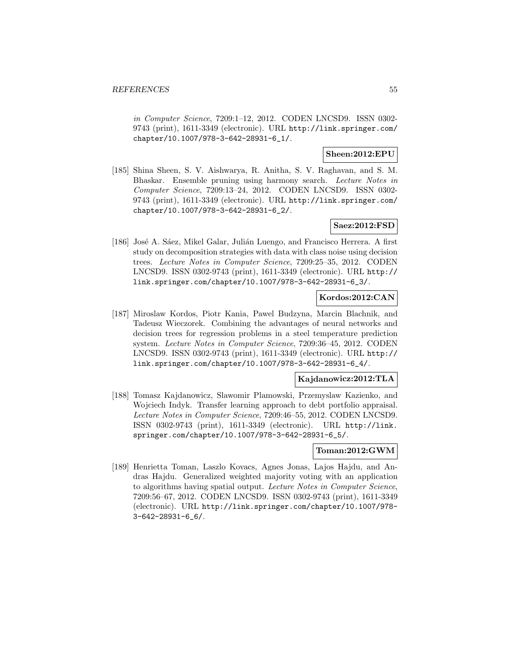in Computer Science, 7209:1–12, 2012. CODEN LNCSD9. ISSN 0302- 9743 (print), 1611-3349 (electronic). URL http://link.springer.com/ chapter/10.1007/978-3-642-28931-6\_1/.

# **Sheen:2012:EPU**

[185] Shina Sheen, S. V. Aishwarya, R. Anitha, S. V. Raghavan, and S. M. Bhaskar. Ensemble pruning using harmony search. Lecture Notes in Computer Science, 7209:13–24, 2012. CODEN LNCSD9. ISSN 0302- 9743 (print), 1611-3349 (electronic). URL http://link.springer.com/ chapter/10.1007/978-3-642-28931-6\_2/.

# **Saez:2012:FSD**

[186] José A. Sáez, Mikel Galar, Julián Luengo, and Francisco Herrera. A first study on decomposition strategies with data with class noise using decision trees. Lecture Notes in Computer Science, 7209:25–35, 2012. CODEN LNCSD9. ISSN 0302-9743 (print), 1611-3349 (electronic). URL http:// link.springer.com/chapter/10.1007/978-3-642-28931-6\_3/.

## **Kordos:2012:CAN**

[187] Miroslaw Kordos, Piotr Kania, Pawel Budzyna, Marcin Blachnik, and Tadeusz Wieczorek. Combining the advantages of neural networks and decision trees for regression problems in a steel temperature prediction system. Lecture Notes in Computer Science, 7209:36–45, 2012. CODEN LNCSD9. ISSN 0302-9743 (print), 1611-3349 (electronic). URL http:// link.springer.com/chapter/10.1007/978-3-642-28931-6\_4/.

### **Kajdanowicz:2012:TLA**

[188] Tomasz Kajdanowicz, Slawomir Plamowski, Przemyslaw Kazienko, and Wojciech Indyk. Transfer learning approach to debt portfolio appraisal. Lecture Notes in Computer Science, 7209:46–55, 2012. CODEN LNCSD9. ISSN 0302-9743 (print), 1611-3349 (electronic). URL http://link. springer.com/chapter/10.1007/978-3-642-28931-6\_5/.

# **Toman:2012:GWM**

[189] Henrietta Toman, Laszlo Kovacs, Agnes Jonas, Lajos Hajdu, and Andras Hajdu. Generalized weighted majority voting with an application to algorithms having spatial output. Lecture Notes in Computer Science, 7209:56–67, 2012. CODEN LNCSD9. ISSN 0302-9743 (print), 1611-3349 (electronic). URL http://link.springer.com/chapter/10.1007/978- 3-642-28931-6\_6/.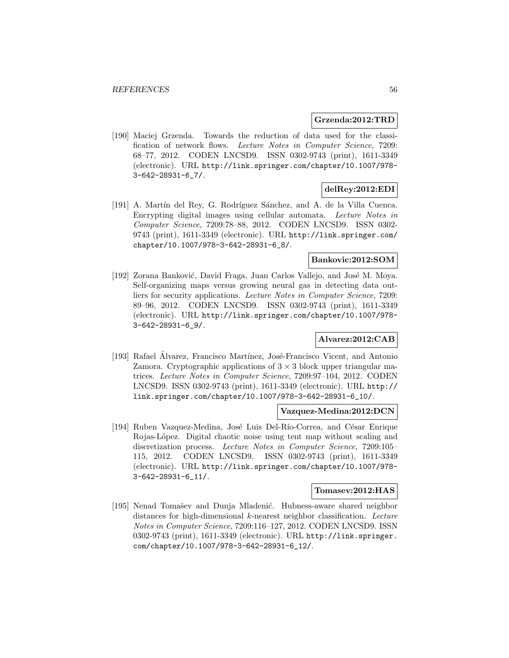#### **Grzenda:2012:TRD**

[190] Maciej Grzenda. Towards the reduction of data used for the classification of network flows. Lecture Notes in Computer Science, 7209: 68–77, 2012. CODEN LNCSD9. ISSN 0302-9743 (print), 1611-3349 (electronic). URL http://link.springer.com/chapter/10.1007/978- 3-642-28931-6\_7/.

# **delRey:2012:EDI**

[191] A. Martín del Rey, G. Rodríguez Sánchez, and A. de la Villa Cuenca. Encrypting digital images using cellular automata. Lecture Notes in Computer Science, 7209:78–88, 2012. CODEN LNCSD9. ISSN 0302- 9743 (print), 1611-3349 (electronic). URL http://link.springer.com/ chapter/10.1007/978-3-642-28931-6\_8/.

## **Bankovic:2012:SOM**

[192] Zorana Banković, David Fraga, Juan Carlos Vallejo, and José M. Moya. Self-organizing maps versus growing neural gas in detecting data outliers for security applications. Lecture Notes in Computer Science, 7209: 89–96, 2012. CODEN LNCSD9. ISSN 0302-9743 (print), 1611-3349 (electronic). URL http://link.springer.com/chapter/10.1007/978- 3-642-28931-6\_9/.

# **Alvarez:2012:CAB**

[193] Rafael Álvarez, Francisco Martínez, José-Francisco Vicent, and Antonio Zamora. Cryptographic applications of  $3 \times 3$  block upper triangular matrices. Lecture Notes in Computer Science, 7209:97–104, 2012. CODEN LNCSD9. ISSN 0302-9743 (print), 1611-3349 (electronic). URL http:// link.springer.com/chapter/10.1007/978-3-642-28931-6\_10/.

# **Vazquez-Medina:2012:DCN**

[194] Ruben Vazquez-Medina, José Luis Del-Río-Correa, and César Enrique Rojas-López. Digital chaotic noise using tent map without scaling and discretization process. Lecture Notes in Computer Science, 7209:105– 115, 2012. CODEN LNCSD9. ISSN 0302-9743 (print), 1611-3349 (electronic). URL http://link.springer.com/chapter/10.1007/978- 3-642-28931-6\_11/.

#### **Tomasev:2012:HAS**

[195] Nenad Tomašev and Dunja Mladenić. Hubness-aware shared neighbor distances for high-dimensional k-nearest neighbor classification. Lecture Notes in Computer Science, 7209:116–127, 2012. CODEN LNCSD9. ISSN 0302-9743 (print), 1611-3349 (electronic). URL http://link.springer. com/chapter/10.1007/978-3-642-28931-6\_12/.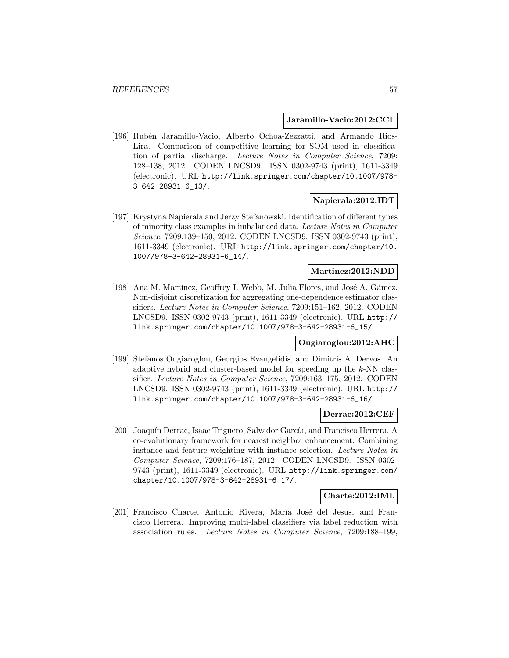### **Jaramillo-Vacio:2012:CCL**

[196] Rubén Jaramillo-Vacio, Alberto Ochoa-Zezzatti, and Armando Rios-Lira. Comparison of competitive learning for SOM used in classification of partial discharge. Lecture Notes in Computer Science, 7209: 128–138, 2012. CODEN LNCSD9. ISSN 0302-9743 (print), 1611-3349 (electronic). URL http://link.springer.com/chapter/10.1007/978- 3-642-28931-6\_13/.

# **Napierala:2012:IDT**

[197] Krystyna Napierala and Jerzy Stefanowski. Identification of different types of minority class examples in imbalanced data. Lecture Notes in Computer Science, 7209:139–150, 2012. CODEN LNCSD9. ISSN 0302-9743 (print), 1611-3349 (electronic). URL http://link.springer.com/chapter/10. 1007/978-3-642-28931-6\_14/.

## **Martinez:2012:NDD**

[198] Ana M. Martínez, Geoffrey I. Webb, M. Julia Flores, and José A. Gámez. Non-disjoint discretization for aggregating one-dependence estimator classifiers. Lecture Notes in Computer Science, 7209:151–162, 2012. CODEN LNCSD9. ISSN 0302-9743 (print), 1611-3349 (electronic). URL http:// link.springer.com/chapter/10.1007/978-3-642-28931-6\_15/.

# **Ougiaroglou:2012:AHC**

[199] Stefanos Ougiaroglou, Georgios Evangelidis, and Dimitris A. Dervos. An adaptive hybrid and cluster-based model for speeding up the k-NN classifier. Lecture Notes in Computer Science, 7209:163–175, 2012. CODEN LNCSD9. ISSN 0302-9743 (print), 1611-3349 (electronic). URL http:// link.springer.com/chapter/10.1007/978-3-642-28931-6\_16/.

#### **Derrac:2012:CEF**

[200] Joaquín Derrac, Isaac Triguero, Salvador García, and Francisco Herrera. A co-evolutionary framework for nearest neighbor enhancement: Combining instance and feature weighting with instance selection. Lecture Notes in Computer Science, 7209:176–187, 2012. CODEN LNCSD9. ISSN 0302- 9743 (print), 1611-3349 (electronic). URL http://link.springer.com/ chapter/10.1007/978-3-642-28931-6\_17/.

### **Charte:2012:IML**

[201] Francisco Charte, Antonio Rivera, María José del Jesus, and Francisco Herrera. Improving multi-label classifiers via label reduction with association rules. Lecture Notes in Computer Science, 7209:188–199,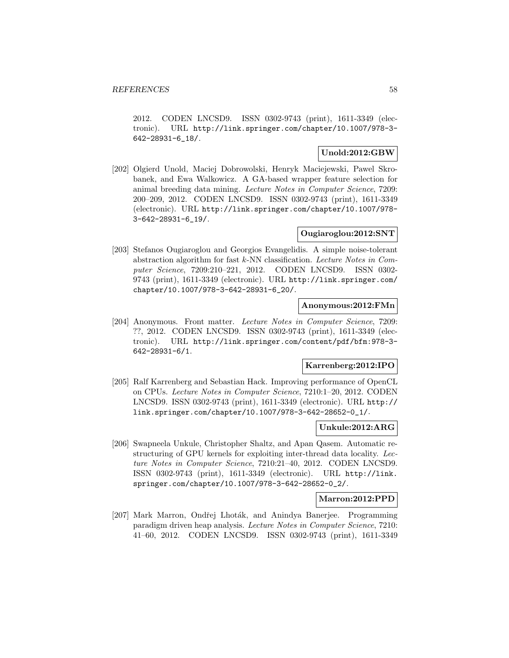2012. CODEN LNCSD9. ISSN 0302-9743 (print), 1611-3349 (electronic). URL http://link.springer.com/chapter/10.1007/978-3- 642-28931-6\_18/.

## **Unold:2012:GBW**

[202] Olgierd Unold, Maciej Dobrowolski, Henryk Maciejewski, Pawel Skrobanek, and Ewa Walkowicz. A GA-based wrapper feature selection for animal breeding data mining. Lecture Notes in Computer Science, 7209: 200–209, 2012. CODEN LNCSD9. ISSN 0302-9743 (print), 1611-3349 (electronic). URL http://link.springer.com/chapter/10.1007/978- 3-642-28931-6\_19/.

# **Ougiaroglou:2012:SNT**

[203] Stefanos Ougiaroglou and Georgios Evangelidis. A simple noise-tolerant abstraction algorithm for fast k-NN classification. Lecture Notes in Computer Science, 7209:210–221, 2012. CODEN LNCSD9. ISSN 0302- 9743 (print), 1611-3349 (electronic). URL http://link.springer.com/ chapter/10.1007/978-3-642-28931-6\_20/.

# **Anonymous:2012:FMn**

[204] Anonymous. Front matter. Lecture Notes in Computer Science, 7209: ??, 2012. CODEN LNCSD9. ISSN 0302-9743 (print), 1611-3349 (electronic). URL http://link.springer.com/content/pdf/bfm:978-3- 642-28931-6/1.

## **Karrenberg:2012:IPO**

[205] Ralf Karrenberg and Sebastian Hack. Improving performance of OpenCL on CPUs. Lecture Notes in Computer Science, 7210:1–20, 2012. CODEN LNCSD9. ISSN 0302-9743 (print), 1611-3349 (electronic). URL http:// link.springer.com/chapter/10.1007/978-3-642-28652-0\_1/.

#### **Unkule:2012:ARG**

[206] Swapneela Unkule, Christopher Shaltz, and Apan Qasem. Automatic restructuring of GPU kernels for exploiting inter-thread data locality. Lecture Notes in Computer Science, 7210:21–40, 2012. CODEN LNCSD9. ISSN 0302-9743 (print), 1611-3349 (electronic). URL http://link. springer.com/chapter/10.1007/978-3-642-28652-0\_2/.

#### **Marron:2012:PPD**

[207] Mark Marron, Ondřej Lhoták, and Anindya Banerjee. Programming paradigm driven heap analysis. Lecture Notes in Computer Science, 7210: 41–60, 2012. CODEN LNCSD9. ISSN 0302-9743 (print), 1611-3349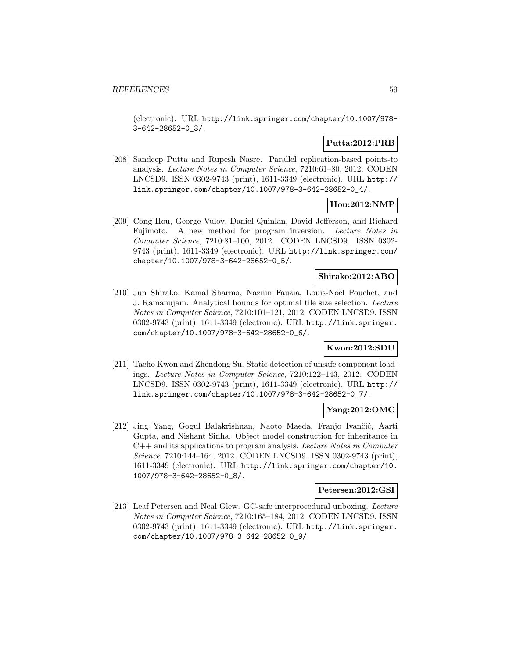(electronic). URL http://link.springer.com/chapter/10.1007/978- 3-642-28652-0\_3/.

# **Putta:2012:PRB**

[208] Sandeep Putta and Rupesh Nasre. Parallel replication-based points-to analysis. Lecture Notes in Computer Science, 7210:61–80, 2012. CODEN LNCSD9. ISSN 0302-9743 (print), 1611-3349 (electronic). URL http:// link.springer.com/chapter/10.1007/978-3-642-28652-0\_4/.

# **Hou:2012:NMP**

[209] Cong Hou, George Vulov, Daniel Quinlan, David Jefferson, and Richard Fujimoto. A new method for program inversion. Lecture Notes in Computer Science, 7210:81–100, 2012. CODEN LNCSD9. ISSN 0302- 9743 (print), 1611-3349 (electronic). URL http://link.springer.com/ chapter/10.1007/978-3-642-28652-0\_5/.

# **Shirako:2012:ABO**

[210] Jun Shirako, Kamal Sharma, Naznin Fauzia, Louis-Noël Pouchet, and J. Ramanujam. Analytical bounds for optimal tile size selection. Lecture Notes in Computer Science, 7210:101–121, 2012. CODEN LNCSD9. ISSN 0302-9743 (print), 1611-3349 (electronic). URL http://link.springer. com/chapter/10.1007/978-3-642-28652-0\_6/.

## **Kwon:2012:SDU**

[211] Taeho Kwon and Zhendong Su. Static detection of unsafe component loadings. Lecture Notes in Computer Science, 7210:122–143, 2012. CODEN LNCSD9. ISSN 0302-9743 (print), 1611-3349 (electronic). URL http:// link.springer.com/chapter/10.1007/978-3-642-28652-0\_7/.

# **Yang:2012:OMC**

[212] Jing Yang, Gogul Balakrishnan, Naoto Maeda, Franjo Ivančić, Aarti Gupta, and Nishant Sinha. Object model construction for inheritance in  $C++$  and its applications to program analysis. Lecture Notes in Computer Science, 7210:144–164, 2012. CODEN LNCSD9. ISSN 0302-9743 (print), 1611-3349 (electronic). URL http://link.springer.com/chapter/10. 1007/978-3-642-28652-0\_8/.

### **Petersen:2012:GSI**

[213] Leaf Petersen and Neal Glew. GC-safe interprocedural unboxing. Lecture Notes in Computer Science, 7210:165–184, 2012. CODEN LNCSD9. ISSN 0302-9743 (print), 1611-3349 (electronic). URL http://link.springer. com/chapter/10.1007/978-3-642-28652-0\_9/.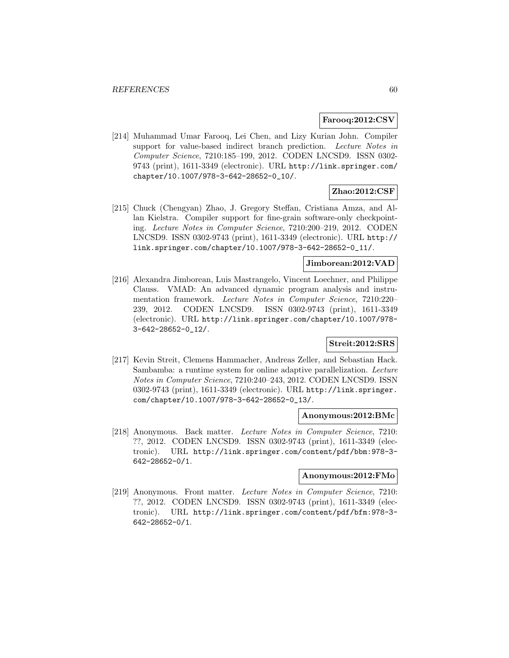## **Farooq:2012:CSV**

[214] Muhammad Umar Farooq, Lei Chen, and Lizy Kurian John. Compiler support for value-based indirect branch prediction. Lecture Notes in Computer Science, 7210:185–199, 2012. CODEN LNCSD9. ISSN 0302- 9743 (print), 1611-3349 (electronic). URL http://link.springer.com/ chapter/10.1007/978-3-642-28652-0\_10/.

# **Zhao:2012:CSF**

[215] Chuck (Chengyan) Zhao, J. Gregory Steffan, Cristiana Amza, and Allan Kielstra. Compiler support for fine-grain software-only checkpointing. Lecture Notes in Computer Science, 7210:200–219, 2012. CODEN LNCSD9. ISSN 0302-9743 (print), 1611-3349 (electronic). URL http:// link.springer.com/chapter/10.1007/978-3-642-28652-0\_11/.

# **Jimborean:2012:VAD**

[216] Alexandra Jimborean, Luis Mastrangelo, Vincent Loechner, and Philippe Clauss. VMAD: An advanced dynamic program analysis and instrumentation framework. Lecture Notes in Computer Science, 7210:220– 239, 2012. CODEN LNCSD9. ISSN 0302-9743 (print), 1611-3349 (electronic). URL http://link.springer.com/chapter/10.1007/978- 3-642-28652-0\_12/.

# **Streit:2012:SRS**

[217] Kevin Streit, Clemens Hammacher, Andreas Zeller, and Sebastian Hack. Sambamba: a runtime system for online adaptive parallelization. Lecture Notes in Computer Science, 7210:240–243, 2012. CODEN LNCSD9. ISSN 0302-9743 (print), 1611-3349 (electronic). URL http://link.springer. com/chapter/10.1007/978-3-642-28652-0\_13/.

### **Anonymous:2012:BMc**

[218] Anonymous. Back matter. Lecture Notes in Computer Science, 7210: ??, 2012. CODEN LNCSD9. ISSN 0302-9743 (print), 1611-3349 (electronic). URL http://link.springer.com/content/pdf/bbm:978-3- 642-28652-0/1.

#### **Anonymous:2012:FMo**

[219] Anonymous. Front matter. Lecture Notes in Computer Science, 7210: ??, 2012. CODEN LNCSD9. ISSN 0302-9743 (print), 1611-3349 (electronic). URL http://link.springer.com/content/pdf/bfm:978-3- 642-28652-0/1.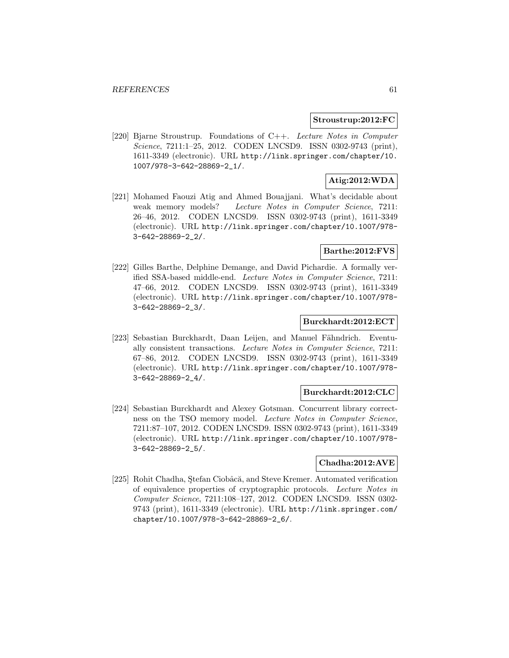#### **Stroustrup:2012:FC**

[220] Bjarne Stroustrup. Foundations of C++. Lecture Notes in Computer Science, 7211:1–25, 2012. CODEN LNCSD9. ISSN 0302-9743 (print), 1611-3349 (electronic). URL http://link.springer.com/chapter/10. 1007/978-3-642-28869-2\_1/.

# **Atig:2012:WDA**

[221] Mohamed Faouzi Atig and Ahmed Bouajjani. What's decidable about weak memory models? Lecture Notes in Computer Science, 7211: 26–46, 2012. CODEN LNCSD9. ISSN 0302-9743 (print), 1611-3349 (electronic). URL http://link.springer.com/chapter/10.1007/978- 3-642-28869-2\_2/.

# **Barthe:2012:FVS**

[222] Gilles Barthe, Delphine Demange, and David Pichardie. A formally verified SSA-based middle-end. Lecture Notes in Computer Science, 7211: 47–66, 2012. CODEN LNCSD9. ISSN 0302-9743 (print), 1611-3349 (electronic). URL http://link.springer.com/chapter/10.1007/978- 3-642-28869-2\_3/.

### **Burckhardt:2012:ECT**

[223] Sebastian Burckhardt, Daan Leijen, and Manuel Fähndrich. Eventually consistent transactions. Lecture Notes in Computer Science, 7211: 67–86, 2012. CODEN LNCSD9. ISSN 0302-9743 (print), 1611-3349 (electronic). URL http://link.springer.com/chapter/10.1007/978- 3-642-28869-2\_4/.

## **Burckhardt:2012:CLC**

[224] Sebastian Burckhardt and Alexey Gotsman. Concurrent library correctness on the TSO memory model. Lecture Notes in Computer Science, 7211:87–107, 2012. CODEN LNCSD9. ISSN 0302-9743 (print), 1611-3349 (electronic). URL http://link.springer.com/chapter/10.1007/978- 3-642-28869-2\_5/.

#### **Chadha:2012:AVE**

[225] Rohit Chadha, Ştefan Ciobâcă, and Steve Kremer. Automated verification of equivalence properties of cryptographic protocols. Lecture Notes in Computer Science, 7211:108–127, 2012. CODEN LNCSD9. ISSN 0302- 9743 (print), 1611-3349 (electronic). URL http://link.springer.com/ chapter/10.1007/978-3-642-28869-2\_6/.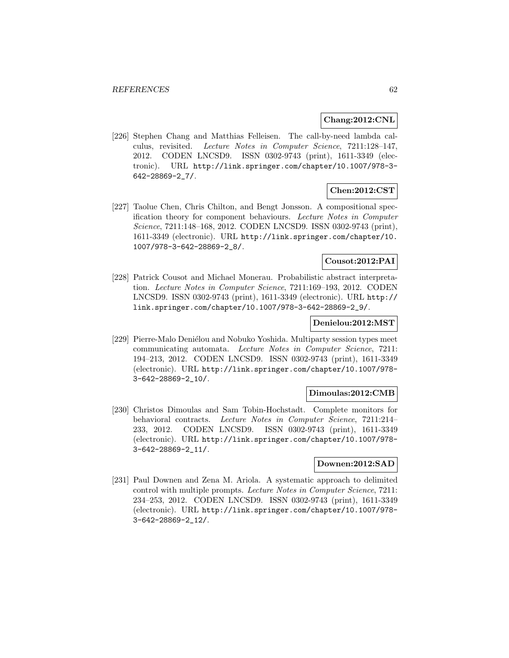#### **Chang:2012:CNL**

[226] Stephen Chang and Matthias Felleisen. The call-by-need lambda calculus, revisited. Lecture Notes in Computer Science, 7211:128–147, 2012. CODEN LNCSD9. ISSN 0302-9743 (print), 1611-3349 (electronic). URL http://link.springer.com/chapter/10.1007/978-3- 642-28869-2\_7/.

# **Chen:2012:CST**

[227] Taolue Chen, Chris Chilton, and Bengt Jonsson. A compositional specification theory for component behaviours. Lecture Notes in Computer Science, 7211:148–168, 2012. CODEN LNCSD9. ISSN 0302-9743 (print), 1611-3349 (electronic). URL http://link.springer.com/chapter/10. 1007/978-3-642-28869-2\_8/.

# **Cousot:2012:PAI**

[228] Patrick Cousot and Michael Monerau. Probabilistic abstract interpretation. Lecture Notes in Computer Science, 7211:169–193, 2012. CODEN LNCSD9. ISSN 0302-9743 (print), 1611-3349 (electronic). URL http:// link.springer.com/chapter/10.1007/978-3-642-28869-2\_9/.

### **Denielou:2012:MST**

[229] Pierre-Malo Deniélou and Nobuko Yoshida. Multiparty session types meet communicating automata. Lecture Notes in Computer Science, 7211: 194–213, 2012. CODEN LNCSD9. ISSN 0302-9743 (print), 1611-3349 (electronic). URL http://link.springer.com/chapter/10.1007/978- 3-642-28869-2\_10/.

#### **Dimoulas:2012:CMB**

[230] Christos Dimoulas and Sam Tobin-Hochstadt. Complete monitors for behavioral contracts. Lecture Notes in Computer Science, 7211:214– 233, 2012. CODEN LNCSD9. ISSN 0302-9743 (print), 1611-3349 (electronic). URL http://link.springer.com/chapter/10.1007/978- 3-642-28869-2\_11/.

#### **Downen:2012:SAD**

[231] Paul Downen and Zena M. Ariola. A systematic approach to delimited control with multiple prompts. Lecture Notes in Computer Science, 7211: 234–253, 2012. CODEN LNCSD9. ISSN 0302-9743 (print), 1611-3349 (electronic). URL http://link.springer.com/chapter/10.1007/978- 3-642-28869-2\_12/.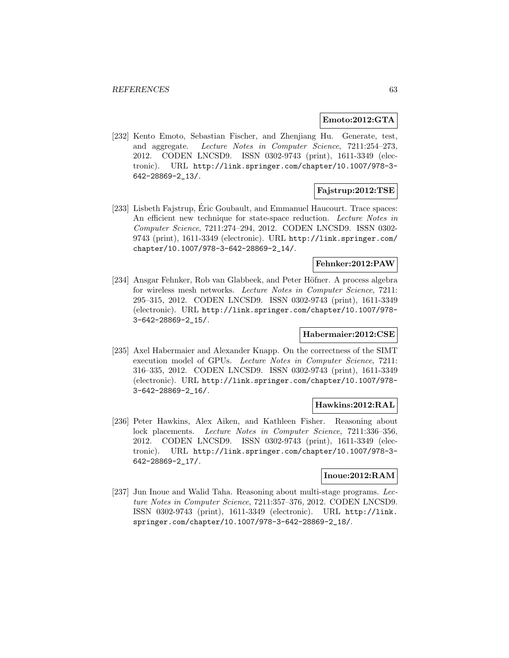#### **Emoto:2012:GTA**

[232] Kento Emoto, Sebastian Fischer, and Zhenjiang Hu. Generate, test, and aggregate. Lecture Notes in Computer Science, 7211:254–273, 2012. CODEN LNCSD9. ISSN 0302-9743 (print), 1611-3349 (electronic). URL http://link.springer.com/chapter/10.1007/978-3- 642-28869-2\_13/.

# **Fajstrup:2012:TSE**

[233] Lisbeth Fajstrup, Éric Goubault, and Emmanuel Haucourt. Trace spaces: An efficient new technique for state-space reduction. Lecture Notes in Computer Science, 7211:274–294, 2012. CODEN LNCSD9. ISSN 0302- 9743 (print), 1611-3349 (electronic). URL http://link.springer.com/ chapter/10.1007/978-3-642-28869-2\_14/.

# **Fehnker:2012:PAW**

[234] Ansgar Fehnker, Rob van Glabbeek, and Peter Höfner. A process algebra for wireless mesh networks. Lecture Notes in Computer Science, 7211: 295–315, 2012. CODEN LNCSD9. ISSN 0302-9743 (print), 1611-3349 (electronic). URL http://link.springer.com/chapter/10.1007/978- 3-642-28869-2\_15/.

## **Habermaier:2012:CSE**

[235] Axel Habermaier and Alexander Knapp. On the correctness of the SIMT execution model of GPUs. Lecture Notes in Computer Science, 7211: 316–335, 2012. CODEN LNCSD9. ISSN 0302-9743 (print), 1611-3349 (electronic). URL http://link.springer.com/chapter/10.1007/978- 3-642-28869-2\_16/.

## **Hawkins:2012:RAL**

[236] Peter Hawkins, Alex Aiken, and Kathleen Fisher. Reasoning about lock placements. Lecture Notes in Computer Science, 7211:336–356, 2012. CODEN LNCSD9. ISSN 0302-9743 (print), 1611-3349 (electronic). URL http://link.springer.com/chapter/10.1007/978-3- 642-28869-2\_17/.

#### **Inoue:2012:RAM**

[237] Jun Inoue and Walid Taha. Reasoning about multi-stage programs. Lecture Notes in Computer Science, 7211:357–376, 2012. CODEN LNCSD9. ISSN 0302-9743 (print), 1611-3349 (electronic). URL http://link. springer.com/chapter/10.1007/978-3-642-28869-2\_18/.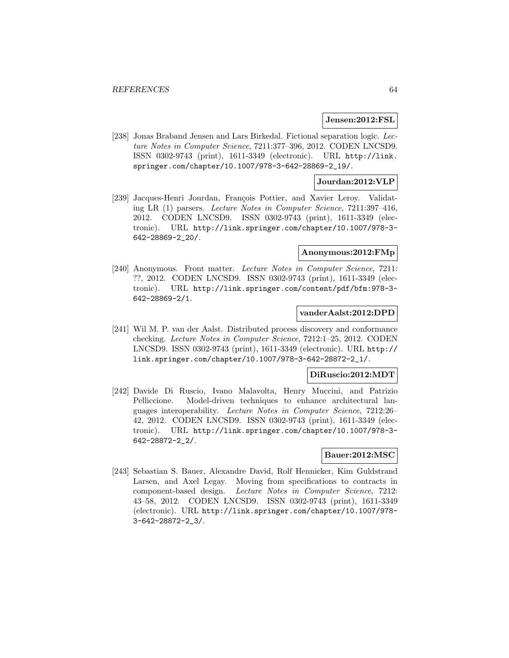#### **Jensen:2012:FSL**

[238] Jonas Braband Jensen and Lars Birkedal. Fictional separation logic. Lecture Notes in Computer Science, 7211:377–396, 2012. CODEN LNCSD9. ISSN 0302-9743 (print), 1611-3349 (electronic). URL http://link. springer.com/chapter/10.1007/978-3-642-28869-2\_19/.

### **Jourdan:2012:VLP**

[239] Jacques-Henri Jourdan, François Pottier, and Xavier Leroy. Validating LR (1) parsers. Lecture Notes in Computer Science, 7211:397–416, 2012. CODEN LNCSD9. ISSN 0302-9743 (print), 1611-3349 (electronic). URL http://link.springer.com/chapter/10.1007/978-3- 642-28869-2\_20/.

## **Anonymous:2012:FMp**

[240] Anonymous. Front matter. Lecture Notes in Computer Science, 7211: ??, 2012. CODEN LNCSD9. ISSN 0302-9743 (print), 1611-3349 (electronic). URL http://link.springer.com/content/pdf/bfm:978-3- 642-28869-2/1.

#### **vanderAalst:2012:DPD**

[241] Wil M. P. van der Aalst. Distributed process discovery and conformance checking. Lecture Notes in Computer Science, 7212:1–25, 2012. CODEN LNCSD9. ISSN 0302-9743 (print), 1611-3349 (electronic). URL http:// link.springer.com/chapter/10.1007/978-3-642-28872-2\_1/.

### **DiRuscio:2012:MDT**

[242] Davide Di Ruscio, Ivano Malavolta, Henry Muccini, and Patrizio Pelliccione. Model-driven techniques to enhance architectural languages interoperability. Lecture Notes in Computer Science, 7212:26– 42, 2012. CODEN LNCSD9. ISSN 0302-9743 (print), 1611-3349 (electronic). URL http://link.springer.com/chapter/10.1007/978-3- 642-28872-2\_2/.

#### **Bauer:2012:MSC**

[243] Sebastian S. Bauer, Alexandre David, Rolf Hennicker, Kim Guldstrand Larsen, and Axel Legay. Moving from specifications to contracts in component-based design. Lecture Notes in Computer Science, 7212: 43–58, 2012. CODEN LNCSD9. ISSN 0302-9743 (print), 1611-3349 (electronic). URL http://link.springer.com/chapter/10.1007/978- 3-642-28872-2\_3/.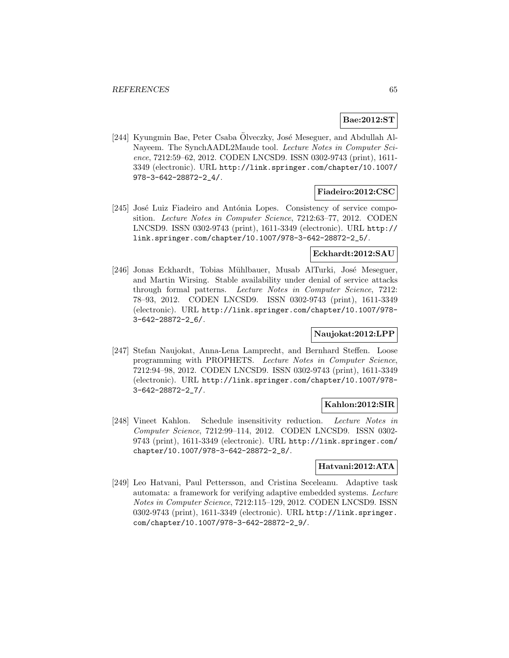# **Bae:2012:ST**

[244] Kyungmin Bae, Peter Csaba Olveczky, José Meseguer, and Abdullah Al-Nayeem. The SynchAADL2Maude tool. Lecture Notes in Computer Science, 7212:59–62, 2012. CODEN LNCSD9. ISSN 0302-9743 (print), 1611- 3349 (electronic). URL http://link.springer.com/chapter/10.1007/ 978-3-642-28872-2\_4/.

## **Fiadeiro:2012:CSC**

[245] José Luiz Fiadeiro and Antónia Lopes. Consistency of service composition. Lecture Notes in Computer Science, 7212:63–77, 2012. CODEN LNCSD9. ISSN 0302-9743 (print), 1611-3349 (electronic). URL http:// link.springer.com/chapter/10.1007/978-3-642-28872-2\_5/.

## **Eckhardt:2012:SAU**

[246] Jonas Eckhardt, Tobias Mühlbauer, Musab AlTurki, José Meseguer, and Martin Wirsing. Stable availability under denial of service attacks through formal patterns. Lecture Notes in Computer Science, 7212: 78–93, 2012. CODEN LNCSD9. ISSN 0302-9743 (print), 1611-3349 (electronic). URL http://link.springer.com/chapter/10.1007/978- 3-642-28872-2\_6/.

# **Naujokat:2012:LPP**

[247] Stefan Naujokat, Anna-Lena Lamprecht, and Bernhard Steffen. Loose programming with PROPHETS. Lecture Notes in Computer Science, 7212:94–98, 2012. CODEN LNCSD9. ISSN 0302-9743 (print), 1611-3349 (electronic). URL http://link.springer.com/chapter/10.1007/978- 3-642-28872-2\_7/.

# **Kahlon:2012:SIR**

[248] Vineet Kahlon. Schedule insensitivity reduction. Lecture Notes in Computer Science, 7212:99–114, 2012. CODEN LNCSD9. ISSN 0302- 9743 (print), 1611-3349 (electronic). URL http://link.springer.com/ chapter/10.1007/978-3-642-28872-2\_8/.

# **Hatvani:2012:ATA**

[249] Leo Hatvani, Paul Pettersson, and Cristina Seceleanu. Adaptive task automata: a framework for verifying adaptive embedded systems. Lecture Notes in Computer Science, 7212:115–129, 2012. CODEN LNCSD9. ISSN 0302-9743 (print), 1611-3349 (electronic). URL http://link.springer. com/chapter/10.1007/978-3-642-28872-2\_9/.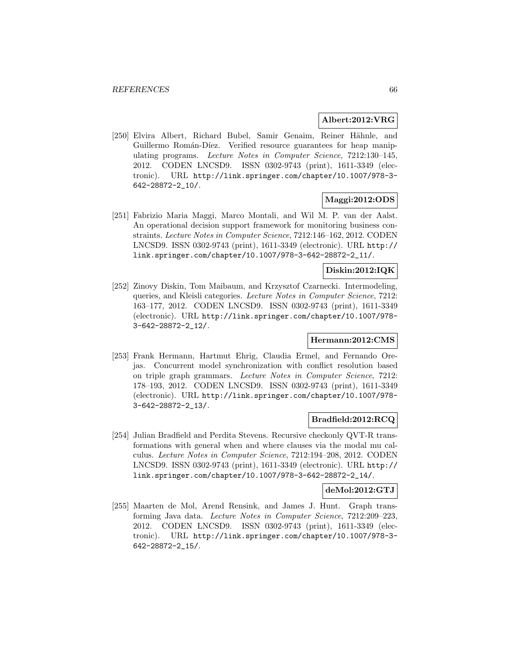### **Albert:2012:VRG**

[250] Elvira Albert, Richard Bubel, Samir Genaim, Reiner Hähnle, and Guillermo Román-Díez. Verified resource guarantees for heap manipulating programs. Lecture Notes in Computer Science, 7212:130–145, 2012. CODEN LNCSD9. ISSN 0302-9743 (print), 1611-3349 (electronic). URL http://link.springer.com/chapter/10.1007/978-3- 642-28872-2\_10/.

# **Maggi:2012:ODS**

[251] Fabrizio Maria Maggi, Marco Montali, and Wil M. P. van der Aalst. An operational decision support framework for monitoring business constraints. Lecture Notes in Computer Science, 7212:146–162, 2012. CODEN LNCSD9. ISSN 0302-9743 (print), 1611-3349 (electronic). URL http:// link.springer.com/chapter/10.1007/978-3-642-28872-2\_11/.

# **Diskin:2012:IQK**

[252] Zinovy Diskin, Tom Maibaum, and Krzysztof Czarnecki. Intermodeling, queries, and Kleisli categories. Lecture Notes in Computer Science, 7212: 163–177, 2012. CODEN LNCSD9. ISSN 0302-9743 (print), 1611-3349 (electronic). URL http://link.springer.com/chapter/10.1007/978- 3-642-28872-2\_12/.

### **Hermann:2012:CMS**

[253] Frank Hermann, Hartmut Ehrig, Claudia Ermel, and Fernando Orejas. Concurrent model synchronization with conflict resolution based on triple graph grammars. Lecture Notes in Computer Science, 7212: 178–193, 2012. CODEN LNCSD9. ISSN 0302-9743 (print), 1611-3349 (electronic). URL http://link.springer.com/chapter/10.1007/978- 3-642-28872-2\_13/.

## **Bradfield:2012:RCQ**

[254] Julian Bradfield and Perdita Stevens. Recursive checkonly QVT-R transformations with general when and where clauses via the modal mu calculus. Lecture Notes in Computer Science, 7212:194–208, 2012. CODEN LNCSD9. ISSN 0302-9743 (print), 1611-3349 (electronic). URL http:// link.springer.com/chapter/10.1007/978-3-642-28872-2\_14/.

## **deMol:2012:GTJ**

[255] Maarten de Mol, Arend Rensink, and James J. Hunt. Graph transforming Java data. Lecture Notes in Computer Science, 7212:209–223, 2012. CODEN LNCSD9. ISSN 0302-9743 (print), 1611-3349 (electronic). URL http://link.springer.com/chapter/10.1007/978-3- 642-28872-2\_15/.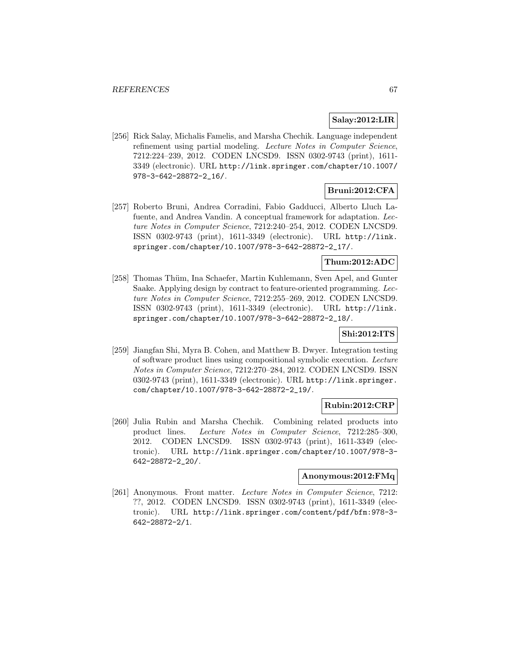## **Salay:2012:LIR**

[256] Rick Salay, Michalis Famelis, and Marsha Chechik. Language independent refinement using partial modeling. Lecture Notes in Computer Science, 7212:224–239, 2012. CODEN LNCSD9. ISSN 0302-9743 (print), 1611- 3349 (electronic). URL http://link.springer.com/chapter/10.1007/ 978-3-642-28872-2\_16/.

# **Bruni:2012:CFA**

[257] Roberto Bruni, Andrea Corradini, Fabio Gadducci, Alberto Lluch Lafuente, and Andrea Vandin. A conceptual framework for adaptation. Lecture Notes in Computer Science, 7212:240–254, 2012. CODEN LNCSD9. ISSN 0302-9743 (print), 1611-3349 (electronic). URL http://link. springer.com/chapter/10.1007/978-3-642-28872-2\_17/.

# **Thum:2012:ADC**

[258] Thomas Thüm, Ina Schaefer, Martin Kuhlemann, Sven Apel, and Gunter Saake. Applying design by contract to feature-oriented programming. Lecture Notes in Computer Science, 7212:255–269, 2012. CODEN LNCSD9. ISSN 0302-9743 (print), 1611-3349 (electronic). URL http://link. springer.com/chapter/10.1007/978-3-642-28872-2\_18/.

# **Shi:2012:ITS**

[259] Jiangfan Shi, Myra B. Cohen, and Matthew B. Dwyer. Integration testing of software product lines using compositional symbolic execution. Lecture Notes in Computer Science, 7212:270–284, 2012. CODEN LNCSD9. ISSN 0302-9743 (print), 1611-3349 (electronic). URL http://link.springer. com/chapter/10.1007/978-3-642-28872-2\_19/.

## **Rubin:2012:CRP**

[260] Julia Rubin and Marsha Chechik. Combining related products into product lines. Lecture Notes in Computer Science, 7212:285–300, 2012. CODEN LNCSD9. ISSN 0302-9743 (print), 1611-3349 (electronic). URL http://link.springer.com/chapter/10.1007/978-3- 642-28872-2\_20/.

#### **Anonymous:2012:FMq**

[261] Anonymous. Front matter. Lecture Notes in Computer Science, 7212: ??, 2012. CODEN LNCSD9. ISSN 0302-9743 (print), 1611-3349 (electronic). URL http://link.springer.com/content/pdf/bfm:978-3- 642-28872-2/1.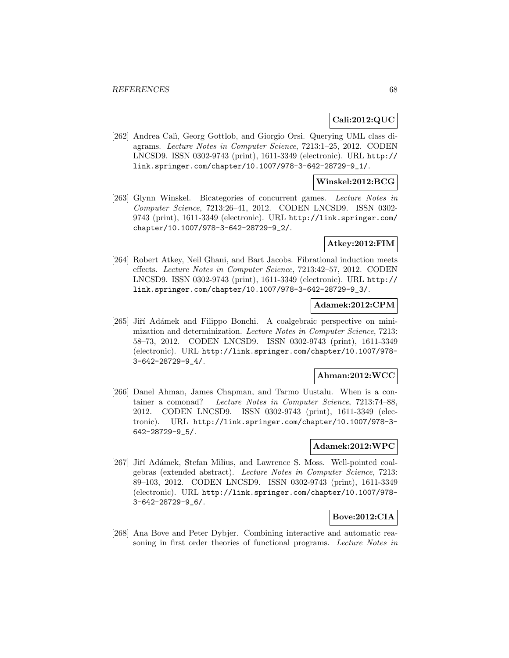# **Cali:2012:QUC**

[262] Andrea Calì, Georg Gottlob, and Giorgio Orsi. Querying UML class diagrams. Lecture Notes in Computer Science, 7213:1–25, 2012. CODEN LNCSD9. ISSN 0302-9743 (print), 1611-3349 (electronic). URL http:// link.springer.com/chapter/10.1007/978-3-642-28729-9\_1/.

## **Winskel:2012:BCG**

[263] Glynn Winskel. Bicategories of concurrent games. Lecture Notes in Computer Science, 7213:26–41, 2012. CODEN LNCSD9. ISSN 0302- 9743 (print), 1611-3349 (electronic). URL http://link.springer.com/ chapter/10.1007/978-3-642-28729-9\_2/.

## **Atkey:2012:FIM**

[264] Robert Atkey, Neil Ghani, and Bart Jacobs. Fibrational induction meets effects. Lecture Notes in Computer Science, 7213:42–57, 2012. CODEN LNCSD9. ISSN 0302-9743 (print), 1611-3349 (electronic). URL http:// link.springer.com/chapter/10.1007/978-3-642-28729-9\_3/.

# **Adamek:2012:CPM**

[265] Jiří Adámek and Filippo Bonchi. A coalgebraic perspective on minimization and determinization. Lecture Notes in Computer Science, 7213: 58–73, 2012. CODEN LNCSD9. ISSN 0302-9743 (print), 1611-3349 (electronic). URL http://link.springer.com/chapter/10.1007/978- 3-642-28729-9\_4/.

## **Ahman:2012:WCC**

[266] Danel Ahman, James Chapman, and Tarmo Uustalu. When is a container a comonad? Lecture Notes in Computer Science, 7213:74–88, 2012. CODEN LNCSD9. ISSN 0302-9743 (print), 1611-3349 (electronic). URL http://link.springer.com/chapter/10.1007/978-3- 642-28729-9\_5/.

## **Adamek:2012:WPC**

[267] Jiří Adámek, Stefan Milius, and Lawrence S. Moss. Well-pointed coalgebras (extended abstract). Lecture Notes in Computer Science, 7213: 89–103, 2012. CODEN LNCSD9. ISSN 0302-9743 (print), 1611-3349 (electronic). URL http://link.springer.com/chapter/10.1007/978- 3-642-28729-9\_6/.

## **Bove:2012:CIA**

[268] Ana Bove and Peter Dybjer. Combining interactive and automatic reasoning in first order theories of functional programs. Lecture Notes in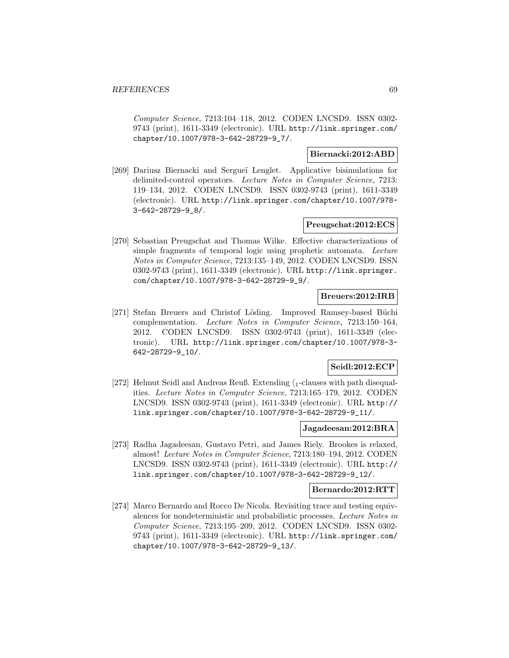Computer Science, 7213:104–118, 2012. CODEN LNCSD9. ISSN 0302- 9743 (print), 1611-3349 (electronic). URL http://link.springer.com/ chapter/10.1007/978-3-642-28729-9\_7/.

# **Biernacki:2012:ABD**

[269] Dariusz Biernacki and Sergue¨ı Lenglet. Applicative bisimulations for delimited-control operators. Lecture Notes in Computer Science, 7213: 119–134, 2012. CODEN LNCSD9. ISSN 0302-9743 (print), 1611-3349 (electronic). URL http://link.springer.com/chapter/10.1007/978- 3-642-28729-9\_8/.

# **Preugschat:2012:ECS**

[270] Sebastian Preugschat and Thomas Wilke. Effective characterizations of simple fragments of temporal logic using prophetic automata. Lecture Notes in Computer Science, 7213:135–149, 2012. CODEN LNCSD9. ISSN 0302-9743 (print), 1611-3349 (electronic). URL http://link.springer. com/chapter/10.1007/978-3-642-28729-9\_9/.

### **Breuers:2012:IRB**

[271] Stefan Breuers and Christof Löding. Improved Ramsey-based Büchi complementation. Lecture Notes in Computer Science, 7213:150–164, 2012. CODEN LNCSD9. ISSN 0302-9743 (print), 1611-3349 (electronic). URL http://link.springer.com/chapter/10.1007/978-3- 642-28729-9\_10/.

## **Seidl:2012:ECP**

[272] Helmut Seidl and Andreas Reuß. Extending  $\langle$ <sub>1</sub>-clauses with path disequalities. Lecture Notes in Computer Science, 7213:165–179, 2012. CODEN LNCSD9. ISSN 0302-9743 (print), 1611-3349 (electronic). URL http:// link.springer.com/chapter/10.1007/978-3-642-28729-9\_11/.

### **Jagadeesan:2012:BRA**

[273] Radha Jagadeesan, Gustavo Petri, and James Riely. Brookes is relaxed, almost! Lecture Notes in Computer Science, 7213:180–194, 2012. CODEN LNCSD9. ISSN 0302-9743 (print), 1611-3349 (electronic). URL http:// link.springer.com/chapter/10.1007/978-3-642-28729-9\_12/.

### **Bernardo:2012:RTT**

[274] Marco Bernardo and Rocco De Nicola. Revisiting trace and testing equivalences for nondeterministic and probabilistic processes. Lecture Notes in Computer Science, 7213:195–209, 2012. CODEN LNCSD9. ISSN 0302- 9743 (print), 1611-3349 (electronic). URL http://link.springer.com/ chapter/10.1007/978-3-642-28729-9\_13/.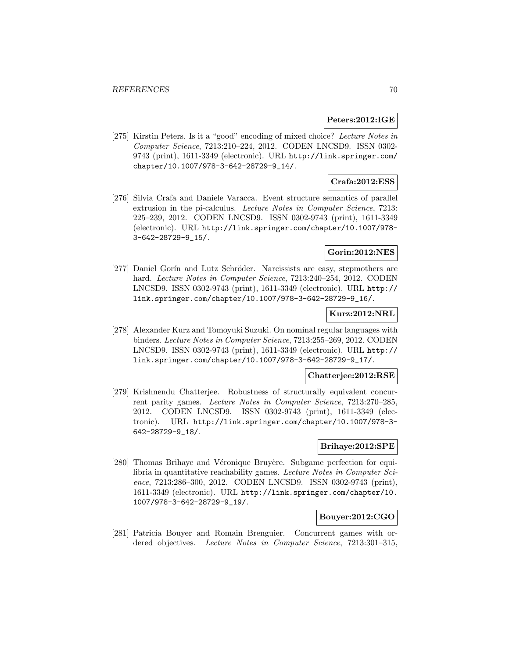## **Peters:2012:IGE**

[275] Kirstin Peters. Is it a "good" encoding of mixed choice? Lecture Notes in Computer Science, 7213:210–224, 2012. CODEN LNCSD9. ISSN 0302- 9743 (print), 1611-3349 (electronic). URL http://link.springer.com/ chapter/10.1007/978-3-642-28729-9\_14/.

### **Crafa:2012:ESS**

[276] Silvia Crafa and Daniele Varacca. Event structure semantics of parallel extrusion in the pi-calculus. Lecture Notes in Computer Science, 7213: 225–239, 2012. CODEN LNCSD9. ISSN 0302-9743 (print), 1611-3349 (electronic). URL http://link.springer.com/chapter/10.1007/978- 3-642-28729-9\_15/.

# **Gorin:2012:NES**

[277] Daniel Gorín and Lutz Schröder. Narcissists are easy, stepmothers are hard. Lecture Notes in Computer Science, 7213:240-254, 2012. CODEN LNCSD9. ISSN 0302-9743 (print), 1611-3349 (electronic). URL http:// link.springer.com/chapter/10.1007/978-3-642-28729-9\_16/.

# **Kurz:2012:NRL**

[278] Alexander Kurz and Tomoyuki Suzuki. On nominal regular languages with binders. Lecture Notes in Computer Science, 7213:255–269, 2012. CODEN LNCSD9. ISSN 0302-9743 (print), 1611-3349 (electronic). URL http:// link.springer.com/chapter/10.1007/978-3-642-28729-9\_17/.

### **Chatterjee:2012:RSE**

[279] Krishnendu Chatterjee. Robustness of structurally equivalent concurrent parity games. Lecture Notes in Computer Science, 7213:270–285, 2012. CODEN LNCSD9. ISSN 0302-9743 (print), 1611-3349 (electronic). URL http://link.springer.com/chapter/10.1007/978-3- 642-28729-9\_18/.

## **Brihaye:2012:SPE**

[280] Thomas Brihaye and Véronique Bruyère. Subgame perfection for equilibria in quantitative reachability games. Lecture Notes in Computer Science, 7213:286–300, 2012. CODEN LNCSD9. ISSN 0302-9743 (print), 1611-3349 (electronic). URL http://link.springer.com/chapter/10. 1007/978-3-642-28729-9\_19/.

#### **Bouyer:2012:CGO**

[281] Patricia Bouyer and Romain Brenguier. Concurrent games with ordered objectives. Lecture Notes in Computer Science, 7213:301-315,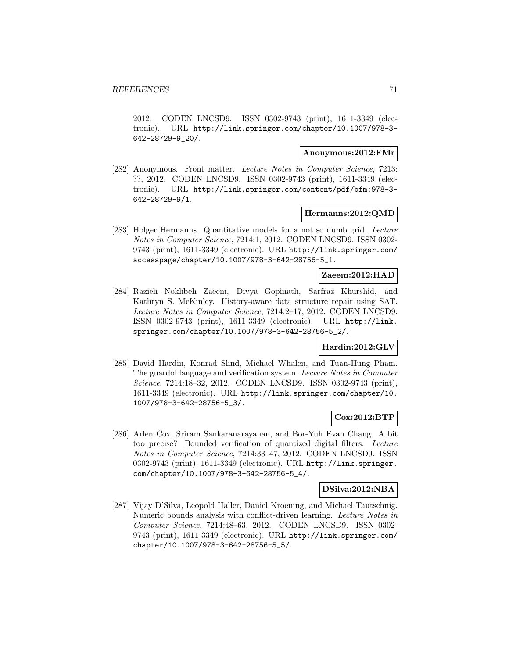2012. CODEN LNCSD9. ISSN 0302-9743 (print), 1611-3349 (electronic). URL http://link.springer.com/chapter/10.1007/978-3- 642-28729-9\_20/.

## **Anonymous:2012:FMr**

[282] Anonymous. Front matter. Lecture Notes in Computer Science, 7213: ??, 2012. CODEN LNCSD9. ISSN 0302-9743 (print), 1611-3349 (electronic). URL http://link.springer.com/content/pdf/bfm:978-3- 642-28729-9/1.

## **Hermanns:2012:QMD**

[283] Holger Hermanns. Quantitative models for a not so dumb grid. Lecture Notes in Computer Science, 7214:1, 2012. CODEN LNCSD9. ISSN 0302- 9743 (print), 1611-3349 (electronic). URL http://link.springer.com/ accesspage/chapter/10.1007/978-3-642-28756-5\_1.

# **Zaeem:2012:HAD**

[284] Razieh Nokhbeh Zaeem, Divya Gopinath, Sarfraz Khurshid, and Kathryn S. McKinley. History-aware data structure repair using SAT. Lecture Notes in Computer Science, 7214:2–17, 2012. CODEN LNCSD9. ISSN 0302-9743 (print), 1611-3349 (electronic). URL http://link. springer.com/chapter/10.1007/978-3-642-28756-5\_2/.

# **Hardin:2012:GLV**

[285] David Hardin, Konrad Slind, Michael Whalen, and Tuan-Hung Pham. The guardol language and verification system. Lecture Notes in Computer Science, 7214:18–32, 2012. CODEN LNCSD9. ISSN 0302-9743 (print), 1611-3349 (electronic). URL http://link.springer.com/chapter/10. 1007/978-3-642-28756-5\_3/.

## **Cox:2012:BTP**

[286] Arlen Cox, Sriram Sankaranarayanan, and Bor-Yuh Evan Chang. A bit too precise? Bounded verification of quantized digital filters. Lecture Notes in Computer Science, 7214:33–47, 2012. CODEN LNCSD9. ISSN 0302-9743 (print), 1611-3349 (electronic). URL http://link.springer. com/chapter/10.1007/978-3-642-28756-5\_4/.

## **DSilva:2012:NBA**

[287] Vijay D'Silva, Leopold Haller, Daniel Kroening, and Michael Tautschnig. Numeric bounds analysis with conflict-driven learning. Lecture Notes in Computer Science, 7214:48–63, 2012. CODEN LNCSD9. ISSN 0302- 9743 (print), 1611-3349 (electronic). URL http://link.springer.com/ chapter/10.1007/978-3-642-28756-5\_5/.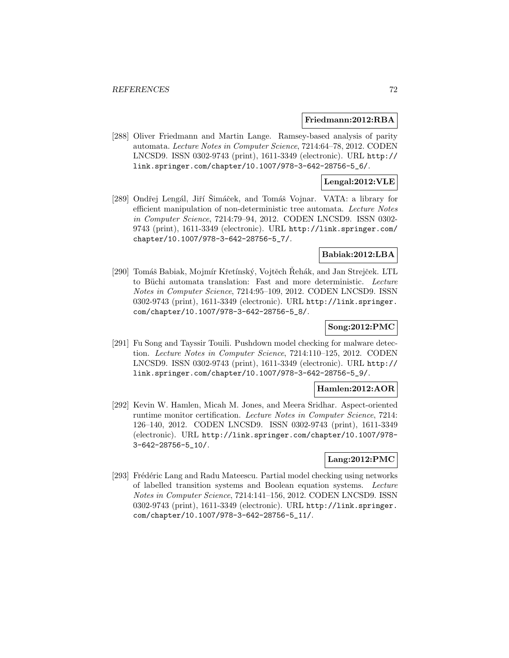#### **Friedmann:2012:RBA**

[288] Oliver Friedmann and Martin Lange. Ramsey-based analysis of parity automata. Lecture Notes in Computer Science, 7214:64–78, 2012. CODEN LNCSD9. ISSN 0302-9743 (print), 1611-3349 (electronic). URL http:// link.springer.com/chapter/10.1007/978-3-642-28756-5\_6/.

## **Lengal:2012:VLE**

[289] Ondřej Lengál, Jiří Šimáček, and Tomáš Vojnar. VATA: a library for efficient manipulation of non-deterministic tree automata. Lecture Notes in Computer Science, 7214:79–94, 2012. CODEN LNCSD9. ISSN 0302- 9743 (print), 1611-3349 (electronic). URL http://link.springer.com/ chapter/10.1007/978-3-642-28756-5\_7/.

# **Babiak:2012:LBA**

[290] Tomáš Babiak, Mojmír Křetínský, Vojtěch Řehák, and Jan Strejček. LTL to Büchi automata translation: Fast and more deterministic. Lecture Notes in Computer Science, 7214:95–109, 2012. CODEN LNCSD9. ISSN 0302-9743 (print), 1611-3349 (electronic). URL http://link.springer. com/chapter/10.1007/978-3-642-28756-5\_8/.

# **Song:2012:PMC**

[291] Fu Song and Tayssir Touili. Pushdown model checking for malware detection. Lecture Notes in Computer Science, 7214:110–125, 2012. CODEN LNCSD9. ISSN 0302-9743 (print), 1611-3349 (electronic). URL http:// link.springer.com/chapter/10.1007/978-3-642-28756-5\_9/.

## **Hamlen:2012:AOR**

[292] Kevin W. Hamlen, Micah M. Jones, and Meera Sridhar. Aspect-oriented runtime monitor certification. Lecture Notes in Computer Science, 7214: 126–140, 2012. CODEN LNCSD9. ISSN 0302-9743 (print), 1611-3349 (electronic). URL http://link.springer.com/chapter/10.1007/978- 3-642-28756-5\_10/.

## **Lang:2012:PMC**

[293] Frédéric Lang and Radu Mateescu. Partial model checking using networks of labelled transition systems and Boolean equation systems. Lecture Notes in Computer Science, 7214:141–156, 2012. CODEN LNCSD9. ISSN 0302-9743 (print), 1611-3349 (electronic). URL http://link.springer. com/chapter/10.1007/978-3-642-28756-5\_11/.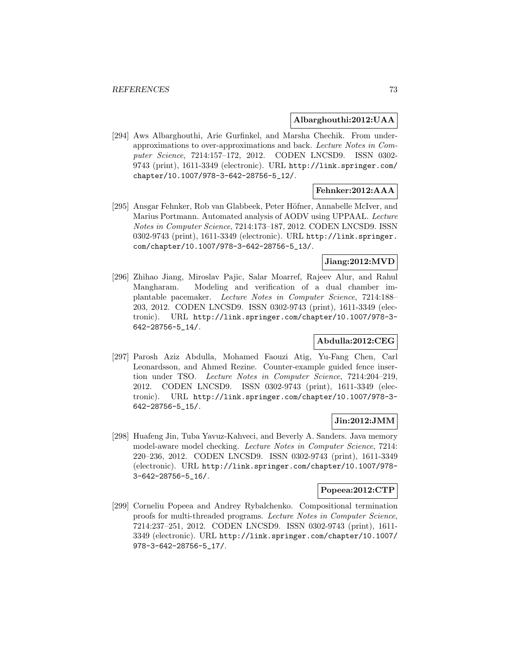#### **Albarghouthi:2012:UAA**

[294] Aws Albarghouthi, Arie Gurfinkel, and Marsha Chechik. From underapproximations to over-approximations and back. Lecture Notes in Computer Science, 7214:157–172, 2012. CODEN LNCSD9. ISSN 0302- 9743 (print), 1611-3349 (electronic). URL http://link.springer.com/ chapter/10.1007/978-3-642-28756-5\_12/.

# **Fehnker:2012:AAA**

[295] Ansgar Fehnker, Rob van Glabbeek, Peter Höfner, Annabelle McIver, and Marius Portmann. Automated analysis of AODV using UPPAAL. Lecture Notes in Computer Science, 7214:173–187, 2012. CODEN LNCSD9. ISSN 0302-9743 (print), 1611-3349 (electronic). URL http://link.springer. com/chapter/10.1007/978-3-642-28756-5\_13/.

# **Jiang:2012:MVD**

[296] Zhihao Jiang, Miroslav Pajic, Salar Moarref, Rajeev Alur, and Rahul Mangharam. Modeling and verification of a dual chamber implantable pacemaker. Lecture Notes in Computer Science, 7214:188– 203, 2012. CODEN LNCSD9. ISSN 0302-9743 (print), 1611-3349 (electronic). URL http://link.springer.com/chapter/10.1007/978-3- 642-28756-5\_14/.

# **Abdulla:2012:CEG**

[297] Parosh Aziz Abdulla, Mohamed Faouzi Atig, Yu-Fang Chen, Carl Leonardsson, and Ahmed Rezine. Counter-example guided fence insertion under TSO. Lecture Notes in Computer Science, 7214:204–219, 2012. CODEN LNCSD9. ISSN 0302-9743 (print), 1611-3349 (electronic). URL http://link.springer.com/chapter/10.1007/978-3- 642-28756-5\_15/.

### **Jin:2012:JMM**

[298] Huafeng Jin, Tuba Yavuz-Kahveci, and Beverly A. Sanders. Java memory model-aware model checking. Lecture Notes in Computer Science, 7214: 220–236, 2012. CODEN LNCSD9. ISSN 0302-9743 (print), 1611-3349 (electronic). URL http://link.springer.com/chapter/10.1007/978- 3-642-28756-5\_16/.

### **Popeea:2012:CTP**

[299] Corneliu Popeea and Andrey Rybalchenko. Compositional termination proofs for multi-threaded programs. Lecture Notes in Computer Science, 7214:237–251, 2012. CODEN LNCSD9. ISSN 0302-9743 (print), 1611- 3349 (electronic). URL http://link.springer.com/chapter/10.1007/ 978-3-642-28756-5\_17/.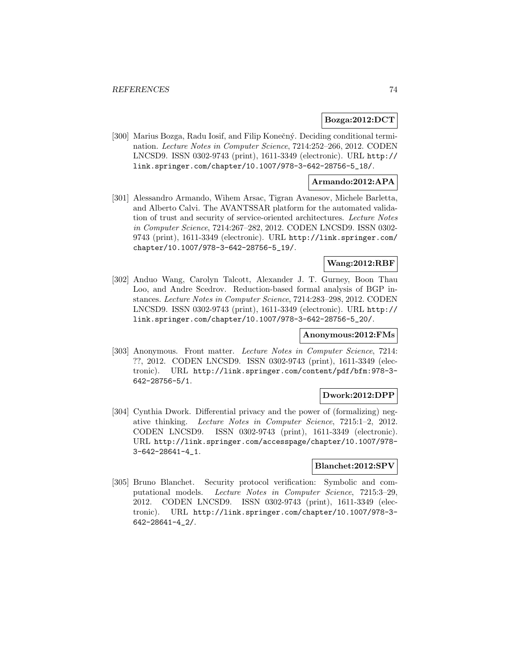### **Bozga:2012:DCT**

[300] Marius Bozga, Radu Iosif, and Filip Konečný. Deciding conditional termination. Lecture Notes in Computer Science, 7214:252–266, 2012. CODEN LNCSD9. ISSN 0302-9743 (print), 1611-3349 (electronic). URL http:// link.springer.com/chapter/10.1007/978-3-642-28756-5\_18/.

## **Armando:2012:APA**

[301] Alessandro Armando, Wihem Arsac, Tigran Avanesov, Michele Barletta, and Alberto Calvi. The AVANTSSAR platform for the automated validation of trust and security of service-oriented architectures. Lecture Notes in Computer Science, 7214:267–282, 2012. CODEN LNCSD9. ISSN 0302- 9743 (print), 1611-3349 (electronic). URL http://link.springer.com/ chapter/10.1007/978-3-642-28756-5\_19/.

# **Wang:2012:RBF**

[302] Anduo Wang, Carolyn Talcott, Alexander J. T. Gurney, Boon Thau Loo, and Andre Scedrov. Reduction-based formal analysis of BGP instances. Lecture Notes in Computer Science, 7214:283–298, 2012. CODEN LNCSD9. ISSN 0302-9743 (print), 1611-3349 (electronic). URL http:// link.springer.com/chapter/10.1007/978-3-642-28756-5\_20/.

### **Anonymous:2012:FMs**

[303] Anonymous. Front matter. Lecture Notes in Computer Science, 7214: ??, 2012. CODEN LNCSD9. ISSN 0302-9743 (print), 1611-3349 (electronic). URL http://link.springer.com/content/pdf/bfm:978-3- 642-28756-5/1.

## **Dwork:2012:DPP**

[304] Cynthia Dwork. Differential privacy and the power of (formalizing) negative thinking. Lecture Notes in Computer Science, 7215:1–2, 2012. CODEN LNCSD9. ISSN 0302-9743 (print), 1611-3349 (electronic). URL http://link.springer.com/accesspage/chapter/10.1007/978- 3-642-28641-4\_1.

# **Blanchet:2012:SPV**

[305] Bruno Blanchet. Security protocol verification: Symbolic and computational models. Lecture Notes in Computer Science, 7215:3–29, 2012. CODEN LNCSD9. ISSN 0302-9743 (print), 1611-3349 (electronic). URL http://link.springer.com/chapter/10.1007/978-3- 642-28641-4\_2/.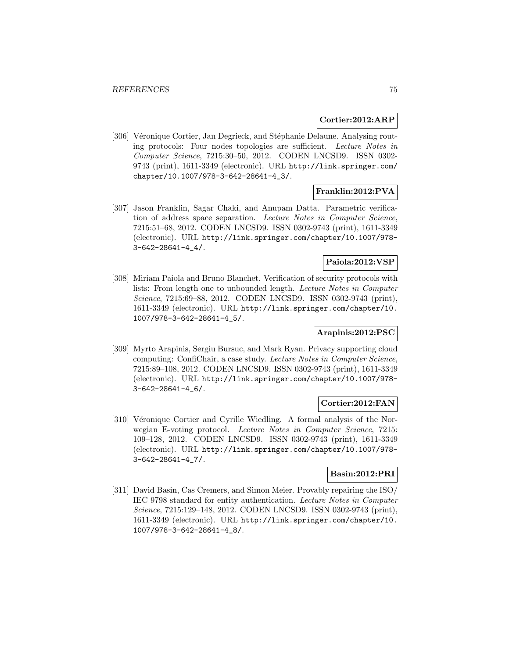#### **Cortier:2012:ARP**

[306] Véronique Cortier, Jan Degrieck, and Stéphanie Delaune. Analysing routing protocols: Four nodes topologies are sufficient. Lecture Notes in Computer Science, 7215:30–50, 2012. CODEN LNCSD9. ISSN 0302- 9743 (print), 1611-3349 (electronic). URL http://link.springer.com/ chapter/10.1007/978-3-642-28641-4\_3/.

# **Franklin:2012:PVA**

[307] Jason Franklin, Sagar Chaki, and Anupam Datta. Parametric verification of address space separation. Lecture Notes in Computer Science, 7215:51–68, 2012. CODEN LNCSD9. ISSN 0302-9743 (print), 1611-3349 (electronic). URL http://link.springer.com/chapter/10.1007/978- 3-642-28641-4\_4/.

### **Paiola:2012:VSP**

[308] Miriam Paiola and Bruno Blanchet. Verification of security protocols with lists: From length one to unbounded length. Lecture Notes in Computer Science, 7215:69–88, 2012. CODEN LNCSD9. ISSN 0302-9743 (print), 1611-3349 (electronic). URL http://link.springer.com/chapter/10. 1007/978-3-642-28641-4\_5/.

# **Arapinis:2012:PSC**

[309] Myrto Arapinis, Sergiu Bursuc, and Mark Ryan. Privacy supporting cloud computing: ConfiChair, a case study. Lecture Notes in Computer Science, 7215:89–108, 2012. CODEN LNCSD9. ISSN 0302-9743 (print), 1611-3349 (electronic). URL http://link.springer.com/chapter/10.1007/978- 3-642-28641-4\_6/.

### **Cortier:2012:FAN**

[310] Véronique Cortier and Cyrille Wiedling. A formal analysis of the Norwegian E-voting protocol. Lecture Notes in Computer Science, 7215: 109–128, 2012. CODEN LNCSD9. ISSN 0302-9743 (print), 1611-3349 (electronic). URL http://link.springer.com/chapter/10.1007/978- 3-642-28641-4\_7/.

# **Basin:2012:PRI**

[311] David Basin, Cas Cremers, and Simon Meier. Provably repairing the ISO/ IEC 9798 standard for entity authentication. Lecture Notes in Computer Science, 7215:129–148, 2012. CODEN LNCSD9. ISSN 0302-9743 (print), 1611-3349 (electronic). URL http://link.springer.com/chapter/10. 1007/978-3-642-28641-4\_8/.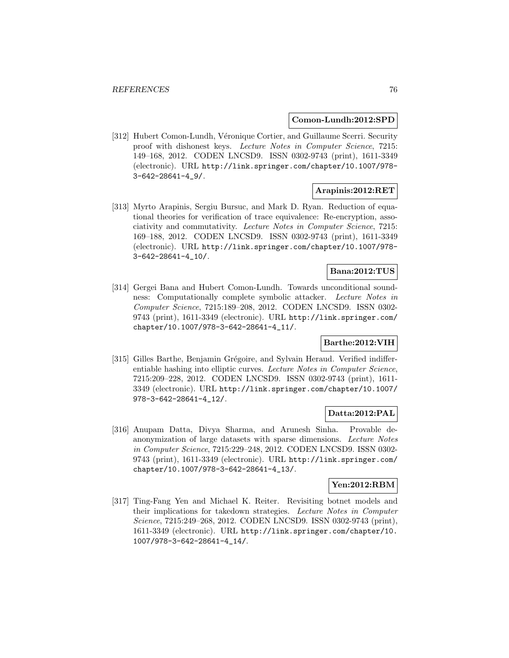#### **Comon-Lundh:2012:SPD**

[312] Hubert Comon-Lundh, Véronique Cortier, and Guillaume Scerri. Security proof with dishonest keys. Lecture Notes in Computer Science, 7215: 149–168, 2012. CODEN LNCSD9. ISSN 0302-9743 (print), 1611-3349 (electronic). URL http://link.springer.com/chapter/10.1007/978- 3-642-28641-4\_9/.

# **Arapinis:2012:RET**

[313] Myrto Arapinis, Sergiu Bursuc, and Mark D. Ryan. Reduction of equational theories for verification of trace equivalence: Re-encryption, associativity and commutativity. Lecture Notes in Computer Science, 7215: 169–188, 2012. CODEN LNCSD9. ISSN 0302-9743 (print), 1611-3349 (electronic). URL http://link.springer.com/chapter/10.1007/978- 3-642-28641-4\_10/.

# **Bana:2012:TUS**

[314] Gergei Bana and Hubert Comon-Lundh. Towards unconditional soundness: Computationally complete symbolic attacker. Lecture Notes in Computer Science, 7215:189–208, 2012. CODEN LNCSD9. ISSN 0302- 9743 (print), 1611-3349 (electronic). URL http://link.springer.com/ chapter/10.1007/978-3-642-28641-4\_11/.

# **Barthe:2012:VIH**

[315] Gilles Barthe, Benjamin Grégoire, and Sylvain Heraud. Verified indifferentiable hashing into elliptic curves. Lecture Notes in Computer Science, 7215:209–228, 2012. CODEN LNCSD9. ISSN 0302-9743 (print), 1611- 3349 (electronic). URL http://link.springer.com/chapter/10.1007/ 978-3-642-28641-4\_12/.

### **Datta:2012:PAL**

[316] Anupam Datta, Divya Sharma, and Arunesh Sinha. Provable deanonymization of large datasets with sparse dimensions. Lecture Notes in Computer Science, 7215:229–248, 2012. CODEN LNCSD9. ISSN 0302- 9743 (print), 1611-3349 (electronic). URL http://link.springer.com/ chapter/10.1007/978-3-642-28641-4\_13/.

#### **Yen:2012:RBM**

[317] Ting-Fang Yen and Michael K. Reiter. Revisiting botnet models and their implications for takedown strategies. Lecture Notes in Computer Science, 7215:249–268, 2012. CODEN LNCSD9. ISSN 0302-9743 (print), 1611-3349 (electronic). URL http://link.springer.com/chapter/10. 1007/978-3-642-28641-4\_14/.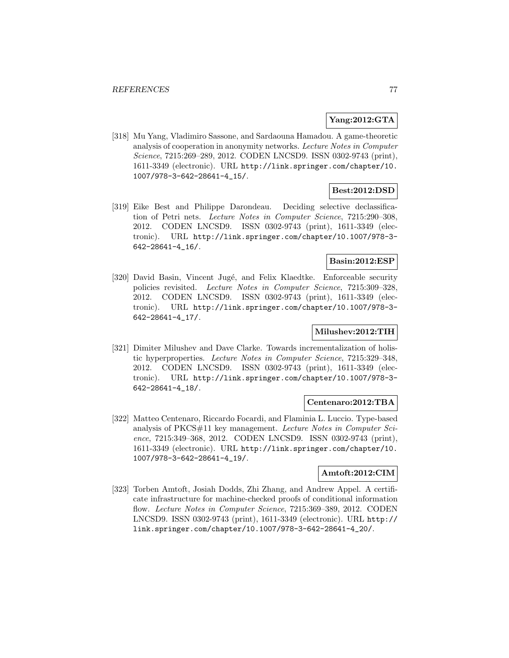## **Yang:2012:GTA**

[318] Mu Yang, Vladimiro Sassone, and Sardaouna Hamadou. A game-theoretic analysis of cooperation in anonymity networks. Lecture Notes in Computer Science, 7215:269–289, 2012. CODEN LNCSD9. ISSN 0302-9743 (print), 1611-3349 (electronic). URL http://link.springer.com/chapter/10. 1007/978-3-642-28641-4\_15/.

# **Best:2012:DSD**

[319] Eike Best and Philippe Darondeau. Deciding selective declassification of Petri nets. Lecture Notes in Computer Science, 7215:290–308, 2012. CODEN LNCSD9. ISSN 0302-9743 (print), 1611-3349 (electronic). URL http://link.springer.com/chapter/10.1007/978-3- 642-28641-4\_16/.

# **Basin:2012:ESP**

[320] David Basin, Vincent Jugé, and Felix Klaedtke. Enforceable security policies revisited. Lecture Notes in Computer Science, 7215:309–328, 2012. CODEN LNCSD9. ISSN 0302-9743 (print), 1611-3349 (electronic). URL http://link.springer.com/chapter/10.1007/978-3- 642-28641-4\_17/.

## **Milushev:2012:TIH**

[321] Dimiter Milushev and Dave Clarke. Towards incrementalization of holistic hyperproperties. Lecture Notes in Computer Science, 7215:329–348, 2012. CODEN LNCSD9. ISSN 0302-9743 (print), 1611-3349 (electronic). URL http://link.springer.com/chapter/10.1007/978-3- 642-28641-4\_18/.

### **Centenaro:2012:TBA**

[322] Matteo Centenaro, Riccardo Focardi, and Flaminia L. Luccio. Type-based analysis of PKCS#11 key management. Lecture Notes in Computer Science, 7215:349–368, 2012. CODEN LNCSD9. ISSN 0302-9743 (print), 1611-3349 (electronic). URL http://link.springer.com/chapter/10. 1007/978-3-642-28641-4\_19/.

### **Amtoft:2012:CIM**

[323] Torben Amtoft, Josiah Dodds, Zhi Zhang, and Andrew Appel. A certificate infrastructure for machine-checked proofs of conditional information flow. Lecture Notes in Computer Science, 7215:369–389, 2012. CODEN LNCSD9. ISSN 0302-9743 (print), 1611-3349 (electronic). URL http:// link.springer.com/chapter/10.1007/978-3-642-28641-4\_20/.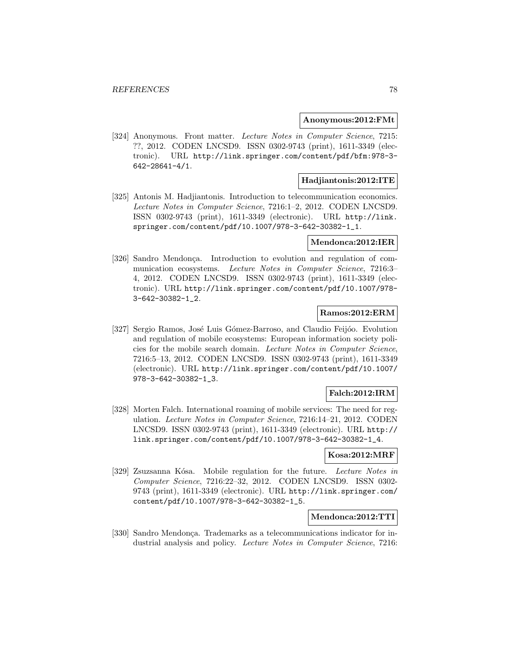#### **Anonymous:2012:FMt**

[324] Anonymous. Front matter. Lecture Notes in Computer Science, 7215: ??, 2012. CODEN LNCSD9. ISSN 0302-9743 (print), 1611-3349 (electronic). URL http://link.springer.com/content/pdf/bfm:978-3- 642-28641-4/1.

### **Hadjiantonis:2012:ITE**

[325] Antonis M. Hadjiantonis. Introduction to telecommunication economics. Lecture Notes in Computer Science, 7216:1–2, 2012. CODEN LNCSD9. ISSN 0302-9743 (print), 1611-3349 (electronic). URL http://link. springer.com/content/pdf/10.1007/978-3-642-30382-1\_1.

#### **Mendonca:2012:IER**

[326] Sandro Mendonça. Introduction to evolution and regulation of communication ecosystems. Lecture Notes in Computer Science, 7216:3– 4, 2012. CODEN LNCSD9. ISSN 0302-9743 (print), 1611-3349 (electronic). URL http://link.springer.com/content/pdf/10.1007/978- 3-642-30382-1\_2.

#### **Ramos:2012:ERM**

[327] Sergio Ramos, José Luis Gómez-Barroso, and Claudio Feijóo. Evolution and regulation of mobile ecosystems: European information society policies for the mobile search domain. Lecture Notes in Computer Science, 7216:5–13, 2012. CODEN LNCSD9. ISSN 0302-9743 (print), 1611-3349 (electronic). URL http://link.springer.com/content/pdf/10.1007/ 978-3-642-30382-1\_3.

### **Falch:2012:IRM**

[328] Morten Falch. International roaming of mobile services: The need for regulation. Lecture Notes in Computer Science, 7216:14–21, 2012. CODEN LNCSD9. ISSN 0302-9743 (print), 1611-3349 (electronic). URL http:// link.springer.com/content/pdf/10.1007/978-3-642-30382-1\_4.

#### **Kosa:2012:MRF**

[329] Zsuzsanna Kósa. Mobile regulation for the future. Lecture Notes in Computer Science, 7216:22–32, 2012. CODEN LNCSD9. ISSN 0302- 9743 (print), 1611-3349 (electronic). URL http://link.springer.com/ content/pdf/10.1007/978-3-642-30382-1\_5.

#### **Mendonca:2012:TTI**

[330] Sandro Mendonça. Trademarks as a telecommunications indicator for industrial analysis and policy. Lecture Notes in Computer Science, 7216: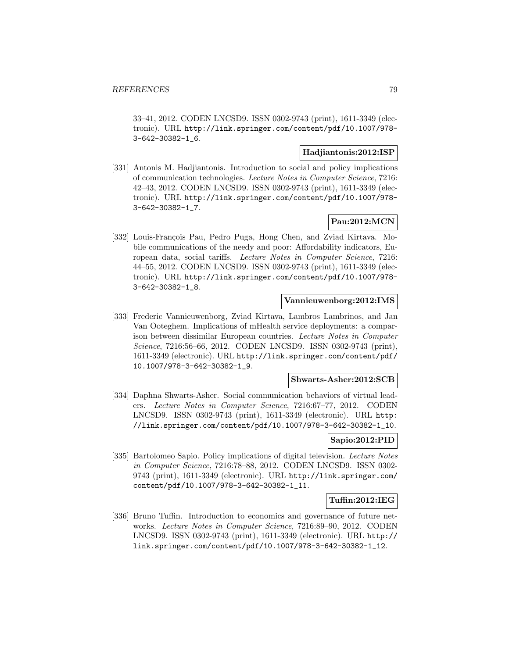33–41, 2012. CODEN LNCSD9. ISSN 0302-9743 (print), 1611-3349 (electronic). URL http://link.springer.com/content/pdf/10.1007/978- 3-642-30382-1\_6.

## **Hadjiantonis:2012:ISP**

[331] Antonis M. Hadjiantonis. Introduction to social and policy implications of communication technologies. Lecture Notes in Computer Science, 7216: 42–43, 2012. CODEN LNCSD9. ISSN 0302-9743 (print), 1611-3349 (electronic). URL http://link.springer.com/content/pdf/10.1007/978- 3-642-30382-1\_7.

# **Pau:2012:MCN**

[332] Louis-François Pau, Pedro Puga, Hong Chen, and Zviad Kirtava. Mobile communications of the needy and poor: Affordability indicators, European data, social tariffs. Lecture Notes in Computer Science, 7216: 44–55, 2012. CODEN LNCSD9. ISSN 0302-9743 (print), 1611-3349 (electronic). URL http://link.springer.com/content/pdf/10.1007/978- 3-642-30382-1\_8.

# **Vannieuwenborg:2012:IMS**

[333] Frederic Vannieuwenborg, Zviad Kirtava, Lambros Lambrinos, and Jan Van Ooteghem. Implications of mHealth service deployments: a comparison between dissimilar European countries. Lecture Notes in Computer Science, 7216:56–66, 2012. CODEN LNCSD9. ISSN 0302-9743 (print), 1611-3349 (electronic). URL http://link.springer.com/content/pdf/ 10.1007/978-3-642-30382-1\_9.

#### **Shwarts-Asher:2012:SCB**

[334] Daphna Shwarts-Asher. Social communication behaviors of virtual leaders. Lecture Notes in Computer Science, 7216:67–77, 2012. CODEN LNCSD9. ISSN 0302-9743 (print), 1611-3349 (electronic). URL http: //link.springer.com/content/pdf/10.1007/978-3-642-30382-1\_10.

### **Sapio:2012:PID**

[335] Bartolomeo Sapio. Policy implications of digital television. Lecture Notes in Computer Science, 7216:78–88, 2012. CODEN LNCSD9. ISSN 0302- 9743 (print), 1611-3349 (electronic). URL http://link.springer.com/ content/pdf/10.1007/978-3-642-30382-1\_11.

### **Tuffin:2012:IEG**

[336] Bruno Tuffin. Introduction to economics and governance of future networks. Lecture Notes in Computer Science, 7216:89–90, 2012. CODEN LNCSD9. ISSN 0302-9743 (print), 1611-3349 (electronic). URL http:// link.springer.com/content/pdf/10.1007/978-3-642-30382-1\_12.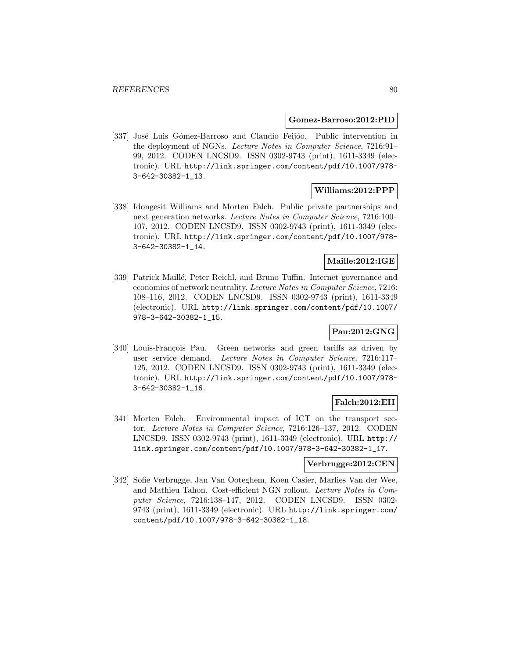#### **Gomez-Barroso:2012:PID**

[337] José Luis Gómez-Barroso and Claudio Feijóo. Public intervention in the deployment of NGNs. Lecture Notes in Computer Science, 7216:91– 99, 2012. CODEN LNCSD9. ISSN 0302-9743 (print), 1611-3349 (electronic). URL http://link.springer.com/content/pdf/10.1007/978- 3-642-30382-1\_13.

### **Williams:2012:PPP**

[338] Idongesit Williams and Morten Falch. Public private partnerships and next generation networks. Lecture Notes in Computer Science, 7216:100– 107, 2012. CODEN LNCSD9. ISSN 0302-9743 (print), 1611-3349 (electronic). URL http://link.springer.com/content/pdf/10.1007/978- 3-642-30382-1\_14.

# **Maille:2012:IGE**

[339] Patrick Maillé, Peter Reichl, and Bruno Tuffin. Internet governance and economics of network neutrality. Lecture Notes in Computer Science, 7216: 108–116, 2012. CODEN LNCSD9. ISSN 0302-9743 (print), 1611-3349 (electronic). URL http://link.springer.com/content/pdf/10.1007/ 978-3-642-30382-1\_15.

### **Pau:2012:GNG**

[340] Louis-François Pau. Green networks and green tariffs as driven by user service demand. Lecture Notes in Computer Science, 7216:117– 125, 2012. CODEN LNCSD9. ISSN 0302-9743 (print), 1611-3349 (electronic). URL http://link.springer.com/content/pdf/10.1007/978- 3-642-30382-1\_16.

### **Falch:2012:EII**

[341] Morten Falch. Environmental impact of ICT on the transport sector. Lecture Notes in Computer Science, 7216:126–137, 2012. CODEN LNCSD9. ISSN 0302-9743 (print), 1611-3349 (electronic). URL http:// link.springer.com/content/pdf/10.1007/978-3-642-30382-1\_17.

#### **Verbrugge:2012:CEN**

[342] Sofie Verbrugge, Jan Van Ooteghem, Koen Casier, Marlies Van der Wee, and Mathieu Tahon. Cost-efficient NGN rollout. Lecture Notes in Computer Science, 7216:138–147, 2012. CODEN LNCSD9. ISSN 0302- 9743 (print), 1611-3349 (electronic). URL http://link.springer.com/ content/pdf/10.1007/978-3-642-30382-1\_18.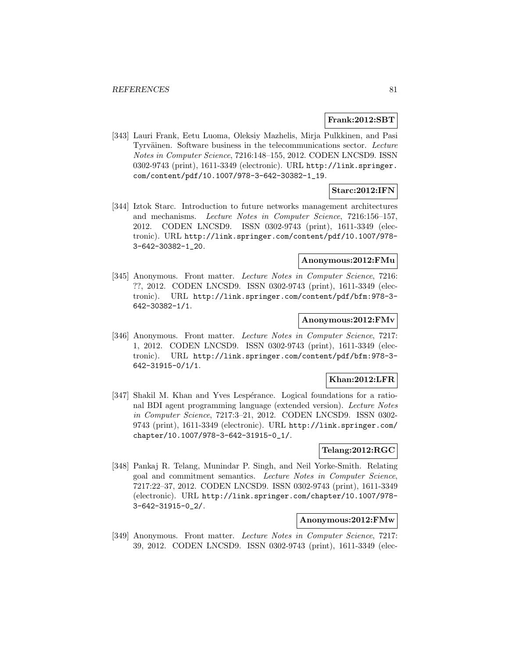### **Frank:2012:SBT**

[343] Lauri Frank, Eetu Luoma, Oleksiy Mazhelis, Mirja Pulkkinen, and Pasi Tyrväinen. Software business in the telecommunications sector. Lecture Notes in Computer Science, 7216:148–155, 2012. CODEN LNCSD9. ISSN 0302-9743 (print), 1611-3349 (electronic). URL http://link.springer. com/content/pdf/10.1007/978-3-642-30382-1\_19.

# **Starc:2012:IFN**

[344] Iztok Starc. Introduction to future networks management architectures and mechanisms. Lecture Notes in Computer Science, 7216:156–157, 2012. CODEN LNCSD9. ISSN 0302-9743 (print), 1611-3349 (electronic). URL http://link.springer.com/content/pdf/10.1007/978- 3-642-30382-1\_20.

# **Anonymous:2012:FMu**

[345] Anonymous. Front matter. Lecture Notes in Computer Science, 7216: ??, 2012. CODEN LNCSD9. ISSN 0302-9743 (print), 1611-3349 (electronic). URL http://link.springer.com/content/pdf/bfm:978-3- 642-30382-1/1.

# **Anonymous:2012:FMv**

[346] Anonymous. Front matter. Lecture Notes in Computer Science, 7217: 1, 2012. CODEN LNCSD9. ISSN 0302-9743 (print), 1611-3349 (electronic). URL http://link.springer.com/content/pdf/bfm:978-3- 642-31915-0/1/1.

### **Khan:2012:LFR**

[347] Shakil M. Khan and Yves Lespérance. Logical foundations for a rational BDI agent programming language (extended version). Lecture Notes in Computer Science, 7217:3–21, 2012. CODEN LNCSD9. ISSN 0302- 9743 (print), 1611-3349 (electronic). URL http://link.springer.com/ chapter/10.1007/978-3-642-31915-0\_1/.

### **Telang:2012:RGC**

[348] Pankaj R. Telang, Munindar P. Singh, and Neil Yorke-Smith. Relating goal and commitment semantics. Lecture Notes in Computer Science, 7217:22–37, 2012. CODEN LNCSD9. ISSN 0302-9743 (print), 1611-3349 (electronic). URL http://link.springer.com/chapter/10.1007/978- 3-642-31915-0\_2/.

## **Anonymous:2012:FMw**

[349] Anonymous. Front matter. Lecture Notes in Computer Science, 7217: 39, 2012. CODEN LNCSD9. ISSN 0302-9743 (print), 1611-3349 (elec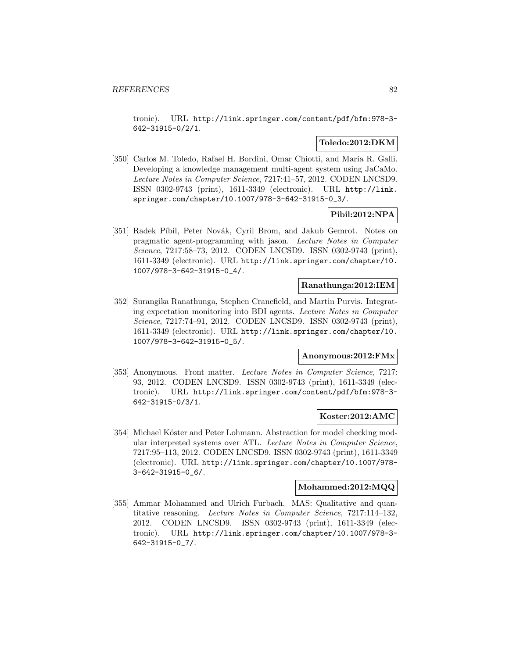tronic). URL http://link.springer.com/content/pdf/bfm:978-3- 642-31915-0/2/1.

# **Toledo:2012:DKM**

[350] Carlos M. Toledo, Rafael H. Bordini, Omar Chiotti, and María R. Galli. Developing a knowledge management multi-agent system using JaCaMo. Lecture Notes in Computer Science, 7217:41–57, 2012. CODEN LNCSD9. ISSN 0302-9743 (print), 1611-3349 (electronic). URL http://link. springer.com/chapter/10.1007/978-3-642-31915-0\_3/.

# **Pibil:2012:NPA**

[351] Radek Píbil, Peter Novák, Cyril Brom, and Jakub Gemrot. Notes on pragmatic agent-programming with jason. Lecture Notes in Computer Science, 7217:58–73, 2012. CODEN LNCSD9. ISSN 0302-9743 (print), 1611-3349 (electronic). URL http://link.springer.com/chapter/10. 1007/978-3-642-31915-0\_4/.

### **Ranathunga:2012:IEM**

[352] Surangika Ranathunga, Stephen Cranefield, and Martin Purvis. Integrating expectation monitoring into BDI agents. Lecture Notes in Computer Science, 7217:74–91, 2012. CODEN LNCSD9. ISSN 0302-9743 (print), 1611-3349 (electronic). URL http://link.springer.com/chapter/10. 1007/978-3-642-31915-0\_5/.

# **Anonymous:2012:FMx**

[353] Anonymous. Front matter. Lecture Notes in Computer Science, 7217: 93, 2012. CODEN LNCSD9. ISSN 0302-9743 (print), 1611-3349 (electronic). URL http://link.springer.com/content/pdf/bfm:978-3- 642-31915-0/3/1.

#### **Koster:2012:AMC**

[354] Michael Köster and Peter Lohmann. Abstraction for model checking modular interpreted systems over ATL. Lecture Notes in Computer Science, 7217:95–113, 2012. CODEN LNCSD9. ISSN 0302-9743 (print), 1611-3349 (electronic). URL http://link.springer.com/chapter/10.1007/978- 3-642-31915-0\_6/.

#### **Mohammed:2012:MQQ**

[355] Ammar Mohammed and Ulrich Furbach. MAS: Qualitative and quantitative reasoning. Lecture Notes in Computer Science, 7217:114–132, 2012. CODEN LNCSD9. ISSN 0302-9743 (print), 1611-3349 (electronic). URL http://link.springer.com/chapter/10.1007/978-3- 642-31915-0\_7/.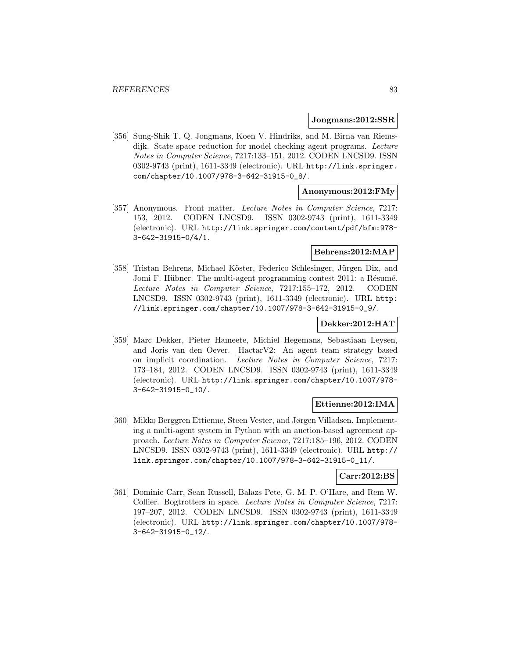#### **Jongmans:2012:SSR**

[356] Sung-Shik T. Q. Jongmans, Koen V. Hindriks, and M. Birna van Riemsdijk. State space reduction for model checking agent programs. Lecture Notes in Computer Science, 7217:133–151, 2012. CODEN LNCSD9. ISSN 0302-9743 (print), 1611-3349 (electronic). URL http://link.springer. com/chapter/10.1007/978-3-642-31915-0\_8/.

# **Anonymous:2012:FMy**

[357] Anonymous. Front matter. Lecture Notes in Computer Science, 7217: 153, 2012. CODEN LNCSD9. ISSN 0302-9743 (print), 1611-3349 (electronic). URL http://link.springer.com/content/pdf/bfm:978- 3-642-31915-0/4/1.

## **Behrens:2012:MAP**

[358] Tristan Behrens, Michael Köster, Federico Schlesinger, Jürgen Dix, and Jomi F. Hübner. The multi-agent programming contest 2011: a Résumé. Lecture Notes in Computer Science, 7217:155–172, 2012. CODEN LNCSD9. ISSN 0302-9743 (print), 1611-3349 (electronic). URL http: //link.springer.com/chapter/10.1007/978-3-642-31915-0\_9/.

#### **Dekker:2012:HAT**

[359] Marc Dekker, Pieter Hameete, Michiel Hegemans, Sebastiaan Leysen, and Joris van den Oever. HactarV2: An agent team strategy based on implicit coordination. Lecture Notes in Computer Science, 7217: 173–184, 2012. CODEN LNCSD9. ISSN 0302-9743 (print), 1611-3349 (electronic). URL http://link.springer.com/chapter/10.1007/978- 3-642-31915-0\_10/.

### **Ettienne:2012:IMA**

[360] Mikko Berggren Ettienne, Steen Vester, and Jørgen Villadsen. Implementing a multi-agent system in Python with an auction-based agreement approach. Lecture Notes in Computer Science, 7217:185–196, 2012. CODEN LNCSD9. ISSN 0302-9743 (print), 1611-3349 (electronic). URL http:// link.springer.com/chapter/10.1007/978-3-642-31915-0\_11/.

### **Carr:2012:BS**

[361] Dominic Carr, Sean Russell, Balazs Pete, G. M. P. O'Hare, and Rem W. Collier. Bogtrotters in space. Lecture Notes in Computer Science, 7217: 197–207, 2012. CODEN LNCSD9. ISSN 0302-9743 (print), 1611-3349 (electronic). URL http://link.springer.com/chapter/10.1007/978- 3-642-31915-0\_12/.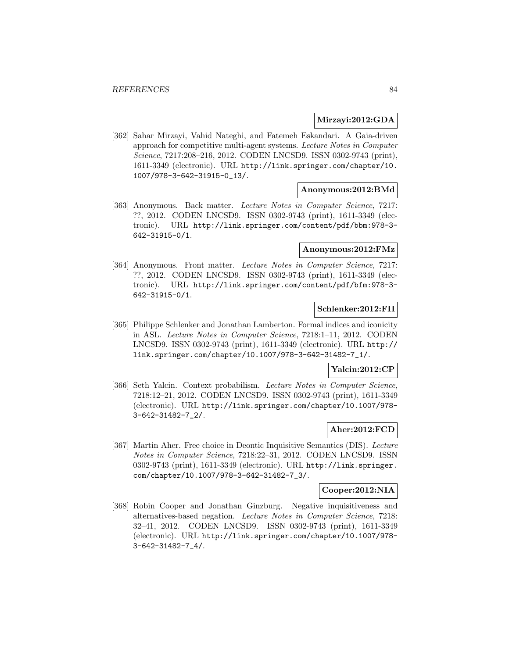## **Mirzayi:2012:GDA**

[362] Sahar Mirzayi, Vahid Nateghi, and Fatemeh Eskandari. A Gaia-driven approach for competitive multi-agent systems. Lecture Notes in Computer Science, 7217:208–216, 2012. CODEN LNCSD9. ISSN 0302-9743 (print), 1611-3349 (electronic). URL http://link.springer.com/chapter/10. 1007/978-3-642-31915-0\_13/.

#### **Anonymous:2012:BMd**

[363] Anonymous. Back matter. Lecture Notes in Computer Science, 7217: ??, 2012. CODEN LNCSD9. ISSN 0302-9743 (print), 1611-3349 (electronic). URL http://link.springer.com/content/pdf/bbm:978-3- 642-31915-0/1.

# **Anonymous:2012:FMz**

[364] Anonymous. Front matter. Lecture Notes in Computer Science, 7217: ??, 2012. CODEN LNCSD9. ISSN 0302-9743 (print), 1611-3349 (electronic). URL http://link.springer.com/content/pdf/bfm:978-3- 642-31915-0/1.

# **Schlenker:2012:FII**

[365] Philippe Schlenker and Jonathan Lamberton. Formal indices and iconicity in ASL. Lecture Notes in Computer Science, 7218:1–11, 2012. CODEN LNCSD9. ISSN 0302-9743 (print), 1611-3349 (electronic). URL http:// link.springer.com/chapter/10.1007/978-3-642-31482-7\_1/.

# **Yalcin:2012:CP**

[366] Seth Yalcin. Context probabilism. Lecture Notes in Computer Science, 7218:12–21, 2012. CODEN LNCSD9. ISSN 0302-9743 (print), 1611-3349 (electronic). URL http://link.springer.com/chapter/10.1007/978- 3-642-31482-7\_2/.

# **Aher:2012:FCD**

[367] Martin Aher. Free choice in Deontic Inquisitive Semantics (DIS). Lecture Notes in Computer Science, 7218:22–31, 2012. CODEN LNCSD9. ISSN 0302-9743 (print), 1611-3349 (electronic). URL http://link.springer. com/chapter/10.1007/978-3-642-31482-7\_3/.

#### **Cooper:2012:NIA**

[368] Robin Cooper and Jonathan Ginzburg. Negative inquisitiveness and alternatives-based negation. Lecture Notes in Computer Science, 7218: 32–41, 2012. CODEN LNCSD9. ISSN 0302-9743 (print), 1611-3349 (electronic). URL http://link.springer.com/chapter/10.1007/978- 3-642-31482-7\_4/.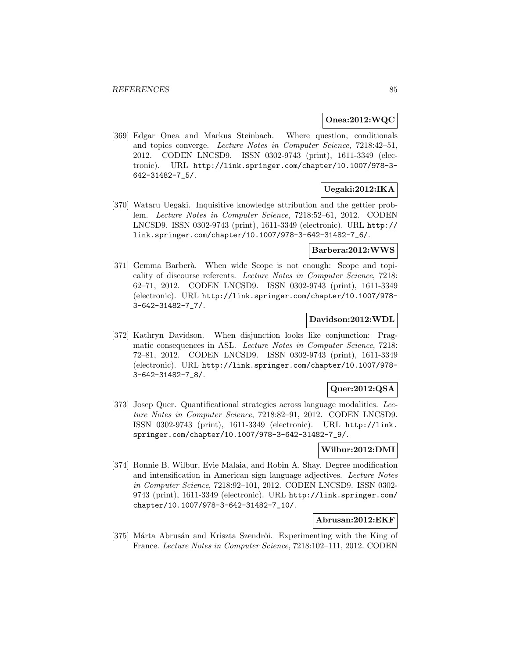#### **Onea:2012:WQC**

[369] Edgar Onea and Markus Steinbach. Where question, conditionals and topics converge. Lecture Notes in Computer Science, 7218:42–51, 2012. CODEN LNCSD9. ISSN 0302-9743 (print), 1611-3349 (electronic). URL http://link.springer.com/chapter/10.1007/978-3- 642-31482-7\_5/.

# **Uegaki:2012:IKA**

[370] Wataru Uegaki. Inquisitive knowledge attribution and the gettier problem. Lecture Notes in Computer Science, 7218:52–61, 2012. CODEN LNCSD9. ISSN 0302-9743 (print), 1611-3349 (electronic). URL http:// link.springer.com/chapter/10.1007/978-3-642-31482-7\_6/.

## **Barbera:2012:WWS**

[371] Gemma Barberà. When wide Scope is not enough: Scope and topicality of discourse referents. Lecture Notes in Computer Science, 7218: 62–71, 2012. CODEN LNCSD9. ISSN 0302-9743 (print), 1611-3349 (electronic). URL http://link.springer.com/chapter/10.1007/978- 3-642-31482-7\_7/.

# **Davidson:2012:WDL**

[372] Kathryn Davidson. When disjunction looks like conjunction: Pragmatic consequences in ASL. Lecture Notes in Computer Science, 7218: 72–81, 2012. CODEN LNCSD9. ISSN 0302-9743 (print), 1611-3349 (electronic). URL http://link.springer.com/chapter/10.1007/978- 3-642-31482-7\_8/.

# **Quer:2012:QSA**

[373] Josep Quer. Quantificational strategies across language modalities. Lecture Notes in Computer Science, 7218:82–91, 2012. CODEN LNCSD9. ISSN 0302-9743 (print), 1611-3349 (electronic). URL http://link. springer.com/chapter/10.1007/978-3-642-31482-7\_9/.

#### **Wilbur:2012:DMI**

[374] Ronnie B. Wilbur, Evie Malaia, and Robin A. Shay. Degree modification and intensification in American sign language adjectives. Lecture Notes in Computer Science, 7218:92–101, 2012. CODEN LNCSD9. ISSN 0302- 9743 (print), 1611-3349 (electronic). URL http://link.springer.com/ chapter/10.1007/978-3-642-31482-7\_10/.

## **Abrusan:2012:EKF**

[375] Márta Abrusán and Kriszta Szendröi. Experimenting with the King of France. Lecture Notes in Computer Science, 7218:102–111, 2012. CODEN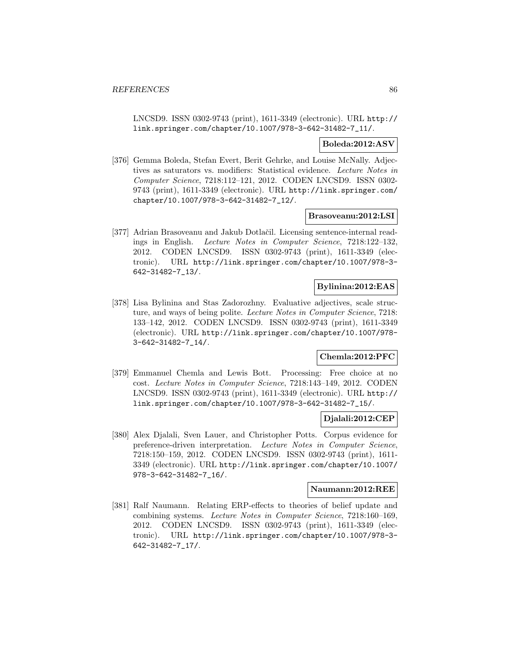LNCSD9. ISSN 0302-9743 (print), 1611-3349 (electronic). URL http:// link.springer.com/chapter/10.1007/978-3-642-31482-7\_11/.

### **Boleda:2012:ASV**

[376] Gemma Boleda, Stefan Evert, Berit Gehrke, and Louise McNally. Adjectives as saturators vs. modifiers: Statistical evidence. Lecture Notes in Computer Science, 7218:112–121, 2012. CODEN LNCSD9. ISSN 0302- 9743 (print), 1611-3349 (electronic). URL http://link.springer.com/ chapter/10.1007/978-3-642-31482-7\_12/.

#### **Brasoveanu:2012:LSI**

[377] Adrian Brasoveanu and Jakub Dotlačil. Licensing sentence-internal readings in English. Lecture Notes in Computer Science, 7218:122–132, 2012. CODEN LNCSD9. ISSN 0302-9743 (print), 1611-3349 (electronic). URL http://link.springer.com/chapter/10.1007/978-3- 642-31482-7\_13/.

## **Bylinina:2012:EAS**

[378] Lisa Bylinina and Stas Zadorozhny. Evaluative adjectives, scale structure, and ways of being polite. Lecture Notes in Computer Science, 7218: 133–142, 2012. CODEN LNCSD9. ISSN 0302-9743 (print), 1611-3349 (electronic). URL http://link.springer.com/chapter/10.1007/978- 3-642-31482-7\_14/.

# **Chemla:2012:PFC**

[379] Emmanuel Chemla and Lewis Bott. Processing: Free choice at no cost. Lecture Notes in Computer Science, 7218:143–149, 2012. CODEN LNCSD9. ISSN 0302-9743 (print), 1611-3349 (electronic). URL http:// link.springer.com/chapter/10.1007/978-3-642-31482-7\_15/.

### **Djalali:2012:CEP**

[380] Alex Djalali, Sven Lauer, and Christopher Potts. Corpus evidence for preference-driven interpretation. Lecture Notes in Computer Science, 7218:150–159, 2012. CODEN LNCSD9. ISSN 0302-9743 (print), 1611- 3349 (electronic). URL http://link.springer.com/chapter/10.1007/ 978-3-642-31482-7\_16/.

### **Naumann:2012:REE**

[381] Ralf Naumann. Relating ERP-effects to theories of belief update and combining systems. Lecture Notes in Computer Science, 7218:160–169, 2012. CODEN LNCSD9. ISSN 0302-9743 (print), 1611-3349 (electronic). URL http://link.springer.com/chapter/10.1007/978-3- 642-31482-7\_17/.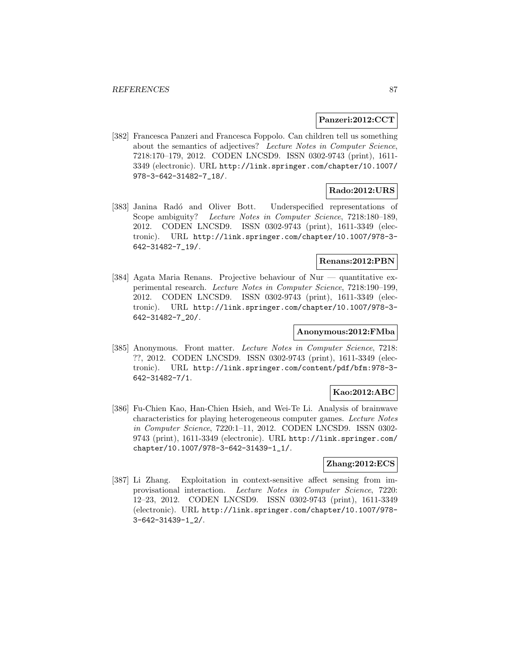#### **Panzeri:2012:CCT**

[382] Francesca Panzeri and Francesca Foppolo. Can children tell us something about the semantics of adjectives? Lecture Notes in Computer Science, 7218:170–179, 2012. CODEN LNCSD9. ISSN 0302-9743 (print), 1611- 3349 (electronic). URL http://link.springer.com/chapter/10.1007/ 978-3-642-31482-7\_18/.

# **Rado:2012:URS**

[383] Janina Radó and Oliver Bott. Underspecified representations of Scope ambiguity? Lecture Notes in Computer Science, 7218:180–189, 2012. CODEN LNCSD9. ISSN 0302-9743 (print), 1611-3349 (electronic). URL http://link.springer.com/chapter/10.1007/978-3- 642-31482-7\_19/.

# **Renans:2012:PBN**

[384] Agata Maria Renans. Projective behaviour of Nur — quantitative experimental research. Lecture Notes in Computer Science, 7218:190–199, 2012. CODEN LNCSD9. ISSN 0302-9743 (print), 1611-3349 (electronic). URL http://link.springer.com/chapter/10.1007/978-3- 642-31482-7\_20/.

## **Anonymous:2012:FMba**

[385] Anonymous. Front matter. Lecture Notes in Computer Science, 7218: ??, 2012. CODEN LNCSD9. ISSN 0302-9743 (print), 1611-3349 (electronic). URL http://link.springer.com/content/pdf/bfm:978-3- 642-31482-7/1.

# **Kao:2012:ABC**

[386] Fu-Chien Kao, Han-Chien Hsieh, and Wei-Te Li. Analysis of brainwave characteristics for playing heterogeneous computer games. Lecture Notes in Computer Science, 7220:1–11, 2012. CODEN LNCSD9. ISSN 0302- 9743 (print), 1611-3349 (electronic). URL http://link.springer.com/ chapter/10.1007/978-3-642-31439-1\_1/.

### **Zhang:2012:ECS**

[387] Li Zhang. Exploitation in context-sensitive affect sensing from improvisational interaction. Lecture Notes in Computer Science, 7220: 12–23, 2012. CODEN LNCSD9. ISSN 0302-9743 (print), 1611-3349 (electronic). URL http://link.springer.com/chapter/10.1007/978- 3-642-31439-1\_2/.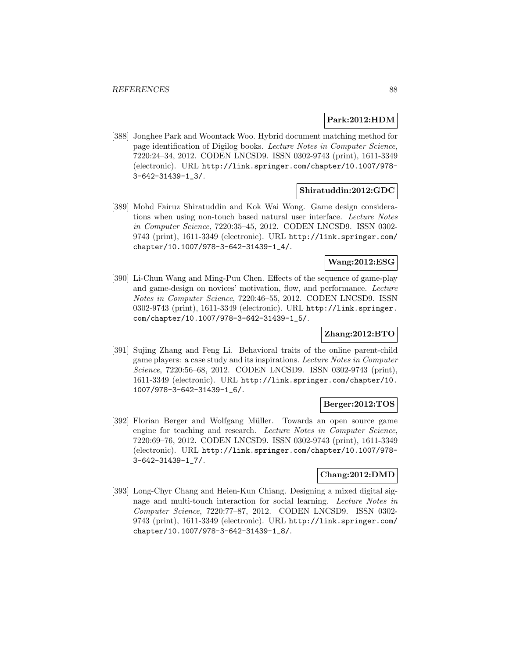# **Park:2012:HDM**

[388] Jonghee Park and Woontack Woo. Hybrid document matching method for page identification of Digilog books. Lecture Notes in Computer Science, 7220:24–34, 2012. CODEN LNCSD9. ISSN 0302-9743 (print), 1611-3349 (electronic). URL http://link.springer.com/chapter/10.1007/978- 3-642-31439-1\_3/.

### **Shiratuddin:2012:GDC**

[389] Mohd Fairuz Shiratuddin and Kok Wai Wong. Game design considerations when using non-touch based natural user interface. Lecture Notes in Computer Science, 7220:35–45, 2012. CODEN LNCSD9. ISSN 0302- 9743 (print), 1611-3349 (electronic). URL http://link.springer.com/ chapter/10.1007/978-3-642-31439-1\_4/.

## **Wang:2012:ESG**

[390] Li-Chun Wang and Ming-Puu Chen. Effects of the sequence of game-play and game-design on novices' motivation, flow, and performance. Lecture Notes in Computer Science, 7220:46–55, 2012. CODEN LNCSD9. ISSN 0302-9743 (print), 1611-3349 (electronic). URL http://link.springer. com/chapter/10.1007/978-3-642-31439-1\_5/.

# **Zhang:2012:BTO**

[391] Sujing Zhang and Feng Li. Behavioral traits of the online parent-child game players: a case study and its inspirations. Lecture Notes in Computer Science, 7220:56–68, 2012. CODEN LNCSD9. ISSN 0302-9743 (print), 1611-3349 (electronic). URL http://link.springer.com/chapter/10. 1007/978-3-642-31439-1\_6/.

### **Berger:2012:TOS**

[392] Florian Berger and Wolfgang Müller. Towards an open source game engine for teaching and research. Lecture Notes in Computer Science, 7220:69–76, 2012. CODEN LNCSD9. ISSN 0302-9743 (print), 1611-3349 (electronic). URL http://link.springer.com/chapter/10.1007/978- 3-642-31439-1\_7/.

#### **Chang:2012:DMD**

[393] Long-Chyr Chang and Heien-Kun Chiang. Designing a mixed digital signage and multi-touch interaction for social learning. Lecture Notes in Computer Science, 7220:77–87, 2012. CODEN LNCSD9. ISSN 0302- 9743 (print), 1611-3349 (electronic). URL http://link.springer.com/ chapter/10.1007/978-3-642-31439-1\_8/.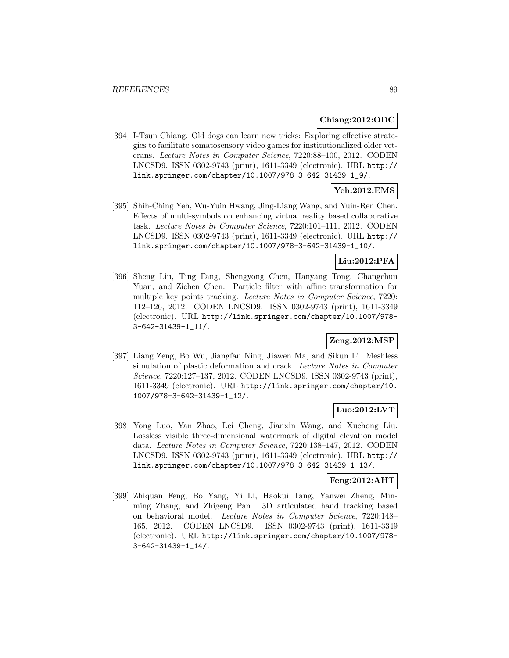### **Chiang:2012:ODC**

[394] I-Tsun Chiang. Old dogs can learn new tricks: Exploring effective strategies to facilitate somatosensory video games for institutionalized older veterans. Lecture Notes in Computer Science, 7220:88–100, 2012. CODEN LNCSD9. ISSN 0302-9743 (print), 1611-3349 (electronic). URL http:// link.springer.com/chapter/10.1007/978-3-642-31439-1\_9/.

# **Yeh:2012:EMS**

[395] Shih-Ching Yeh, Wu-Yuin Hwang, Jing-Liang Wang, and Yuin-Ren Chen. Effects of multi-symbols on enhancing virtual reality based collaborative task. Lecture Notes in Computer Science, 7220:101–111, 2012. CODEN LNCSD9. ISSN 0302-9743 (print), 1611-3349 (electronic). URL http:// link.springer.com/chapter/10.1007/978-3-642-31439-1\_10/.

# **Liu:2012:PFA**

[396] Sheng Liu, Ting Fang, Shengyong Chen, Hanyang Tong, Changchun Yuan, and Zichen Chen. Particle filter with affine transformation for multiple key points tracking. Lecture Notes in Computer Science, 7220: 112–126, 2012. CODEN LNCSD9. ISSN 0302-9743 (print), 1611-3349 (electronic). URL http://link.springer.com/chapter/10.1007/978- 3-642-31439-1\_11/.

# **Zeng:2012:MSP**

[397] Liang Zeng, Bo Wu, Jiangfan Ning, Jiawen Ma, and Sikun Li. Meshless simulation of plastic deformation and crack. Lecture Notes in Computer Science, 7220:127–137, 2012. CODEN LNCSD9. ISSN 0302-9743 (print), 1611-3349 (electronic). URL http://link.springer.com/chapter/10. 1007/978-3-642-31439-1\_12/.

# **Luo:2012:LVT**

[398] Yong Luo, Yan Zhao, Lei Cheng, Jianxin Wang, and Xuchong Liu. Lossless visible three-dimensional watermark of digital elevation model data. Lecture Notes in Computer Science, 7220:138–147, 2012. CODEN LNCSD9. ISSN 0302-9743 (print), 1611-3349 (electronic). URL http:// link.springer.com/chapter/10.1007/978-3-642-31439-1\_13/.

## **Feng:2012:AHT**

[399] Zhiquan Feng, Bo Yang, Yi Li, Haokui Tang, Yanwei Zheng, Minming Zhang, and Zhigeng Pan. 3D articulated hand tracking based on behavioral model. Lecture Notes in Computer Science, 7220:148– 165, 2012. CODEN LNCSD9. ISSN 0302-9743 (print), 1611-3349 (electronic). URL http://link.springer.com/chapter/10.1007/978- 3-642-31439-1\_14/.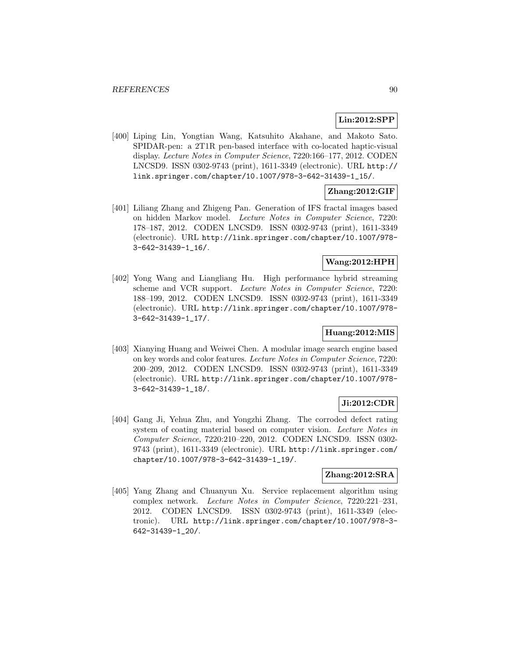# **Lin:2012:SPP**

[400] Liping Lin, Yongtian Wang, Katsuhito Akahane, and Makoto Sato. SPIDAR-pen: a 2T1R pen-based interface with co-located haptic-visual display. Lecture Notes in Computer Science, 7220:166–177, 2012. CODEN LNCSD9. ISSN 0302-9743 (print), 1611-3349 (electronic). URL http:// link.springer.com/chapter/10.1007/978-3-642-31439-1\_15/.

# **Zhang:2012:GIF**

[401] Liliang Zhang and Zhigeng Pan. Generation of IFS fractal images based on hidden Markov model. Lecture Notes in Computer Science, 7220: 178–187, 2012. CODEN LNCSD9. ISSN 0302-9743 (print), 1611-3349 (electronic). URL http://link.springer.com/chapter/10.1007/978- 3-642-31439-1\_16/.

### **Wang:2012:HPH**

[402] Yong Wang and Liangliang Hu. High performance hybrid streaming scheme and VCR support. Lecture Notes in Computer Science, 7220: 188–199, 2012. CODEN LNCSD9. ISSN 0302-9743 (print), 1611-3349 (electronic). URL http://link.springer.com/chapter/10.1007/978- 3-642-31439-1\_17/.

# **Huang:2012:MIS**

[403] Xianying Huang and Weiwei Chen. A modular image search engine based on key words and color features. Lecture Notes in Computer Science, 7220: 200–209, 2012. CODEN LNCSD9. ISSN 0302-9743 (print), 1611-3349 (electronic). URL http://link.springer.com/chapter/10.1007/978- 3-642-31439-1\_18/.

### **Ji:2012:CDR**

[404] Gang Ji, Yehua Zhu, and Yongzhi Zhang. The corroded defect rating system of coating material based on computer vision. Lecture Notes in Computer Science, 7220:210–220, 2012. CODEN LNCSD9. ISSN 0302- 9743 (print), 1611-3349 (electronic). URL http://link.springer.com/ chapter/10.1007/978-3-642-31439-1\_19/.

# **Zhang:2012:SRA**

[405] Yang Zhang and Chuanyun Xu. Service replacement algorithm using complex network. Lecture Notes in Computer Science, 7220:221–231, 2012. CODEN LNCSD9. ISSN 0302-9743 (print), 1611-3349 (electronic). URL http://link.springer.com/chapter/10.1007/978-3- 642-31439-1\_20/.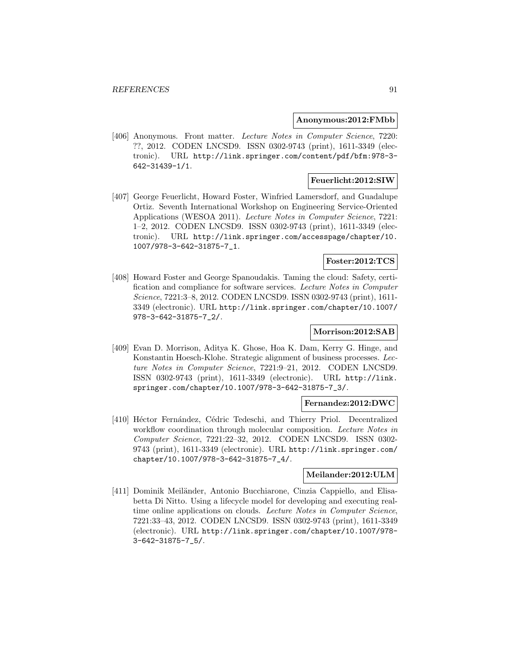#### **Anonymous:2012:FMbb**

[406] Anonymous. Front matter. Lecture Notes in Computer Science, 7220: ??, 2012. CODEN LNCSD9. ISSN 0302-9743 (print), 1611-3349 (electronic). URL http://link.springer.com/content/pdf/bfm:978-3- 642-31439-1/1.

# **Feuerlicht:2012:SIW**

[407] George Feuerlicht, Howard Foster, Winfried Lamersdorf, and Guadalupe Ortiz. Seventh International Workshop on Engineering Service-Oriented Applications (WESOA 2011). Lecture Notes in Computer Science, 7221: 1–2, 2012. CODEN LNCSD9. ISSN 0302-9743 (print), 1611-3349 (electronic). URL http://link.springer.com/accesspage/chapter/10. 1007/978-3-642-31875-7\_1.

# **Foster:2012:TCS**

[408] Howard Foster and George Spanoudakis. Taming the cloud: Safety, certification and compliance for software services. Lecture Notes in Computer Science, 7221:3–8, 2012. CODEN LNCSD9. ISSN 0302-9743 (print), 1611- 3349 (electronic). URL http://link.springer.com/chapter/10.1007/ 978-3-642-31875-7\_2/.

# **Morrison:2012:SAB**

[409] Evan D. Morrison, Aditya K. Ghose, Hoa K. Dam, Kerry G. Hinge, and Konstantin Hoesch-Klohe. Strategic alignment of business processes. Lecture Notes in Computer Science, 7221:9–21, 2012. CODEN LNCSD9. ISSN 0302-9743 (print), 1611-3349 (electronic). URL http://link. springer.com/chapter/10.1007/978-3-642-31875-7\_3/.

#### **Fernandez:2012:DWC**

[410] Héctor Fernández, Cédric Tedeschi, and Thierry Priol. Decentralized workflow coordination through molecular composition. Lecture Notes in Computer Science, 7221:22–32, 2012. CODEN LNCSD9. ISSN 0302- 9743 (print), 1611-3349 (electronic). URL http://link.springer.com/ chapter/10.1007/978-3-642-31875-7\_4/.

### **Meilander:2012:ULM**

[411] Dominik Meiländer, Antonio Bucchiarone, Cinzia Cappiello, and Elisabetta Di Nitto. Using a lifecycle model for developing and executing realtime online applications on clouds. Lecture Notes in Computer Science, 7221:33–43, 2012. CODEN LNCSD9. ISSN 0302-9743 (print), 1611-3349 (electronic). URL http://link.springer.com/chapter/10.1007/978- 3-642-31875-7\_5/.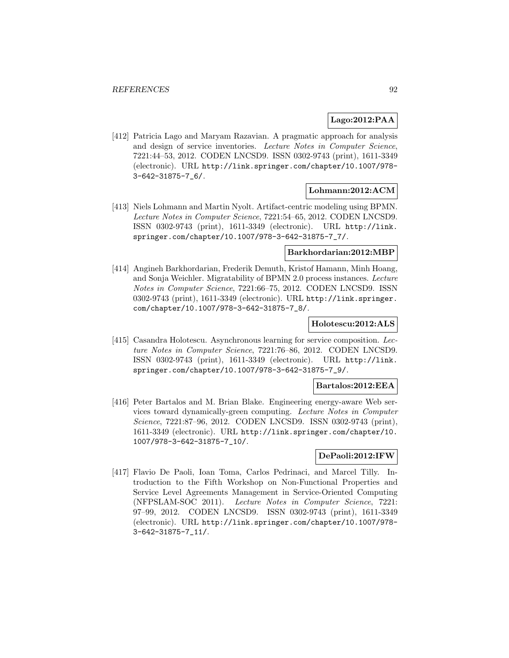# **Lago:2012:PAA**

[412] Patricia Lago and Maryam Razavian. A pragmatic approach for analysis and design of service inventories. Lecture Notes in Computer Science, 7221:44–53, 2012. CODEN LNCSD9. ISSN 0302-9743 (print), 1611-3349 (electronic). URL http://link.springer.com/chapter/10.1007/978- 3-642-31875-7\_6/.

### **Lohmann:2012:ACM**

[413] Niels Lohmann and Martin Nyolt. Artifact-centric modeling using BPMN. Lecture Notes in Computer Science, 7221:54–65, 2012. CODEN LNCSD9. ISSN 0302-9743 (print), 1611-3349 (electronic). URL http://link. springer.com/chapter/10.1007/978-3-642-31875-7\_7/.

#### **Barkhordarian:2012:MBP**

[414] Angineh Barkhordarian, Frederik Demuth, Kristof Hamann, Minh Hoang, and Sonja Weichler. Migratability of BPMN 2.0 process instances. Lecture Notes in Computer Science, 7221:66–75, 2012. CODEN LNCSD9. ISSN 0302-9743 (print), 1611-3349 (electronic). URL http://link.springer. com/chapter/10.1007/978-3-642-31875-7\_8/.

#### **Holotescu:2012:ALS**

[415] Casandra Holotescu. Asynchronous learning for service composition. Lecture Notes in Computer Science, 7221:76–86, 2012. CODEN LNCSD9. ISSN 0302-9743 (print), 1611-3349 (electronic). URL http://link. springer.com/chapter/10.1007/978-3-642-31875-7\_9/.

#### **Bartalos:2012:EEA**

[416] Peter Bartalos and M. Brian Blake. Engineering energy-aware Web services toward dynamically-green computing. Lecture Notes in Computer Science, 7221:87–96, 2012. CODEN LNCSD9. ISSN 0302-9743 (print), 1611-3349 (electronic). URL http://link.springer.com/chapter/10. 1007/978-3-642-31875-7\_10/.

### **DePaoli:2012:IFW**

[417] Flavio De Paoli, Ioan Toma, Carlos Pedrinaci, and Marcel Tilly. Introduction to the Fifth Workshop on Non-Functional Properties and Service Level Agreements Management in Service-Oriented Computing (NFPSLAM-SOC 2011). Lecture Notes in Computer Science, 7221: 97–99, 2012. CODEN LNCSD9. ISSN 0302-9743 (print), 1611-3349 (electronic). URL http://link.springer.com/chapter/10.1007/978- 3-642-31875-7\_11/.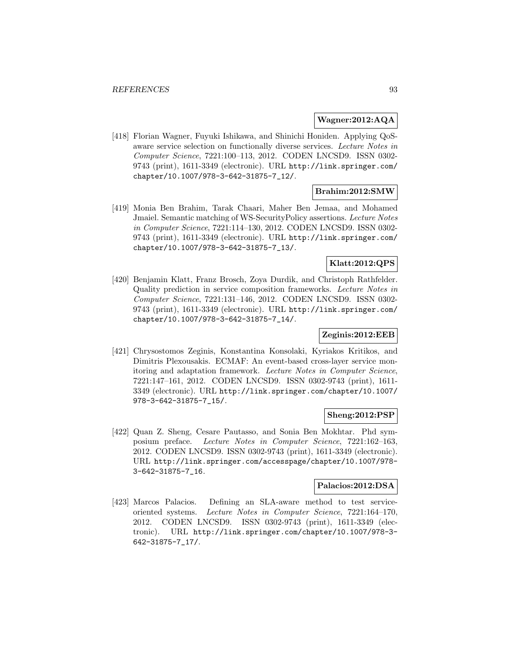## **Wagner:2012:AQA**

[418] Florian Wagner, Fuyuki Ishikawa, and Shinichi Honiden. Applying QoSaware service selection on functionally diverse services. Lecture Notes in Computer Science, 7221:100–113, 2012. CODEN LNCSD9. ISSN 0302- 9743 (print), 1611-3349 (electronic). URL http://link.springer.com/ chapter/10.1007/978-3-642-31875-7\_12/.

# **Brahim:2012:SMW**

[419] Monia Ben Brahim, Tarak Chaari, Maher Ben Jemaa, and Mohamed Jmaiel. Semantic matching of WS-SecurityPolicy assertions. Lecture Notes in Computer Science, 7221:114–130, 2012. CODEN LNCSD9. ISSN 0302- 9743 (print), 1611-3349 (electronic). URL http://link.springer.com/ chapter/10.1007/978-3-642-31875-7\_13/.

# **Klatt:2012:QPS**

[420] Benjamin Klatt, Franz Brosch, Zoya Durdik, and Christoph Rathfelder. Quality prediction in service composition frameworks. Lecture Notes in Computer Science, 7221:131–146, 2012. CODEN LNCSD9. ISSN 0302- 9743 (print), 1611-3349 (electronic). URL http://link.springer.com/ chapter/10.1007/978-3-642-31875-7\_14/.

# **Zeginis:2012:EEB**

[421] Chrysostomos Zeginis, Konstantina Konsolaki, Kyriakos Kritikos, and Dimitris Plexousakis. ECMAF: An event-based cross-layer service monitoring and adaptation framework. Lecture Notes in Computer Science, 7221:147–161, 2012. CODEN LNCSD9. ISSN 0302-9743 (print), 1611- 3349 (electronic). URL http://link.springer.com/chapter/10.1007/ 978-3-642-31875-7\_15/.

# **Sheng:2012:PSP**

[422] Quan Z. Sheng, Cesare Pautasso, and Sonia Ben Mokhtar. Phd symposium preface. Lecture Notes in Computer Science, 7221:162–163, 2012. CODEN LNCSD9. ISSN 0302-9743 (print), 1611-3349 (electronic). URL http://link.springer.com/accesspage/chapter/10.1007/978- 3-642-31875-7\_16.

#### **Palacios:2012:DSA**

[423] Marcos Palacios. Defining an SLA-aware method to test serviceoriented systems. Lecture Notes in Computer Science, 7221:164–170, 2012. CODEN LNCSD9. ISSN 0302-9743 (print), 1611-3349 (electronic). URL http://link.springer.com/chapter/10.1007/978-3- 642-31875-7\_17/.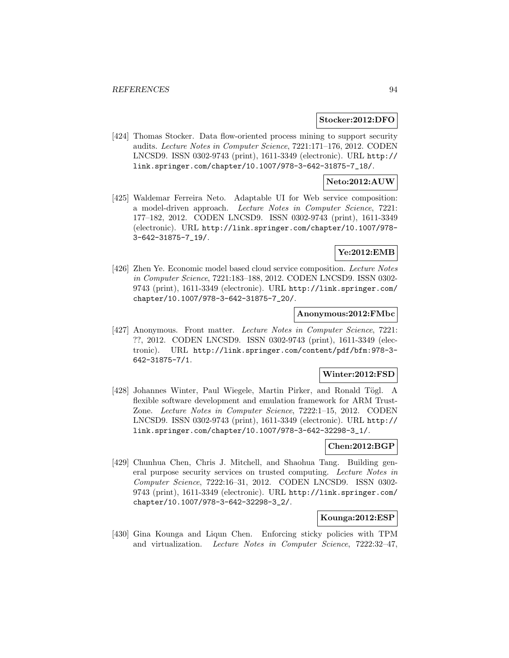#### **Stocker:2012:DFO**

[424] Thomas Stocker. Data flow-oriented process mining to support security audits. Lecture Notes in Computer Science, 7221:171–176, 2012. CODEN LNCSD9. ISSN 0302-9743 (print), 1611-3349 (electronic). URL http:// link.springer.com/chapter/10.1007/978-3-642-31875-7\_18/.

### **Neto:2012:AUW**

[425] Waldemar Ferreira Neto. Adaptable UI for Web service composition: a model-driven approach. Lecture Notes in Computer Science, 7221: 177–182, 2012. CODEN LNCSD9. ISSN 0302-9743 (print), 1611-3349 (electronic). URL http://link.springer.com/chapter/10.1007/978- 3-642-31875-7\_19/.

# **Ye:2012:EMB**

[426] Zhen Ye. Economic model based cloud service composition. Lecture Notes in Computer Science, 7221:183–188, 2012. CODEN LNCSD9. ISSN 0302- 9743 (print), 1611-3349 (electronic). URL http://link.springer.com/ chapter/10.1007/978-3-642-31875-7\_20/.

### **Anonymous:2012:FMbc**

[427] Anonymous. Front matter. Lecture Notes in Computer Science, 7221: ??, 2012. CODEN LNCSD9. ISSN 0302-9743 (print), 1611-3349 (electronic). URL http://link.springer.com/content/pdf/bfm:978-3- 642-31875-7/1.

### **Winter:2012:FSD**

[428] Johannes Winter, Paul Wiegele, Martin Pirker, and Ronald Tögl. A flexible software development and emulation framework for ARM Trust-Zone. Lecture Notes in Computer Science, 7222:1–15, 2012. CODEN LNCSD9. ISSN 0302-9743 (print), 1611-3349 (electronic). URL http:// link.springer.com/chapter/10.1007/978-3-642-32298-3\_1/.

# **Chen:2012:BGP**

[429] Chunhua Chen, Chris J. Mitchell, and Shaohua Tang. Building general purpose security services on trusted computing. Lecture Notes in Computer Science, 7222:16–31, 2012. CODEN LNCSD9. ISSN 0302- 9743 (print), 1611-3349 (electronic). URL http://link.springer.com/ chapter/10.1007/978-3-642-32298-3\_2/.

#### **Kounga:2012:ESP**

[430] Gina Kounga and Liqun Chen. Enforcing sticky policies with TPM and virtualization. Lecture Notes in Computer Science, 7222:32–47,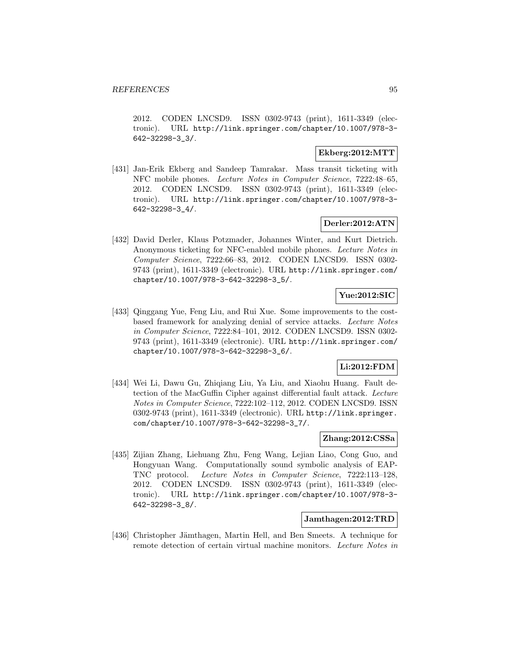2012. CODEN LNCSD9. ISSN 0302-9743 (print), 1611-3349 (electronic). URL http://link.springer.com/chapter/10.1007/978-3- 642-32298-3\_3/.

# **Ekberg:2012:MTT**

[431] Jan-Erik Ekberg and Sandeep Tamrakar. Mass transit ticketing with NFC mobile phones. Lecture Notes in Computer Science, 7222:48–65, 2012. CODEN LNCSD9. ISSN 0302-9743 (print), 1611-3349 (electronic). URL http://link.springer.com/chapter/10.1007/978-3- 642-32298-3\_4/.

# **Derler:2012:ATN**

[432] David Derler, Klaus Potzmader, Johannes Winter, and Kurt Dietrich. Anonymous ticketing for NFC-enabled mobile phones. Lecture Notes in Computer Science, 7222:66–83, 2012. CODEN LNCSD9. ISSN 0302- 9743 (print), 1611-3349 (electronic). URL http://link.springer.com/ chapter/10.1007/978-3-642-32298-3\_5/.

# **Yue:2012:SIC**

[433] Qinggang Yue, Feng Liu, and Rui Xue. Some improvements to the costbased framework for analyzing denial of service attacks. Lecture Notes in Computer Science, 7222:84–101, 2012. CODEN LNCSD9. ISSN 0302- 9743 (print), 1611-3349 (electronic). URL http://link.springer.com/ chapter/10.1007/978-3-642-32298-3\_6/.

# **Li:2012:FDM**

[434] Wei Li, Dawu Gu, Zhiqiang Liu, Ya Liu, and Xiaohu Huang. Fault detection of the MacGuffin Cipher against differential fault attack. Lecture Notes in Computer Science, 7222:102–112, 2012. CODEN LNCSD9. ISSN 0302-9743 (print), 1611-3349 (electronic). URL http://link.springer. com/chapter/10.1007/978-3-642-32298-3\_7/.

# **Zhang:2012:CSSa**

[435] Zijian Zhang, Liehuang Zhu, Feng Wang, Lejian Liao, Cong Guo, and Hongyuan Wang. Computationally sound symbolic analysis of EAP-TNC protocol. Lecture Notes in Computer Science, 7222:113–128, 2012. CODEN LNCSD9. ISSN 0302-9743 (print), 1611-3349 (electronic). URL http://link.springer.com/chapter/10.1007/978-3- 642-32298-3\_8/.

# **Jamthagen:2012:TRD**

[436] Christopher Jämthagen, Martin Hell, and Ben Smeets. A technique for remote detection of certain virtual machine monitors. Lecture Notes in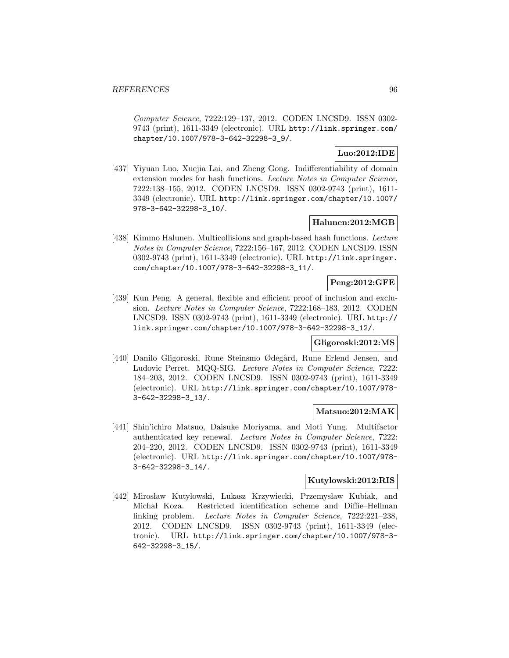Computer Science, 7222:129–137, 2012. CODEN LNCSD9. ISSN 0302- 9743 (print), 1611-3349 (electronic). URL http://link.springer.com/ chapter/10.1007/978-3-642-32298-3\_9/.

# **Luo:2012:IDE**

[437] Yiyuan Luo, Xuejia Lai, and Zheng Gong. Indifferentiability of domain extension modes for hash functions. Lecture Notes in Computer Science, 7222:138–155, 2012. CODEN LNCSD9. ISSN 0302-9743 (print), 1611- 3349 (electronic). URL http://link.springer.com/chapter/10.1007/ 978-3-642-32298-3\_10/.

# **Halunen:2012:MGB**

[438] Kimmo Halunen. Multicollisions and graph-based hash functions. Lecture Notes in Computer Science, 7222:156–167, 2012. CODEN LNCSD9. ISSN 0302-9743 (print), 1611-3349 (electronic). URL http://link.springer. com/chapter/10.1007/978-3-642-32298-3\_11/.

# **Peng:2012:GFE**

[439] Kun Peng. A general, flexible and efficient proof of inclusion and exclusion. Lecture Notes in Computer Science, 7222:168–183, 2012. CODEN LNCSD9. ISSN 0302-9743 (print), 1611-3349 (electronic). URL http:// link.springer.com/chapter/10.1007/978-3-642-32298-3\_12/.

# **Gligoroski:2012:MS**

[440] Danilo Gligoroski, Rune Steinsmo Ødegård, Rune Erlend Jensen, and Ludovic Perret. MQQ-SIG. Lecture Notes in Computer Science, 7222: 184–203, 2012. CODEN LNCSD9. ISSN 0302-9743 (print), 1611-3349 (electronic). URL http://link.springer.com/chapter/10.1007/978- 3-642-32298-3\_13/.

# **Matsuo:2012:MAK**

[441] Shin'ichiro Matsuo, Daisuke Moriyama, and Moti Yung. Multifactor authenticated key renewal. Lecture Notes in Computer Science, 7222: 204–220, 2012. CODEN LNCSD9. ISSN 0302-9743 (print), 1611-3349 (electronic). URL http://link.springer.com/chapter/10.1007/978- 3-642-32298-3\_14/.

# **Kutylowski:2012:RIS**

[442] Mirosław Kutyłowski, Lukasz Krzywiecki, Przemysław Kubiak, and Michał Koza. Restricted identification scheme and Diffie–Hellman linking problem. Lecture Notes in Computer Science, 7222:221–238, 2012. CODEN LNCSD9. ISSN 0302-9743 (print), 1611-3349 (electronic). URL http://link.springer.com/chapter/10.1007/978-3- 642-32298-3\_15/.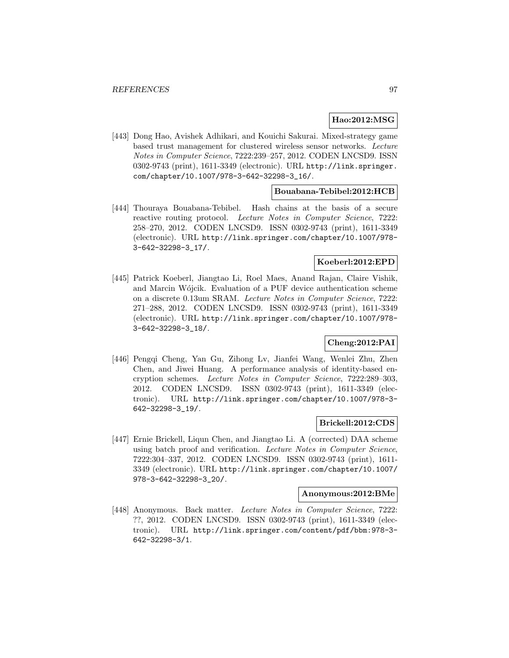# **Hao:2012:MSG**

[443] Dong Hao, Avishek Adhikari, and Kouichi Sakurai. Mixed-strategy game based trust management for clustered wireless sensor networks. Lecture Notes in Computer Science, 7222:239–257, 2012. CODEN LNCSD9. ISSN 0302-9743 (print), 1611-3349 (electronic). URL http://link.springer. com/chapter/10.1007/978-3-642-32298-3\_16/.

### **Bouabana-Tebibel:2012:HCB**

[444] Thouraya Bouabana-Tebibel. Hash chains at the basis of a secure reactive routing protocol. Lecture Notes in Computer Science, 7222: 258–270, 2012. CODEN LNCSD9. ISSN 0302-9743 (print), 1611-3349 (electronic). URL http://link.springer.com/chapter/10.1007/978- 3-642-32298-3\_17/.

#### **Koeberl:2012:EPD**

[445] Patrick Koeberl, Jiangtao Li, Roel Maes, Anand Rajan, Claire Vishik, and Marcin Wójcik. Evaluation of a PUF device authentication scheme on a discrete 0.13um SRAM. Lecture Notes in Computer Science, 7222: 271–288, 2012. CODEN LNCSD9. ISSN 0302-9743 (print), 1611-3349 (electronic). URL http://link.springer.com/chapter/10.1007/978- 3-642-32298-3\_18/.

# **Cheng:2012:PAI**

[446] Pengqi Cheng, Yan Gu, Zihong Lv, Jianfei Wang, Wenlei Zhu, Zhen Chen, and Jiwei Huang. A performance analysis of identity-based encryption schemes. Lecture Notes in Computer Science, 7222:289–303, 2012. CODEN LNCSD9. ISSN 0302-9743 (print), 1611-3349 (electronic). URL http://link.springer.com/chapter/10.1007/978-3- 642-32298-3\_19/.

# **Brickell:2012:CDS**

[447] Ernie Brickell, Liqun Chen, and Jiangtao Li. A (corrected) DAA scheme using batch proof and verification. Lecture Notes in Computer Science, 7222:304–337, 2012. CODEN LNCSD9. ISSN 0302-9743 (print), 1611- 3349 (electronic). URL http://link.springer.com/chapter/10.1007/ 978-3-642-32298-3\_20/.

### **Anonymous:2012:BMe**

[448] Anonymous. Back matter. Lecture Notes in Computer Science, 7222: ??, 2012. CODEN LNCSD9. ISSN 0302-9743 (print), 1611-3349 (electronic). URL http://link.springer.com/content/pdf/bbm:978-3- 642-32298-3/1.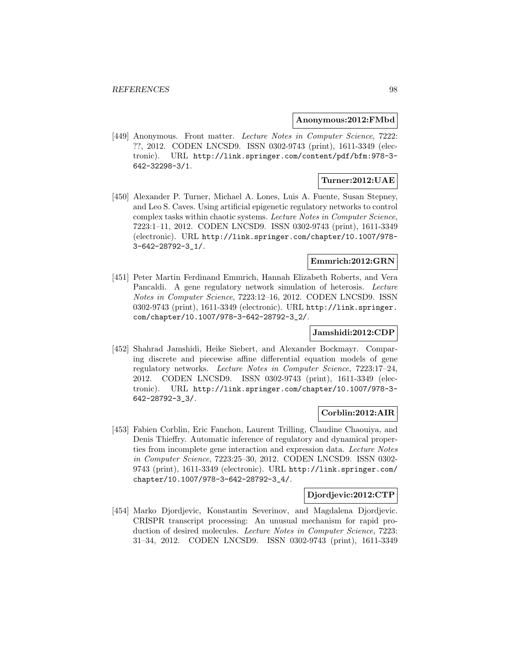#### **Anonymous:2012:FMbd**

[449] Anonymous. Front matter. Lecture Notes in Computer Science, 7222: ??, 2012. CODEN LNCSD9. ISSN 0302-9743 (print), 1611-3349 (electronic). URL http://link.springer.com/content/pdf/bfm:978-3- 642-32298-3/1.

# **Turner:2012:UAE**

[450] Alexander P. Turner, Michael A. Lones, Luis A. Fuente, Susan Stepney, and Leo S. Caves. Using artificial epigenetic regulatory networks to control complex tasks within chaotic systems. Lecture Notes in Computer Science, 7223:1–11, 2012. CODEN LNCSD9. ISSN 0302-9743 (print), 1611-3349 (electronic). URL http://link.springer.com/chapter/10.1007/978- 3-642-28792-3\_1/.

# **Emmrich:2012:GRN**

[451] Peter Martin Ferdinand Emmrich, Hannah Elizabeth Roberts, and Vera Pancaldi. A gene regulatory network simulation of heterosis. Lecture Notes in Computer Science, 7223:12–16, 2012. CODEN LNCSD9. ISSN 0302-9743 (print), 1611-3349 (electronic). URL http://link.springer. com/chapter/10.1007/978-3-642-28792-3\_2/.

# **Jamshidi:2012:CDP**

[452] Shahrad Jamshidi, Heike Siebert, and Alexander Bockmayr. Comparing discrete and piecewise affine differential equation models of gene regulatory networks. Lecture Notes in Computer Science, 7223:17–24, 2012. CODEN LNCSD9. ISSN 0302-9743 (print), 1611-3349 (electronic). URL http://link.springer.com/chapter/10.1007/978-3- 642-28792-3\_3/.

# **Corblin:2012:AIR**

[453] Fabien Corblin, Eric Fanchon, Laurent Trilling, Claudine Chaouiya, and Denis Thieffry. Automatic inference of regulatory and dynamical properties from incomplete gene interaction and expression data. Lecture Notes in Computer Science, 7223:25–30, 2012. CODEN LNCSD9. ISSN 0302- 9743 (print), 1611-3349 (electronic). URL http://link.springer.com/ chapter/10.1007/978-3-642-28792-3\_4/.

# **Djordjevic:2012:CTP**

[454] Marko Djordjevic, Konstantin Severinov, and Magdalena Djordjevic. CRISPR transcript processing: An unusual mechanism for rapid production of desired molecules. Lecture Notes in Computer Science, 7223: 31–34, 2012. CODEN LNCSD9. ISSN 0302-9743 (print), 1611-3349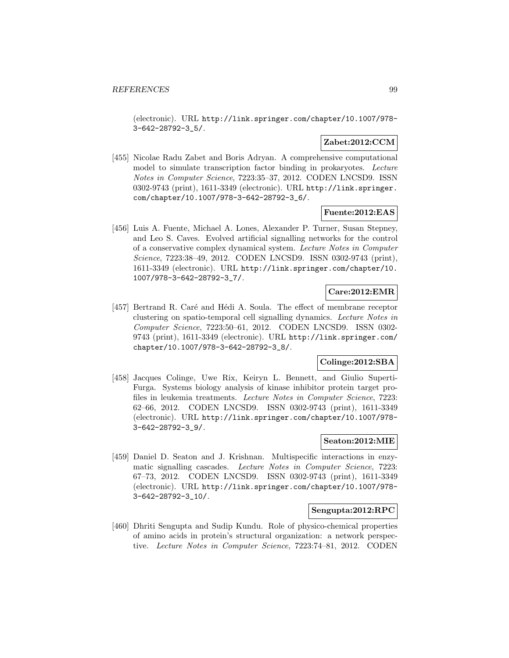(electronic). URL http://link.springer.com/chapter/10.1007/978- 3-642-28792-3\_5/.

# **Zabet:2012:CCM**

[455] Nicolae Radu Zabet and Boris Adryan. A comprehensive computational model to simulate transcription factor binding in prokaryotes. Lecture Notes in Computer Science, 7223:35–37, 2012. CODEN LNCSD9. ISSN 0302-9743 (print), 1611-3349 (electronic). URL http://link.springer. com/chapter/10.1007/978-3-642-28792-3\_6/.

## **Fuente:2012:EAS**

[456] Luis A. Fuente, Michael A. Lones, Alexander P. Turner, Susan Stepney, and Leo S. Caves. Evolved artificial signalling networks for the control of a conservative complex dynamical system. Lecture Notes in Computer Science, 7223:38–49, 2012. CODEN LNCSD9. ISSN 0302-9743 (print), 1611-3349 (electronic). URL http://link.springer.com/chapter/10. 1007/978-3-642-28792-3\_7/.

# **Care:2012:EMR**

[457] Bertrand R. Caré and Hédi A. Soula. The effect of membrane receptor clustering on spatio-temporal cell signalling dynamics. Lecture Notes in Computer Science, 7223:50–61, 2012. CODEN LNCSD9. ISSN 0302- 9743 (print), 1611-3349 (electronic). URL http://link.springer.com/ chapter/10.1007/978-3-642-28792-3\_8/.

# **Colinge:2012:SBA**

[458] Jacques Colinge, Uwe Rix, Keiryn L. Bennett, and Giulio Superti-Furga. Systems biology analysis of kinase inhibitor protein target profiles in leukemia treatments. Lecture Notes in Computer Science, 7223: 62–66, 2012. CODEN LNCSD9. ISSN 0302-9743 (print), 1611-3349 (electronic). URL http://link.springer.com/chapter/10.1007/978- 3-642-28792-3\_9/.

## **Seaton:2012:MIE**

[459] Daniel D. Seaton and J. Krishnan. Multispecific interactions in enzymatic signalling cascades. Lecture Notes in Computer Science, 7223: 67–73, 2012. CODEN LNCSD9. ISSN 0302-9743 (print), 1611-3349 (electronic). URL http://link.springer.com/chapter/10.1007/978- 3-642-28792-3\_10/.

## **Sengupta:2012:RPC**

[460] Dhriti Sengupta and Sudip Kundu. Role of physico-chemical properties of amino acids in protein's structural organization: a network perspective. Lecture Notes in Computer Science, 7223:74–81, 2012. CODEN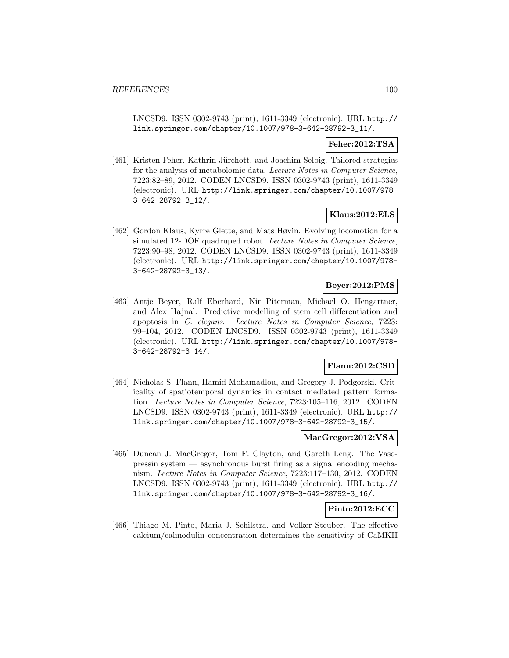LNCSD9. ISSN 0302-9743 (print), 1611-3349 (electronic). URL http:// link.springer.com/chapter/10.1007/978-3-642-28792-3\_11/.

# **Feher:2012:TSA**

[461] Kristen Feher, Kathrin Jürchott, and Joachim Selbig. Tailored strategies for the analysis of metabolomic data. Lecture Notes in Computer Science, 7223:82–89, 2012. CODEN LNCSD9. ISSN 0302-9743 (print), 1611-3349 (electronic). URL http://link.springer.com/chapter/10.1007/978- 3-642-28792-3\_12/.

### **Klaus:2012:ELS**

[462] Gordon Klaus, Kyrre Glette, and Mats Høvin. Evolving locomotion for a simulated 12-DOF quadruped robot. Lecture Notes in Computer Science, 7223:90–98, 2012. CODEN LNCSD9. ISSN 0302-9743 (print), 1611-3349 (electronic). URL http://link.springer.com/chapter/10.1007/978- 3-642-28792-3\_13/.

## **Beyer:2012:PMS**

[463] Antje Beyer, Ralf Eberhard, Nir Piterman, Michael O. Hengartner, and Alex Hajnal. Predictive modelling of stem cell differentiation and apoptosis in C. elegans. Lecture Notes in Computer Science, 7223: 99–104, 2012. CODEN LNCSD9. ISSN 0302-9743 (print), 1611-3349 (electronic). URL http://link.springer.com/chapter/10.1007/978- 3-642-28792-3\_14/.

## **Flann:2012:CSD**

[464] Nicholas S. Flann, Hamid Mohamadlou, and Gregory J. Podgorski. Criticality of spatiotemporal dynamics in contact mediated pattern formation. Lecture Notes in Computer Science, 7223:105–116, 2012. CODEN LNCSD9. ISSN 0302-9743 (print), 1611-3349 (electronic). URL http:// link.springer.com/chapter/10.1007/978-3-642-28792-3\_15/.

# **MacGregor:2012:VSA**

[465] Duncan J. MacGregor, Tom F. Clayton, and Gareth Leng. The Vasopressin system — asynchronous burst firing as a signal encoding mechanism. Lecture Notes in Computer Science, 7223:117–130, 2012. CODEN LNCSD9. ISSN 0302-9743 (print), 1611-3349 (electronic). URL http:// link.springer.com/chapter/10.1007/978-3-642-28792-3\_16/.

# **Pinto:2012:ECC**

[466] Thiago M. Pinto, Maria J. Schilstra, and Volker Steuber. The effective calcium/calmodulin concentration determines the sensitivity of CaMKII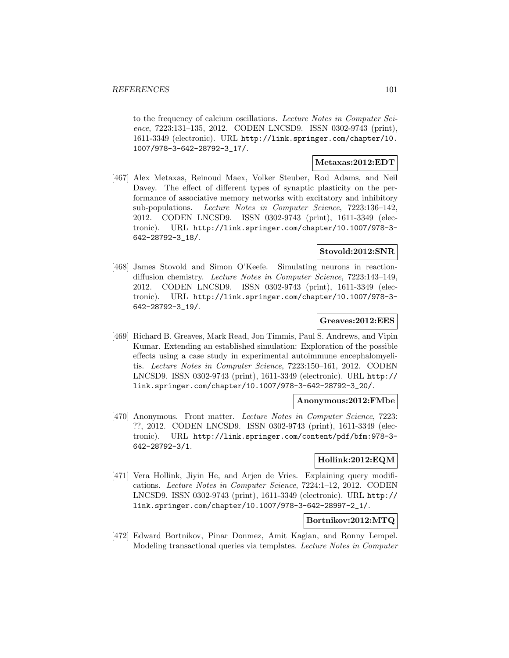to the frequency of calcium oscillations. Lecture Notes in Computer Science, 7223:131–135, 2012. CODEN LNCSD9. ISSN 0302-9743 (print), 1611-3349 (electronic). URL http://link.springer.com/chapter/10. 1007/978-3-642-28792-3\_17/.

# **Metaxas:2012:EDT**

[467] Alex Metaxas, Reinoud Maex, Volker Steuber, Rod Adams, and Neil Davey. The effect of different types of synaptic plasticity on the performance of associative memory networks with excitatory and inhibitory sub-populations. Lecture Notes in Computer Science, 7223:136–142, 2012. CODEN LNCSD9. ISSN 0302-9743 (print), 1611-3349 (electronic). URL http://link.springer.com/chapter/10.1007/978-3- 642-28792-3\_18/.

## **Stovold:2012:SNR**

[468] James Stovold and Simon O'Keefe. Simulating neurons in reactiondiffusion chemistry. Lecture Notes in Computer Science, 7223:143–149, 2012. CODEN LNCSD9. ISSN 0302-9743 (print), 1611-3349 (electronic). URL http://link.springer.com/chapter/10.1007/978-3- 642-28792-3\_19/.

## **Greaves:2012:EES**

[469] Richard B. Greaves, Mark Read, Jon Timmis, Paul S. Andrews, and Vipin Kumar. Extending an established simulation: Exploration of the possible effects using a case study in experimental autoimmune encephalomyelitis. Lecture Notes in Computer Science, 7223:150–161, 2012. CODEN LNCSD9. ISSN 0302-9743 (print), 1611-3349 (electronic). URL http:// link.springer.com/chapter/10.1007/978-3-642-28792-3\_20/.

### **Anonymous:2012:FMbe**

[470] Anonymous. Front matter. Lecture Notes in Computer Science, 7223: ??, 2012. CODEN LNCSD9. ISSN 0302-9743 (print), 1611-3349 (electronic). URL http://link.springer.com/content/pdf/bfm:978-3- 642-28792-3/1.

### **Hollink:2012:EQM**

[471] Vera Hollink, Jiyin He, and Arjen de Vries. Explaining query modifications. Lecture Notes in Computer Science, 7224:1–12, 2012. CODEN LNCSD9. ISSN 0302-9743 (print), 1611-3349 (electronic). URL http:// link.springer.com/chapter/10.1007/978-3-642-28997-2\_1/.

# **Bortnikov:2012:MTQ**

[472] Edward Bortnikov, Pinar Donmez, Amit Kagian, and Ronny Lempel. Modeling transactional queries via templates. Lecture Notes in Computer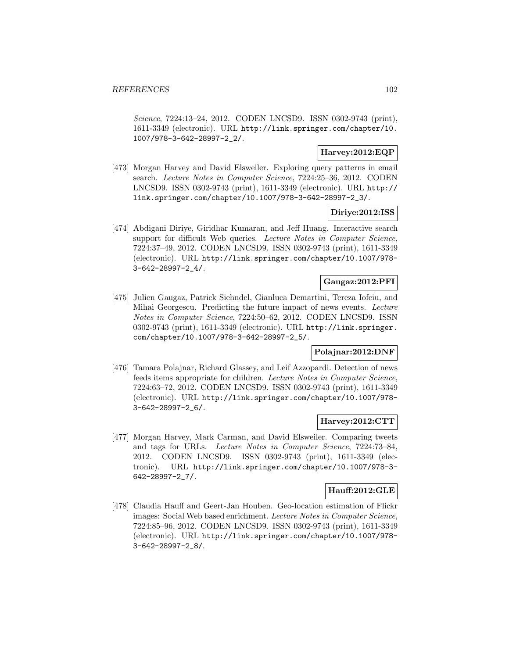Science, 7224:13–24, 2012. CODEN LNCSD9. ISSN 0302-9743 (print), 1611-3349 (electronic). URL http://link.springer.com/chapter/10. 1007/978-3-642-28997-2\_2/.

# **Harvey:2012:EQP**

[473] Morgan Harvey and David Elsweiler. Exploring query patterns in email search. Lecture Notes in Computer Science, 7224:25–36, 2012. CODEN LNCSD9. ISSN 0302-9743 (print), 1611-3349 (electronic). URL http:// link.springer.com/chapter/10.1007/978-3-642-28997-2\_3/.

## **Diriye:2012:ISS**

[474] Abdigani Diriye, Giridhar Kumaran, and Jeff Huang. Interactive search support for difficult Web queries. Lecture Notes in Computer Science, 7224:37–49, 2012. CODEN LNCSD9. ISSN 0302-9743 (print), 1611-3349 (electronic). URL http://link.springer.com/chapter/10.1007/978- 3-642-28997-2\_4/.

# **Gaugaz:2012:PFI**

[475] Julien Gaugaz, Patrick Siehndel, Gianluca Demartini, Tereza Iofciu, and Mihai Georgescu. Predicting the future impact of news events. Lecture Notes in Computer Science, 7224:50–62, 2012. CODEN LNCSD9. ISSN 0302-9743 (print), 1611-3349 (electronic). URL http://link.springer. com/chapter/10.1007/978-3-642-28997-2\_5/.

### **Polajnar:2012:DNF**

[476] Tamara Polajnar, Richard Glassey, and Leif Azzopardi. Detection of news feeds items appropriate for children. Lecture Notes in Computer Science, 7224:63–72, 2012. CODEN LNCSD9. ISSN 0302-9743 (print), 1611-3349 (electronic). URL http://link.springer.com/chapter/10.1007/978- 3-642-28997-2\_6/.

### **Harvey:2012:CTT**

[477] Morgan Harvey, Mark Carman, and David Elsweiler. Comparing tweets and tags for URLs. Lecture Notes in Computer Science, 7224:73–84, 2012. CODEN LNCSD9. ISSN 0302-9743 (print), 1611-3349 (electronic). URL http://link.springer.com/chapter/10.1007/978-3- 642-28997-2\_7/.

#### **Hauff:2012:GLE**

[478] Claudia Hauff and Geert-Jan Houben. Geo-location estimation of Flickr images: Social Web based enrichment. Lecture Notes in Computer Science, 7224:85–96, 2012. CODEN LNCSD9. ISSN 0302-9743 (print), 1611-3349 (electronic). URL http://link.springer.com/chapter/10.1007/978- 3-642-28997-2\_8/.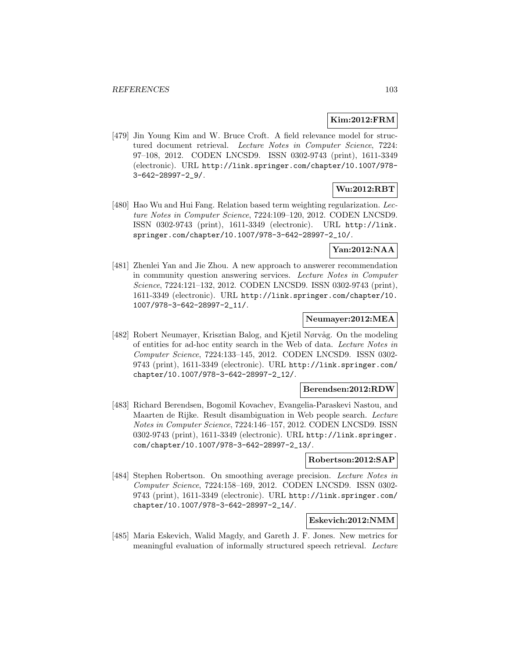# **Kim:2012:FRM**

[479] Jin Young Kim and W. Bruce Croft. A field relevance model for structured document retrieval. Lecture Notes in Computer Science, 7224: 97–108, 2012. CODEN LNCSD9. ISSN 0302-9743 (print), 1611-3349 (electronic). URL http://link.springer.com/chapter/10.1007/978- 3-642-28997-2\_9/.

# **Wu:2012:RBT**

[480] Hao Wu and Hui Fang. Relation based term weighting regularization. Lecture Notes in Computer Science, 7224:109–120, 2012. CODEN LNCSD9. ISSN 0302-9743 (print), 1611-3349 (electronic). URL http://link. springer.com/chapter/10.1007/978-3-642-28997-2\_10/.

### **Yan:2012:NAA**

[481] Zhenlei Yan and Jie Zhou. A new approach to answerer recommendation in community question answering services. Lecture Notes in Computer Science, 7224:121–132, 2012. CODEN LNCSD9. ISSN 0302-9743 (print), 1611-3349 (electronic). URL http://link.springer.com/chapter/10. 1007/978-3-642-28997-2\_11/.

# **Neumayer:2012:MEA**

[482] Robert Neumayer, Krisztian Balog, and Kjetil Nørvåg. On the modeling of entities for ad-hoc entity search in the Web of data. Lecture Notes in Computer Science, 7224:133–145, 2012. CODEN LNCSD9. ISSN 0302- 9743 (print), 1611-3349 (electronic). URL http://link.springer.com/ chapter/10.1007/978-3-642-28997-2\_12/.

#### **Berendsen:2012:RDW**

[483] Richard Berendsen, Bogomil Kovachev, Evangelia-Paraskevi Nastou, and Maarten de Rijke. Result disambiguation in Web people search. Lecture Notes in Computer Science, 7224:146–157, 2012. CODEN LNCSD9. ISSN 0302-9743 (print), 1611-3349 (electronic). URL http://link.springer. com/chapter/10.1007/978-3-642-28997-2\_13/.

#### **Robertson:2012:SAP**

[484] Stephen Robertson. On smoothing average precision. Lecture Notes in Computer Science, 7224:158–169, 2012. CODEN LNCSD9. ISSN 0302- 9743 (print), 1611-3349 (electronic). URL http://link.springer.com/ chapter/10.1007/978-3-642-28997-2\_14/.

## **Eskevich:2012:NMM**

[485] Maria Eskevich, Walid Magdy, and Gareth J. F. Jones. New metrics for meaningful evaluation of informally structured speech retrieval. Lecture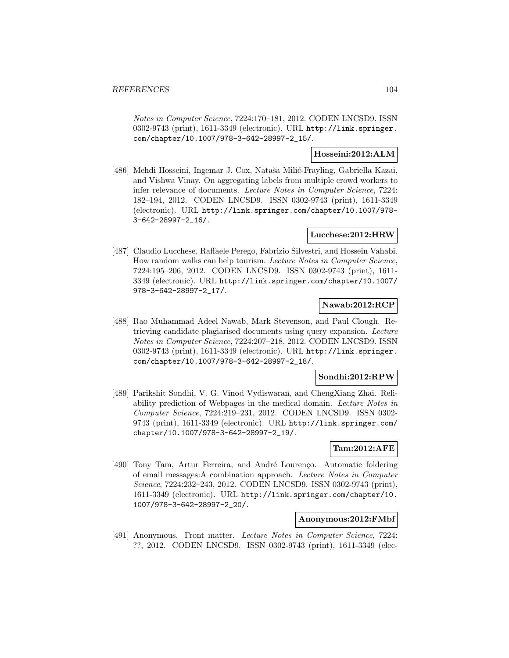Notes in Computer Science, 7224:170–181, 2012. CODEN LNCSD9. ISSN 0302-9743 (print), 1611-3349 (electronic). URL http://link.springer. com/chapter/10.1007/978-3-642-28997-2\_15/.

# **Hosseini:2012:ALM**

[486] Mehdi Hosseini, Ingemar J. Cox, Nataša Milić-Frayling, Gabriella Kazai, and Vishwa Vinay. On aggregating labels from multiple crowd workers to infer relevance of documents. Lecture Notes in Computer Science, 7224: 182–194, 2012. CODEN LNCSD9. ISSN 0302-9743 (print), 1611-3349 (electronic). URL http://link.springer.com/chapter/10.1007/978- 3-642-28997-2\_16/.

## **Lucchese:2012:HRW**

[487] Claudio Lucchese, Raffaele Perego, Fabrizio Silvestri, and Hossein Vahabi. How random walks can help tourism. Lecture Notes in Computer Science, 7224:195–206, 2012. CODEN LNCSD9. ISSN 0302-9743 (print), 1611- 3349 (electronic). URL http://link.springer.com/chapter/10.1007/ 978-3-642-28997-2\_17/.

# **Nawab:2012:RCP**

[488] Rao Muhammad Adeel Nawab, Mark Stevenson, and Paul Clough. Retrieving candidate plagiarised documents using query expansion. Lecture Notes in Computer Science, 7224:207–218, 2012. CODEN LNCSD9. ISSN 0302-9743 (print), 1611-3349 (electronic). URL http://link.springer. com/chapter/10.1007/978-3-642-28997-2\_18/.

### **Sondhi:2012:RPW**

[489] Parikshit Sondhi, V. G. Vinod Vydiswaran, and ChengXiang Zhai. Reliability prediction of Webpages in the medical domain. Lecture Notes in Computer Science, 7224:219–231, 2012. CODEN LNCSD9. ISSN 0302- 9743 (print), 1611-3349 (electronic). URL http://link.springer.com/ chapter/10.1007/978-3-642-28997-2\_19/.

# **Tam:2012:AFE**

[490] Tony Tam, Artur Ferreira, and André Lourenço. Automatic foldering of email messages:A combination approach. Lecture Notes in Computer Science, 7224:232–243, 2012. CODEN LNCSD9. ISSN 0302-9743 (print), 1611-3349 (electronic). URL http://link.springer.com/chapter/10. 1007/978-3-642-28997-2\_20/.

#### **Anonymous:2012:FMbf**

[491] Anonymous. Front matter. Lecture Notes in Computer Science, 7224: ??, 2012. CODEN LNCSD9. ISSN 0302-9743 (print), 1611-3349 (elec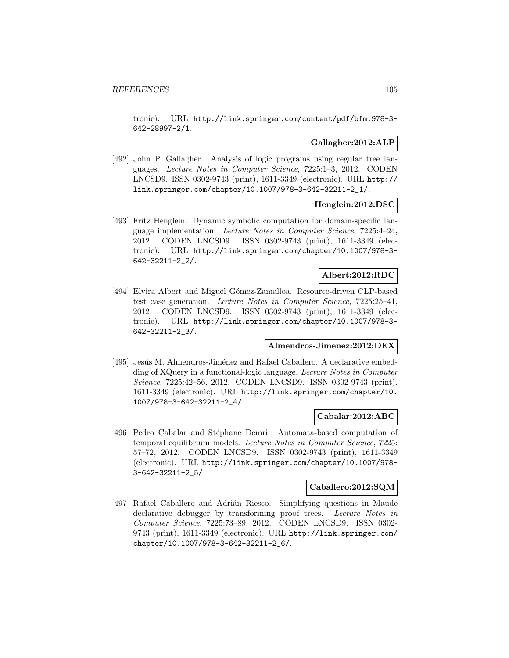tronic). URL http://link.springer.com/content/pdf/bfm:978-3- 642-28997-2/1.

## **Gallagher:2012:ALP**

[492] John P. Gallagher. Analysis of logic programs using regular tree languages. Lecture Notes in Computer Science, 7225:1–3, 2012. CODEN LNCSD9. ISSN 0302-9743 (print), 1611-3349 (electronic). URL http:// link.springer.com/chapter/10.1007/978-3-642-32211-2\_1/.

# **Henglein:2012:DSC**

[493] Fritz Henglein. Dynamic symbolic computation for domain-specific language implementation. Lecture Notes in Computer Science, 7225:4–24, 2012. CODEN LNCSD9. ISSN 0302-9743 (print), 1611-3349 (electronic). URL http://link.springer.com/chapter/10.1007/978-3- 642-32211-2\_2/.

# **Albert:2012:RDC**

[494] Elvira Albert and Miguel Gómez-Zamalloa. Resource-driven CLP-based test case generation. Lecture Notes in Computer Science, 7225:25–41, 2012. CODEN LNCSD9. ISSN 0302-9743 (print), 1611-3349 (electronic). URL http://link.springer.com/chapter/10.1007/978-3- 642-32211-2\_3/.

### **Almendros-Jimenez:2012:DEX**

[495] Jesús M. Almendros-Jiménez and Rafael Caballero. A declarative embedding of XQuery in a functional-logic language. Lecture Notes in Computer Science, 7225:42–56, 2012. CODEN LNCSD9. ISSN 0302-9743 (print), 1611-3349 (electronic). URL http://link.springer.com/chapter/10. 1007/978-3-642-32211-2\_4/.

### **Cabalar:2012:ABC**

[496] Pedro Cabalar and Stéphane Demri. Automata-based computation of temporal equilibrium models. Lecture Notes in Computer Science, 7225: 57–72, 2012. CODEN LNCSD9. ISSN 0302-9743 (print), 1611-3349 (electronic). URL http://link.springer.com/chapter/10.1007/978- 3-642-32211-2\_5/.

# **Caballero:2012:SQM**

[497] Rafael Caballero and Adrián Riesco. Simplifying questions in Maude declarative debugger by transforming proof trees. Lecture Notes in Computer Science, 7225:73–89, 2012. CODEN LNCSD9. ISSN 0302- 9743 (print), 1611-3349 (electronic). URL http://link.springer.com/ chapter/10.1007/978-3-642-32211-2\_6/.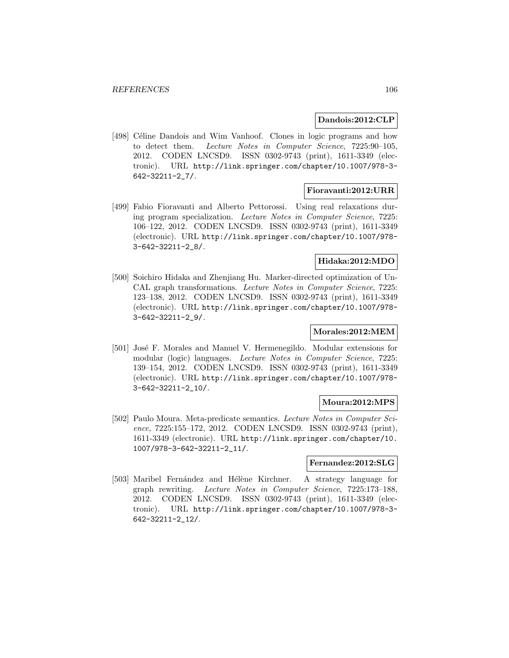#### **Dandois:2012:CLP**

[498] Céline Dandois and Wim Vanhoof. Clones in logic programs and how to detect them. Lecture Notes in Computer Science, 7225:90–105, 2012. CODEN LNCSD9. ISSN 0302-9743 (print), 1611-3349 (electronic). URL http://link.springer.com/chapter/10.1007/978-3- 642-32211-2\_7/.

#### **Fioravanti:2012:URR**

[499] Fabio Fioravanti and Alberto Pettorossi. Using real relaxations during program specialization. Lecture Notes in Computer Science, 7225: 106–122, 2012. CODEN LNCSD9. ISSN 0302-9743 (print), 1611-3349 (electronic). URL http://link.springer.com/chapter/10.1007/978- 3-642-32211-2\_8/.

# **Hidaka:2012:MDO**

[500] Soichiro Hidaka and Zhenjiang Hu. Marker-directed optimization of Un-CAL graph transformations. Lecture Notes in Computer Science, 7225: 123–138, 2012. CODEN LNCSD9. ISSN 0302-9743 (print), 1611-3349 (electronic). URL http://link.springer.com/chapter/10.1007/978- 3-642-32211-2\_9/.

## **Morales:2012:MEM**

[501] José F. Morales and Manuel V. Hermenegildo. Modular extensions for modular (logic) languages. Lecture Notes in Computer Science, 7225: 139–154, 2012. CODEN LNCSD9. ISSN 0302-9743 (print), 1611-3349 (electronic). URL http://link.springer.com/chapter/10.1007/978- 3-642-32211-2\_10/.

### **Moura:2012:MPS**

[502] Paulo Moura. Meta-predicate semantics. Lecture Notes in Computer Science, 7225:155–172, 2012. CODEN LNCSD9. ISSN 0302-9743 (print), 1611-3349 (electronic). URL http://link.springer.com/chapter/10. 1007/978-3-642-32211-2\_11/.

### **Fernandez:2012:SLG**

[503] Maribel Fernández and Hélène Kirchner. A strategy language for graph rewriting. Lecture Notes in Computer Science, 7225:173–188, 2012. CODEN LNCSD9. ISSN 0302-9743 (print), 1611-3349 (electronic). URL http://link.springer.com/chapter/10.1007/978-3- 642-32211-2\_12/.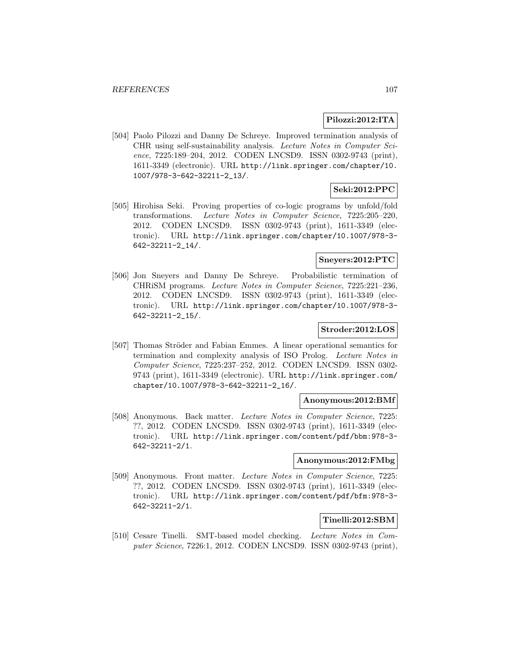# **Pilozzi:2012:ITA**

[504] Paolo Pilozzi and Danny De Schreye. Improved termination analysis of CHR using self-sustainability analysis. Lecture Notes in Computer Science, 7225:189–204, 2012. CODEN LNCSD9. ISSN 0302-9743 (print), 1611-3349 (electronic). URL http://link.springer.com/chapter/10. 1007/978-3-642-32211-2\_13/.

# **Seki:2012:PPC**

[505] Hirohisa Seki. Proving properties of co-logic programs by unfold/fold transformations. Lecture Notes in Computer Science, 7225:205–220, 2012. CODEN LNCSD9. ISSN 0302-9743 (print), 1611-3349 (electronic). URL http://link.springer.com/chapter/10.1007/978-3- 642-32211-2\_14/.

# **Sneyers:2012:PTC**

[506] Jon Sneyers and Danny De Schreye. Probabilistic termination of CHRiSM programs. Lecture Notes in Computer Science, 7225:221–236, 2012. CODEN LNCSD9. ISSN 0302-9743 (print), 1611-3349 (electronic). URL http://link.springer.com/chapter/10.1007/978-3- 642-32211-2\_15/.

# **Stroder:2012:LOS**

[507] Thomas Ströder and Fabian Emmes. A linear operational semantics for termination and complexity analysis of ISO Prolog. Lecture Notes in Computer Science, 7225:237–252, 2012. CODEN LNCSD9. ISSN 0302- 9743 (print), 1611-3349 (electronic). URL http://link.springer.com/ chapter/10.1007/978-3-642-32211-2\_16/.

## **Anonymous:2012:BMf**

[508] Anonymous. Back matter. Lecture Notes in Computer Science, 7225: ??, 2012. CODEN LNCSD9. ISSN 0302-9743 (print), 1611-3349 (electronic). URL http://link.springer.com/content/pdf/bbm:978-3- 642-32211-2/1.

#### **Anonymous:2012:FMbg**

[509] Anonymous. Front matter. Lecture Notes in Computer Science, 7225: ??, 2012. CODEN LNCSD9. ISSN 0302-9743 (print), 1611-3349 (electronic). URL http://link.springer.com/content/pdf/bfm:978-3- 642-32211-2/1.

# **Tinelli:2012:SBM**

[510] Cesare Tinelli. SMT-based model checking. Lecture Notes in Computer Science, 7226:1, 2012. CODEN LNCSD9. ISSN 0302-9743 (print),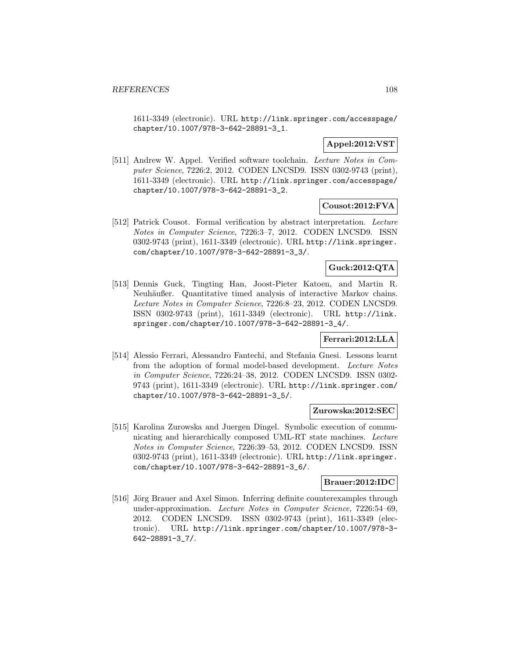1611-3349 (electronic). URL http://link.springer.com/accesspage/ chapter/10.1007/978-3-642-28891-3\_1.

# **Appel:2012:VST**

[511] Andrew W. Appel. Verified software toolchain. Lecture Notes in Computer Science, 7226:2, 2012. CODEN LNCSD9. ISSN 0302-9743 (print), 1611-3349 (electronic). URL http://link.springer.com/accesspage/ chapter/10.1007/978-3-642-28891-3\_2.

# **Cousot:2012:FVA**

[512] Patrick Cousot. Formal verification by abstract interpretation. Lecture Notes in Computer Science, 7226:3–7, 2012. CODEN LNCSD9. ISSN 0302-9743 (print), 1611-3349 (electronic). URL http://link.springer. com/chapter/10.1007/978-3-642-28891-3\_3/.

# **Guck:2012:QTA**

[513] Dennis Guck, Tingting Han, Joost-Pieter Katoen, and Martin R. Neuhäußer. Quantitative timed analysis of interactive Markov chains. Lecture Notes in Computer Science, 7226:8–23, 2012. CODEN LNCSD9. ISSN 0302-9743 (print), 1611-3349 (electronic). URL http://link. springer.com/chapter/10.1007/978-3-642-28891-3\_4/.

### **Ferrari:2012:LLA**

[514] Alessio Ferrari, Alessandro Fantechi, and Stefania Gnesi. Lessons learnt from the adoption of formal model-based development. Lecture Notes in Computer Science, 7226:24–38, 2012. CODEN LNCSD9. ISSN 0302- 9743 (print), 1611-3349 (electronic). URL http://link.springer.com/ chapter/10.1007/978-3-642-28891-3\_5/.

## **Zurowska:2012:SEC**

[515] Karolina Zurowska and Juergen Dingel. Symbolic execution of communicating and hierarchically composed UML-RT state machines. Lecture Notes in Computer Science, 7226:39–53, 2012. CODEN LNCSD9. ISSN 0302-9743 (print), 1611-3349 (electronic). URL http://link.springer. com/chapter/10.1007/978-3-642-28891-3\_6/.

### **Brauer:2012:IDC**

[516] Jörg Brauer and Axel Simon. Inferring definite counterexamples through under-approximation. Lecture Notes in Computer Science, 7226:54–69, 2012. CODEN LNCSD9. ISSN 0302-9743 (print), 1611-3349 (electronic). URL http://link.springer.com/chapter/10.1007/978-3- 642-28891-3\_7/.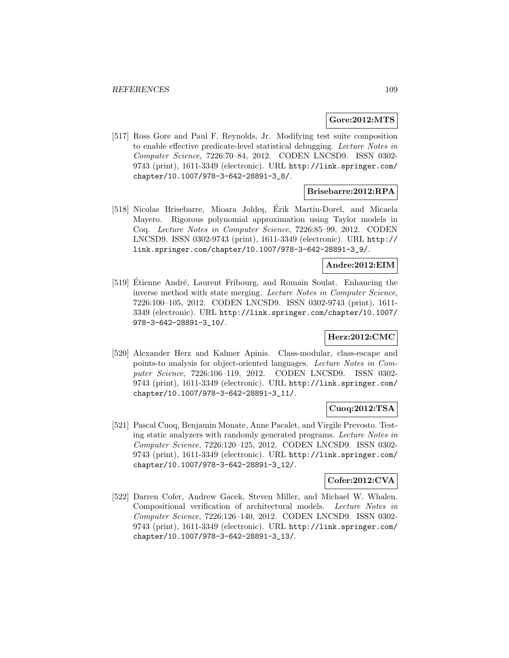#### **Gore:2012:MTS**

[517] Ross Gore and Paul F. Reynolds, Jr. Modifying test suite composition to enable effective predicate-level statistical debugging. Lecture Notes in Computer Science, 7226:70–84, 2012. CODEN LNCSD9. ISSN 0302- 9743 (print), 1611-3349 (electronic). URL http://link.springer.com/ chapter/10.1007/978-3-642-28891-3\_8/.

## **Brisebarre:2012:RPA**

[518] Nicolas Brisebarre, Mioara Joldes, Érik Martin-Dorel, and Micaela Mayero. Rigorous polynomial approximation using Taylor models in Coq. Lecture Notes in Computer Science, 7226:85–99, 2012. CODEN LNCSD9. ISSN 0302-9743 (print), 1611-3349 (electronic). URL http:// link.springer.com/chapter/10.1007/978-3-642-28891-3\_9/.

#### **Andre:2012:EIM**

[519] Etienne André, Laurent Fribourg, and Romain Soulat. Enhancing the inverse method with state merging. Lecture Notes in Computer Science, 7226:100–105, 2012. CODEN LNCSD9. ISSN 0302-9743 (print), 1611- 3349 (electronic). URL http://link.springer.com/chapter/10.1007/ 978-3-642-28891-3\_10/.

# **Herz:2012:CMC**

[520] Alexander Herz and Kalmer Apinis. Class-modular, class-escape and points-to analysis for object-oriented languages. Lecture Notes in Computer Science, 7226:106–119, 2012. CODEN LNCSD9. ISSN 0302- 9743 (print), 1611-3349 (electronic). URL http://link.springer.com/ chapter/10.1007/978-3-642-28891-3\_11/.

#### **Cuoq:2012:TSA**

[521] Pascal Cuoq, Benjamin Monate, Anne Pacalet, and Virgile Prevosto. Testing static analyzers with randomly generated programs. Lecture Notes in Computer Science, 7226:120–125, 2012. CODEN LNCSD9. ISSN 0302- 9743 (print), 1611-3349 (electronic). URL http://link.springer.com/ chapter/10.1007/978-3-642-28891-3\_12/.

# **Cofer:2012:CVA**

[522] Darren Cofer, Andrew Gacek, Steven Miller, and Michael W. Whalen. Compositional verification of architectural models. Lecture Notes in Computer Science, 7226:126–140, 2012. CODEN LNCSD9. ISSN 0302- 9743 (print), 1611-3349 (electronic). URL http://link.springer.com/ chapter/10.1007/978-3-642-28891-3\_13/.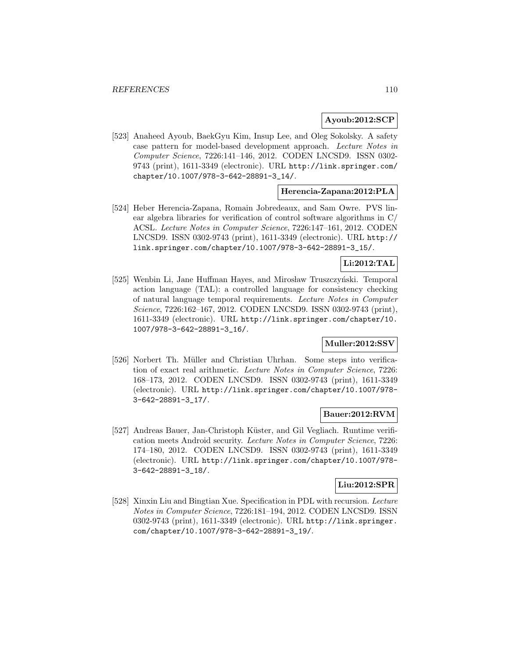## **Ayoub:2012:SCP**

[523] Anaheed Ayoub, BaekGyu Kim, Insup Lee, and Oleg Sokolsky. A safety case pattern for model-based development approach. Lecture Notes in Computer Science, 7226:141–146, 2012. CODEN LNCSD9. ISSN 0302- 9743 (print), 1611-3349 (electronic). URL http://link.springer.com/ chapter/10.1007/978-3-642-28891-3\_14/.

## **Herencia-Zapana:2012:PLA**

[524] Heber Herencia-Zapana, Romain Jobredeaux, and Sam Owre. PVS linear algebra libraries for verification of control software algorithms in C/ ACSL. Lecture Notes in Computer Science, 7226:147–161, 2012. CODEN LNCSD9. ISSN 0302-9743 (print), 1611-3349 (electronic). URL http:// link.springer.com/chapter/10.1007/978-3-642-28891-3\_15/.

## **Li:2012:TAL**

[525] Wenbin Li, Jane Huffman Hayes, and Mirosław Truszczyński. Temporal action language (TAL): a controlled language for consistency checking of natural language temporal requirements. Lecture Notes in Computer Science, 7226:162–167, 2012. CODEN LNCSD9. ISSN 0302-9743 (print), 1611-3349 (electronic). URL http://link.springer.com/chapter/10. 1007/978-3-642-28891-3\_16/.

## **Muller:2012:SSV**

[526] Norbert Th. Müller and Christian Uhrhan. Some steps into verification of exact real arithmetic. Lecture Notes in Computer Science, 7226: 168–173, 2012. CODEN LNCSD9. ISSN 0302-9743 (print), 1611-3349 (electronic). URL http://link.springer.com/chapter/10.1007/978- 3-642-28891-3\_17/.

## **Bauer:2012:RVM**

[527] Andreas Bauer, Jan-Christoph Küster, and Gil Vegliach. Runtime verification meets Android security. Lecture Notes in Computer Science, 7226: 174–180, 2012. CODEN LNCSD9. ISSN 0302-9743 (print), 1611-3349 (electronic). URL http://link.springer.com/chapter/10.1007/978- 3-642-28891-3\_18/.

## **Liu:2012:SPR**

[528] Xinxin Liu and Bingtian Xue. Specification in PDL with recursion. Lecture Notes in Computer Science, 7226:181–194, 2012. CODEN LNCSD9. ISSN 0302-9743 (print), 1611-3349 (electronic). URL http://link.springer. com/chapter/10.1007/978-3-642-28891-3\_19/.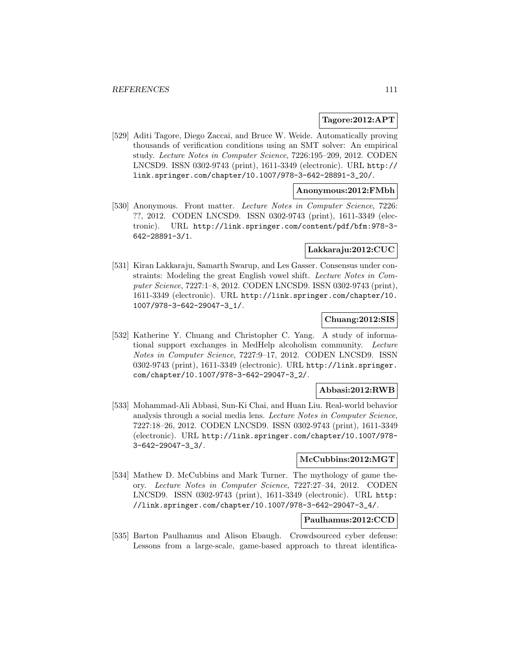#### **Tagore:2012:APT**

[529] Aditi Tagore, Diego Zaccai, and Bruce W. Weide. Automatically proving thousands of verification conditions using an SMT solver: An empirical study. Lecture Notes in Computer Science, 7226:195–209, 2012. CODEN LNCSD9. ISSN 0302-9743 (print), 1611-3349 (electronic). URL http:// link.springer.com/chapter/10.1007/978-3-642-28891-3\_20/.

## **Anonymous:2012:FMbh**

[530] Anonymous. Front matter. Lecture Notes in Computer Science, 7226: ??, 2012. CODEN LNCSD9. ISSN 0302-9743 (print), 1611-3349 (electronic). URL http://link.springer.com/content/pdf/bfm:978-3- 642-28891-3/1.

## **Lakkaraju:2012:CUC**

[531] Kiran Lakkaraju, Samarth Swarup, and Les Gasser. Consensus under constraints: Modeling the great English vowel shift. Lecture Notes in Computer Science, 7227:1–8, 2012. CODEN LNCSD9. ISSN 0302-9743 (print), 1611-3349 (electronic). URL http://link.springer.com/chapter/10. 1007/978-3-642-29047-3\_1/.

## **Chuang:2012:SIS**

[532] Katherine Y. Chuang and Christopher C. Yang. A study of informational support exchanges in MedHelp alcoholism community. Lecture Notes in Computer Science, 7227:9–17, 2012. CODEN LNCSD9. ISSN 0302-9743 (print), 1611-3349 (electronic). URL http://link.springer. com/chapter/10.1007/978-3-642-29047-3\_2/.

### **Abbasi:2012:RWB**

[533] Mohammad-Ali Abbasi, Sun-Ki Chai, and Huan Liu. Real-world behavior analysis through a social media lens. Lecture Notes in Computer Science, 7227:18–26, 2012. CODEN LNCSD9. ISSN 0302-9743 (print), 1611-3349 (electronic). URL http://link.springer.com/chapter/10.1007/978- 3-642-29047-3\_3/.

### **McCubbins:2012:MGT**

[534] Mathew D. McCubbins and Mark Turner. The mythology of game theory. Lecture Notes in Computer Science, 7227:27–34, 2012. CODEN LNCSD9. ISSN 0302-9743 (print), 1611-3349 (electronic). URL http: //link.springer.com/chapter/10.1007/978-3-642-29047-3\_4/.

# **Paulhamus:2012:CCD**

[535] Barton Paulhamus and Alison Ebaugh. Crowdsourced cyber defense: Lessons from a large-scale, game-based approach to threat identifica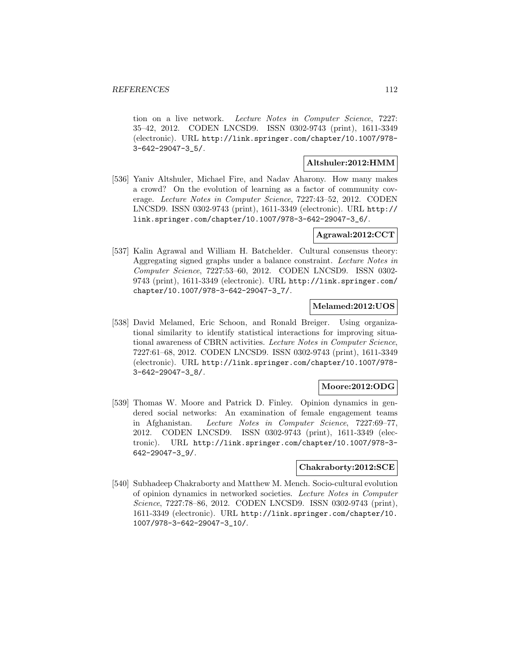tion on a live network. Lecture Notes in Computer Science, 7227: 35–42, 2012. CODEN LNCSD9. ISSN 0302-9743 (print), 1611-3349 (electronic). URL http://link.springer.com/chapter/10.1007/978- 3-642-29047-3\_5/.

### **Altshuler:2012:HMM**

[536] Yaniv Altshuler, Michael Fire, and Nadav Aharony. How many makes a crowd? On the evolution of learning as a factor of community coverage. Lecture Notes in Computer Science, 7227:43–52, 2012. CODEN LNCSD9. ISSN 0302-9743 (print), 1611-3349 (electronic). URL http:// link.springer.com/chapter/10.1007/978-3-642-29047-3\_6/.

## **Agrawal:2012:CCT**

[537] Kalin Agrawal and William H. Batchelder. Cultural consensus theory: Aggregating signed graphs under a balance constraint. Lecture Notes in Computer Science, 7227:53–60, 2012. CODEN LNCSD9. ISSN 0302- 9743 (print), 1611-3349 (electronic). URL http://link.springer.com/ chapter/10.1007/978-3-642-29047-3\_7/.

## **Melamed:2012:UOS**

[538] David Melamed, Eric Schoon, and Ronald Breiger. Using organizational similarity to identify statistical interactions for improving situational awareness of CBRN activities. Lecture Notes in Computer Science, 7227:61–68, 2012. CODEN LNCSD9. ISSN 0302-9743 (print), 1611-3349 (electronic). URL http://link.springer.com/chapter/10.1007/978- 3-642-29047-3\_8/.

## **Moore:2012:ODG**

[539] Thomas W. Moore and Patrick D. Finley. Opinion dynamics in gendered social networks: An examination of female engagement teams in Afghanistan. Lecture Notes in Computer Science, 7227:69–77, 2012. CODEN LNCSD9. ISSN 0302-9743 (print), 1611-3349 (electronic). URL http://link.springer.com/chapter/10.1007/978-3- 642-29047-3\_9/.

## **Chakraborty:2012:SCE**

[540] Subhadeep Chakraborty and Matthew M. Mench. Socio-cultural evolution of opinion dynamics in networked societies. Lecture Notes in Computer Science, 7227:78–86, 2012. CODEN LNCSD9. ISSN 0302-9743 (print), 1611-3349 (electronic). URL http://link.springer.com/chapter/10. 1007/978-3-642-29047-3\_10/.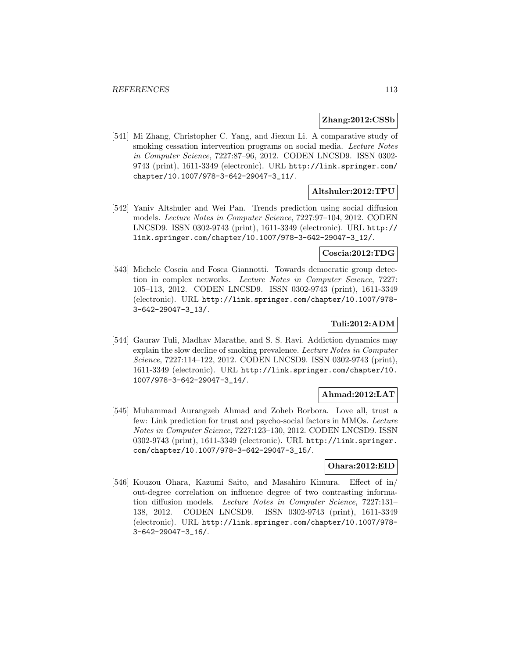#### **Zhang:2012:CSSb**

[541] Mi Zhang, Christopher C. Yang, and Jiexun Li. A comparative study of smoking cessation intervention programs on social media. Lecture Notes in Computer Science, 7227:87–96, 2012. CODEN LNCSD9. ISSN 0302- 9743 (print), 1611-3349 (electronic). URL http://link.springer.com/ chapter/10.1007/978-3-642-29047-3\_11/.

# **Altshuler:2012:TPU**

[542] Yaniv Altshuler and Wei Pan. Trends prediction using social diffusion models. Lecture Notes in Computer Science, 7227:97–104, 2012. CODEN LNCSD9. ISSN 0302-9743 (print), 1611-3349 (electronic). URL http:// link.springer.com/chapter/10.1007/978-3-642-29047-3\_12/.

### **Coscia:2012:TDG**

[543] Michele Coscia and Fosca Giannotti. Towards democratic group detection in complex networks. Lecture Notes in Computer Science, 7227: 105–113, 2012. CODEN LNCSD9. ISSN 0302-9743 (print), 1611-3349 (electronic). URL http://link.springer.com/chapter/10.1007/978- 3-642-29047-3\_13/.

### **Tuli:2012:ADM**

[544] Gaurav Tuli, Madhav Marathe, and S. S. Ravi. Addiction dynamics may explain the slow decline of smoking prevalence. Lecture Notes in Computer Science, 7227:114–122, 2012. CODEN LNCSD9. ISSN 0302-9743 (print), 1611-3349 (electronic). URL http://link.springer.com/chapter/10. 1007/978-3-642-29047-3\_14/.

### **Ahmad:2012:LAT**

[545] Muhammad Aurangzeb Ahmad and Zoheb Borbora. Love all, trust a few: Link prediction for trust and psycho-social factors in MMOs. Lecture Notes in Computer Science, 7227:123–130, 2012. CODEN LNCSD9. ISSN 0302-9743 (print), 1611-3349 (electronic). URL http://link.springer. com/chapter/10.1007/978-3-642-29047-3\_15/.

# **Ohara:2012:EID**

[546] Kouzou Ohara, Kazumi Saito, and Masahiro Kimura. Effect of in/ out-degree correlation on influence degree of two contrasting information diffusion models. Lecture Notes in Computer Science, 7227:131– 138, 2012. CODEN LNCSD9. ISSN 0302-9743 (print), 1611-3349 (electronic). URL http://link.springer.com/chapter/10.1007/978- 3-642-29047-3\_16/.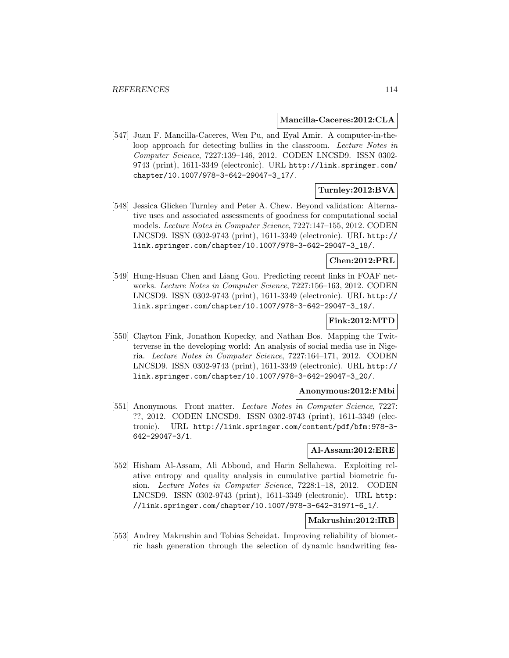#### **Mancilla-Caceres:2012:CLA**

[547] Juan F. Mancilla-Caceres, Wen Pu, and Eyal Amir. A computer-in-theloop approach for detecting bullies in the classroom. Lecture Notes in Computer Science, 7227:139–146, 2012. CODEN LNCSD9. ISSN 0302- 9743 (print), 1611-3349 (electronic). URL http://link.springer.com/ chapter/10.1007/978-3-642-29047-3\_17/.

### **Turnley:2012:BVA**

[548] Jessica Glicken Turnley and Peter A. Chew. Beyond validation: Alternative uses and associated assessments of goodness for computational social models. Lecture Notes in Computer Science, 7227:147–155, 2012. CODEN LNCSD9. ISSN 0302-9743 (print), 1611-3349 (electronic). URL http:// link.springer.com/chapter/10.1007/978-3-642-29047-3\_18/.

## **Chen:2012:PRL**

[549] Hung-Hsuan Chen and Liang Gou. Predicting recent links in FOAF networks. Lecture Notes in Computer Science, 7227:156–163, 2012. CODEN LNCSD9. ISSN 0302-9743 (print), 1611-3349 (electronic). URL http:// link.springer.com/chapter/10.1007/978-3-642-29047-3\_19/.

## **Fink:2012:MTD**

[550] Clayton Fink, Jonathon Kopecky, and Nathan Bos. Mapping the Twitterverse in the developing world: An analysis of social media use in Nigeria. Lecture Notes in Computer Science, 7227:164–171, 2012. CODEN LNCSD9. ISSN 0302-9743 (print), 1611-3349 (electronic). URL http:// link.springer.com/chapter/10.1007/978-3-642-29047-3\_20/.

#### **Anonymous:2012:FMbi**

[551] Anonymous. Front matter. Lecture Notes in Computer Science, 7227: ??, 2012. CODEN LNCSD9. ISSN 0302-9743 (print), 1611-3349 (electronic). URL http://link.springer.com/content/pdf/bfm:978-3- 642-29047-3/1.

## **Al-Assam:2012:ERE**

[552] Hisham Al-Assam, Ali Abboud, and Harin Sellahewa. Exploiting relative entropy and quality analysis in cumulative partial biometric fusion. Lecture Notes in Computer Science, 7228:1–18, 2012. CODEN LNCSD9. ISSN 0302-9743 (print), 1611-3349 (electronic). URL http: //link.springer.com/chapter/10.1007/978-3-642-31971-6\_1/.

### **Makrushin:2012:IRB**

[553] Andrey Makrushin and Tobias Scheidat. Improving reliability of biometric hash generation through the selection of dynamic handwriting fea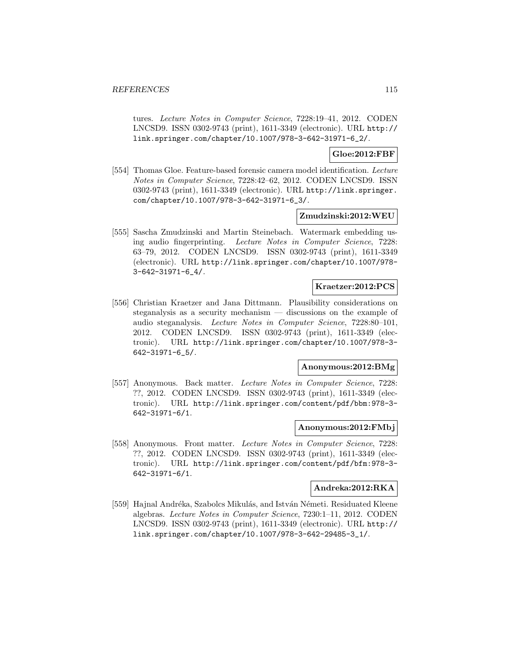tures. Lecture Notes in Computer Science, 7228:19–41, 2012. CODEN LNCSD9. ISSN 0302-9743 (print), 1611-3349 (electronic). URL http:// link.springer.com/chapter/10.1007/978-3-642-31971-6\_2/.

### **Gloe:2012:FBF**

[554] Thomas Gloe. Feature-based forensic camera model identification. Lecture Notes in Computer Science, 7228:42–62, 2012. CODEN LNCSD9. ISSN 0302-9743 (print), 1611-3349 (electronic). URL http://link.springer. com/chapter/10.1007/978-3-642-31971-6\_3/.

### **Zmudzinski:2012:WEU**

[555] Sascha Zmudzinski and Martin Steinebach. Watermark embedding using audio fingerprinting. Lecture Notes in Computer Science, 7228: 63–79, 2012. CODEN LNCSD9. ISSN 0302-9743 (print), 1611-3349 (electronic). URL http://link.springer.com/chapter/10.1007/978- 3-642-31971-6\_4/.

## **Kraetzer:2012:PCS**

[556] Christian Kraetzer and Jana Dittmann. Plausibility considerations on steganalysis as a security mechanism — discussions on the example of audio steganalysis. Lecture Notes in Computer Science, 7228:80–101, 2012. CODEN LNCSD9. ISSN 0302-9743 (print), 1611-3349 (electronic). URL http://link.springer.com/chapter/10.1007/978-3- 642-31971-6\_5/.

#### **Anonymous:2012:BMg**

[557] Anonymous. Back matter. Lecture Notes in Computer Science, 7228: ??, 2012. CODEN LNCSD9. ISSN 0302-9743 (print), 1611-3349 (electronic). URL http://link.springer.com/content/pdf/bbm:978-3- 642-31971-6/1.

## **Anonymous:2012:FMbj**

[558] Anonymous. Front matter. Lecture Notes in Computer Science, 7228: ??, 2012. CODEN LNCSD9. ISSN 0302-9743 (print), 1611-3349 (electronic). URL http://link.springer.com/content/pdf/bfm:978-3- 642-31971-6/1.

#### **Andreka:2012:RKA**

[559] Hajnal Andréka, Szabolcs Mikulás, and István Németi. Residuated Kleene algebras. Lecture Notes in Computer Science, 7230:1–11, 2012. CODEN LNCSD9. ISSN 0302-9743 (print), 1611-3349 (electronic). URL http:// link.springer.com/chapter/10.1007/978-3-642-29485-3\_1/.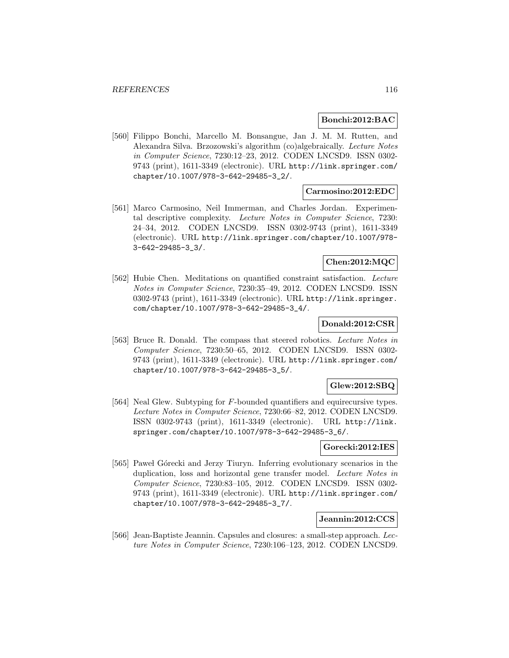#### **Bonchi:2012:BAC**

[560] Filippo Bonchi, Marcello M. Bonsangue, Jan J. M. M. Rutten, and Alexandra Silva. Brzozowski's algorithm (co)algebraically. Lecture Notes in Computer Science, 7230:12–23, 2012. CODEN LNCSD9. ISSN 0302- 9743 (print), 1611-3349 (electronic). URL http://link.springer.com/ chapter/10.1007/978-3-642-29485-3\_2/.

## **Carmosino:2012:EDC**

[561] Marco Carmosino, Neil Immerman, and Charles Jordan. Experimental descriptive complexity. Lecture Notes in Computer Science, 7230: 24–34, 2012. CODEN LNCSD9. ISSN 0302-9743 (print), 1611-3349 (electronic). URL http://link.springer.com/chapter/10.1007/978- 3-642-29485-3\_3/.

#### **Chen:2012:MQC**

[562] Hubie Chen. Meditations on quantified constraint satisfaction. Lecture Notes in Computer Science, 7230:35–49, 2012. CODEN LNCSD9. ISSN 0302-9743 (print), 1611-3349 (electronic). URL http://link.springer. com/chapter/10.1007/978-3-642-29485-3\_4/.

#### **Donald:2012:CSR**

[563] Bruce R. Donald. The compass that steered robotics. Lecture Notes in Computer Science, 7230:50–65, 2012. CODEN LNCSD9. ISSN 0302- 9743 (print), 1611-3349 (electronic). URL http://link.springer.com/ chapter/10.1007/978-3-642-29485-3\_5/.

### **Glew:2012:SBQ**

[564] Neal Glew. Subtyping for F-bounded quantifiers and equirecursive types. Lecture Notes in Computer Science, 7230:66–82, 2012. CODEN LNCSD9. ISSN 0302-9743 (print), 1611-3349 (electronic). URL http://link. springer.com/chapter/10.1007/978-3-642-29485-3\_6/.

#### **Gorecki:2012:IES**

[565] Pawel Górecki and Jerzy Tiuryn. Inferring evolutionary scenarios in the duplication, loss and horizontal gene transfer model. Lecture Notes in Computer Science, 7230:83–105, 2012. CODEN LNCSD9. ISSN 0302- 9743 (print), 1611-3349 (electronic). URL http://link.springer.com/ chapter/10.1007/978-3-642-29485-3\_7/.

#### **Jeannin:2012:CCS**

[566] Jean-Baptiste Jeannin. Capsules and closures: a small-step approach. Lecture Notes in Computer Science, 7230:106–123, 2012. CODEN LNCSD9.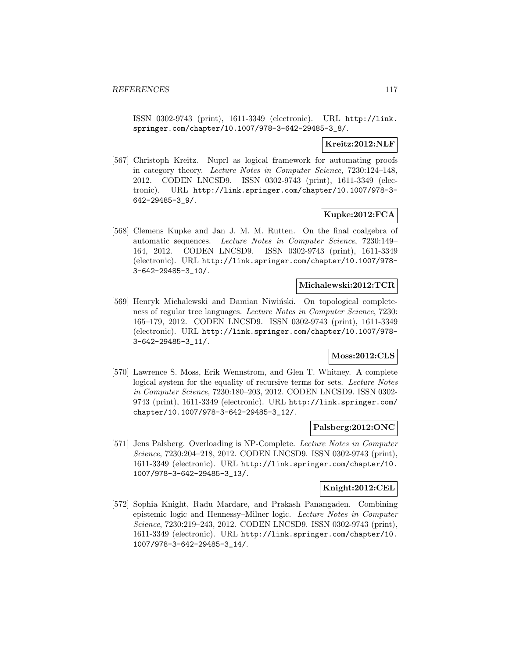ISSN 0302-9743 (print), 1611-3349 (electronic). URL http://link. springer.com/chapter/10.1007/978-3-642-29485-3\_8/.

## **Kreitz:2012:NLF**

[567] Christoph Kreitz. Nuprl as logical framework for automating proofs in category theory. Lecture Notes in Computer Science, 7230:124–148, 2012. CODEN LNCSD9. ISSN 0302-9743 (print), 1611-3349 (electronic). URL http://link.springer.com/chapter/10.1007/978-3- 642-29485-3\_9/.

## **Kupke:2012:FCA**

[568] Clemens Kupke and Jan J. M. M. Rutten. On the final coalgebra of automatic sequences. Lecture Notes in Computer Science, 7230:149– 164, 2012. CODEN LNCSD9. ISSN 0302-9743 (print), 1611-3349 (electronic). URL http://link.springer.com/chapter/10.1007/978- 3-642-29485-3\_10/.

#### **Michalewski:2012:TCR**

[569] Henryk Michalewski and Damian Niwiński. On topological completeness of regular tree languages. Lecture Notes in Computer Science, 7230: 165–179, 2012. CODEN LNCSD9. ISSN 0302-9743 (print), 1611-3349 (electronic). URL http://link.springer.com/chapter/10.1007/978- 3-642-29485-3\_11/.

## **Moss:2012:CLS**

[570] Lawrence S. Moss, Erik Wennstrom, and Glen T. Whitney. A complete logical system for the equality of recursive terms for sets. Lecture Notes in Computer Science, 7230:180–203, 2012. CODEN LNCSD9. ISSN 0302- 9743 (print), 1611-3349 (electronic). URL http://link.springer.com/ chapter/10.1007/978-3-642-29485-3\_12/.

### **Palsberg:2012:ONC**

[571] Jens Palsberg. Overloading is NP-Complete. Lecture Notes in Computer Science, 7230:204–218, 2012. CODEN LNCSD9. ISSN 0302-9743 (print), 1611-3349 (electronic). URL http://link.springer.com/chapter/10. 1007/978-3-642-29485-3\_13/.

### **Knight:2012:CEL**

[572] Sophia Knight, Radu Mardare, and Prakash Panangaden. Combining epistemic logic and Hennessy–Milner logic. Lecture Notes in Computer Science, 7230:219–243, 2012. CODEN LNCSD9. ISSN 0302-9743 (print), 1611-3349 (electronic). URL http://link.springer.com/chapter/10. 1007/978-3-642-29485-3\_14/.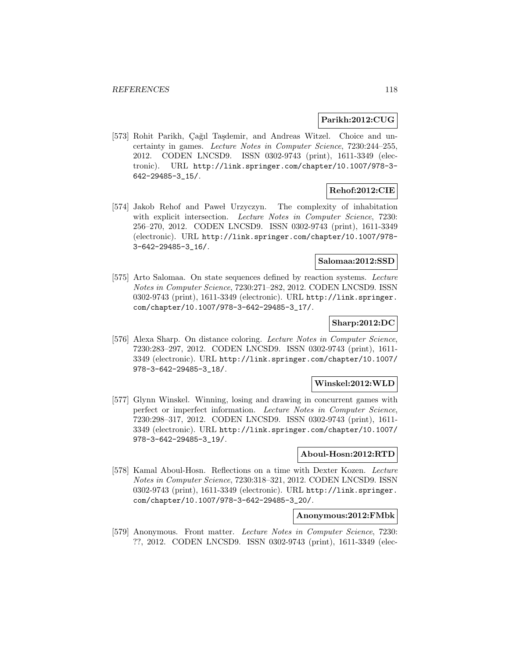### **Parikh:2012:CUG**

[573] Rohit Parikh, Çağıl Taşdemir, and Andreas Witzel. Choice and uncertainty in games. Lecture Notes in Computer Science, 7230:244–255, 2012. CODEN LNCSD9. ISSN 0302-9743 (print), 1611-3349 (electronic). URL http://link.springer.com/chapter/10.1007/978-3- 642-29485-3\_15/.

## **Rehof:2012:CIE**

[574] Jakob Rehof and Pawel Urzyczyn. The complexity of inhabitation with explicit intersection. Lecture Notes in Computer Science, 7230: 256–270, 2012. CODEN LNCSD9. ISSN 0302-9743 (print), 1611-3349 (electronic). URL http://link.springer.com/chapter/10.1007/978- 3-642-29485-3\_16/.

## **Salomaa:2012:SSD**

[575] Arto Salomaa. On state sequences defined by reaction systems. Lecture Notes in Computer Science, 7230:271–282, 2012. CODEN LNCSD9. ISSN 0302-9743 (print), 1611-3349 (electronic). URL http://link.springer. com/chapter/10.1007/978-3-642-29485-3\_17/.

## **Sharp:2012:DC**

[576] Alexa Sharp. On distance coloring. Lecture Notes in Computer Science, 7230:283–297, 2012. CODEN LNCSD9. ISSN 0302-9743 (print), 1611- 3349 (electronic). URL http://link.springer.com/chapter/10.1007/ 978-3-642-29485-3\_18/.

### **Winskel:2012:WLD**

[577] Glynn Winskel. Winning, losing and drawing in concurrent games with perfect or imperfect information. Lecture Notes in Computer Science, 7230:298–317, 2012. CODEN LNCSD9. ISSN 0302-9743 (print), 1611- 3349 (electronic). URL http://link.springer.com/chapter/10.1007/ 978-3-642-29485-3\_19/.

### **Aboul-Hosn:2012:RTD**

[578] Kamal Aboul-Hosn. Reflections on a time with Dexter Kozen. Lecture Notes in Computer Science, 7230:318–321, 2012. CODEN LNCSD9. ISSN 0302-9743 (print), 1611-3349 (electronic). URL http://link.springer. com/chapter/10.1007/978-3-642-29485-3\_20/.

#### **Anonymous:2012:FMbk**

[579] Anonymous. Front matter. Lecture Notes in Computer Science, 7230: ??, 2012. CODEN LNCSD9. ISSN 0302-9743 (print), 1611-3349 (elec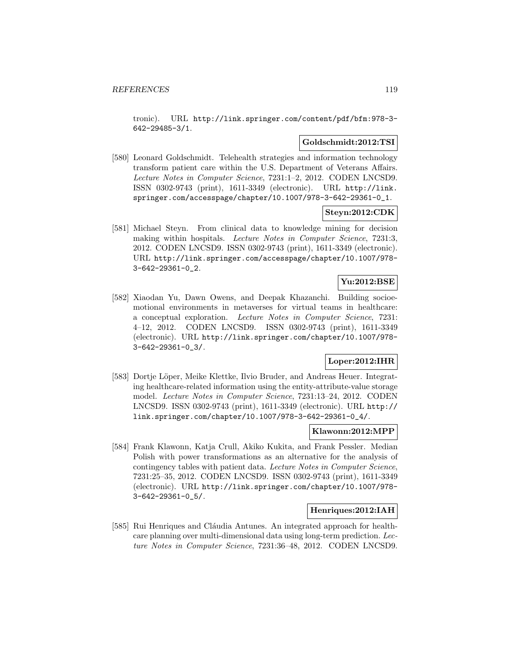tronic). URL http://link.springer.com/content/pdf/bfm:978-3- 642-29485-3/1.

#### **Goldschmidt:2012:TSI**

[580] Leonard Goldschmidt. Telehealth strategies and information technology transform patient care within the U.S. Department of Veterans Affairs. Lecture Notes in Computer Science, 7231:1–2, 2012. CODEN LNCSD9. ISSN 0302-9743 (print), 1611-3349 (electronic). URL http://link. springer.com/accesspage/chapter/10.1007/978-3-642-29361-0\_1.

### **Steyn:2012:CDK**

[581] Michael Steyn. From clinical data to knowledge mining for decision making within hospitals. Lecture Notes in Computer Science, 7231:3, 2012. CODEN LNCSD9. ISSN 0302-9743 (print), 1611-3349 (electronic). URL http://link.springer.com/accesspage/chapter/10.1007/978- 3-642-29361-0\_2.

# **Yu:2012:BSE**

[582] Xiaodan Yu, Dawn Owens, and Deepak Khazanchi. Building socioemotional environments in metaverses for virtual teams in healthcare: a conceptual exploration. Lecture Notes in Computer Science, 7231: 4–12, 2012. CODEN LNCSD9. ISSN 0302-9743 (print), 1611-3349 (electronic). URL http://link.springer.com/chapter/10.1007/978- 3-642-29361-0\_3/.

## **Loper:2012:IHR**

[583] Dortje Löper, Meike Klettke, Ilvio Bruder, and Andreas Heuer. Integrating healthcare-related information using the entity-attribute-value storage model. Lecture Notes in Computer Science, 7231:13–24, 2012. CODEN LNCSD9. ISSN 0302-9743 (print), 1611-3349 (electronic). URL http:// link.springer.com/chapter/10.1007/978-3-642-29361-0\_4/.

#### **Klawonn:2012:MPP**

[584] Frank Klawonn, Katja Crull, Akiko Kukita, and Frank Pessler. Median Polish with power transformations as an alternative for the analysis of contingency tables with patient data. Lecture Notes in Computer Science, 7231:25–35, 2012. CODEN LNCSD9. ISSN 0302-9743 (print), 1611-3349 (electronic). URL http://link.springer.com/chapter/10.1007/978- 3-642-29361-0\_5/.

# **Henriques:2012:IAH**

[585] Rui Henriques and Cláudia Antunes. An integrated approach for healthcare planning over multi-dimensional data using long-term prediction. Lecture Notes in Computer Science, 7231:36–48, 2012. CODEN LNCSD9.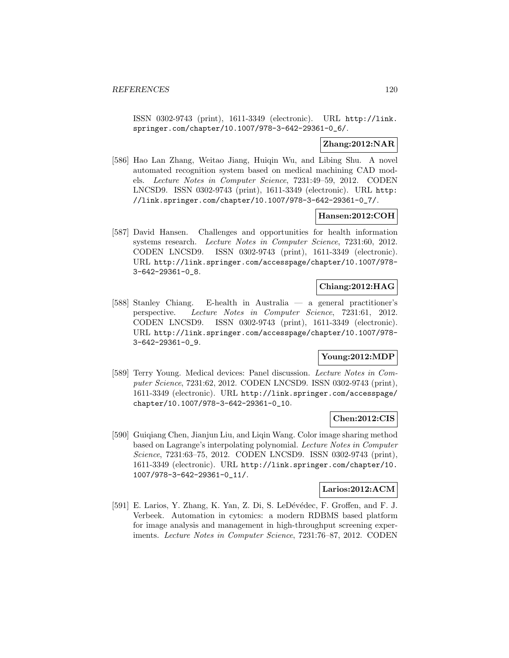ISSN 0302-9743 (print), 1611-3349 (electronic). URL http://link. springer.com/chapter/10.1007/978-3-642-29361-0\_6/.

## **Zhang:2012:NAR**

[586] Hao Lan Zhang, Weitao Jiang, Huiqin Wu, and Libing Shu. A novel automated recognition system based on medical machining CAD models. Lecture Notes in Computer Science, 7231:49–59, 2012. CODEN LNCSD9. ISSN 0302-9743 (print), 1611-3349 (electronic). URL http: //link.springer.com/chapter/10.1007/978-3-642-29361-0\_7/.

### **Hansen:2012:COH**

[587] David Hansen. Challenges and opportunities for health information systems research. Lecture Notes in Computer Science, 7231:60, 2012. CODEN LNCSD9. ISSN 0302-9743 (print), 1611-3349 (electronic). URL http://link.springer.com/accesspage/chapter/10.1007/978- 3-642-29361-0\_8.

## **Chiang:2012:HAG**

[588] Stanley Chiang. E-health in Australia — a general practitioner's perspective. Lecture Notes in Computer Science, 7231:61, 2012. CODEN LNCSD9. ISSN 0302-9743 (print), 1611-3349 (electronic). URL http://link.springer.com/accesspage/chapter/10.1007/978- 3-642-29361-0\_9.

# **Young:2012:MDP**

[589] Terry Young. Medical devices: Panel discussion. Lecture Notes in Computer Science, 7231:62, 2012. CODEN LNCSD9. ISSN 0302-9743 (print), 1611-3349 (electronic). URL http://link.springer.com/accesspage/ chapter/10.1007/978-3-642-29361-0\_10.

## **Chen:2012:CIS**

[590] Guiqiang Chen, Jianjun Liu, and Liqin Wang. Color image sharing method based on Lagrange's interpolating polynomial. Lecture Notes in Computer Science, 7231:63–75, 2012. CODEN LNCSD9. ISSN 0302-9743 (print), 1611-3349 (electronic). URL http://link.springer.com/chapter/10. 1007/978-3-642-29361-0\_11/.

### **Larios:2012:ACM**

[591] E. Larios, Y. Zhang, K. Yan, Z. Di, S. LeDévédec, F. Groffen, and F. J. Verbeek. Automation in cytomics: a modern RDBMS based platform for image analysis and management in high-throughput screening experiments. Lecture Notes in Computer Science, 7231:76–87, 2012. CODEN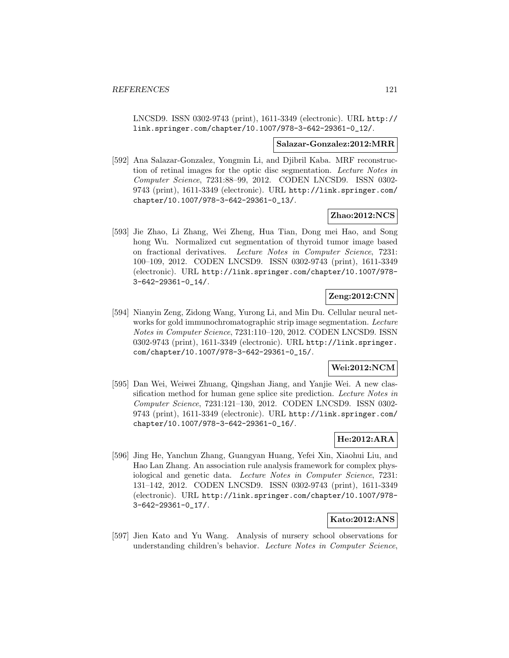LNCSD9. ISSN 0302-9743 (print), 1611-3349 (electronic). URL http:// link.springer.com/chapter/10.1007/978-3-642-29361-0\_12/.

#### **Salazar-Gonzalez:2012:MRR**

[592] Ana Salazar-Gonzalez, Yongmin Li, and Djibril Kaba. MRF reconstruction of retinal images for the optic disc segmentation. Lecture Notes in Computer Science, 7231:88–99, 2012. CODEN LNCSD9. ISSN 0302- 9743 (print), 1611-3349 (electronic). URL http://link.springer.com/ chapter/10.1007/978-3-642-29361-0\_13/.

### **Zhao:2012:NCS**

[593] Jie Zhao, Li Zhang, Wei Zheng, Hua Tian, Dong mei Hao, and Song hong Wu. Normalized cut segmentation of thyroid tumor image based on fractional derivatives. Lecture Notes in Computer Science, 7231: 100–109, 2012. CODEN LNCSD9. ISSN 0302-9743 (print), 1611-3349 (electronic). URL http://link.springer.com/chapter/10.1007/978- 3-642-29361-0\_14/.

# **Zeng:2012:CNN**

[594] Nianyin Zeng, Zidong Wang, Yurong Li, and Min Du. Cellular neural networks for gold immunochromatographic strip image segmentation. Lecture Notes in Computer Science, 7231:110–120, 2012. CODEN LNCSD9. ISSN 0302-9743 (print), 1611-3349 (electronic). URL http://link.springer. com/chapter/10.1007/978-3-642-29361-0\_15/.

#### **Wei:2012:NCM**

[595] Dan Wei, Weiwei Zhuang, Qingshan Jiang, and Yanjie Wei. A new classification method for human gene splice site prediction. Lecture Notes in Computer Science, 7231:121–130, 2012. CODEN LNCSD9. ISSN 0302- 9743 (print), 1611-3349 (electronic). URL http://link.springer.com/ chapter/10.1007/978-3-642-29361-0\_16/.

# **He:2012:ARA**

[596] Jing He, Yanchun Zhang, Guangyan Huang, Yefei Xin, Xiaohui Liu, and Hao Lan Zhang. An association rule analysis framework for complex physiological and genetic data. Lecture Notes in Computer Science, 7231: 131–142, 2012. CODEN LNCSD9. ISSN 0302-9743 (print), 1611-3349 (electronic). URL http://link.springer.com/chapter/10.1007/978- 3-642-29361-0\_17/.

### **Kato:2012:ANS**

[597] Jien Kato and Yu Wang. Analysis of nursery school observations for understanding children's behavior. Lecture Notes in Computer Science,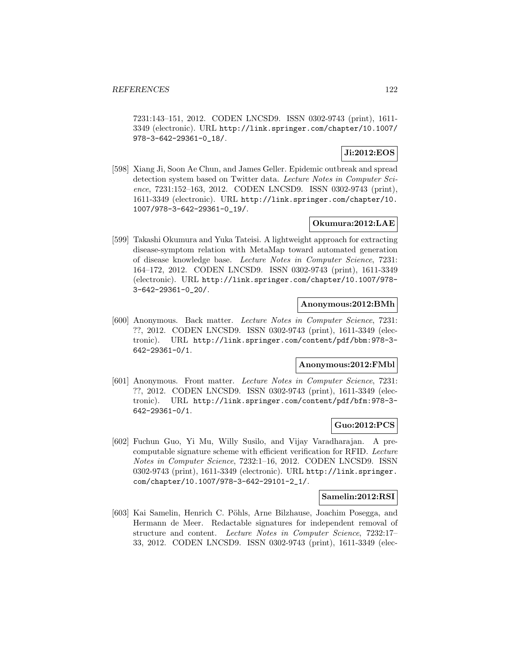7231:143–151, 2012. CODEN LNCSD9. ISSN 0302-9743 (print), 1611- 3349 (electronic). URL http://link.springer.com/chapter/10.1007/ 978-3-642-29361-0\_18/.

## **Ji:2012:EOS**

[598] Xiang Ji, Soon Ae Chun, and James Geller. Epidemic outbreak and spread detection system based on Twitter data. Lecture Notes in Computer Science, 7231:152–163, 2012. CODEN LNCSD9. ISSN 0302-9743 (print), 1611-3349 (electronic). URL http://link.springer.com/chapter/10. 1007/978-3-642-29361-0\_19/.

## **Okumura:2012:LAE**

[599] Takashi Okumura and Yuka Tateisi. A lightweight approach for extracting disease-symptom relation with MetaMap toward automated generation of disease knowledge base. Lecture Notes in Computer Science, 7231: 164–172, 2012. CODEN LNCSD9. ISSN 0302-9743 (print), 1611-3349 (electronic). URL http://link.springer.com/chapter/10.1007/978- 3-642-29361-0\_20/.

## **Anonymous:2012:BMh**

[600] Anonymous. Back matter. Lecture Notes in Computer Science, 7231: ??, 2012. CODEN LNCSD9. ISSN 0302-9743 (print), 1611-3349 (electronic). URL http://link.springer.com/content/pdf/bbm:978-3- 642-29361-0/1.

### **Anonymous:2012:FMbl**

[601] Anonymous. Front matter. Lecture Notes in Computer Science, 7231: ??, 2012. CODEN LNCSD9. ISSN 0302-9743 (print), 1611-3349 (electronic). URL http://link.springer.com/content/pdf/bfm:978-3- 642-29361-0/1.

## **Guo:2012:PCS**

[602] Fuchun Guo, Yi Mu, Willy Susilo, and Vijay Varadharajan. A precomputable signature scheme with efficient verification for RFID. Lecture Notes in Computer Science, 7232:1–16, 2012. CODEN LNCSD9. ISSN 0302-9743 (print), 1611-3349 (electronic). URL http://link.springer. com/chapter/10.1007/978-3-642-29101-2\_1/.

### **Samelin:2012:RSI**

[603] Kai Samelin, Henrich C. Pöhls, Arne Bilzhause, Joachim Posegga, and Hermann de Meer. Redactable signatures for independent removal of structure and content. Lecture Notes in Computer Science, 7232:17– 33, 2012. CODEN LNCSD9. ISSN 0302-9743 (print), 1611-3349 (elec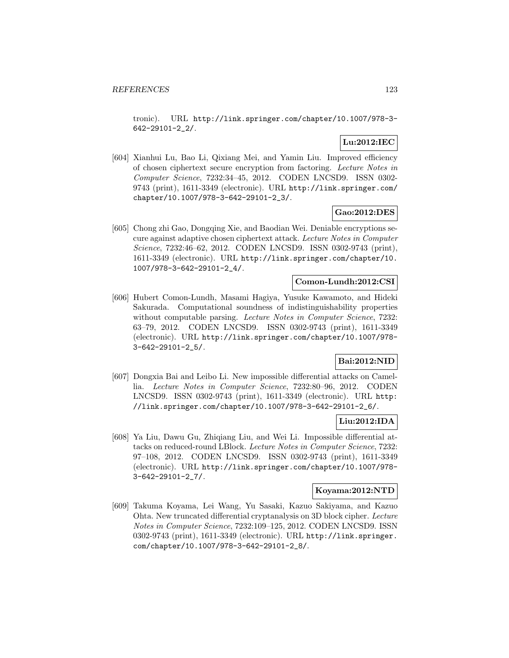tronic). URL http://link.springer.com/chapter/10.1007/978-3- 642-29101-2\_2/.

# **Lu:2012:IEC**

[604] Xianhui Lu, Bao Li, Qixiang Mei, and Yamin Liu. Improved efficiency of chosen ciphertext secure encryption from factoring. Lecture Notes in Computer Science, 7232:34–45, 2012. CODEN LNCSD9. ISSN 0302- 9743 (print), 1611-3349 (electronic). URL http://link.springer.com/ chapter/10.1007/978-3-642-29101-2\_3/.

## **Gao:2012:DES**

[605] Chong zhi Gao, Dongqing Xie, and Baodian Wei. Deniable encryptions secure against adaptive chosen ciphertext attack. Lecture Notes in Computer Science, 7232:46–62, 2012. CODEN LNCSD9. ISSN 0302-9743 (print), 1611-3349 (electronic). URL http://link.springer.com/chapter/10. 1007/978-3-642-29101-2\_4/.

## **Comon-Lundh:2012:CSI**

[606] Hubert Comon-Lundh, Masami Hagiya, Yusuke Kawamoto, and Hideki Sakurada. Computational soundness of indistinguishability properties without computable parsing. Lecture Notes in Computer Science, 7232: 63–79, 2012. CODEN LNCSD9. ISSN 0302-9743 (print), 1611-3349 (electronic). URL http://link.springer.com/chapter/10.1007/978- 3-642-29101-2\_5/.

# **Bai:2012:NID**

[607] Dongxia Bai and Leibo Li. New impossible differential attacks on Camellia. Lecture Notes in Computer Science, 7232:80–96, 2012. CODEN LNCSD9. ISSN 0302-9743 (print), 1611-3349 (electronic). URL http: //link.springer.com/chapter/10.1007/978-3-642-29101-2\_6/.

## **Liu:2012:IDA**

[608] Ya Liu, Dawu Gu, Zhiqiang Liu, and Wei Li. Impossible differential attacks on reduced-round LBlock. Lecture Notes in Computer Science, 7232: 97–108, 2012. CODEN LNCSD9. ISSN 0302-9743 (print), 1611-3349 (electronic). URL http://link.springer.com/chapter/10.1007/978- 3-642-29101-2\_7/.

#### **Koyama:2012:NTD**

[609] Takuma Koyama, Lei Wang, Yu Sasaki, Kazuo Sakiyama, and Kazuo Ohta. New truncated differential cryptanalysis on 3D block cipher. Lecture Notes in Computer Science, 7232:109–125, 2012. CODEN LNCSD9. ISSN 0302-9743 (print), 1611-3349 (electronic). URL http://link.springer. com/chapter/10.1007/978-3-642-29101-2\_8/.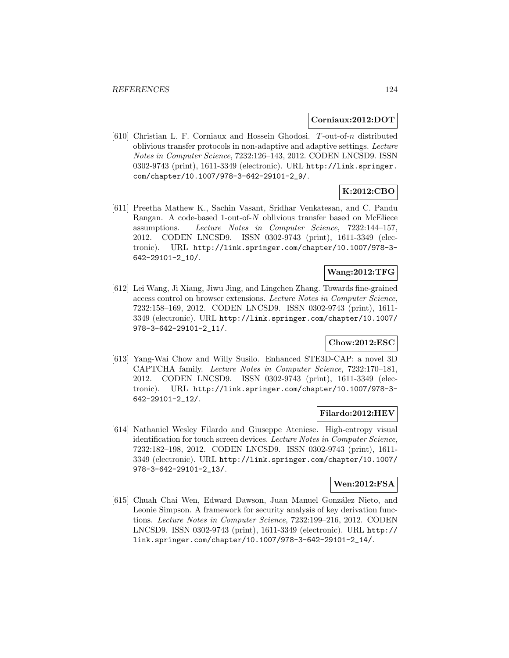#### **Corniaux:2012:DOT**

[610] Christian L. F. Corniaux and Hossein Ghodosi. T-out-of-n distributed oblivious transfer protocols in non-adaptive and adaptive settings. Lecture Notes in Computer Science, 7232:126–143, 2012. CODEN LNCSD9. ISSN 0302-9743 (print), 1611-3349 (electronic). URL http://link.springer. com/chapter/10.1007/978-3-642-29101-2\_9/.

# **K:2012:CBO**

[611] Preetha Mathew K., Sachin Vasant, Sridhar Venkatesan, and C. Pandu Rangan. A code-based 1-out-of-N oblivious transfer based on McEliece assumptions. Lecture Notes in Computer Science, 7232:144–157, 2012. CODEN LNCSD9. ISSN 0302-9743 (print), 1611-3349 (electronic). URL http://link.springer.com/chapter/10.1007/978-3- 642-29101-2\_10/.

## **Wang:2012:TFG**

[612] Lei Wang, Ji Xiang, Jiwu Jing, and Lingchen Zhang. Towards fine-grained access control on browser extensions. Lecture Notes in Computer Science, 7232:158–169, 2012. CODEN LNCSD9. ISSN 0302-9743 (print), 1611- 3349 (electronic). URL http://link.springer.com/chapter/10.1007/ 978-3-642-29101-2\_11/.

# **Chow:2012:ESC**

[613] Yang-Wai Chow and Willy Susilo. Enhanced STE3D-CAP: a novel 3D CAPTCHA family. Lecture Notes in Computer Science, 7232:170–181, 2012. CODEN LNCSD9. ISSN 0302-9743 (print), 1611-3349 (electronic). URL http://link.springer.com/chapter/10.1007/978-3- 642-29101-2\_12/.

### **Filardo:2012:HEV**

[614] Nathaniel Wesley Filardo and Giuseppe Ateniese. High-entropy visual identification for touch screen devices. Lecture Notes in Computer Science, 7232:182–198, 2012. CODEN LNCSD9. ISSN 0302-9743 (print), 1611- 3349 (electronic). URL http://link.springer.com/chapter/10.1007/ 978-3-642-29101-2\_13/.

## **Wen:2012:FSA**

[615] Chuah Chai Wen, Edward Dawson, Juan Manuel González Nieto, and Leonie Simpson. A framework for security analysis of key derivation functions. Lecture Notes in Computer Science, 7232:199–216, 2012. CODEN LNCSD9. ISSN 0302-9743 (print), 1611-3349 (electronic). URL http:// link.springer.com/chapter/10.1007/978-3-642-29101-2\_14/.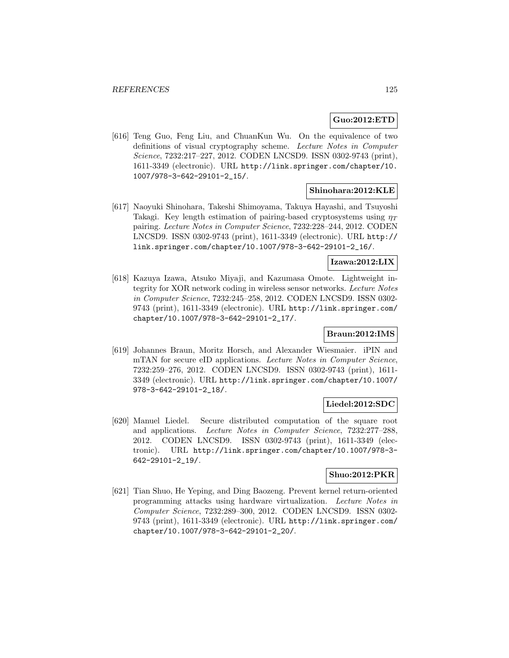## **Guo:2012:ETD**

[616] Teng Guo, Feng Liu, and ChuanKun Wu. On the equivalence of two definitions of visual cryptography scheme. Lecture Notes in Computer Science, 7232:217–227, 2012. CODEN LNCSD9. ISSN 0302-9743 (print), 1611-3349 (electronic). URL http://link.springer.com/chapter/10. 1007/978-3-642-29101-2\_15/.

#### **Shinohara:2012:KLE**

[617] Naoyuki Shinohara, Takeshi Shimoyama, Takuya Hayashi, and Tsuyoshi Takagi. Key length estimation of pairing-based cryptosystems using  $\eta_T$ pairing. Lecture Notes in Computer Science, 7232:228–244, 2012. CODEN LNCSD9. ISSN 0302-9743 (print), 1611-3349 (electronic). URL http:// link.springer.com/chapter/10.1007/978-3-642-29101-2\_16/.

#### **Izawa:2012:LIX**

[618] Kazuya Izawa, Atsuko Miyaji, and Kazumasa Omote. Lightweight integrity for XOR network coding in wireless sensor networks. Lecture Notes in Computer Science, 7232:245–258, 2012. CODEN LNCSD9. ISSN 0302- 9743 (print), 1611-3349 (electronic). URL http://link.springer.com/ chapter/10.1007/978-3-642-29101-2\_17/.

## **Braun:2012:IMS**

[619] Johannes Braun, Moritz Horsch, and Alexander Wiesmaier. iPIN and mTAN for secure eID applications. Lecture Notes in Computer Science, 7232:259–276, 2012. CODEN LNCSD9. ISSN 0302-9743 (print), 1611- 3349 (electronic). URL http://link.springer.com/chapter/10.1007/ 978-3-642-29101-2\_18/.

## **Liedel:2012:SDC**

[620] Manuel Liedel. Secure distributed computation of the square root and applications. Lecture Notes in Computer Science, 7232:277–288, 2012. CODEN LNCSD9. ISSN 0302-9743 (print), 1611-3349 (electronic). URL http://link.springer.com/chapter/10.1007/978-3- 642-29101-2\_19/.

### **Shuo:2012:PKR**

[621] Tian Shuo, He Yeping, and Ding Baozeng. Prevent kernel return-oriented programming attacks using hardware virtualization. Lecture Notes in Computer Science, 7232:289–300, 2012. CODEN LNCSD9. ISSN 0302- 9743 (print), 1611-3349 (electronic). URL http://link.springer.com/ chapter/10.1007/978-3-642-29101-2\_20/.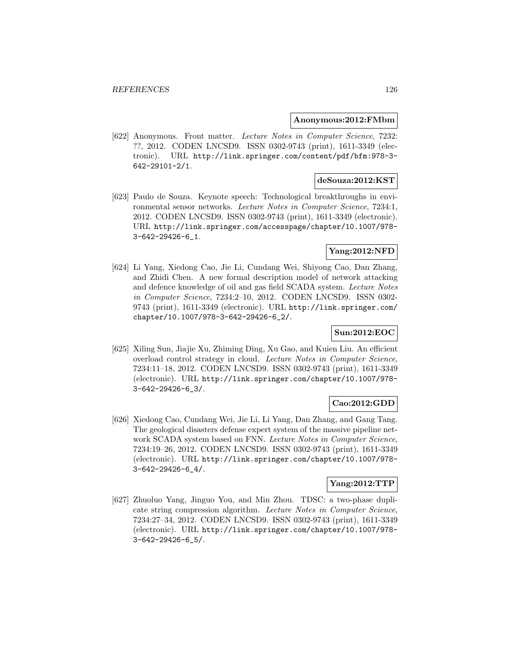#### **Anonymous:2012:FMbm**

[622] Anonymous. Front matter. Lecture Notes in Computer Science, 7232: ??, 2012. CODEN LNCSD9. ISSN 0302-9743 (print), 1611-3349 (electronic). URL http://link.springer.com/content/pdf/bfm:978-3- 642-29101-2/1.

# **deSouza:2012:KST**

[623] Paulo de Souza. Keynote speech: Technological breakthroughs in environmental sensor networks. Lecture Notes in Computer Science, 7234:1, 2012. CODEN LNCSD9. ISSN 0302-9743 (print), 1611-3349 (electronic). URL http://link.springer.com/accesspage/chapter/10.1007/978- 3-642-29426-6\_1.

# **Yang:2012:NFD**

[624] Li Yang, Xiedong Cao, Jie Li, Cundang Wei, Shiyong Cao, Dan Zhang, and Zhidi Chen. A new formal description model of network attacking and defence knowledge of oil and gas field SCADA system. Lecture Notes in Computer Science, 7234:2–10, 2012. CODEN LNCSD9. ISSN 0302- 9743 (print), 1611-3349 (electronic). URL http://link.springer.com/ chapter/10.1007/978-3-642-29426-6\_2/.

## **Sun:2012:EOC**

[625] Xiling Sun, Jiajie Xu, Zhiming Ding, Xu Gao, and Kuien Liu. An efficient overload control strategy in cloud. Lecture Notes in Computer Science, 7234:11–18, 2012. CODEN LNCSD9. ISSN 0302-9743 (print), 1611-3349 (electronic). URL http://link.springer.com/chapter/10.1007/978- 3-642-29426-6\_3/.

### **Cao:2012:GDD**

[626] Xiedong Cao, Cundang Wei, Jie Li, Li Yang, Dan Zhang, and Gang Tang. The geological disasters defense expert system of the massive pipeline network SCADA system based on FNN. Lecture Notes in Computer Science, 7234:19–26, 2012. CODEN LNCSD9. ISSN 0302-9743 (print), 1611-3349 (electronic). URL http://link.springer.com/chapter/10.1007/978- 3-642-29426-6\_4/.

## **Yang:2012:TTP**

[627] Zhuoluo Yang, Jinguo You, and Min Zhou. TDSC: a two-phase duplicate string compression algorithm. Lecture Notes in Computer Science, 7234:27–34, 2012. CODEN LNCSD9. ISSN 0302-9743 (print), 1611-3349 (electronic). URL http://link.springer.com/chapter/10.1007/978- 3-642-29426-6\_5/.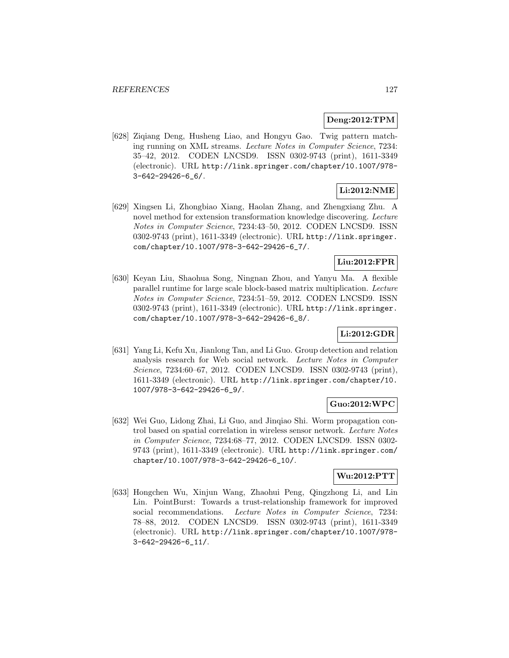## **Deng:2012:TPM**

[628] Ziqiang Deng, Husheng Liao, and Hongyu Gao. Twig pattern matching running on XML streams. Lecture Notes in Computer Science, 7234: 35–42, 2012. CODEN LNCSD9. ISSN 0302-9743 (print), 1611-3349 (electronic). URL http://link.springer.com/chapter/10.1007/978- 3-642-29426-6\_6/.

# **Li:2012:NME**

[629] Xingsen Li, Zhongbiao Xiang, Haolan Zhang, and Zhengxiang Zhu. A novel method for extension transformation knowledge discovering. Lecture Notes in Computer Science, 7234:43–50, 2012. CODEN LNCSD9. ISSN 0302-9743 (print), 1611-3349 (electronic). URL http://link.springer. com/chapter/10.1007/978-3-642-29426-6\_7/.

## **Liu:2012:FPR**

[630] Keyan Liu, Shaohua Song, Ningnan Zhou, and Yanyu Ma. A flexible parallel runtime for large scale block-based matrix multiplication. Lecture Notes in Computer Science, 7234:51–59, 2012. CODEN LNCSD9. ISSN 0302-9743 (print), 1611-3349 (electronic). URL http://link.springer. com/chapter/10.1007/978-3-642-29426-6\_8/.

# **Li:2012:GDR**

[631] Yang Li, Kefu Xu, Jianlong Tan, and Li Guo. Group detection and relation analysis research for Web social network. Lecture Notes in Computer Science, 7234:60–67, 2012. CODEN LNCSD9. ISSN 0302-9743 (print), 1611-3349 (electronic). URL http://link.springer.com/chapter/10. 1007/978-3-642-29426-6\_9/.

## **Guo:2012:WPC**

[632] Wei Guo, Lidong Zhai, Li Guo, and Jinqiao Shi. Worm propagation control based on spatial correlation in wireless sensor network. Lecture Notes in Computer Science, 7234:68–77, 2012. CODEN LNCSD9. ISSN 0302- 9743 (print), 1611-3349 (electronic). URL http://link.springer.com/ chapter/10.1007/978-3-642-29426-6\_10/.

## **Wu:2012:PTT**

[633] Hongchen Wu, Xinjun Wang, Zhaohui Peng, Qingzhong Li, and Lin Lin. PointBurst: Towards a trust-relationship framework for improved social recommendations. Lecture Notes in Computer Science, 7234: 78–88, 2012. CODEN LNCSD9. ISSN 0302-9743 (print), 1611-3349 (electronic). URL http://link.springer.com/chapter/10.1007/978- 3-642-29426-6\_11/.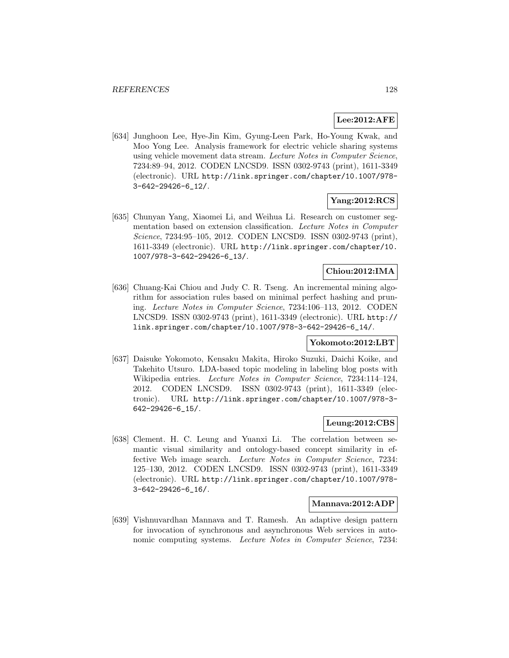## **Lee:2012:AFE**

[634] Junghoon Lee, Hye-Jin Kim, Gyung-Leen Park, Ho-Young Kwak, and Moo Yong Lee. Analysis framework for electric vehicle sharing systems using vehicle movement data stream. Lecture Notes in Computer Science, 7234:89–94, 2012. CODEN LNCSD9. ISSN 0302-9743 (print), 1611-3349 (electronic). URL http://link.springer.com/chapter/10.1007/978- 3-642-29426-6\_12/.

## **Yang:2012:RCS**

[635] Chunyan Yang, Xiaomei Li, and Weihua Li. Research on customer segmentation based on extension classification. Lecture Notes in Computer Science, 7234:95–105, 2012. CODEN LNCSD9. ISSN 0302-9743 (print), 1611-3349 (electronic). URL http://link.springer.com/chapter/10. 1007/978-3-642-29426-6\_13/.

# **Chiou:2012:IMA**

[636] Chuang-Kai Chiou and Judy C. R. Tseng. An incremental mining algorithm for association rules based on minimal perfect hashing and pruning. Lecture Notes in Computer Science, 7234:106–113, 2012. CODEN LNCSD9. ISSN 0302-9743 (print), 1611-3349 (electronic). URL http:// link.springer.com/chapter/10.1007/978-3-642-29426-6\_14/.

## **Yokomoto:2012:LBT**

[637] Daisuke Yokomoto, Kensaku Makita, Hiroko Suzuki, Daichi Koike, and Takehito Utsuro. LDA-based topic modeling in labeling blog posts with Wikipedia entries. Lecture Notes in Computer Science, 7234:114–124, 2012. CODEN LNCSD9. ISSN 0302-9743 (print), 1611-3349 (electronic). URL http://link.springer.com/chapter/10.1007/978-3- 642-29426-6\_15/.

## **Leung:2012:CBS**

[638] Clement. H. C. Leung and Yuanxi Li. The correlation between semantic visual similarity and ontology-based concept similarity in effective Web image search. Lecture Notes in Computer Science, 7234: 125–130, 2012. CODEN LNCSD9. ISSN 0302-9743 (print), 1611-3349 (electronic). URL http://link.springer.com/chapter/10.1007/978- 3-642-29426-6\_16/.

#### **Mannava:2012:ADP**

[639] Vishnuvardhan Mannava and T. Ramesh. An adaptive design pattern for invocation of synchronous and asynchronous Web services in autonomic computing systems. Lecture Notes in Computer Science, 7234: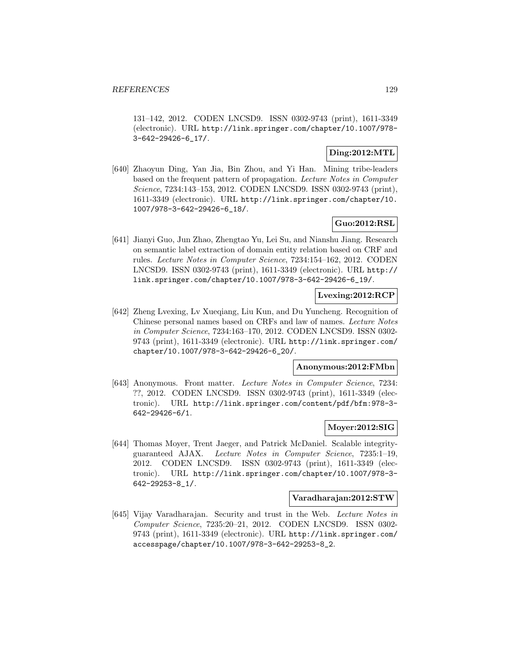131–142, 2012. CODEN LNCSD9. ISSN 0302-9743 (print), 1611-3349 (electronic). URL http://link.springer.com/chapter/10.1007/978- 3-642-29426-6\_17/.

## **Ding:2012:MTL**

[640] Zhaoyun Ding, Yan Jia, Bin Zhou, and Yi Han. Mining tribe-leaders based on the frequent pattern of propagation. Lecture Notes in Computer Science, 7234:143–153, 2012. CODEN LNCSD9. ISSN 0302-9743 (print), 1611-3349 (electronic). URL http://link.springer.com/chapter/10. 1007/978-3-642-29426-6\_18/.

# **Guo:2012:RSL**

[641] Jianyi Guo, Jun Zhao, Zhengtao Yu, Lei Su, and Nianshu Jiang. Research on semantic label extraction of domain entity relation based on CRF and rules. Lecture Notes in Computer Science, 7234:154–162, 2012. CODEN LNCSD9. ISSN 0302-9743 (print), 1611-3349 (electronic). URL http:// link.springer.com/chapter/10.1007/978-3-642-29426-6\_19/.

### **Lvexing:2012:RCP**

[642] Zheng Lvexing, Lv Xueqiang, Liu Kun, and Du Yuncheng. Recognition of Chinese personal names based on CRFs and law of names. Lecture Notes in Computer Science, 7234:163–170, 2012. CODEN LNCSD9. ISSN 0302- 9743 (print), 1611-3349 (electronic). URL http://link.springer.com/ chapter/10.1007/978-3-642-29426-6\_20/.

#### **Anonymous:2012:FMbn**

[643] Anonymous. Front matter. Lecture Notes in Computer Science, 7234: ??, 2012. CODEN LNCSD9. ISSN 0302-9743 (print), 1611-3349 (electronic). URL http://link.springer.com/content/pdf/bfm:978-3- 642-29426-6/1.

# **Moyer:2012:SIG**

[644] Thomas Moyer, Trent Jaeger, and Patrick McDaniel. Scalable integrityguaranteed AJAX. Lecture Notes in Computer Science, 7235:1–19, 2012. CODEN LNCSD9. ISSN 0302-9743 (print), 1611-3349 (electronic). URL http://link.springer.com/chapter/10.1007/978-3- 642-29253-8\_1/.

#### **Varadharajan:2012:STW**

[645] Vijay Varadharajan. Security and trust in the Web. Lecture Notes in Computer Science, 7235:20–21, 2012. CODEN LNCSD9. ISSN 0302- 9743 (print), 1611-3349 (electronic). URL http://link.springer.com/ accesspage/chapter/10.1007/978-3-642-29253-8\_2.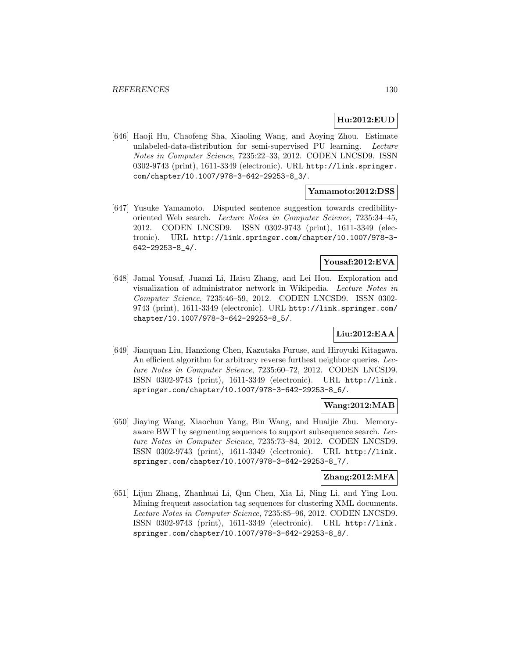# **Hu:2012:EUD**

[646] Haoji Hu, Chaofeng Sha, Xiaoling Wang, and Aoying Zhou. Estimate unlabeled-data-distribution for semi-supervised PU learning. Lecture Notes in Computer Science, 7235:22–33, 2012. CODEN LNCSD9. ISSN 0302-9743 (print), 1611-3349 (electronic). URL http://link.springer. com/chapter/10.1007/978-3-642-29253-8\_3/.

### **Yamamoto:2012:DSS**

[647] Yusuke Yamamoto. Disputed sentence suggestion towards credibilityoriented Web search. Lecture Notes in Computer Science, 7235:34–45, 2012. CODEN LNCSD9. ISSN 0302-9743 (print), 1611-3349 (electronic). URL http://link.springer.com/chapter/10.1007/978-3- 642-29253-8\_4/.

#### **Yousaf:2012:EVA**

[648] Jamal Yousaf, Juanzi Li, Haisu Zhang, and Lei Hou. Exploration and visualization of administrator network in Wikipedia. Lecture Notes in Computer Science, 7235:46–59, 2012. CODEN LNCSD9. ISSN 0302- 9743 (print), 1611-3349 (electronic). URL http://link.springer.com/ chapter/10.1007/978-3-642-29253-8\_5/.

# **Liu:2012:EAA**

[649] Jianquan Liu, Hanxiong Chen, Kazutaka Furuse, and Hiroyuki Kitagawa. An efficient algorithm for arbitrary reverse furthest neighbor queries. Lecture Notes in Computer Science, 7235:60–72, 2012. CODEN LNCSD9. ISSN 0302-9743 (print), 1611-3349 (electronic). URL http://link. springer.com/chapter/10.1007/978-3-642-29253-8\_6/.

### **Wang:2012:MAB**

[650] Jiaying Wang, Xiaochun Yang, Bin Wang, and Huaijie Zhu. Memoryaware BWT by segmenting sequences to support subsequence search. Lecture Notes in Computer Science, 7235:73–84, 2012. CODEN LNCSD9. ISSN 0302-9743 (print), 1611-3349 (electronic). URL http://link. springer.com/chapter/10.1007/978-3-642-29253-8\_7/.

## **Zhang:2012:MFA**

[651] Lijun Zhang, Zhanhuai Li, Qun Chen, Xia Li, Ning Li, and Ying Lou. Mining frequent association tag sequences for clustering XML documents. Lecture Notes in Computer Science, 7235:85–96, 2012. CODEN LNCSD9. ISSN 0302-9743 (print), 1611-3349 (electronic). URL http://link. springer.com/chapter/10.1007/978-3-642-29253-8\_8/.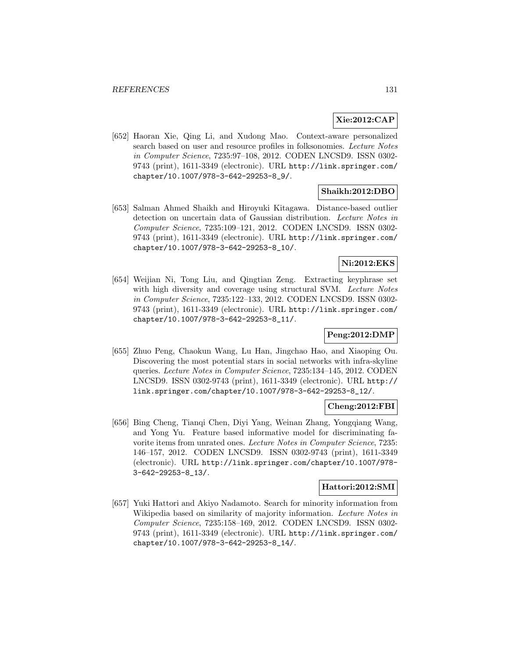## **Xie:2012:CAP**

[652] Haoran Xie, Qing Li, and Xudong Mao. Context-aware personalized search based on user and resource profiles in folksonomies. Lecture Notes in Computer Science, 7235:97–108, 2012. CODEN LNCSD9. ISSN 0302- 9743 (print), 1611-3349 (electronic). URL http://link.springer.com/ chapter/10.1007/978-3-642-29253-8\_9/.

## **Shaikh:2012:DBO**

[653] Salman Ahmed Shaikh and Hiroyuki Kitagawa. Distance-based outlier detection on uncertain data of Gaussian distribution. Lecture Notes in Computer Science, 7235:109–121, 2012. CODEN LNCSD9. ISSN 0302- 9743 (print), 1611-3349 (electronic). URL http://link.springer.com/ chapter/10.1007/978-3-642-29253-8\_10/.

## **Ni:2012:EKS**

[654] Weijian Ni, Tong Liu, and Qingtian Zeng. Extracting keyphrase set with high diversity and coverage using structural SVM. Lecture Notes in Computer Science, 7235:122–133, 2012. CODEN LNCSD9. ISSN 0302- 9743 (print), 1611-3349 (electronic). URL http://link.springer.com/ chapter/10.1007/978-3-642-29253-8\_11/.

## **Peng:2012:DMP**

[655] Zhuo Peng, Chaokun Wang, Lu Han, Jingchao Hao, and Xiaoping Ou. Discovering the most potential stars in social networks with infra-skyline queries. Lecture Notes in Computer Science, 7235:134–145, 2012. CODEN LNCSD9. ISSN 0302-9743 (print), 1611-3349 (electronic). URL http:// link.springer.com/chapter/10.1007/978-3-642-29253-8\_12/.

## **Cheng:2012:FBI**

[656] Bing Cheng, Tianqi Chen, Diyi Yang, Weinan Zhang, Yongqiang Wang, and Yong Yu. Feature based informative model for discriminating favorite items from unrated ones. Lecture Notes in Computer Science, 7235: 146–157, 2012. CODEN LNCSD9. ISSN 0302-9743 (print), 1611-3349 (electronic). URL http://link.springer.com/chapter/10.1007/978- 3-642-29253-8\_13/.

#### **Hattori:2012:SMI**

[657] Yuki Hattori and Akiyo Nadamoto. Search for minority information from Wikipedia based on similarity of majority information. Lecture Notes in Computer Science, 7235:158–169, 2012. CODEN LNCSD9. ISSN 0302- 9743 (print), 1611-3349 (electronic). URL http://link.springer.com/ chapter/10.1007/978-3-642-29253-8\_14/.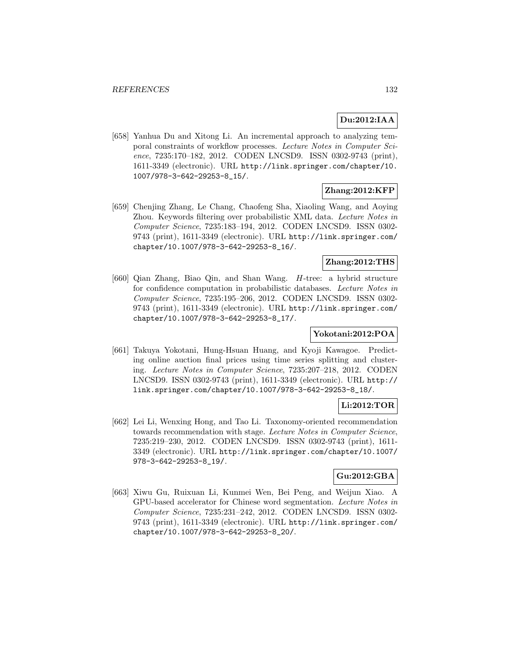# **Du:2012:IAA**

[658] Yanhua Du and Xitong Li. An incremental approach to analyzing temporal constraints of workflow processes. Lecture Notes in Computer Science, 7235:170–182, 2012. CODEN LNCSD9. ISSN 0302-9743 (print), 1611-3349 (electronic). URL http://link.springer.com/chapter/10. 1007/978-3-642-29253-8\_15/.

## **Zhang:2012:KFP**

[659] Chenjing Zhang, Le Chang, Chaofeng Sha, Xiaoling Wang, and Aoying Zhou. Keywords filtering over probabilistic XML data. Lecture Notes in Computer Science, 7235:183–194, 2012. CODEN LNCSD9. ISSN 0302- 9743 (print), 1611-3349 (electronic). URL http://link.springer.com/ chapter/10.1007/978-3-642-29253-8\_16/.

# **Zhang:2012:THS**

[660] Qian Zhang, Biao Qin, and Shan Wang. H-tree: a hybrid structure for confidence computation in probabilistic databases. Lecture Notes in Computer Science, 7235:195–206, 2012. CODEN LNCSD9. ISSN 0302- 9743 (print), 1611-3349 (electronic). URL http://link.springer.com/ chapter/10.1007/978-3-642-29253-8\_17/.

# **Yokotani:2012:POA**

[661] Takuya Yokotani, Hung-Hsuan Huang, and Kyoji Kawagoe. Predicting online auction final prices using time series splitting and clustering. Lecture Notes in Computer Science, 7235:207–218, 2012. CODEN LNCSD9. ISSN 0302-9743 (print), 1611-3349 (electronic). URL http:// link.springer.com/chapter/10.1007/978-3-642-29253-8\_18/.

### **Li:2012:TOR**

[662] Lei Li, Wenxing Hong, and Tao Li. Taxonomy-oriented recommendation towards recommendation with stage. Lecture Notes in Computer Science, 7235:219–230, 2012. CODEN LNCSD9. ISSN 0302-9743 (print), 1611- 3349 (electronic). URL http://link.springer.com/chapter/10.1007/ 978-3-642-29253-8\_19/.

## **Gu:2012:GBA**

[663] Xiwu Gu, Ruixuan Li, Kunmei Wen, Bei Peng, and Weijun Xiao. A GPU-based accelerator for Chinese word segmentation. Lecture Notes in Computer Science, 7235:231–242, 2012. CODEN LNCSD9. ISSN 0302- 9743 (print), 1611-3349 (electronic). URL http://link.springer.com/ chapter/10.1007/978-3-642-29253-8\_20/.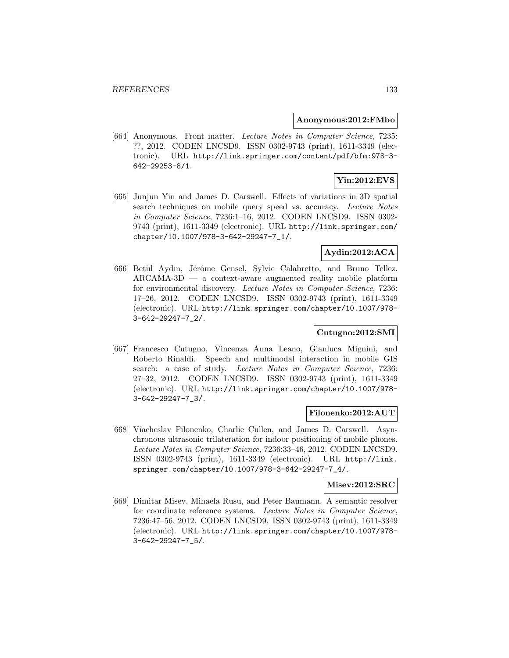#### **Anonymous:2012:FMbo**

[664] Anonymous. Front matter. Lecture Notes in Computer Science, 7235: ??, 2012. CODEN LNCSD9. ISSN 0302-9743 (print), 1611-3349 (electronic). URL http://link.springer.com/content/pdf/bfm:978-3- 642-29253-8/1.

# **Yin:2012:EVS**

[665] Junjun Yin and James D. Carswell. Effects of variations in 3D spatial search techniques on mobile query speed vs. accuracy. Lecture Notes in Computer Science, 7236:1–16, 2012. CODEN LNCSD9. ISSN 0302- 9743 (print), 1611-3349 (electronic). URL http://link.springer.com/ chapter/10.1007/978-3-642-29247-7\_1/.

# **Aydin:2012:ACA**

[666] Betül Aydın, Jérôme Gensel, Sylvie Calabretto, and Bruno Tellez.  $ARCAMA-3D$  — a context-aware augmented reality mobile platform for environmental discovery. Lecture Notes in Computer Science, 7236: 17–26, 2012. CODEN LNCSD9. ISSN 0302-9743 (print), 1611-3349 (electronic). URL http://link.springer.com/chapter/10.1007/978- 3-642-29247-7\_2/.

# **Cutugno:2012:SMI**

[667] Francesco Cutugno, Vincenza Anna Leano, Gianluca Mignini, and Roberto Rinaldi. Speech and multimodal interaction in mobile GIS search: a case of study. Lecture Notes in Computer Science, 7236: 27–32, 2012. CODEN LNCSD9. ISSN 0302-9743 (print), 1611-3349 (electronic). URL http://link.springer.com/chapter/10.1007/978- 3-642-29247-7\_3/.

### **Filonenko:2012:AUT**

[668] Viacheslav Filonenko, Charlie Cullen, and James D. Carswell. Asynchronous ultrasonic trilateration for indoor positioning of mobile phones. Lecture Notes in Computer Science, 7236:33–46, 2012. CODEN LNCSD9. ISSN 0302-9743 (print), 1611-3349 (electronic). URL http://link. springer.com/chapter/10.1007/978-3-642-29247-7\_4/.

### **Misev:2012:SRC**

[669] Dimitar Misev, Mihaela Rusu, and Peter Baumann. A semantic resolver for coordinate reference systems. Lecture Notes in Computer Science, 7236:47–56, 2012. CODEN LNCSD9. ISSN 0302-9743 (print), 1611-3349 (electronic). URL http://link.springer.com/chapter/10.1007/978- 3-642-29247-7\_5/.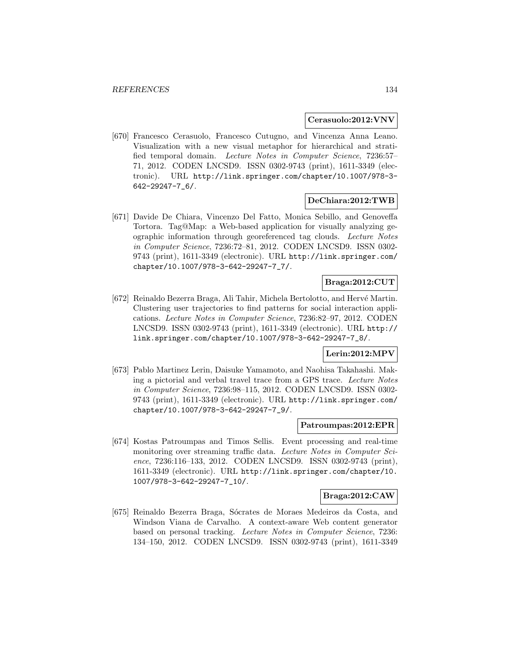#### **Cerasuolo:2012:VNV**

[670] Francesco Cerasuolo, Francesco Cutugno, and Vincenza Anna Leano. Visualization with a new visual metaphor for hierarchical and stratified temporal domain. Lecture Notes in Computer Science, 7236:57– 71, 2012. CODEN LNCSD9. ISSN 0302-9743 (print), 1611-3349 (electronic). URL http://link.springer.com/chapter/10.1007/978-3- 642-29247-7\_6/.

### **DeChiara:2012:TWB**

[671] Davide De Chiara, Vincenzo Del Fatto, Monica Sebillo, and Genoveffa Tortora. Tag@Map: a Web-based application for visually analyzing geographic information through georeferenced tag clouds. Lecture Notes in Computer Science, 7236:72–81, 2012. CODEN LNCSD9. ISSN 0302- 9743 (print), 1611-3349 (electronic). URL http://link.springer.com/ chapter/10.1007/978-3-642-29247-7\_7/.

## **Braga:2012:CUT**

[672] Reinaldo Bezerra Braga, Ali Tahir, Michela Bertolotto, and Hervé Martin. Clustering user trajectories to find patterns for social interaction applications. Lecture Notes in Computer Science, 7236:82–97, 2012. CODEN LNCSD9. ISSN 0302-9743 (print), 1611-3349 (electronic). URL http:// link.springer.com/chapter/10.1007/978-3-642-29247-7\_8/.

## **Lerin:2012:MPV**

[673] Pablo Martinez Lerin, Daisuke Yamamoto, and Naohisa Takahashi. Making a pictorial and verbal travel trace from a GPS trace. Lecture Notes in Computer Science, 7236:98–115, 2012. CODEN LNCSD9. ISSN 0302- 9743 (print), 1611-3349 (electronic). URL http://link.springer.com/ chapter/10.1007/978-3-642-29247-7\_9/.

#### **Patroumpas:2012:EPR**

[674] Kostas Patroumpas and Timos Sellis. Event processing and real-time monitoring over streaming traffic data. Lecture Notes in Computer Science, 7236:116–133, 2012. CODEN LNCSD9. ISSN 0302-9743 (print), 1611-3349 (electronic). URL http://link.springer.com/chapter/10. 1007/978-3-642-29247-7\_10/.

### **Braga:2012:CAW**

[675] Reinaldo Bezerra Braga, Sócrates de Moraes Medeiros da Costa, and Windson Viana de Carvalho. A context-aware Web content generator based on personal tracking. Lecture Notes in Computer Science, 7236: 134–150, 2012. CODEN LNCSD9. ISSN 0302-9743 (print), 1611-3349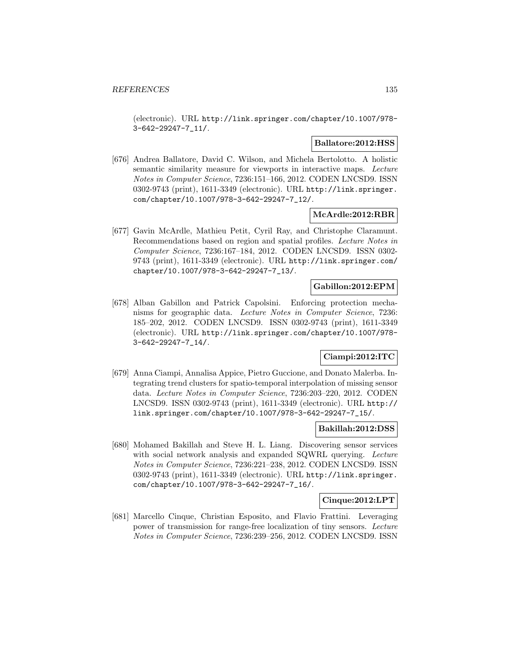(electronic). URL http://link.springer.com/chapter/10.1007/978- 3-642-29247-7\_11/.

#### **Ballatore:2012:HSS**

[676] Andrea Ballatore, David C. Wilson, and Michela Bertolotto. A holistic semantic similarity measure for viewports in interactive maps. Lecture Notes in Computer Science, 7236:151–166, 2012. CODEN LNCSD9. ISSN 0302-9743 (print), 1611-3349 (electronic). URL http://link.springer. com/chapter/10.1007/978-3-642-29247-7\_12/.

## **McArdle:2012:RBR**

[677] Gavin McArdle, Mathieu Petit, Cyril Ray, and Christophe Claramunt. Recommendations based on region and spatial profiles. Lecture Notes in Computer Science, 7236:167–184, 2012. CODEN LNCSD9. ISSN 0302- 9743 (print), 1611-3349 (electronic). URL http://link.springer.com/ chapter/10.1007/978-3-642-29247-7\_13/.

## **Gabillon:2012:EPM**

[678] Alban Gabillon and Patrick Capolsini. Enforcing protection mechanisms for geographic data. Lecture Notes in Computer Science, 7236: 185–202, 2012. CODEN LNCSD9. ISSN 0302-9743 (print), 1611-3349 (electronic). URL http://link.springer.com/chapter/10.1007/978- 3-642-29247-7\_14/.

# **Ciampi:2012:ITC**

[679] Anna Ciampi, Annalisa Appice, Pietro Guccione, and Donato Malerba. Integrating trend clusters for spatio-temporal interpolation of missing sensor data. Lecture Notes in Computer Science, 7236:203–220, 2012. CODEN LNCSD9. ISSN 0302-9743 (print), 1611-3349 (electronic). URL http:// link.springer.com/chapter/10.1007/978-3-642-29247-7\_15/.

## **Bakillah:2012:DSS**

[680] Mohamed Bakillah and Steve H. L. Liang. Discovering sensor services with social network analysis and expanded SQWRL querying. Lecture Notes in Computer Science, 7236:221–238, 2012. CODEN LNCSD9. ISSN 0302-9743 (print), 1611-3349 (electronic). URL http://link.springer. com/chapter/10.1007/978-3-642-29247-7\_16/.

### **Cinque:2012:LPT**

[681] Marcello Cinque, Christian Esposito, and Flavio Frattini. Leveraging power of transmission for range-free localization of tiny sensors. Lecture Notes in Computer Science, 7236:239–256, 2012. CODEN LNCSD9. ISSN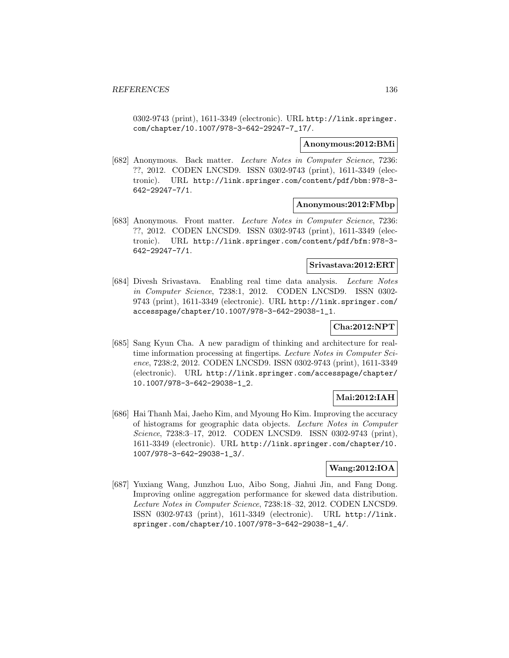0302-9743 (print), 1611-3349 (electronic). URL http://link.springer. com/chapter/10.1007/978-3-642-29247-7\_17/.

#### **Anonymous:2012:BMi**

[682] Anonymous. Back matter. Lecture Notes in Computer Science, 7236: ??, 2012. CODEN LNCSD9. ISSN 0302-9743 (print), 1611-3349 (electronic). URL http://link.springer.com/content/pdf/bbm:978-3- 642-29247-7/1.

#### **Anonymous:2012:FMbp**

[683] Anonymous. Front matter. Lecture Notes in Computer Science, 7236: ??, 2012. CODEN LNCSD9. ISSN 0302-9743 (print), 1611-3349 (electronic). URL http://link.springer.com/content/pdf/bfm:978-3- 642-29247-7/1.

#### **Srivastava:2012:ERT**

[684] Divesh Srivastava. Enabling real time data analysis. Lecture Notes in Computer Science, 7238:1, 2012. CODEN LNCSD9. ISSN 0302- 9743 (print), 1611-3349 (electronic). URL http://link.springer.com/ accesspage/chapter/10.1007/978-3-642-29038-1\_1.

# **Cha:2012:NPT**

[685] Sang Kyun Cha. A new paradigm of thinking and architecture for realtime information processing at fingertips. Lecture Notes in Computer Science, 7238:2, 2012. CODEN LNCSD9. ISSN 0302-9743 (print), 1611-3349 (electronic). URL http://link.springer.com/accesspage/chapter/ 10.1007/978-3-642-29038-1\_2.

# **Mai:2012:IAH**

[686] Hai Thanh Mai, Jaeho Kim, and Myoung Ho Kim. Improving the accuracy of histograms for geographic data objects. Lecture Notes in Computer Science, 7238:3–17, 2012. CODEN LNCSD9. ISSN 0302-9743 (print), 1611-3349 (electronic). URL http://link.springer.com/chapter/10. 1007/978-3-642-29038-1\_3/.

## **Wang:2012:IOA**

[687] Yuxiang Wang, Junzhou Luo, Aibo Song, Jiahui Jin, and Fang Dong. Improving online aggregation performance for skewed data distribution. Lecture Notes in Computer Science, 7238:18–32, 2012. CODEN LNCSD9. ISSN 0302-9743 (print), 1611-3349 (electronic). URL http://link. springer.com/chapter/10.1007/978-3-642-29038-1\_4/.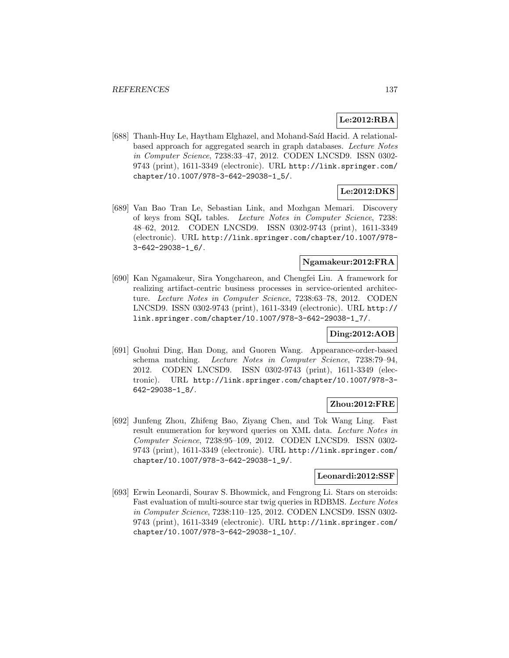# **Le:2012:RBA**

[688] Thanh-Huy Le, Haytham Elghazel, and Mohand-Saíd Hacid. A relationalbased approach for aggregated search in graph databases. Lecture Notes in Computer Science, 7238:33–47, 2012. CODEN LNCSD9. ISSN 0302- 9743 (print), 1611-3349 (electronic). URL http://link.springer.com/ chapter/10.1007/978-3-642-29038-1\_5/.

## **Le:2012:DKS**

[689] Van Bao Tran Le, Sebastian Link, and Mozhgan Memari. Discovery of keys from SQL tables. Lecture Notes in Computer Science, 7238: 48–62, 2012. CODEN LNCSD9. ISSN 0302-9743 (print), 1611-3349 (electronic). URL http://link.springer.com/chapter/10.1007/978- 3-642-29038-1\_6/.

### **Ngamakeur:2012:FRA**

[690] Kan Ngamakeur, Sira Yongchareon, and Chengfei Liu. A framework for realizing artifact-centric business processes in service-oriented architecture. Lecture Notes in Computer Science, 7238:63–78, 2012. CODEN LNCSD9. ISSN 0302-9743 (print), 1611-3349 (electronic). URL http:// link.springer.com/chapter/10.1007/978-3-642-29038-1\_7/.

### **Ding:2012:AOB**

[691] Guohui Ding, Han Dong, and Guoren Wang. Appearance-order-based schema matching. Lecture Notes in Computer Science, 7238:79–94, 2012. CODEN LNCSD9. ISSN 0302-9743 (print), 1611-3349 (electronic). URL http://link.springer.com/chapter/10.1007/978-3- 642-29038-1\_8/.

### **Zhou:2012:FRE**

[692] Junfeng Zhou, Zhifeng Bao, Ziyang Chen, and Tok Wang Ling. Fast result enumeration for keyword queries on XML data. Lecture Notes in Computer Science, 7238:95–109, 2012. CODEN LNCSD9. ISSN 0302- 9743 (print), 1611-3349 (electronic). URL http://link.springer.com/ chapter/10.1007/978-3-642-29038-1\_9/.

### **Leonardi:2012:SSF**

[693] Erwin Leonardi, Sourav S. Bhowmick, and Fengrong Li. Stars on steroids: Fast evaluation of multi-source star twig queries in RDBMS. Lecture Notes in Computer Science, 7238:110–125, 2012. CODEN LNCSD9. ISSN 0302- 9743 (print), 1611-3349 (electronic). URL http://link.springer.com/ chapter/10.1007/978-3-642-29038-1\_10/.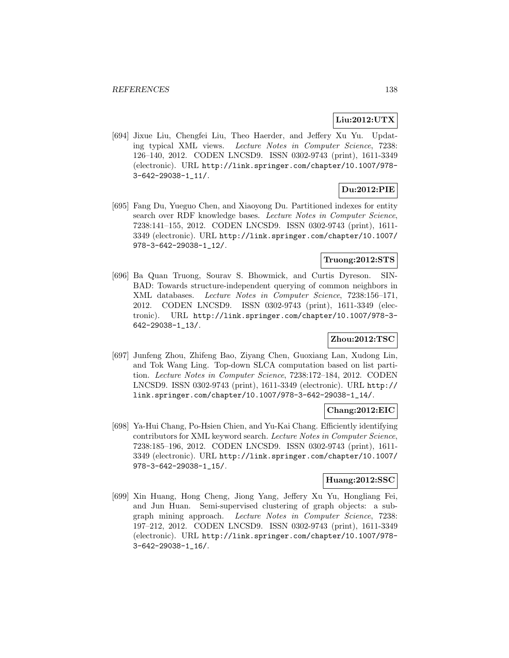## **Liu:2012:UTX**

[694] Jixue Liu, Chengfei Liu, Theo Haerder, and Jeffery Xu Yu. Updating typical XML views. Lecture Notes in Computer Science, 7238: 126–140, 2012. CODEN LNCSD9. ISSN 0302-9743 (print), 1611-3349 (electronic). URL http://link.springer.com/chapter/10.1007/978- 3-642-29038-1\_11/.

## **Du:2012:PIE**

[695] Fang Du, Yueguo Chen, and Xiaoyong Du. Partitioned indexes for entity search over RDF knowledge bases. Lecture Notes in Computer Science, 7238:141–155, 2012. CODEN LNCSD9. ISSN 0302-9743 (print), 1611- 3349 (electronic). URL http://link.springer.com/chapter/10.1007/ 978-3-642-29038-1\_12/.

# **Truong:2012:STS**

[696] Ba Quan Truong, Sourav S. Bhowmick, and Curtis Dyreson. SIN-BAD: Towards structure-independent querying of common neighbors in XML databases. Lecture Notes in Computer Science, 7238:156–171, 2012. CODEN LNCSD9. ISSN 0302-9743 (print), 1611-3349 (electronic). URL http://link.springer.com/chapter/10.1007/978-3- 642-29038-1\_13/.

## **Zhou:2012:TSC**

[697] Junfeng Zhou, Zhifeng Bao, Ziyang Chen, Guoxiang Lan, Xudong Lin, and Tok Wang Ling. Top-down SLCA computation based on list partition. Lecture Notes in Computer Science, 7238:172–184, 2012. CODEN LNCSD9. ISSN 0302-9743 (print), 1611-3349 (electronic). URL http:// link.springer.com/chapter/10.1007/978-3-642-29038-1\_14/.

# **Chang:2012:EIC**

[698] Ya-Hui Chang, Po-Hsien Chien, and Yu-Kai Chang. Efficiently identifying contributors for XML keyword search. Lecture Notes in Computer Science, 7238:185–196, 2012. CODEN LNCSD9. ISSN 0302-9743 (print), 1611- 3349 (electronic). URL http://link.springer.com/chapter/10.1007/ 978-3-642-29038-1\_15/.

# **Huang:2012:SSC**

[699] Xin Huang, Hong Cheng, Jiong Yang, Jeffery Xu Yu, Hongliang Fei, and Jun Huan. Semi-supervised clustering of graph objects: a subgraph mining approach. Lecture Notes in Computer Science, 7238: 197–212, 2012. CODEN LNCSD9. ISSN 0302-9743 (print), 1611-3349 (electronic). URL http://link.springer.com/chapter/10.1007/978- 3-642-29038-1\_16/.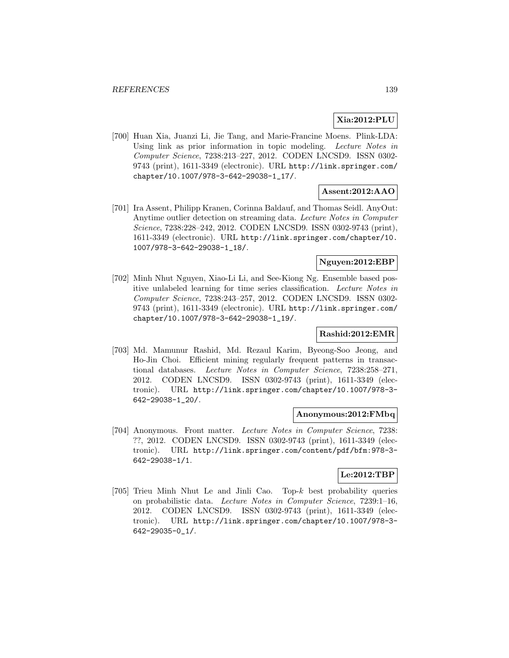# **Xia:2012:PLU**

[700] Huan Xia, Juanzi Li, Jie Tang, and Marie-Francine Moens. Plink-LDA: Using link as prior information in topic modeling. Lecture Notes in Computer Science, 7238:213–227, 2012. CODEN LNCSD9. ISSN 0302- 9743 (print), 1611-3349 (electronic). URL http://link.springer.com/ chapter/10.1007/978-3-642-29038-1\_17/.

# **Assent:2012:AAO**

[701] Ira Assent, Philipp Kranen, Corinna Baldauf, and Thomas Seidl. AnyOut: Anytime outlier detection on streaming data. Lecture Notes in Computer Science, 7238:228–242, 2012. CODEN LNCSD9. ISSN 0302-9743 (print), 1611-3349 (electronic). URL http://link.springer.com/chapter/10. 1007/978-3-642-29038-1\_18/.

#### **Nguyen:2012:EBP**

[702] Minh Nhut Nguyen, Xiao-Li Li, and See-Kiong Ng. Ensemble based positive unlabeled learning for time series classification. Lecture Notes in Computer Science, 7238:243–257, 2012. CODEN LNCSD9. ISSN 0302- 9743 (print), 1611-3349 (electronic). URL http://link.springer.com/ chapter/10.1007/978-3-642-29038-1\_19/.

# **Rashid:2012:EMR**

[703] Md. Mamunur Rashid, Md. Rezaul Karim, Byeong-Soo Jeong, and Ho-Jin Choi. Efficient mining regularly frequent patterns in transactional databases. Lecture Notes in Computer Science, 7238:258–271, 2012. CODEN LNCSD9. ISSN 0302-9743 (print), 1611-3349 (electronic). URL http://link.springer.com/chapter/10.1007/978-3- 642-29038-1\_20/.

### **Anonymous:2012:FMbq**

[704] Anonymous. Front matter. Lecture Notes in Computer Science, 7238: ??, 2012. CODEN LNCSD9. ISSN 0302-9743 (print), 1611-3349 (electronic). URL http://link.springer.com/content/pdf/bfm:978-3- 642-29038-1/1.

# **Le:2012:TBP**

[705] Trieu Minh Nhut Le and Jinli Cao. Top-k best probability queries on probabilistic data. Lecture Notes in Computer Science, 7239:1–16, 2012. CODEN LNCSD9. ISSN 0302-9743 (print), 1611-3349 (electronic). URL http://link.springer.com/chapter/10.1007/978-3- 642-29035-0\_1/.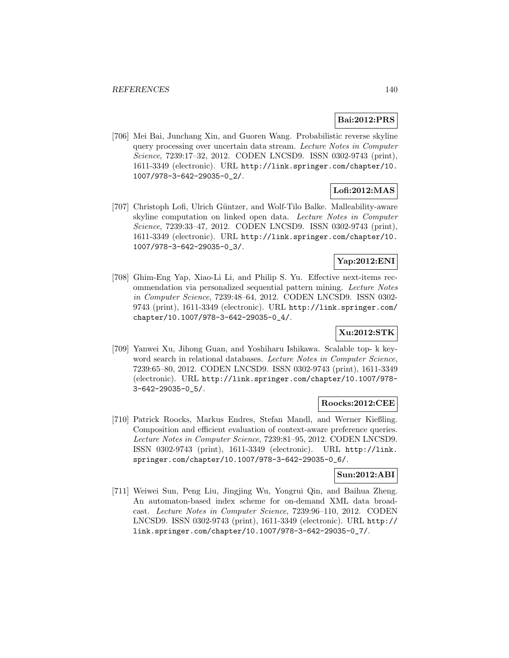# **Bai:2012:PRS**

[706] Mei Bai, Junchang Xin, and Guoren Wang. Probabilistic reverse skyline query processing over uncertain data stream. Lecture Notes in Computer Science, 7239:17–32, 2012. CODEN LNCSD9. ISSN 0302-9743 (print), 1611-3349 (electronic). URL http://link.springer.com/chapter/10. 1007/978-3-642-29035-0\_2/.

# **Lofi:2012:MAS**

[707] Christoph Lofi, Ulrich Güntzer, and Wolf-Tilo Balke. Malleability-aware skyline computation on linked open data. Lecture Notes in Computer Science, 7239:33–47, 2012. CODEN LNCSD9. ISSN 0302-9743 (print), 1611-3349 (electronic). URL http://link.springer.com/chapter/10. 1007/978-3-642-29035-0\_3/.

# **Yap:2012:ENI**

[708] Ghim-Eng Yap, Xiao-Li Li, and Philip S. Yu. Effective next-items recommendation via personalized sequential pattern mining. Lecture Notes in Computer Science, 7239:48–64, 2012. CODEN LNCSD9. ISSN 0302- 9743 (print), 1611-3349 (electronic). URL http://link.springer.com/ chapter/10.1007/978-3-642-29035-0\_4/.

## **Xu:2012:STK**

[709] Yanwei Xu, Jihong Guan, and Yoshiharu Ishikawa. Scalable top- k keyword search in relational databases. Lecture Notes in Computer Science, 7239:65–80, 2012. CODEN LNCSD9. ISSN 0302-9743 (print), 1611-3349 (electronic). URL http://link.springer.com/chapter/10.1007/978- 3-642-29035-0\_5/.

### **Roocks:2012:CEE**

[710] Patrick Roocks, Markus Endres, Stefan Mandl, and Werner Kießling. Composition and efficient evaluation of context-aware preference queries. Lecture Notes in Computer Science, 7239:81–95, 2012. CODEN LNCSD9. ISSN 0302-9743 (print), 1611-3349 (electronic). URL http://link. springer.com/chapter/10.1007/978-3-642-29035-0\_6/.

## **Sun:2012:ABI**

[711] Weiwei Sun, Peng Liu, Jingjing Wu, Yongrui Qin, and Baihua Zheng. An automaton-based index scheme for on-demand XML data broadcast. Lecture Notes in Computer Science, 7239:96–110, 2012. CODEN LNCSD9. ISSN 0302-9743 (print), 1611-3349 (electronic). URL http:// link.springer.com/chapter/10.1007/978-3-642-29035-0\_7/.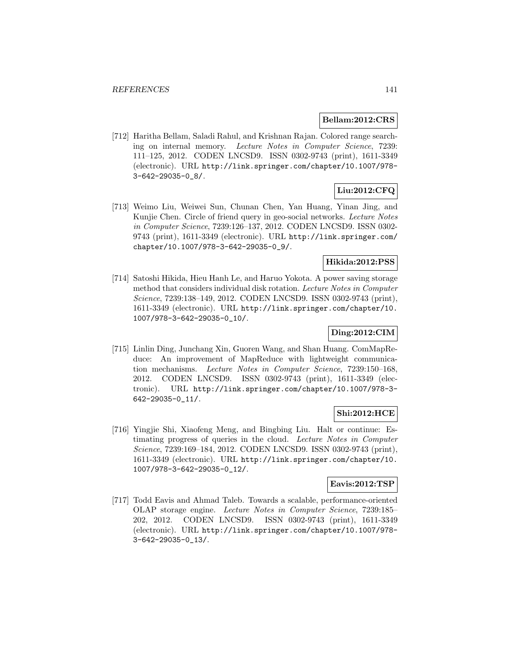#### **Bellam:2012:CRS**

[712] Haritha Bellam, Saladi Rahul, and Krishnan Rajan. Colored range searching on internal memory. Lecture Notes in Computer Science, 7239: 111–125, 2012. CODEN LNCSD9. ISSN 0302-9743 (print), 1611-3349 (electronic). URL http://link.springer.com/chapter/10.1007/978- 3-642-29035-0\_8/.

# **Liu:2012:CFQ**

[713] Weimo Liu, Weiwei Sun, Chunan Chen, Yan Huang, Yinan Jing, and Kunjie Chen. Circle of friend query in geo-social networks. Lecture Notes in Computer Science, 7239:126–137, 2012. CODEN LNCSD9. ISSN 0302- 9743 (print), 1611-3349 (electronic). URL http://link.springer.com/ chapter/10.1007/978-3-642-29035-0\_9/.

## **Hikida:2012:PSS**

[714] Satoshi Hikida, Hieu Hanh Le, and Haruo Yokota. A power saving storage method that considers individual disk rotation. Lecture Notes in Computer Science, 7239:138–149, 2012. CODEN LNCSD9. ISSN 0302-9743 (print), 1611-3349 (electronic). URL http://link.springer.com/chapter/10. 1007/978-3-642-29035-0\_10/.

## **Ding:2012:CIM**

[715] Linlin Ding, Junchang Xin, Guoren Wang, and Shan Huang. ComMapReduce: An improvement of MapReduce with lightweight communication mechanisms. Lecture Notes in Computer Science, 7239:150–168, 2012. CODEN LNCSD9. ISSN 0302-9743 (print), 1611-3349 (electronic). URL http://link.springer.com/chapter/10.1007/978-3- 642-29035-0\_11/.

### **Shi:2012:HCE**

[716] Yingjie Shi, Xiaofeng Meng, and Bingbing Liu. Halt or continue: Estimating progress of queries in the cloud. Lecture Notes in Computer Science, 7239:169–184, 2012. CODEN LNCSD9. ISSN 0302-9743 (print), 1611-3349 (electronic). URL http://link.springer.com/chapter/10. 1007/978-3-642-29035-0\_12/.

## **Eavis:2012:TSP**

[717] Todd Eavis and Ahmad Taleb. Towards a scalable, performance-oriented OLAP storage engine. Lecture Notes in Computer Science, 7239:185– 202, 2012. CODEN LNCSD9. ISSN 0302-9743 (print), 1611-3349 (electronic). URL http://link.springer.com/chapter/10.1007/978- 3-642-29035-0\_13/.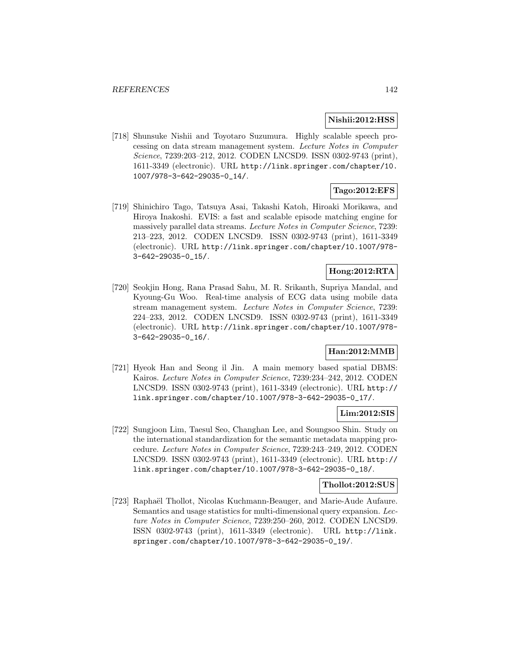### **Nishii:2012:HSS**

[718] Shunsuke Nishii and Toyotaro Suzumura. Highly scalable speech processing on data stream management system. Lecture Notes in Computer Science, 7239:203–212, 2012. CODEN LNCSD9. ISSN 0302-9743 (print), 1611-3349 (electronic). URL http://link.springer.com/chapter/10. 1007/978-3-642-29035-0\_14/.

## **Tago:2012:EFS**

[719] Shinichiro Tago, Tatsuya Asai, Takashi Katoh, Hiroaki Morikawa, and Hiroya Inakoshi. EVIS: a fast and scalable episode matching engine for massively parallel data streams. Lecture Notes in Computer Science, 7239: 213–223, 2012. CODEN LNCSD9. ISSN 0302-9743 (print), 1611-3349 (electronic). URL http://link.springer.com/chapter/10.1007/978- 3-642-29035-0\_15/.

# **Hong:2012:RTA**

[720] Seokjin Hong, Rana Prasad Sahu, M. R. Srikanth, Supriya Mandal, and Kyoung-Gu Woo. Real-time analysis of ECG data using mobile data stream management system. Lecture Notes in Computer Science, 7239: 224–233, 2012. CODEN LNCSD9. ISSN 0302-9743 (print), 1611-3349 (electronic). URL http://link.springer.com/chapter/10.1007/978- 3-642-29035-0\_16/.

# **Han:2012:MMB**

[721] Hyeok Han and Seong il Jin. A main memory based spatial DBMS: Kairos. Lecture Notes in Computer Science, 7239:234–242, 2012. CODEN LNCSD9. ISSN 0302-9743 (print), 1611-3349 (electronic). URL http:// link.springer.com/chapter/10.1007/978-3-642-29035-0\_17/.

### **Lim:2012:SIS**

[722] Sungjoon Lim, Taesul Seo, Changhan Lee, and Soungsoo Shin. Study on the international standardization for the semantic metadata mapping procedure. Lecture Notes in Computer Science, 7239:243–249, 2012. CODEN LNCSD9. ISSN 0302-9743 (print), 1611-3349 (electronic). URL http:// link.springer.com/chapter/10.1007/978-3-642-29035-0\_18/.

#### **Thollot:2012:SUS**

[723] Raphaël Thollot, Nicolas Kuchmann-Beauger, and Marie-Aude Aufaure. Semantics and usage statistics for multi-dimensional query expansion. Lecture Notes in Computer Science, 7239:250–260, 2012. CODEN LNCSD9. ISSN 0302-9743 (print), 1611-3349 (electronic). URL http://link. springer.com/chapter/10.1007/978-3-642-29035-0\_19/.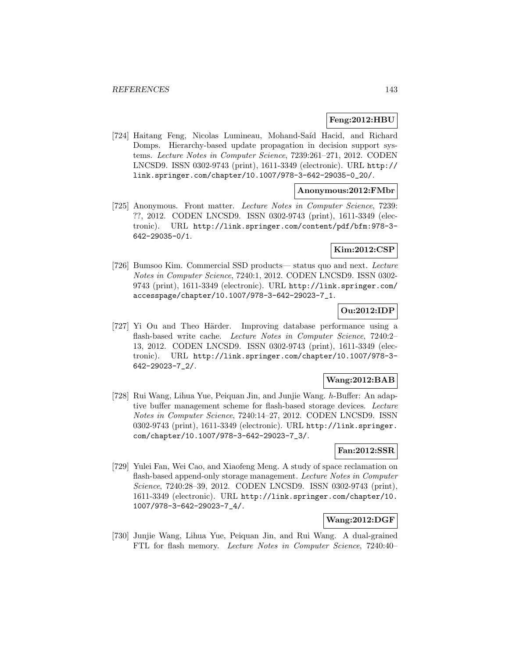### **Feng:2012:HBU**

[724] Haitang Feng, Nicolas Lumineau, Mohand-Saíd Hacid, and Richard Domps. Hierarchy-based update propagation in decision support systems. Lecture Notes in Computer Science, 7239:261–271, 2012. CODEN LNCSD9. ISSN 0302-9743 (print), 1611-3349 (electronic). URL http:// link.springer.com/chapter/10.1007/978-3-642-29035-0\_20/.

## **Anonymous:2012:FMbr**

[725] Anonymous. Front matter. Lecture Notes in Computer Science, 7239: ??, 2012. CODEN LNCSD9. ISSN 0302-9743 (print), 1611-3349 (electronic). URL http://link.springer.com/content/pdf/bfm:978-3- 642-29035-0/1.

# **Kim:2012:CSP**

[726] Bumsoo Kim. Commercial SSD products— status quo and next. Lecture Notes in Computer Science, 7240:1, 2012. CODEN LNCSD9. ISSN 0302- 9743 (print), 1611-3349 (electronic). URL http://link.springer.com/ accesspage/chapter/10.1007/978-3-642-29023-7\_1.

## **Ou:2012:IDP**

[727] Yi Ou and Theo Härder. Improving database performance using a flash-based write cache. Lecture Notes in Computer Science, 7240:2– 13, 2012. CODEN LNCSD9. ISSN 0302-9743 (print), 1611-3349 (electronic). URL http://link.springer.com/chapter/10.1007/978-3- 642-29023-7\_2/.

# **Wang:2012:BAB**

[728] Rui Wang, Lihua Yue, Peiquan Jin, and Junjie Wang. h-Buffer: An adaptive buffer management scheme for flash-based storage devices. Lecture Notes in Computer Science, 7240:14–27, 2012. CODEN LNCSD9. ISSN 0302-9743 (print), 1611-3349 (electronic). URL http://link.springer. com/chapter/10.1007/978-3-642-29023-7\_3/.

## **Fan:2012:SSR**

[729] Yulei Fan, Wei Cao, and Xiaofeng Meng. A study of space reclamation on flash-based append-only storage management. Lecture Notes in Computer Science, 7240:28–39, 2012. CODEN LNCSD9. ISSN 0302-9743 (print), 1611-3349 (electronic). URL http://link.springer.com/chapter/10. 1007/978-3-642-29023-7\_4/.

## **Wang:2012:DGF**

[730] Junjie Wang, Lihua Yue, Peiquan Jin, and Rui Wang. A dual-grained FTL for flash memory. Lecture Notes in Computer Science, 7240:40–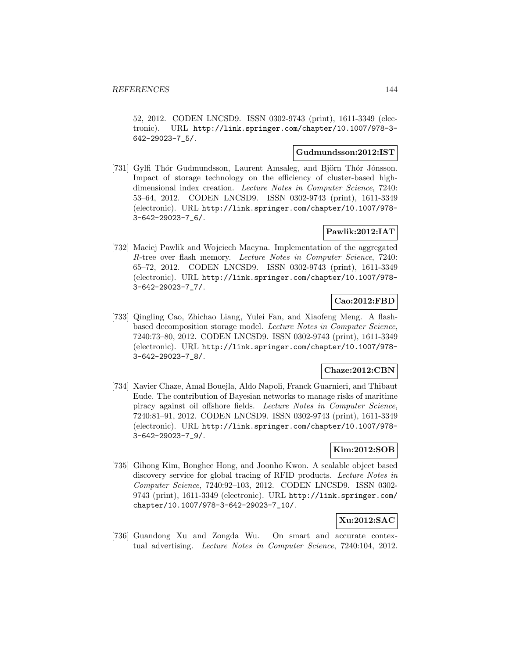52, 2012. CODEN LNCSD9. ISSN 0302-9743 (print), 1611-3349 (electronic). URL http://link.springer.com/chapter/10.1007/978-3- 642-29023-7\_5/.

## **Gudmundsson:2012:IST**

[731] Gylfi Thór Gudmundsson, Laurent Amsaleg, and Björn Thór Jónsson. Impact of storage technology on the efficiency of cluster-based highdimensional index creation. Lecture Notes in Computer Science, 7240: 53–64, 2012. CODEN LNCSD9. ISSN 0302-9743 (print), 1611-3349 (electronic). URL http://link.springer.com/chapter/10.1007/978- 3-642-29023-7\_6/.

# **Pawlik:2012:IAT**

[732] Maciej Pawlik and Wojciech Macyna. Implementation of the aggregated R-tree over flash memory. Lecture Notes in Computer Science, 7240: 65–72, 2012. CODEN LNCSD9. ISSN 0302-9743 (print), 1611-3349 (electronic). URL http://link.springer.com/chapter/10.1007/978- 3-642-29023-7\_7/.

# **Cao:2012:FBD**

[733] Qingling Cao, Zhichao Liang, Yulei Fan, and Xiaofeng Meng. A flashbased decomposition storage model. Lecture Notes in Computer Science, 7240:73–80, 2012. CODEN LNCSD9. ISSN 0302-9743 (print), 1611-3349 (electronic). URL http://link.springer.com/chapter/10.1007/978- 3-642-29023-7\_8/.

### **Chaze:2012:CBN**

[734] Xavier Chaze, Amal Bouejla, Aldo Napoli, Franck Guarnieri, and Thibaut Eude. The contribution of Bayesian networks to manage risks of maritime piracy against oil offshore fields. Lecture Notes in Computer Science, 7240:81–91, 2012. CODEN LNCSD9. ISSN 0302-9743 (print), 1611-3349 (electronic). URL http://link.springer.com/chapter/10.1007/978- 3-642-29023-7\_9/.

### **Kim:2012:SOB**

[735] Gihong Kim, Bonghee Hong, and Joonho Kwon. A scalable object based discovery service for global tracing of RFID products. Lecture Notes in Computer Science, 7240:92–103, 2012. CODEN LNCSD9. ISSN 0302- 9743 (print), 1611-3349 (electronic). URL http://link.springer.com/ chapter/10.1007/978-3-642-29023-7\_10/.

## **Xu:2012:SAC**

[736] Guandong Xu and Zongda Wu. On smart and accurate contextual advertising. Lecture Notes in Computer Science, 7240:104, 2012.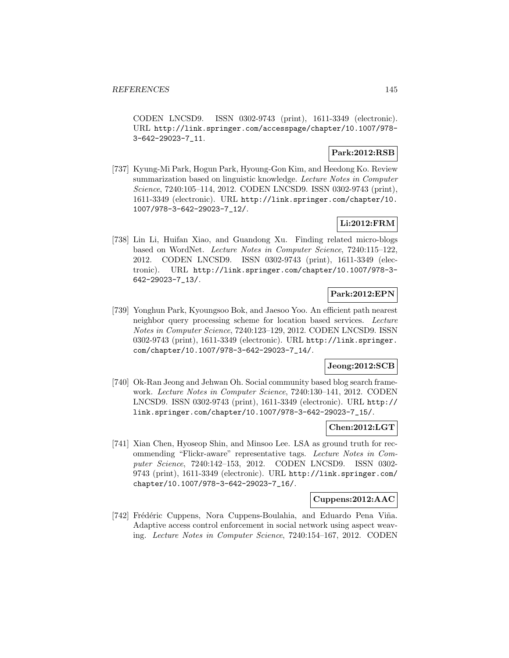CODEN LNCSD9. ISSN 0302-9743 (print), 1611-3349 (electronic). URL http://link.springer.com/accesspage/chapter/10.1007/978- 3-642-29023-7\_11.

## **Park:2012:RSB**

[737] Kyung-Mi Park, Hogun Park, Hyoung-Gon Kim, and Heedong Ko. Review summarization based on linguistic knowledge. Lecture Notes in Computer Science, 7240:105–114, 2012. CODEN LNCSD9. ISSN 0302-9743 (print), 1611-3349 (electronic). URL http://link.springer.com/chapter/10. 1007/978-3-642-29023-7\_12/.

## **Li:2012:FRM**

[738] Lin Li, Huifan Xiao, and Guandong Xu. Finding related micro-blogs based on WordNet. Lecture Notes in Computer Science, 7240:115–122, 2012. CODEN LNCSD9. ISSN 0302-9743 (print), 1611-3349 (electronic). URL http://link.springer.com/chapter/10.1007/978-3- 642-29023-7\_13/.

## **Park:2012:EPN**

[739] Yonghun Park, Kyoungsoo Bok, and Jaesoo Yoo. An efficient path nearest neighbor query processing scheme for location based services. Lecture Notes in Computer Science, 7240:123–129, 2012. CODEN LNCSD9. ISSN 0302-9743 (print), 1611-3349 (electronic). URL http://link.springer. com/chapter/10.1007/978-3-642-29023-7\_14/.

## **Jeong:2012:SCB**

[740] Ok-Ran Jeong and Jehwan Oh. Social community based blog search framework. Lecture Notes in Computer Science, 7240:130–141, 2012. CODEN LNCSD9. ISSN 0302-9743 (print), 1611-3349 (electronic). URL http:// link.springer.com/chapter/10.1007/978-3-642-29023-7\_15/.

#### **Chen:2012:LGT**

[741] Xian Chen, Hyoseop Shin, and Minsoo Lee. LSA as ground truth for recommending "Flickr-aware" representative tags. Lecture Notes in Computer Science, 7240:142–153, 2012. CODEN LNCSD9. ISSN 0302- 9743 (print), 1611-3349 (electronic). URL http://link.springer.com/ chapter/10.1007/978-3-642-29023-7\_16/.

### **Cuppens:2012:AAC**

[742] Frédéric Cuppens, Nora Cuppens-Boulahia, and Eduardo Pena Viña. Adaptive access control enforcement in social network using aspect weaving. Lecture Notes in Computer Science, 7240:154–167, 2012. CODEN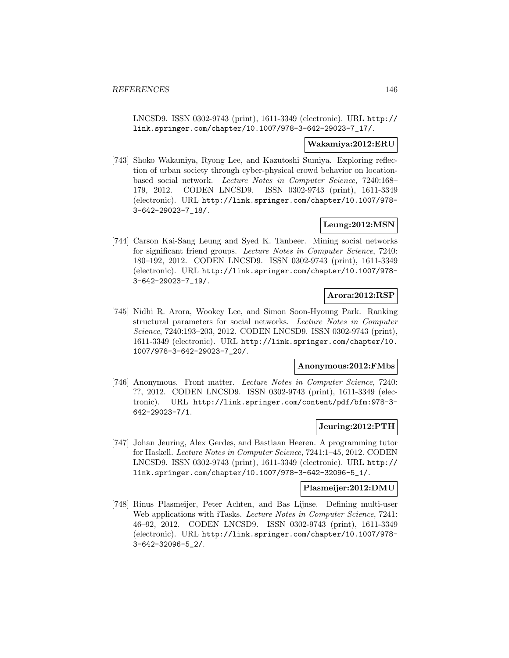LNCSD9. ISSN 0302-9743 (print), 1611-3349 (electronic). URL http:// link.springer.com/chapter/10.1007/978-3-642-29023-7\_17/.

#### **Wakamiya:2012:ERU**

[743] Shoko Wakamiya, Ryong Lee, and Kazutoshi Sumiya. Exploring reflection of urban society through cyber-physical crowd behavior on locationbased social network. Lecture Notes in Computer Science, 7240:168– 179, 2012. CODEN LNCSD9. ISSN 0302-9743 (print), 1611-3349 (electronic). URL http://link.springer.com/chapter/10.1007/978- 3-642-29023-7\_18/.

## **Leung:2012:MSN**

[744] Carson Kai-Sang Leung and Syed K. Tanbeer. Mining social networks for significant friend groups. Lecture Notes in Computer Science, 7240: 180–192, 2012. CODEN LNCSD9. ISSN 0302-9743 (print), 1611-3349 (electronic). URL http://link.springer.com/chapter/10.1007/978- 3-642-29023-7\_19/.

## **Arora:2012:RSP**

[745] Nidhi R. Arora, Wookey Lee, and Simon Soon-Hyoung Park. Ranking structural parameters for social networks. Lecture Notes in Computer Science, 7240:193–203, 2012. CODEN LNCSD9. ISSN 0302-9743 (print), 1611-3349 (electronic). URL http://link.springer.com/chapter/10. 1007/978-3-642-29023-7\_20/.

### **Anonymous:2012:FMbs**

[746] Anonymous. Front matter. Lecture Notes in Computer Science, 7240: ??, 2012. CODEN LNCSD9. ISSN 0302-9743 (print), 1611-3349 (electronic). URL http://link.springer.com/content/pdf/bfm:978-3- 642-29023-7/1.

### **Jeuring:2012:PTH**

[747] Johan Jeuring, Alex Gerdes, and Bastiaan Heeren. A programming tutor for Haskell. Lecture Notes in Computer Science, 7241:1–45, 2012. CODEN LNCSD9. ISSN 0302-9743 (print), 1611-3349 (electronic). URL http:// link.springer.com/chapter/10.1007/978-3-642-32096-5\_1/.

#### **Plasmeijer:2012:DMU**

[748] Rinus Plasmeijer, Peter Achten, and Bas Lijnse. Defining multi-user Web applications with iTasks. Lecture Notes in Computer Science, 7241: 46–92, 2012. CODEN LNCSD9. ISSN 0302-9743 (print), 1611-3349 (electronic). URL http://link.springer.com/chapter/10.1007/978- 3-642-32096-5\_2/.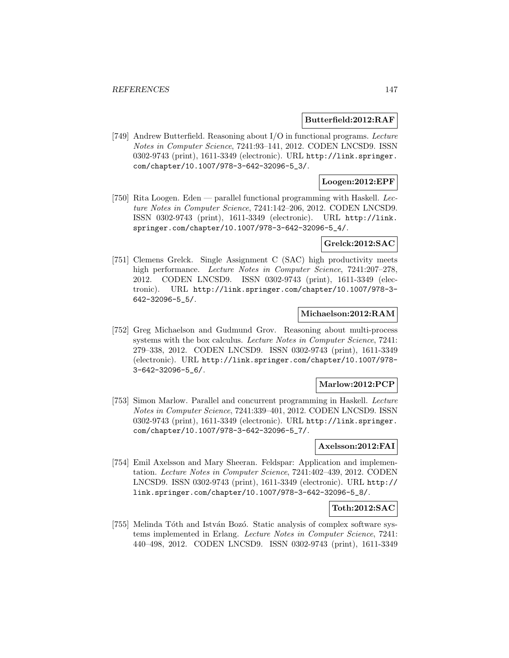### **Butterfield:2012:RAF**

[749] Andrew Butterfield. Reasoning about I/O in functional programs. Lecture Notes in Computer Science, 7241:93–141, 2012. CODEN LNCSD9. ISSN 0302-9743 (print), 1611-3349 (electronic). URL http://link.springer. com/chapter/10.1007/978-3-642-32096-5\_3/.

## **Loogen:2012:EPF**

[750] Rita Loogen. Eden — parallel functional programming with Haskell. Lecture Notes in Computer Science, 7241:142–206, 2012. CODEN LNCSD9. ISSN 0302-9743 (print), 1611-3349 (electronic). URL http://link. springer.com/chapter/10.1007/978-3-642-32096-5\_4/.

#### **Grelck:2012:SAC**

[751] Clemens Grelck. Single Assignment C (SAC) high productivity meets high performance. Lecture Notes in Computer Science, 7241:207-278, 2012. CODEN LNCSD9. ISSN 0302-9743 (print), 1611-3349 (electronic). URL http://link.springer.com/chapter/10.1007/978-3- 642-32096-5\_5/.

## **Michaelson:2012:RAM**

[752] Greg Michaelson and Gudmund Grov. Reasoning about multi-process systems with the box calculus. Lecture Notes in Computer Science, 7241: 279–338, 2012. CODEN LNCSD9. ISSN 0302-9743 (print), 1611-3349 (electronic). URL http://link.springer.com/chapter/10.1007/978- 3-642-32096-5\_6/.

## **Marlow:2012:PCP**

[753] Simon Marlow. Parallel and concurrent programming in Haskell. Lecture Notes in Computer Science, 7241:339–401, 2012. CODEN LNCSD9. ISSN 0302-9743 (print), 1611-3349 (electronic). URL http://link.springer. com/chapter/10.1007/978-3-642-32096-5\_7/.

#### **Axelsson:2012:FAI**

[754] Emil Axelsson and Mary Sheeran. Feldspar: Application and implementation. Lecture Notes in Computer Science, 7241:402–439, 2012. CODEN LNCSD9. ISSN 0302-9743 (print), 1611-3349 (electronic). URL http:// link.springer.com/chapter/10.1007/978-3-642-32096-5\_8/.

#### **Toth:2012:SAC**

[755] Melinda Tóth and István Bozó. Static analysis of complex software systems implemented in Erlang. Lecture Notes in Computer Science, 7241: 440–498, 2012. CODEN LNCSD9. ISSN 0302-9743 (print), 1611-3349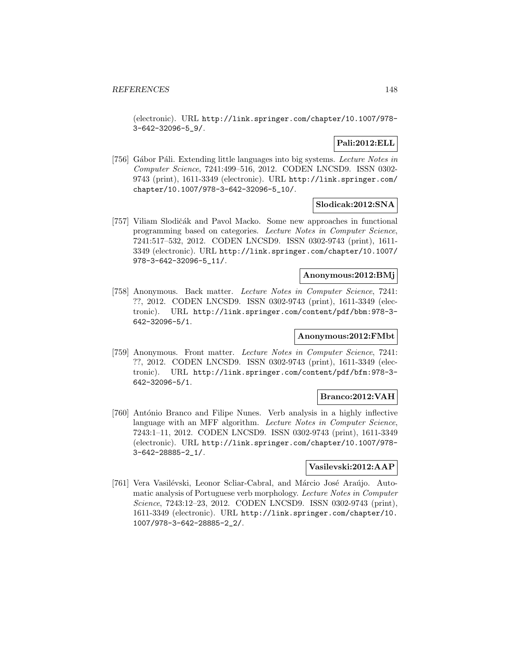(electronic). URL http://link.springer.com/chapter/10.1007/978- 3-642-32096-5\_9/.

## **Pali:2012:ELL**

[756] Gábor Páli. Extending little languages into big systems. Lecture Notes in Computer Science, 7241:499–516, 2012. CODEN LNCSD9. ISSN 0302- 9743 (print), 1611-3349 (electronic). URL http://link.springer.com/ chapter/10.1007/978-3-642-32096-5\_10/.

## **Slodicak:2012:SNA**

[757] Viliam Slodičák and Pavol Macko. Some new approaches in functional programming based on categories. Lecture Notes in Computer Science, 7241:517–532, 2012. CODEN LNCSD9. ISSN 0302-9743 (print), 1611- 3349 (electronic). URL http://link.springer.com/chapter/10.1007/ 978-3-642-32096-5\_11/.

# **Anonymous:2012:BMj**

[758] Anonymous. Back matter. Lecture Notes in Computer Science, 7241: ??, 2012. CODEN LNCSD9. ISSN 0302-9743 (print), 1611-3349 (electronic). URL http://link.springer.com/content/pdf/bbm:978-3- 642-32096-5/1.

## **Anonymous:2012:FMbt**

[759] Anonymous. Front matter. Lecture Notes in Computer Science, 7241: ??, 2012. CODEN LNCSD9. ISSN 0302-9743 (print), 1611-3349 (electronic). URL http://link.springer.com/content/pdf/bfm:978-3- 642-32096-5/1.

## **Branco:2012:VAH**

[760] António Branco and Filipe Nunes. Verb analysis in a highly inflective language with an MFF algorithm. Lecture Notes in Computer Science, 7243:1–11, 2012. CODEN LNCSD9. ISSN 0302-9743 (print), 1611-3349 (electronic). URL http://link.springer.com/chapter/10.1007/978- 3-642-28885-2\_1/.

## **Vasilevski:2012:AAP**

[761] Vera Vasilévski, Leonor Scliar-Cabral, and Márcio José Araújo. Automatic analysis of Portuguese verb morphology. Lecture Notes in Computer Science, 7243:12–23, 2012. CODEN LNCSD9. ISSN 0302-9743 (print), 1611-3349 (electronic). URL http://link.springer.com/chapter/10. 1007/978-3-642-28885-2\_2/.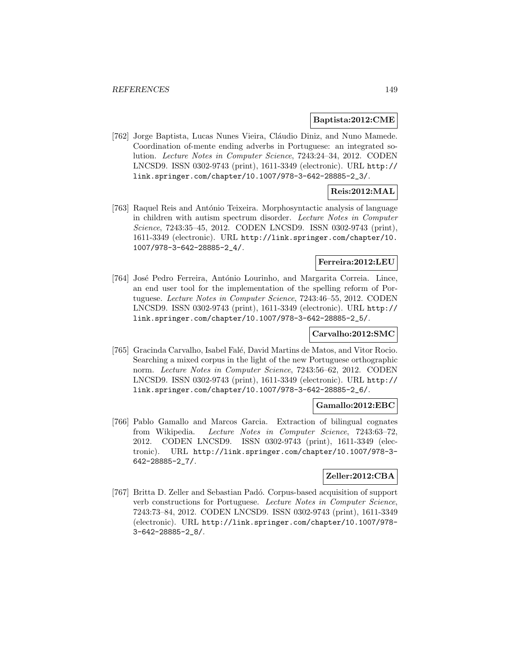### **Baptista:2012:CME**

[762] Jorge Baptista, Lucas Nunes Vieira, Cláudio Diniz, and Nuno Mamede. Coordination of-mente ending adverbs in Portuguese: an integrated solution. Lecture Notes in Computer Science, 7243:24–34, 2012. CODEN LNCSD9. ISSN 0302-9743 (print), 1611-3349 (electronic). URL http:// link.springer.com/chapter/10.1007/978-3-642-28885-2\_3/.

## **Reis:2012:MAL**

[763] Raquel Reis and António Teixeira. Morphosyntactic analysis of language in children with autism spectrum disorder. Lecture Notes in Computer Science, 7243:35–45, 2012. CODEN LNCSD9. ISSN 0302-9743 (print), 1611-3349 (electronic). URL http://link.springer.com/chapter/10. 1007/978-3-642-28885-2\_4/.

#### **Ferreira:2012:LEU**

[764] José Pedro Ferreira, António Lourinho, and Margarita Correia. Lince, an end user tool for the implementation of the spelling reform of Portuguese. Lecture Notes in Computer Science, 7243:46–55, 2012. CODEN LNCSD9. ISSN 0302-9743 (print), 1611-3349 (electronic). URL http:// link.springer.com/chapter/10.1007/978-3-642-28885-2\_5/.

#### **Carvalho:2012:SMC**

[765] Gracinda Carvalho, Isabel Falé, David Martins de Matos, and Vitor Rocio. Searching a mixed corpus in the light of the new Portuguese orthographic norm. Lecture Notes in Computer Science, 7243:56–62, 2012. CODEN LNCSD9. ISSN 0302-9743 (print), 1611-3349 (electronic). URL http:// link.springer.com/chapter/10.1007/978-3-642-28885-2\_6/.

#### **Gamallo:2012:EBC**

[766] Pablo Gamallo and Marcos Garcia. Extraction of bilingual cognates from Wikipedia. Lecture Notes in Computer Science, 7243:63–72, 2012. CODEN LNCSD9. ISSN 0302-9743 (print), 1611-3349 (electronic). URL http://link.springer.com/chapter/10.1007/978-3- 642-28885-2\_7/.

## **Zeller:2012:CBA**

[767] Britta D. Zeller and Sebastian Padó. Corpus-based acquisition of support verb constructions for Portuguese. Lecture Notes in Computer Science, 7243:73–84, 2012. CODEN LNCSD9. ISSN 0302-9743 (print), 1611-3349 (electronic). URL http://link.springer.com/chapter/10.1007/978- 3-642-28885-2\_8/.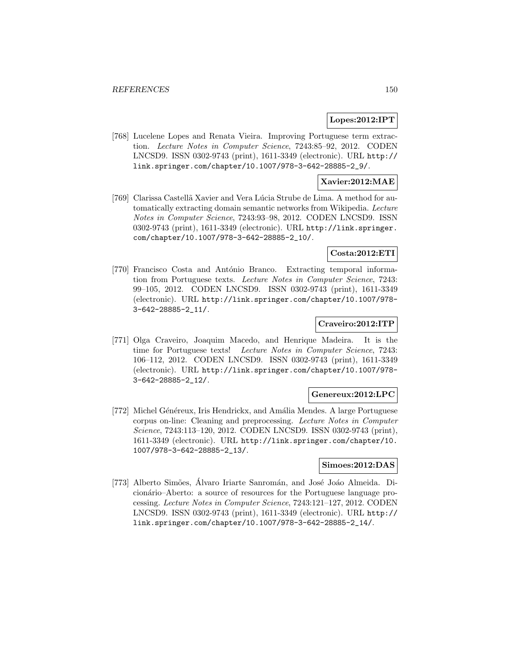#### **Lopes:2012:IPT**

[768] Lucelene Lopes and Renata Vieira. Improving Portuguese term extraction. Lecture Notes in Computer Science, 7243:85–92, 2012. CODEN LNCSD9. ISSN 0302-9743 (print), 1611-3349 (electronic). URL http:// link.springer.com/chapter/10.1007/978-3-642-28885-2\_9/.

#### **Xavier:2012:MAE**

[769] Clarissa Castellã Xavier and Vera Lúcia Strube de Lima. A method for automatically extracting domain semantic networks from Wikipedia. Lecture Notes in Computer Science, 7243:93–98, 2012. CODEN LNCSD9. ISSN 0302-9743 (print), 1611-3349 (electronic). URL http://link.springer. com/chapter/10.1007/978-3-642-28885-2\_10/.

# **Costa:2012:ETI**

[770] Francisco Costa and António Branco. Extracting temporal information from Portuguese texts. Lecture Notes in Computer Science, 7243: 99–105, 2012. CODEN LNCSD9. ISSN 0302-9743 (print), 1611-3349 (electronic). URL http://link.springer.com/chapter/10.1007/978- 3-642-28885-2\_11/.

## **Craveiro:2012:ITP**

[771] Olga Craveiro, Joaquim Macedo, and Henrique Madeira. It is the time for Portuguese texts! Lecture Notes in Computer Science, 7243: 106–112, 2012. CODEN LNCSD9. ISSN 0302-9743 (print), 1611-3349 (electronic). URL http://link.springer.com/chapter/10.1007/978- 3-642-28885-2\_12/.

#### **Genereux:2012:LPC**

[772] Michel Généreux, Iris Hendrickx, and Amália Mendes. A large Portuguese corpus on-line: Cleaning and preprocessing. Lecture Notes in Computer Science, 7243:113–120, 2012. CODEN LNCSD9. ISSN 0302-9743 (print), 1611-3349 (electronic). URL http://link.springer.com/chapter/10. 1007/978-3-642-28885-2\_13/.

## **Simoes:2012:DAS**

[773] Alberto Simões, Álvaro Iriarte Sanromán, and José Joáo Almeida. Dicionário–Aberto: a source of resources for the Portuguese language processing. Lecture Notes in Computer Science, 7243:121–127, 2012. CODEN LNCSD9. ISSN 0302-9743 (print), 1611-3349 (electronic). URL http:// link.springer.com/chapter/10.1007/978-3-642-28885-2\_14/.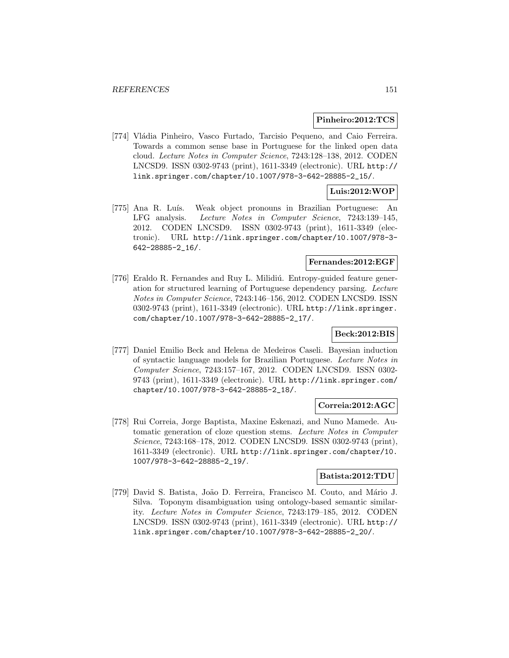#### **Pinheiro:2012:TCS**

[774] Vládia Pinheiro, Vasco Furtado, Tarcisio Pequeno, and Caio Ferreira. Towards a common sense base in Portuguese for the linked open data cloud. Lecture Notes in Computer Science, 7243:128–138, 2012. CODEN LNCSD9. ISSN 0302-9743 (print), 1611-3349 (electronic). URL http:// link.springer.com/chapter/10.1007/978-3-642-28885-2\_15/.

## **Luis:2012:WOP**

[775] Ana R. Luís. Weak object pronouns in Brazilian Portuguese: An LFG analysis. Lecture Notes in Computer Science, 7243:139–145, 2012. CODEN LNCSD9. ISSN 0302-9743 (print), 1611-3349 (electronic). URL http://link.springer.com/chapter/10.1007/978-3- 642-28885-2\_16/.

#### **Fernandes:2012:EGF**

[776] Eraldo R. Fernandes and Ruy L. Milidiú. Entropy-guided feature generation for structured learning of Portuguese dependency parsing. Lecture Notes in Computer Science, 7243:146–156, 2012. CODEN LNCSD9. ISSN 0302-9743 (print), 1611-3349 (electronic). URL http://link.springer. com/chapter/10.1007/978-3-642-28885-2\_17/.

# **Beck:2012:BIS**

[777] Daniel Emilio Beck and Helena de Medeiros Caseli. Bayesian induction of syntactic language models for Brazilian Portuguese. Lecture Notes in Computer Science, 7243:157–167, 2012. CODEN LNCSD9. ISSN 0302- 9743 (print), 1611-3349 (electronic). URL http://link.springer.com/ chapter/10.1007/978-3-642-28885-2\_18/.

#### **Correia:2012:AGC**

[778] Rui Correia, Jorge Baptista, Maxine Eskenazi, and Nuno Mamede. Automatic generation of cloze question stems. Lecture Notes in Computer Science, 7243:168–178, 2012. CODEN LNCSD9. ISSN 0302-9743 (print), 1611-3349 (electronic). URL http://link.springer.com/chapter/10. 1007/978-3-642-28885-2\_19/.

#### **Batista:2012:TDU**

[779] David S. Batista, João D. Ferreira, Francisco M. Couto, and Mário J. Silva. Toponym disambiguation using ontology-based semantic similarity. Lecture Notes in Computer Science, 7243:179–185, 2012. CODEN LNCSD9. ISSN 0302-9743 (print), 1611-3349 (electronic). URL http:// link.springer.com/chapter/10.1007/978-3-642-28885-2\_20/.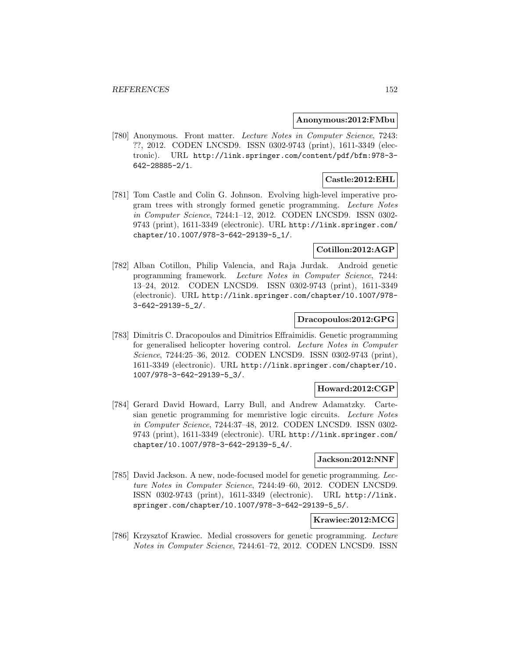#### **Anonymous:2012:FMbu**

[780] Anonymous. Front matter. Lecture Notes in Computer Science, 7243: ??, 2012. CODEN LNCSD9. ISSN 0302-9743 (print), 1611-3349 (electronic). URL http://link.springer.com/content/pdf/bfm:978-3- 642-28885-2/1.

# **Castle:2012:EHL**

[781] Tom Castle and Colin G. Johnson. Evolving high-level imperative program trees with strongly formed genetic programming. Lecture Notes in Computer Science, 7244:1–12, 2012. CODEN LNCSD9. ISSN 0302- 9743 (print), 1611-3349 (electronic). URL http://link.springer.com/ chapter/10.1007/978-3-642-29139-5\_1/.

# **Cotillon:2012:AGP**

[782] Alban Cotillon, Philip Valencia, and Raja Jurdak. Android genetic programming framework. Lecture Notes in Computer Science, 7244: 13–24, 2012. CODEN LNCSD9. ISSN 0302-9743 (print), 1611-3349 (electronic). URL http://link.springer.com/chapter/10.1007/978- 3-642-29139-5\_2/.

## **Dracopoulos:2012:GPG**

[783] Dimitris C. Dracopoulos and Dimitrios Effraimidis. Genetic programming for generalised helicopter hovering control. Lecture Notes in Computer Science, 7244:25–36, 2012. CODEN LNCSD9. ISSN 0302-9743 (print), 1611-3349 (electronic). URL http://link.springer.com/chapter/10. 1007/978-3-642-29139-5\_3/.

#### **Howard:2012:CGP**

[784] Gerard David Howard, Larry Bull, and Andrew Adamatzky. Cartesian genetic programming for memristive logic circuits. Lecture Notes in Computer Science, 7244:37–48, 2012. CODEN LNCSD9. ISSN 0302- 9743 (print), 1611-3349 (electronic). URL http://link.springer.com/ chapter/10.1007/978-3-642-29139-5\_4/.

#### **Jackson:2012:NNF**

[785] David Jackson. A new, node-focused model for genetic programming. Lecture Notes in Computer Science, 7244:49–60, 2012. CODEN LNCSD9. ISSN 0302-9743 (print), 1611-3349 (electronic). URL http://link. springer.com/chapter/10.1007/978-3-642-29139-5\_5/.

## **Krawiec:2012:MCG**

[786] Krzysztof Krawiec. Medial crossovers for genetic programming. Lecture Notes in Computer Science, 7244:61–72, 2012. CODEN LNCSD9. ISSN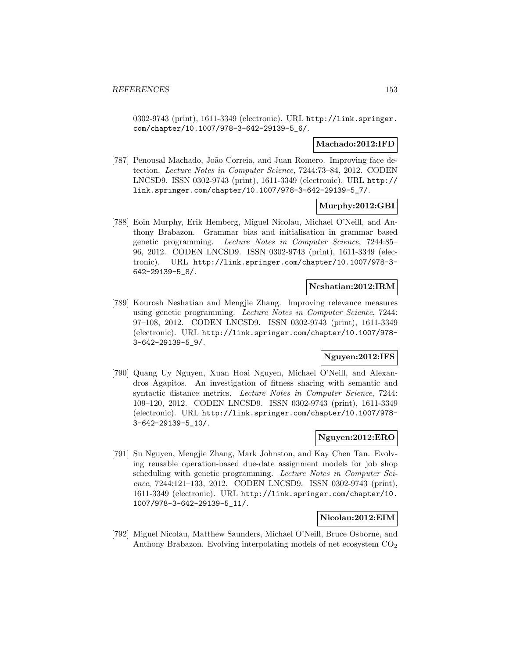0302-9743 (print), 1611-3349 (electronic). URL http://link.springer. com/chapter/10.1007/978-3-642-29139-5\_6/.

## **Machado:2012:IFD**

[787] Penousal Machado, João Correia, and Juan Romero. Improving face detection. Lecture Notes in Computer Science, 7244:73–84, 2012. CODEN LNCSD9. ISSN 0302-9743 (print), 1611-3349 (electronic). URL http:// link.springer.com/chapter/10.1007/978-3-642-29139-5\_7/.

### **Murphy:2012:GBI**

[788] Eoin Murphy, Erik Hemberg, Miguel Nicolau, Michael O'Neill, and Anthony Brabazon. Grammar bias and initialisation in grammar based genetic programming. Lecture Notes in Computer Science, 7244:85– 96, 2012. CODEN LNCSD9. ISSN 0302-9743 (print), 1611-3349 (electronic). URL http://link.springer.com/chapter/10.1007/978-3- 642-29139-5\_8/.

#### **Neshatian:2012:IRM**

[789] Kourosh Neshatian and Mengjie Zhang. Improving relevance measures using genetic programming. Lecture Notes in Computer Science, 7244: 97–108, 2012. CODEN LNCSD9. ISSN 0302-9743 (print), 1611-3349 (electronic). URL http://link.springer.com/chapter/10.1007/978- 3-642-29139-5\_9/.

## **Nguyen:2012:IFS**

[790] Quang Uy Nguyen, Xuan Hoai Nguyen, Michael O'Neill, and Alexandros Agapitos. An investigation of fitness sharing with semantic and syntactic distance metrics. Lecture Notes in Computer Science, 7244: 109–120, 2012. CODEN LNCSD9. ISSN 0302-9743 (print), 1611-3349 (electronic). URL http://link.springer.com/chapter/10.1007/978- 3-642-29139-5\_10/.

## **Nguyen:2012:ERO**

[791] Su Nguyen, Mengjie Zhang, Mark Johnston, and Kay Chen Tan. Evolving reusable operation-based due-date assignment models for job shop scheduling with genetic programming. Lecture Notes in Computer Science, 7244:121-133, 2012. CODEN LNCSD9. ISSN 0302-9743 (print), 1611-3349 (electronic). URL http://link.springer.com/chapter/10. 1007/978-3-642-29139-5\_11/.

#### **Nicolau:2012:EIM**

[792] Miguel Nicolau, Matthew Saunders, Michael O'Neill, Bruce Osborne, and Anthony Brabazon. Evolving interpolating models of net ecosystem  $CO<sub>2</sub>$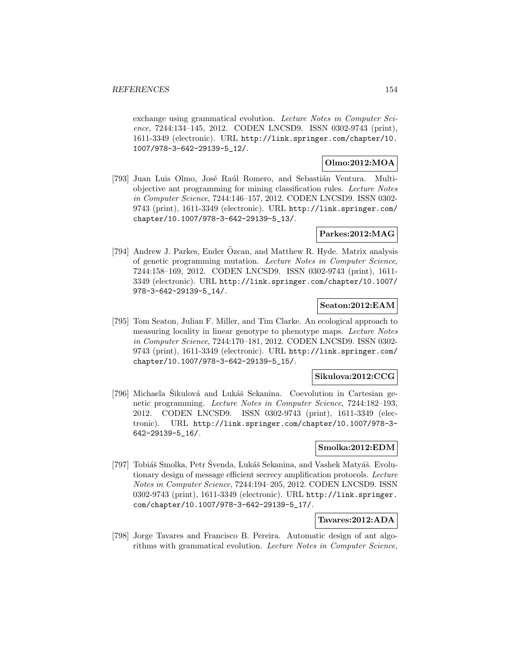exchange using grammatical evolution. Lecture Notes in Computer Science, 7244:134–145, 2012. CODEN LNCSD9. ISSN 0302-9743 (print), 1611-3349 (electronic). URL http://link.springer.com/chapter/10. 1007/978-3-642-29139-5\_12/.

## **Olmo:2012:MOA**

[793] Juan Luis Olmo, José Raúl Romero, and Sebastián Ventura. Multiobjective ant programming for mining classification rules. Lecture Notes in Computer Science, 7244:146–157, 2012. CODEN LNCSD9. ISSN 0302- 9743 (print), 1611-3349 (electronic). URL http://link.springer.com/ chapter/10.1007/978-3-642-29139-5\_13/.

## **Parkes:2012:MAG**

[794] Andrew J. Parkes, Ender Özcan, and Matthew R. Hyde. Matrix analysis of genetic programming mutation. Lecture Notes in Computer Science, 7244:158–169, 2012. CODEN LNCSD9. ISSN 0302-9743 (print), 1611- 3349 (electronic). URL http://link.springer.com/chapter/10.1007/ 978-3-642-29139-5\_14/.

### **Seaton:2012:EAM**

[795] Tom Seaton, Julian F. Miller, and Tim Clarke. An ecological approach to measuring locality in linear genotype to phenotype maps. Lecture Notes in Computer Science, 7244:170–181, 2012. CODEN LNCSD9. ISSN 0302- 9743 (print), 1611-3349 (electronic). URL http://link.springer.com/ chapter/10.1007/978-3-642-29139-5\_15/.

#### **Sikulova:2012:CCG**

[796] Michaela Sikulová and Lukáš Sekanina. Coevolution in Cartesian genetic programming. Lecture Notes in Computer Science, 7244:182–193, 2012. CODEN LNCSD9. ISSN 0302-9743 (print), 1611-3349 (electronic). URL http://link.springer.com/chapter/10.1007/978-3- 642-29139-5\_16/.

#### **Smolka:2012:EDM**

[797] Tobiáš Smolka, Petr Švenda, Lukáš Sekanina, and Vashek Matyáš. Evolutionary design of message efficient secrecy amplification protocols. Lecture Notes in Computer Science, 7244:194–205, 2012. CODEN LNCSD9. ISSN 0302-9743 (print), 1611-3349 (electronic). URL http://link.springer. com/chapter/10.1007/978-3-642-29139-5\_17/.

## **Tavares:2012:ADA**

[798] Jorge Tavares and Francisco B. Pereira. Automatic design of ant algorithms with grammatical evolution. Lecture Notes in Computer Science,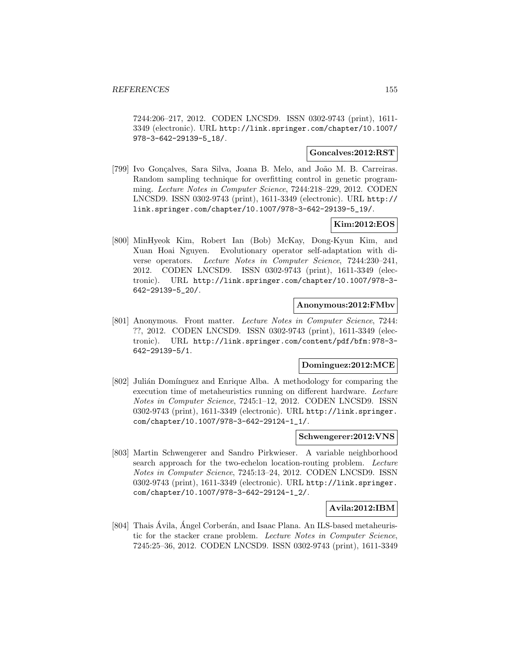7244:206–217, 2012. CODEN LNCSD9. ISSN 0302-9743 (print), 1611- 3349 (electronic). URL http://link.springer.com/chapter/10.1007/ 978-3-642-29139-5\_18/.

#### **Goncalves:2012:RST**

[799] Ivo Gonçalves, Sara Silva, Joana B. Melo, and João M. B. Carreiras. Random sampling technique for overfitting control in genetic programming. Lecture Notes in Computer Science, 7244:218–229, 2012. CODEN LNCSD9. ISSN 0302-9743 (print), 1611-3349 (electronic). URL http:// link.springer.com/chapter/10.1007/978-3-642-29139-5\_19/.

## **Kim:2012:EOS**

[800] MinHyeok Kim, Robert Ian (Bob) McKay, Dong-Kyun Kim, and Xuan Hoai Nguyen. Evolutionary operator self-adaptation with diverse operators. Lecture Notes in Computer Science, 7244:230–241, 2012. CODEN LNCSD9. ISSN 0302-9743 (print), 1611-3349 (electronic). URL http://link.springer.com/chapter/10.1007/978-3- 642-29139-5\_20/.

### **Anonymous:2012:FMbv**

[801] Anonymous. Front matter. Lecture Notes in Computer Science, 7244: ??, 2012. CODEN LNCSD9. ISSN 0302-9743 (print), 1611-3349 (electronic). URL http://link.springer.com/content/pdf/bfm:978-3- 642-29139-5/1.

#### **Dominguez:2012:MCE**

[802] Julián Domínguez and Enrique Alba. A methodology for comparing the execution time of metaheuristics running on different hardware. Lecture Notes in Computer Science, 7245:1–12, 2012. CODEN LNCSD9. ISSN 0302-9743 (print), 1611-3349 (electronic). URL http://link.springer. com/chapter/10.1007/978-3-642-29124-1\_1/.

#### **Schwengerer:2012:VNS**

[803] Martin Schwengerer and Sandro Pirkwieser. A variable neighborhood search approach for the two-echelon location-routing problem. Lecture Notes in Computer Science, 7245:13–24, 2012. CODEN LNCSD9. ISSN 0302-9743 (print), 1611-3349 (electronic). URL http://link.springer. com/chapter/10.1007/978-3-642-29124-1\_2/.

#### **Avila:2012:IBM**

[804] Thais Ávila, Ángel Corberán, and Isaac Plana. An ILS-based metaheuristic for the stacker crane problem. Lecture Notes in Computer Science, 7245:25–36, 2012. CODEN LNCSD9. ISSN 0302-9743 (print), 1611-3349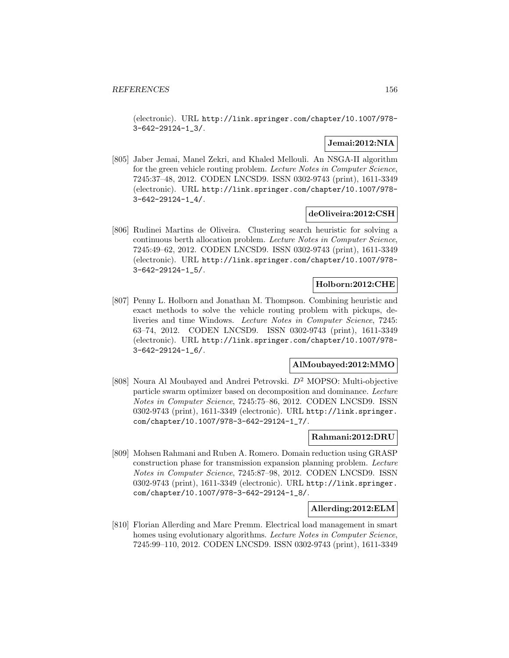(electronic). URL http://link.springer.com/chapter/10.1007/978- 3-642-29124-1\_3/.

## **Jemai:2012:NIA**

[805] Jaber Jemai, Manel Zekri, and Khaled Mellouli. An NSGA-II algorithm for the green vehicle routing problem. Lecture Notes in Computer Science, 7245:37–48, 2012. CODEN LNCSD9. ISSN 0302-9743 (print), 1611-3349 (electronic). URL http://link.springer.com/chapter/10.1007/978- 3-642-29124-1\_4/.

### **deOliveira:2012:CSH**

[806] Rudinei Martins de Oliveira. Clustering search heuristic for solving a continuous berth allocation problem. Lecture Notes in Computer Science, 7245:49–62, 2012. CODEN LNCSD9. ISSN 0302-9743 (print), 1611-3349 (electronic). URL http://link.springer.com/chapter/10.1007/978- 3-642-29124-1\_5/.

#### **Holborn:2012:CHE**

[807] Penny L. Holborn and Jonathan M. Thompson. Combining heuristic and exact methods to solve the vehicle routing problem with pickups, deliveries and time Windows. Lecture Notes in Computer Science, 7245: 63–74, 2012. CODEN LNCSD9. ISSN 0302-9743 (print), 1611-3349 (electronic). URL http://link.springer.com/chapter/10.1007/978- 3-642-29124-1\_6/.

#### **AlMoubayed:2012:MMO**

[808] Noura Al Moubayed and Andrei Petrovski. D<sup>2</sup> MOPSO: Multi-objective particle swarm optimizer based on decomposition and dominance. Lecture Notes in Computer Science, 7245:75–86, 2012. CODEN LNCSD9. ISSN 0302-9743 (print), 1611-3349 (electronic). URL http://link.springer. com/chapter/10.1007/978-3-642-29124-1\_7/.

### **Rahmani:2012:DRU**

[809] Mohsen Rahmani and Ruben A. Romero. Domain reduction using GRASP construction phase for transmission expansion planning problem. Lecture Notes in Computer Science, 7245:87–98, 2012. CODEN LNCSD9. ISSN 0302-9743 (print), 1611-3349 (electronic). URL http://link.springer. com/chapter/10.1007/978-3-642-29124-1\_8/.

#### **Allerding:2012:ELM**

[810] Florian Allerding and Marc Premm. Electrical load management in smart homes using evolutionary algorithms. Lecture Notes in Computer Science, 7245:99–110, 2012. CODEN LNCSD9. ISSN 0302-9743 (print), 1611-3349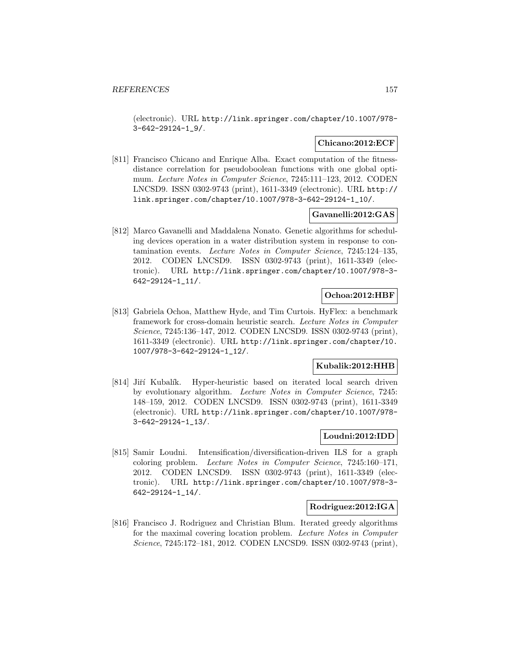(electronic). URL http://link.springer.com/chapter/10.1007/978- 3-642-29124-1\_9/.

### **Chicano:2012:ECF**

[811] Francisco Chicano and Enrique Alba. Exact computation of the fitnessdistance correlation for pseudoboolean functions with one global optimum. Lecture Notes in Computer Science, 7245:111–123, 2012. CODEN LNCSD9. ISSN 0302-9743 (print), 1611-3349 (electronic). URL http:// link.springer.com/chapter/10.1007/978-3-642-29124-1\_10/.

#### **Gavanelli:2012:GAS**

[812] Marco Gavanelli and Maddalena Nonato. Genetic algorithms for scheduling devices operation in a water distribution system in response to contamination events. Lecture Notes in Computer Science, 7245:124–135, 2012. CODEN LNCSD9. ISSN 0302-9743 (print), 1611-3349 (electronic). URL http://link.springer.com/chapter/10.1007/978-3- 642-29124-1\_11/.

## **Ochoa:2012:HBF**

[813] Gabriela Ochoa, Matthew Hyde, and Tim Curtois. HyFlex: a benchmark framework for cross-domain heuristic search. Lecture Notes in Computer Science, 7245:136–147, 2012. CODEN LNCSD9. ISSN 0302-9743 (print), 1611-3349 (electronic). URL http://link.springer.com/chapter/10. 1007/978-3-642-29124-1\_12/.

### **Kubalik:2012:HHB**

[814] Jiří Kubalík. Hyper-heuristic based on iterated local search driven by evolutionary algorithm. Lecture Notes in Computer Science, 7245: 148–159, 2012. CODEN LNCSD9. ISSN 0302-9743 (print), 1611-3349 (electronic). URL http://link.springer.com/chapter/10.1007/978- 3-642-29124-1\_13/.

## **Loudni:2012:IDD**

[815] Samir Loudni. Intensification/diversification-driven ILS for a graph coloring problem. Lecture Notes in Computer Science, 7245:160–171, 2012. CODEN LNCSD9. ISSN 0302-9743 (print), 1611-3349 (electronic). URL http://link.springer.com/chapter/10.1007/978-3- 642-29124-1\_14/.

#### **Rodriguez:2012:IGA**

[816] Francisco J. Rodriguez and Christian Blum. Iterated greedy algorithms for the maximal covering location problem. Lecture Notes in Computer Science, 7245:172–181, 2012. CODEN LNCSD9. ISSN 0302-9743 (print),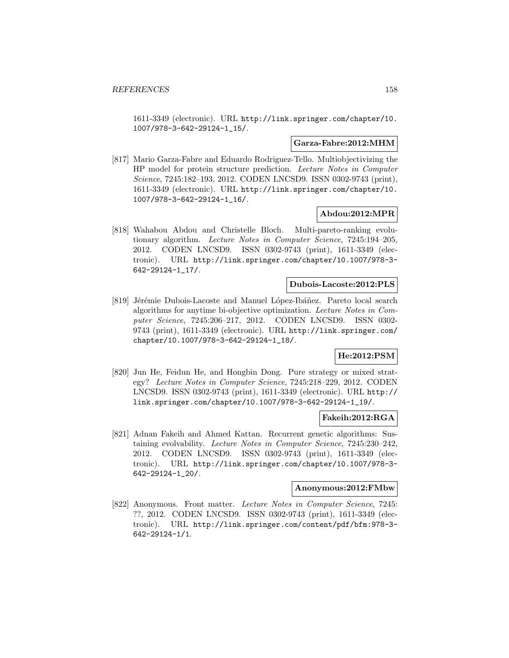1611-3349 (electronic). URL http://link.springer.com/chapter/10. 1007/978-3-642-29124-1\_15/.

#### **Garza-Fabre:2012:MHM**

[817] Mario Garza-Fabre and Eduardo Rodriguez-Tello. Multiobjectivizing the HP model for protein structure prediction. Lecture Notes in Computer Science, 7245:182–193, 2012. CODEN LNCSD9. ISSN 0302-9743 (print), 1611-3349 (electronic). URL http://link.springer.com/chapter/10. 1007/978-3-642-29124-1\_16/.

#### **Abdou:2012:MPR**

[818] Wahabou Abdou and Christelle Bloch. Multi-pareto-ranking evolutionary algorithm. Lecture Notes in Computer Science, 7245:194–205, 2012. CODEN LNCSD9. ISSN 0302-9743 (print), 1611-3349 (electronic). URL http://link.springer.com/chapter/10.1007/978-3- 642-29124-1\_17/.

#### **Dubois-Lacoste:2012:PLS**

[819] Jérémie Dubois-Lacoste and Manuel López-Ibáñez. Pareto local search algorithms for anytime bi-objective optimization. Lecture Notes in Computer Science, 7245:206–217, 2012. CODEN LNCSD9. ISSN 0302- 9743 (print), 1611-3349 (electronic). URL http://link.springer.com/ chapter/10.1007/978-3-642-29124-1\_18/.

## **He:2012:PSM**

[820] Jun He, Feidun He, and Hongbin Dong. Pure strategy or mixed strategy? Lecture Notes in Computer Science, 7245:218–229, 2012. CODEN LNCSD9. ISSN 0302-9743 (print), 1611-3349 (electronic). URL http:// link.springer.com/chapter/10.1007/978-3-642-29124-1\_19/.

#### **Fakeih:2012:RGA**

[821] Adnan Fakeih and Ahmed Kattan. Recurrent genetic algorithms: Sustaining evolvability. Lecture Notes in Computer Science, 7245:230–242, 2012. CODEN LNCSD9. ISSN 0302-9743 (print), 1611-3349 (electronic). URL http://link.springer.com/chapter/10.1007/978-3- 642-29124-1\_20/.

#### **Anonymous:2012:FMbw**

[822] Anonymous. Front matter. Lecture Notes in Computer Science, 7245: ??, 2012. CODEN LNCSD9. ISSN 0302-9743 (print), 1611-3349 (electronic). URL http://link.springer.com/content/pdf/bfm:978-3- 642-29124-1/1.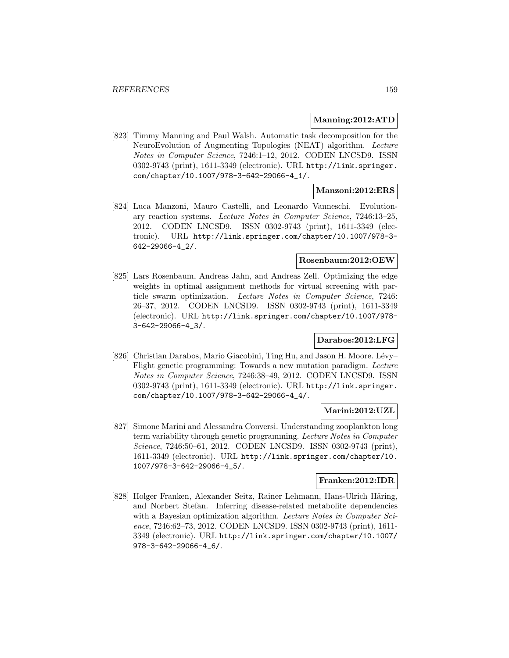### **Manning:2012:ATD**

[823] Timmy Manning and Paul Walsh. Automatic task decomposition for the NeuroEvolution of Augmenting Topologies (NEAT) algorithm. Lecture Notes in Computer Science, 7246:1–12, 2012. CODEN LNCSD9. ISSN 0302-9743 (print), 1611-3349 (electronic). URL http://link.springer. com/chapter/10.1007/978-3-642-29066-4\_1/.

## **Manzoni:2012:ERS**

[824] Luca Manzoni, Mauro Castelli, and Leonardo Vanneschi. Evolutionary reaction systems. Lecture Notes in Computer Science, 7246:13–25, 2012. CODEN LNCSD9. ISSN 0302-9743 (print), 1611-3349 (electronic). URL http://link.springer.com/chapter/10.1007/978-3- 642-29066-4\_2/.

### **Rosenbaum:2012:OEW**

[825] Lars Rosenbaum, Andreas Jahn, and Andreas Zell. Optimizing the edge weights in optimal assignment methods for virtual screening with particle swarm optimization. Lecture Notes in Computer Science, 7246: 26–37, 2012. CODEN LNCSD9. ISSN 0302-9743 (print), 1611-3349 (electronic). URL http://link.springer.com/chapter/10.1007/978- 3-642-29066-4\_3/.

## **Darabos:2012:LFG**

[826] Christian Darabos, Mario Giacobini, Ting Hu, and Jason H. Moore. Lévy– Flight genetic programming: Towards a new mutation paradigm. Lecture Notes in Computer Science, 7246:38–49, 2012. CODEN LNCSD9. ISSN 0302-9743 (print), 1611-3349 (electronic). URL http://link.springer. com/chapter/10.1007/978-3-642-29066-4\_4/.

### **Marini:2012:UZL**

[827] Simone Marini and Alessandra Conversi. Understanding zooplankton long term variability through genetic programming. Lecture Notes in Computer Science, 7246:50–61, 2012. CODEN LNCSD9. ISSN 0302-9743 (print), 1611-3349 (electronic). URL http://link.springer.com/chapter/10. 1007/978-3-642-29066-4\_5/.

## **Franken:2012:IDR**

[828] Holger Franken, Alexander Seitz, Rainer Lehmann, Hans-Ulrich Häring, and Norbert Stefan. Inferring disease-related metabolite dependencies with a Bayesian optimization algorithm. Lecture Notes in Computer Science, 7246:62–73, 2012. CODEN LNCSD9. ISSN 0302-9743 (print), 1611- 3349 (electronic). URL http://link.springer.com/chapter/10.1007/ 978-3-642-29066-4\_6/.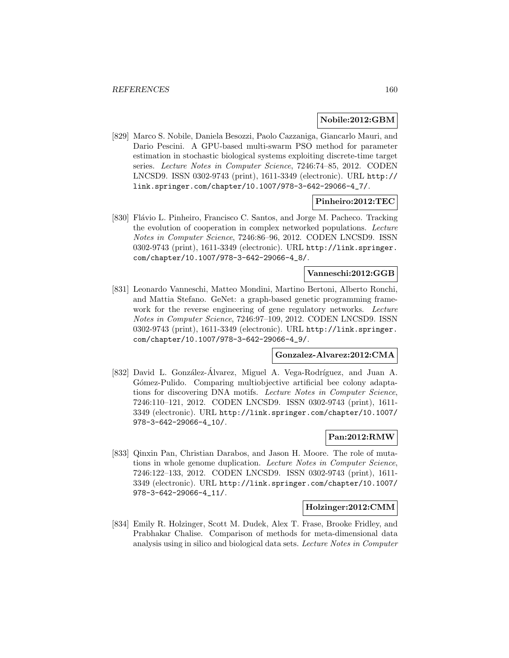#### **Nobile:2012:GBM**

[829] Marco S. Nobile, Daniela Besozzi, Paolo Cazzaniga, Giancarlo Mauri, and Dario Pescini. A GPU-based multi-swarm PSO method for parameter estimation in stochastic biological systems exploiting discrete-time target series. Lecture Notes in Computer Science, 7246:74–85, 2012. CODEN LNCSD9. ISSN 0302-9743 (print), 1611-3349 (electronic). URL http:// link.springer.com/chapter/10.1007/978-3-642-29066-4\_7/.

## **Pinheiro:2012:TEC**

[830] Flávio L. Pinheiro, Francisco C. Santos, and Jorge M. Pacheco. Tracking the evolution of cooperation in complex networked populations. Lecture Notes in Computer Science, 7246:86–96, 2012. CODEN LNCSD9. ISSN 0302-9743 (print), 1611-3349 (electronic). URL http://link.springer. com/chapter/10.1007/978-3-642-29066-4\_8/.

### **Vanneschi:2012:GGB**

[831] Leonardo Vanneschi, Matteo Mondini, Martino Bertoni, Alberto Ronchi, and Mattia Stefano. GeNet: a graph-based genetic programming framework for the reverse engineering of gene regulatory networks. Lecture Notes in Computer Science, 7246:97–109, 2012. CODEN LNCSD9. ISSN 0302-9743 (print), 1611-3349 (electronic). URL http://link.springer. com/chapter/10.1007/978-3-642-29066-4\_9/.

#### **Gonzalez-Alvarez:2012:CMA**

[832] David L. González-Álvarez, Miguel A. Vega-Rodríguez, and Juan A. Gómez-Pulido. Comparing multiobjective artificial bee colony adaptations for discovering DNA motifs. Lecture Notes in Computer Science, 7246:110–121, 2012. CODEN LNCSD9. ISSN 0302-9743 (print), 1611- 3349 (electronic). URL http://link.springer.com/chapter/10.1007/ 978-3-642-29066-4\_10/.

#### **Pan:2012:RMW**

[833] Qinxin Pan, Christian Darabos, and Jason H. Moore. The role of mutations in whole genome duplication. Lecture Notes in Computer Science, 7246:122–133, 2012. CODEN LNCSD9. ISSN 0302-9743 (print), 1611- 3349 (electronic). URL http://link.springer.com/chapter/10.1007/ 978-3-642-29066-4\_11/.

#### **Holzinger:2012:CMM**

[834] Emily R. Holzinger, Scott M. Dudek, Alex T. Frase, Brooke Fridley, and Prabhakar Chalise. Comparison of methods for meta-dimensional data analysis using in silico and biological data sets. Lecture Notes in Computer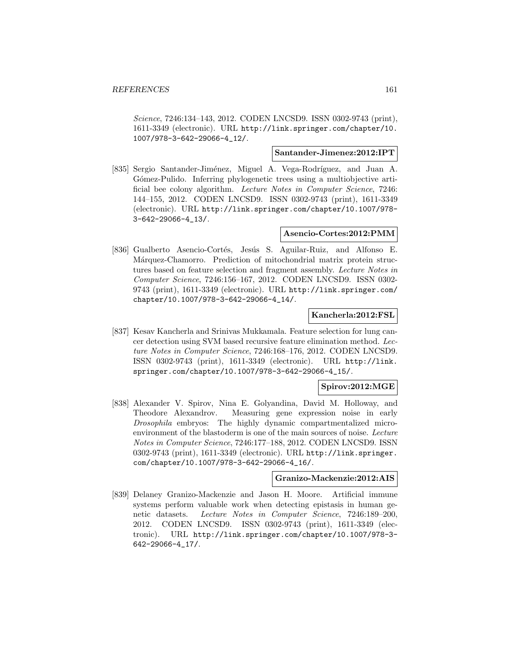Science, 7246:134–143, 2012. CODEN LNCSD9. ISSN 0302-9743 (print), 1611-3349 (electronic). URL http://link.springer.com/chapter/10. 1007/978-3-642-29066-4\_12/.

#### **Santander-Jimenez:2012:IPT**

[835] Sergio Santander-Jiménez, Miguel A. Vega-Rodríguez, and Juan A. G´omez-Pulido. Inferring phylogenetic trees using a multiobjective artificial bee colony algorithm. Lecture Notes in Computer Science, 7246: 144–155, 2012. CODEN LNCSD9. ISSN 0302-9743 (print), 1611-3349 (electronic). URL http://link.springer.com/chapter/10.1007/978- 3-642-29066-4\_13/.

#### **Asencio-Cortes:2012:PMM**

[836] Gualberto Asencio-Cortés, Jesús S. Aguilar-Ruiz, and Alfonso E. Márquez-Chamorro. Prediction of mitochondrial matrix protein structures based on feature selection and fragment assembly. Lecture Notes in Computer Science, 7246:156–167, 2012. CODEN LNCSD9. ISSN 0302- 9743 (print), 1611-3349 (electronic). URL http://link.springer.com/ chapter/10.1007/978-3-642-29066-4\_14/.

#### **Kancherla:2012:FSL**

[837] Kesav Kancherla and Srinivas Mukkamala. Feature selection for lung cancer detection using SVM based recursive feature elimination method. Lecture Notes in Computer Science, 7246:168–176, 2012. CODEN LNCSD9. ISSN 0302-9743 (print), 1611-3349 (electronic). URL http://link. springer.com/chapter/10.1007/978-3-642-29066-4\_15/.

### **Spirov:2012:MGE**

[838] Alexander V. Spirov, Nina E. Golyandina, David M. Holloway, and Theodore Alexandrov. Measuring gene expression noise in early Drosophila embryos: The highly dynamic compartmentalized microenvironment of the blastoderm is one of the main sources of noise. Lecture Notes in Computer Science, 7246:177–188, 2012. CODEN LNCSD9. ISSN 0302-9743 (print), 1611-3349 (electronic). URL http://link.springer. com/chapter/10.1007/978-3-642-29066-4\_16/.

#### **Granizo-Mackenzie:2012:AIS**

[839] Delaney Granizo-Mackenzie and Jason H. Moore. Artificial immune systems perform valuable work when detecting epistasis in human genetic datasets. Lecture Notes in Computer Science, 7246:189–200, 2012. CODEN LNCSD9. ISSN 0302-9743 (print), 1611-3349 (electronic). URL http://link.springer.com/chapter/10.1007/978-3- 642-29066-4\_17/.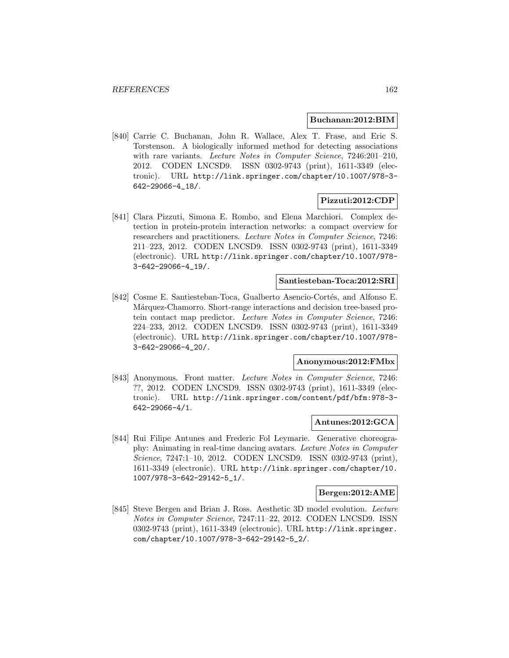#### **Buchanan:2012:BIM**

[840] Carrie C. Buchanan, John R. Wallace, Alex T. Frase, and Eric S. Torstenson. A biologically informed method for detecting associations with rare variants. Lecture Notes in Computer Science, 7246:201-210, 2012. CODEN LNCSD9. ISSN 0302-9743 (print), 1611-3349 (electronic). URL http://link.springer.com/chapter/10.1007/978-3- 642-29066-4\_18/.

#### **Pizzuti:2012:CDP**

[841] Clara Pizzuti, Simona E. Rombo, and Elena Marchiori. Complex detection in protein-protein interaction networks: a compact overview for researchers and practitioners. Lecture Notes in Computer Science, 7246: 211–223, 2012. CODEN LNCSD9. ISSN 0302-9743 (print), 1611-3349 (electronic). URL http://link.springer.com/chapter/10.1007/978- 3-642-29066-4\_19/.

#### **Santiesteban-Toca:2012:SRI**

[842] Cosme E. Santiesteban-Toca, Gualberto Asencio-Cortés, and Alfonso E. Márquez-Chamorro. Short-range interactions and decision tree-based protein contact map predictor. Lecture Notes in Computer Science, 7246: 224–233, 2012. CODEN LNCSD9. ISSN 0302-9743 (print), 1611-3349 (electronic). URL http://link.springer.com/chapter/10.1007/978- 3-642-29066-4\_20/.

#### **Anonymous:2012:FMbx**

[843] Anonymous. Front matter. Lecture Notes in Computer Science, 7246: ??, 2012. CODEN LNCSD9. ISSN 0302-9743 (print), 1611-3349 (electronic). URL http://link.springer.com/content/pdf/bfm:978-3- 642-29066-4/1.

#### **Antunes:2012:GCA**

[844] Rui Filipe Antunes and Frederic Fol Leymarie. Generative choreography: Animating in real-time dancing avatars. Lecture Notes in Computer Science, 7247:1–10, 2012. CODEN LNCSD9. ISSN 0302-9743 (print), 1611-3349 (electronic). URL http://link.springer.com/chapter/10. 1007/978-3-642-29142-5\_1/.

## **Bergen:2012:AME**

[845] Steve Bergen and Brian J. Ross. Aesthetic 3D model evolution. Lecture Notes in Computer Science, 7247:11–22, 2012. CODEN LNCSD9. ISSN 0302-9743 (print), 1611-3349 (electronic). URL http://link.springer. com/chapter/10.1007/978-3-642-29142-5\_2/.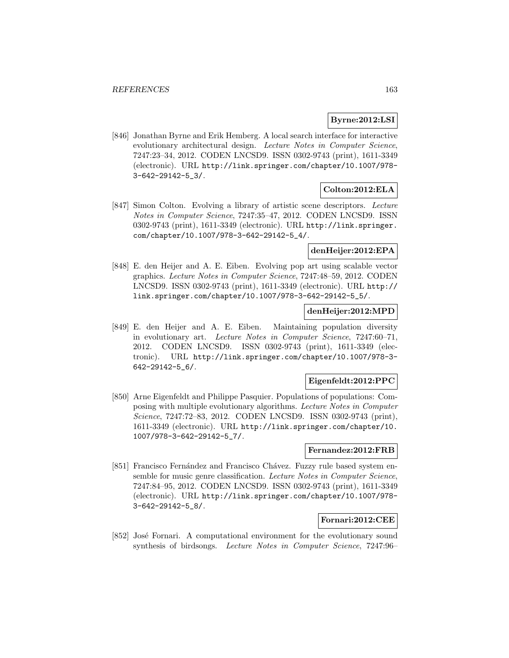## **Byrne:2012:LSI**

[846] Jonathan Byrne and Erik Hemberg. A local search interface for interactive evolutionary architectural design. Lecture Notes in Computer Science, 7247:23–34, 2012. CODEN LNCSD9. ISSN 0302-9743 (print), 1611-3349 (electronic). URL http://link.springer.com/chapter/10.1007/978- 3-642-29142-5\_3/.

## **Colton:2012:ELA**

[847] Simon Colton. Evolving a library of artistic scene descriptors. Lecture Notes in Computer Science, 7247:35–47, 2012. CODEN LNCSD9. ISSN 0302-9743 (print), 1611-3349 (electronic). URL http://link.springer. com/chapter/10.1007/978-3-642-29142-5\_4/.

## **denHeijer:2012:EPA**

[848] E. den Heijer and A. E. Eiben. Evolving pop art using scalable vector graphics. Lecture Notes in Computer Science, 7247:48–59, 2012. CODEN LNCSD9. ISSN 0302-9743 (print), 1611-3349 (electronic). URL http:// link.springer.com/chapter/10.1007/978-3-642-29142-5\_5/.

## **denHeijer:2012:MPD**

[849] E. den Heijer and A. E. Eiben. Maintaining population diversity in evolutionary art. Lecture Notes in Computer Science, 7247:60–71, 2012. CODEN LNCSD9. ISSN 0302-9743 (print), 1611-3349 (electronic). URL http://link.springer.com/chapter/10.1007/978-3- 642-29142-5\_6/.

## **Eigenfeldt:2012:PPC**

[850] Arne Eigenfeldt and Philippe Pasquier. Populations of populations: Composing with multiple evolutionary algorithms. Lecture Notes in Computer Science, 7247:72–83, 2012. CODEN LNCSD9. ISSN 0302-9743 (print), 1611-3349 (electronic). URL http://link.springer.com/chapter/10. 1007/978-3-642-29142-5\_7/.

## **Fernandez:2012:FRB**

[851] Francisco Fernández and Francisco Chávez. Fuzzy rule based system ensemble for music genre classification. Lecture Notes in Computer Science, 7247:84–95, 2012. CODEN LNCSD9. ISSN 0302-9743 (print), 1611-3349 (electronic). URL http://link.springer.com/chapter/10.1007/978- 3-642-29142-5\_8/.

## **Fornari:2012:CEE**

[852] José Fornari. A computational environment for the evolutionary sound synthesis of birdsongs. Lecture Notes in Computer Science, 7247:96–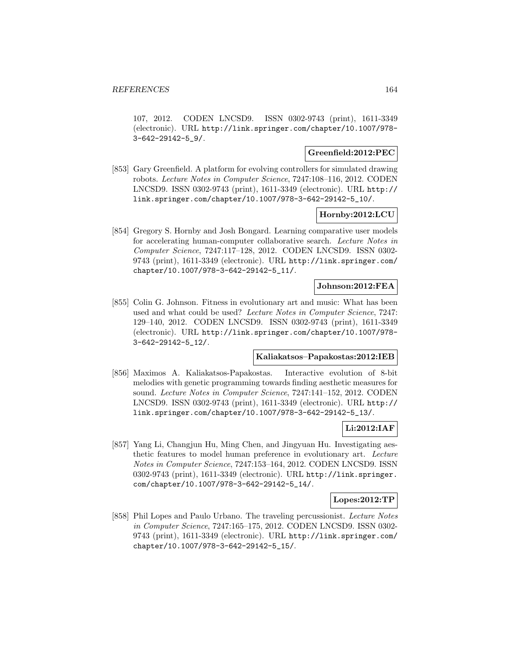107, 2012. CODEN LNCSD9. ISSN 0302-9743 (print), 1611-3349 (electronic). URL http://link.springer.com/chapter/10.1007/978- 3-642-29142-5\_9/.

#### **Greenfield:2012:PEC**

[853] Gary Greenfield. A platform for evolving controllers for simulated drawing robots. Lecture Notes in Computer Science, 7247:108–116, 2012. CODEN LNCSD9. ISSN 0302-9743 (print), 1611-3349 (electronic). URL http:// link.springer.com/chapter/10.1007/978-3-642-29142-5\_10/.

#### **Hornby:2012:LCU**

[854] Gregory S. Hornby and Josh Bongard. Learning comparative user models for accelerating human-computer collaborative search. Lecture Notes in Computer Science, 7247:117–128, 2012. CODEN LNCSD9. ISSN 0302- 9743 (print), 1611-3349 (electronic). URL http://link.springer.com/ chapter/10.1007/978-3-642-29142-5\_11/.

### **Johnson:2012:FEA**

[855] Colin G. Johnson. Fitness in evolutionary art and music: What has been used and what could be used? Lecture Notes in Computer Science, 7247: 129–140, 2012. CODEN LNCSD9. ISSN 0302-9743 (print), 1611-3349 (electronic). URL http://link.springer.com/chapter/10.1007/978- 3-642-29142-5\_12/.

#### **Kaliakatsos–Papakostas:2012:IEB**

[856] Maximos A. Kaliakatsos-Papakostas. Interactive evolution of 8-bit melodies with genetic programming towards finding aesthetic measures for sound. Lecture Notes in Computer Science, 7247:141–152, 2012. CODEN LNCSD9. ISSN 0302-9743 (print), 1611-3349 (electronic). URL http:// link.springer.com/chapter/10.1007/978-3-642-29142-5\_13/.

#### **Li:2012:IAF**

[857] Yang Li, Changjun Hu, Ming Chen, and Jingyuan Hu. Investigating aesthetic features to model human preference in evolutionary art. Lecture Notes in Computer Science, 7247:153–164, 2012. CODEN LNCSD9. ISSN 0302-9743 (print), 1611-3349 (electronic). URL http://link.springer. com/chapter/10.1007/978-3-642-29142-5\_14/.

#### **Lopes:2012:TP**

[858] Phil Lopes and Paulo Urbano. The traveling percussionist. Lecture Notes in Computer Science, 7247:165–175, 2012. CODEN LNCSD9. ISSN 0302- 9743 (print), 1611-3349 (electronic). URL http://link.springer.com/ chapter/10.1007/978-3-642-29142-5\_15/.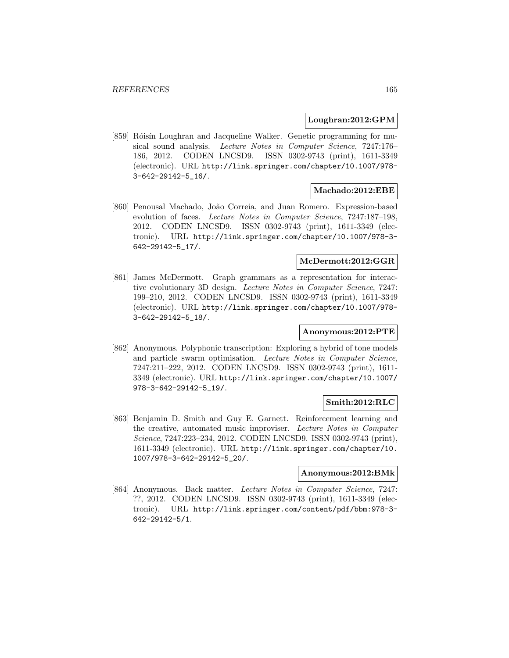#### **Loughran:2012:GPM**

[859] Róisín Loughran and Jacqueline Walker. Genetic programming for musical sound analysis. Lecture Notes in Computer Science, 7247:176– 186, 2012. CODEN LNCSD9. ISSN 0302-9743 (print), 1611-3349 (electronic). URL http://link.springer.com/chapter/10.1007/978- 3-642-29142-5\_16/.

#### **Machado:2012:EBE**

[860] Penousal Machado, João Correia, and Juan Romero. Expression-based evolution of faces. Lecture Notes in Computer Science, 7247:187–198, 2012. CODEN LNCSD9. ISSN 0302-9743 (print), 1611-3349 (electronic). URL http://link.springer.com/chapter/10.1007/978-3- 642-29142-5\_17/.

## **McDermott:2012:GGR**

[861] James McDermott. Graph grammars as a representation for interactive evolutionary 3D design. Lecture Notes in Computer Science, 7247: 199–210, 2012. CODEN LNCSD9. ISSN 0302-9743 (print), 1611-3349 (electronic). URL http://link.springer.com/chapter/10.1007/978- 3-642-29142-5\_18/.

## **Anonymous:2012:PTE**

[862] Anonymous. Polyphonic transcription: Exploring a hybrid of tone models and particle swarm optimisation. Lecture Notes in Computer Science, 7247:211–222, 2012. CODEN LNCSD9. ISSN 0302-9743 (print), 1611- 3349 (electronic). URL http://link.springer.com/chapter/10.1007/ 978-3-642-29142-5\_19/.

#### **Smith:2012:RLC**

[863] Benjamin D. Smith and Guy E. Garnett. Reinforcement learning and the creative, automated music improviser. Lecture Notes in Computer Science, 7247:223–234, 2012. CODEN LNCSD9. ISSN 0302-9743 (print), 1611-3349 (electronic). URL http://link.springer.com/chapter/10. 1007/978-3-642-29142-5\_20/.

#### **Anonymous:2012:BMk**

[864] Anonymous. Back matter. Lecture Notes in Computer Science, 7247: ??, 2012. CODEN LNCSD9. ISSN 0302-9743 (print), 1611-3349 (electronic). URL http://link.springer.com/content/pdf/bbm:978-3- 642-29142-5/1.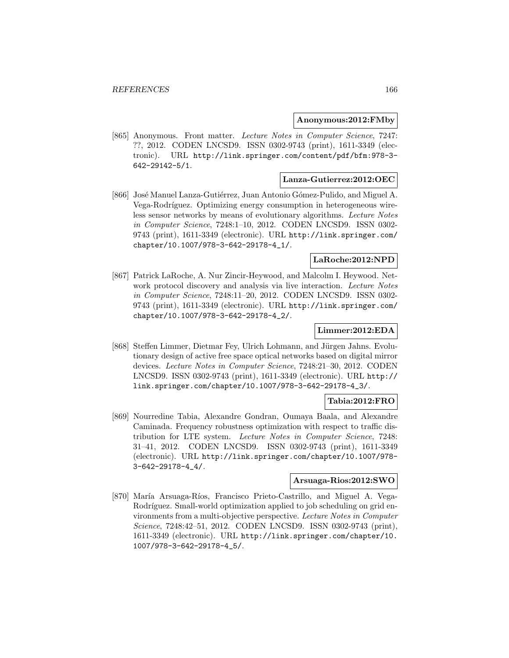#### **Anonymous:2012:FMby**

[865] Anonymous. Front matter. Lecture Notes in Computer Science, 7247: ??, 2012. CODEN LNCSD9. ISSN 0302-9743 (print), 1611-3349 (electronic). URL http://link.springer.com/content/pdf/bfm:978-3- 642-29142-5/1.

#### **Lanza-Gutierrez:2012:OEC**

[866] José Manuel Lanza-Gutiérrez, Juan Antonio Gómez-Pulido, and Miguel A. Vega-Rodríguez. Optimizing energy consumption in heterogeneous wireless sensor networks by means of evolutionary algorithms. Lecture Notes in Computer Science, 7248:1–10, 2012. CODEN LNCSD9. ISSN 0302- 9743 (print), 1611-3349 (electronic). URL http://link.springer.com/ chapter/10.1007/978-3-642-29178-4\_1/.

## **LaRoche:2012:NPD**

[867] Patrick LaRoche, A. Nur Zincir-Heywood, and Malcolm I. Heywood. Network protocol discovery and analysis via live interaction. Lecture Notes in Computer Science, 7248:11–20, 2012. CODEN LNCSD9. ISSN 0302- 9743 (print), 1611-3349 (electronic). URL http://link.springer.com/ chapter/10.1007/978-3-642-29178-4\_2/.

#### **Limmer:2012:EDA**

[868] Steffen Limmer, Dietmar Fey, Ulrich Lohmann, and Jürgen Jahns. Evolutionary design of active free space optical networks based on digital mirror devices. Lecture Notes in Computer Science, 7248:21–30, 2012. CODEN LNCSD9. ISSN 0302-9743 (print), 1611-3349 (electronic). URL http:// link.springer.com/chapter/10.1007/978-3-642-29178-4\_3/.

#### **Tabia:2012:FRO**

[869] Nourredine Tabia, Alexandre Gondran, Oumaya Baala, and Alexandre Caminada. Frequency robustness optimization with respect to traffic distribution for LTE system. Lecture Notes in Computer Science, 7248: 31–41, 2012. CODEN LNCSD9. ISSN 0302-9743 (print), 1611-3349 (electronic). URL http://link.springer.com/chapter/10.1007/978- 3-642-29178-4\_4/.

## **Arsuaga-Rios:2012:SWO**

[870] María Arsuaga-Ríos, Francisco Prieto-Castrillo, and Miguel A. Vega-Rodríguez. Small-world optimization applied to job scheduling on grid environments from a multi-objective perspective. Lecture Notes in Computer Science, 7248:42–51, 2012. CODEN LNCSD9. ISSN 0302-9743 (print), 1611-3349 (electronic). URL http://link.springer.com/chapter/10. 1007/978-3-642-29178-4\_5/.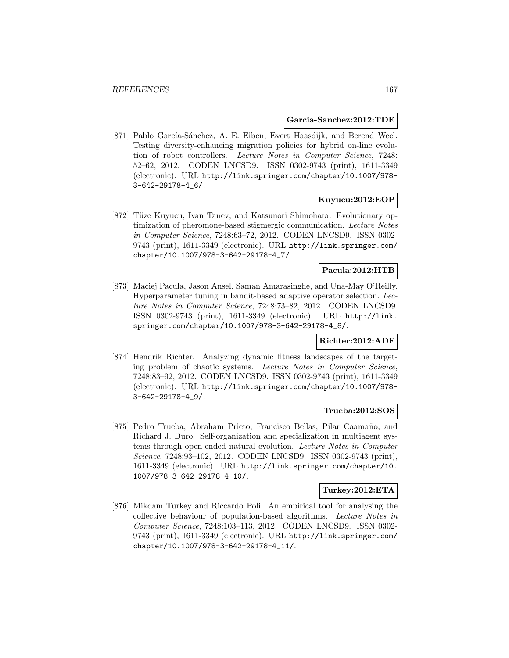#### **Garcia-Sanchez:2012:TDE**

[871] Pablo García-Sánchez, A. E. Eiben, Evert Haasdijk, and Berend Weel. Testing diversity-enhancing migration policies for hybrid on-line evolution of robot controllers. Lecture Notes in Computer Science, 7248: 52–62, 2012. CODEN LNCSD9. ISSN 0302-9743 (print), 1611-3349 (electronic). URL http://link.springer.com/chapter/10.1007/978- 3-642-29178-4\_6/.

## **Kuyucu:2012:EOP**

[872] Tüze Kuyucu, Ivan Tanev, and Katsunori Shimohara. Evolutionary optimization of pheromone-based stigmergic communication. Lecture Notes in Computer Science, 7248:63–72, 2012. CODEN LNCSD9. ISSN 0302- 9743 (print), 1611-3349 (electronic). URL http://link.springer.com/ chapter/10.1007/978-3-642-29178-4\_7/.

### **Pacula:2012:HTB**

[873] Maciej Pacula, Jason Ansel, Saman Amarasinghe, and Una-May O'Reilly. Hyperparameter tuning in bandit-based adaptive operator selection. Lecture Notes in Computer Science, 7248:73–82, 2012. CODEN LNCSD9. ISSN 0302-9743 (print), 1611-3349 (electronic). URL http://link. springer.com/chapter/10.1007/978-3-642-29178-4\_8/.

## **Richter:2012:ADF**

[874] Hendrik Richter. Analyzing dynamic fitness landscapes of the targeting problem of chaotic systems. Lecture Notes in Computer Science, 7248:83–92, 2012. CODEN LNCSD9. ISSN 0302-9743 (print), 1611-3349 (electronic). URL http://link.springer.com/chapter/10.1007/978- 3-642-29178-4\_9/.

#### **Trueba:2012:SOS**

[875] Pedro Trueba, Abraham Prieto, Francisco Bellas, Pilar Caamaño, and Richard J. Duro. Self-organization and specialization in multiagent systems through open-ended natural evolution. Lecture Notes in Computer Science, 7248:93–102, 2012. CODEN LNCSD9. ISSN 0302-9743 (print), 1611-3349 (electronic). URL http://link.springer.com/chapter/10. 1007/978-3-642-29178-4\_10/.

#### **Turkey:2012:ETA**

[876] Mikdam Turkey and Riccardo Poli. An empirical tool for analysing the collective behaviour of population-based algorithms. Lecture Notes in Computer Science, 7248:103–113, 2012. CODEN LNCSD9. ISSN 0302- 9743 (print), 1611-3349 (electronic). URL http://link.springer.com/ chapter/10.1007/978-3-642-29178-4\_11/.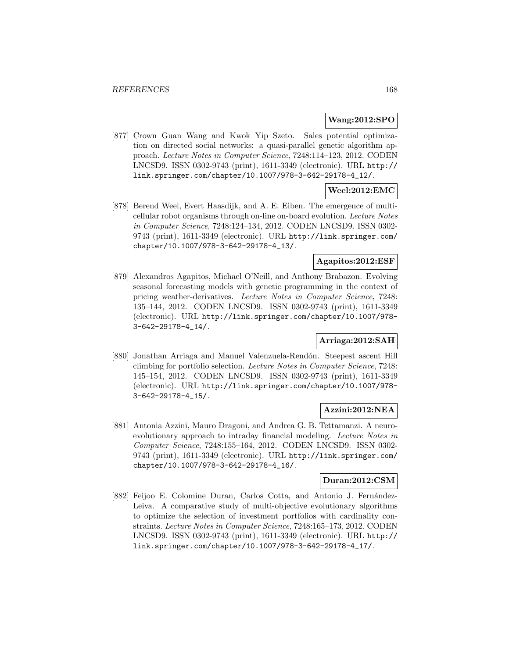### **Wang:2012:SPO**

[877] Crown Guan Wang and Kwok Yip Szeto. Sales potential optimization on directed social networks: a quasi-parallel genetic algorithm approach. Lecture Notes in Computer Science, 7248:114–123, 2012. CODEN LNCSD9. ISSN 0302-9743 (print), 1611-3349 (electronic). URL http:// link.springer.com/chapter/10.1007/978-3-642-29178-4\_12/.

## **Weel:2012:EMC**

[878] Berend Weel, Evert Haasdijk, and A. E. Eiben. The emergence of multicellular robot organisms through on-line on-board evolution. Lecture Notes in Computer Science, 7248:124–134, 2012. CODEN LNCSD9. ISSN 0302- 9743 (print), 1611-3349 (electronic). URL http://link.springer.com/ chapter/10.1007/978-3-642-29178-4\_13/.

## **Agapitos:2012:ESF**

[879] Alexandros Agapitos, Michael O'Neill, and Anthony Brabazon. Evolving seasonal forecasting models with genetic programming in the context of pricing weather-derivatives. Lecture Notes in Computer Science, 7248: 135–144, 2012. CODEN LNCSD9. ISSN 0302-9743 (print), 1611-3349 (electronic). URL http://link.springer.com/chapter/10.1007/978- 3-642-29178-4\_14/.

## **Arriaga:2012:SAH**

[880] Jonathan Arriaga and Manuel Valenzuela-Rendón. Steepest ascent Hill climbing for portfolio selection. Lecture Notes in Computer Science, 7248: 145–154, 2012. CODEN LNCSD9. ISSN 0302-9743 (print), 1611-3349 (electronic). URL http://link.springer.com/chapter/10.1007/978- 3-642-29178-4\_15/.

## **Azzini:2012:NEA**

[881] Antonia Azzini, Mauro Dragoni, and Andrea G. B. Tettamanzi. A neuroevolutionary approach to intraday financial modeling. Lecture Notes in Computer Science, 7248:155–164, 2012. CODEN LNCSD9. ISSN 0302- 9743 (print), 1611-3349 (electronic). URL http://link.springer.com/ chapter/10.1007/978-3-642-29178-4\_16/.

## **Duran:2012:CSM**

[882] Feijoo E. Colomine Duran, Carlos Cotta, and Antonio J. Fernández-Leiva. A comparative study of multi-objective evolutionary algorithms to optimize the selection of investment portfolios with cardinality constraints. Lecture Notes in Computer Science, 7248:165–173, 2012. CODEN LNCSD9. ISSN 0302-9743 (print), 1611-3349 (electronic). URL http:// link.springer.com/chapter/10.1007/978-3-642-29178-4\_17/.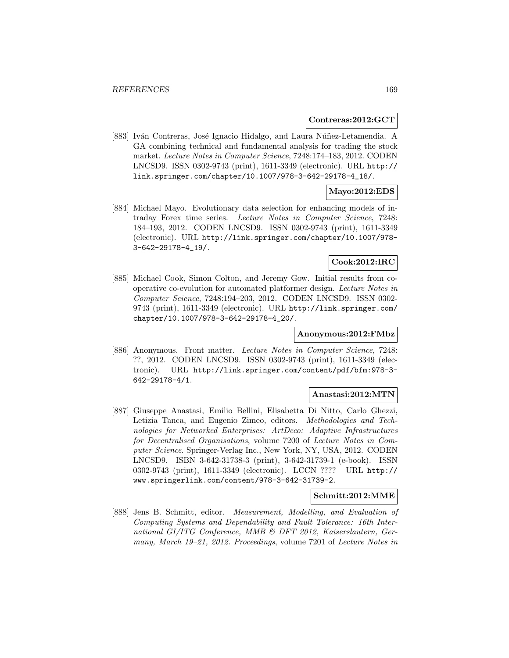#### **Contreras:2012:GCT**

[883] Iván Contreras, José Ignacio Hidalgo, and Laura Núñez-Letamendia. A GA combining technical and fundamental analysis for trading the stock market. Lecture Notes in Computer Science, 7248:174–183, 2012. CODEN LNCSD9. ISSN 0302-9743 (print), 1611-3349 (electronic). URL http:// link.springer.com/chapter/10.1007/978-3-642-29178-4\_18/.

## **Mayo:2012:EDS**

[884] Michael Mayo. Evolutionary data selection for enhancing models of intraday Forex time series. Lecture Notes in Computer Science, 7248: 184–193, 2012. CODEN LNCSD9. ISSN 0302-9743 (print), 1611-3349 (electronic). URL http://link.springer.com/chapter/10.1007/978- 3-642-29178-4\_19/.

### **Cook:2012:IRC**

[885] Michael Cook, Simon Colton, and Jeremy Gow. Initial results from cooperative co-evolution for automated platformer design. Lecture Notes in Computer Science, 7248:194–203, 2012. CODEN LNCSD9. ISSN 0302- 9743 (print), 1611-3349 (electronic). URL http://link.springer.com/ chapter/10.1007/978-3-642-29178-4\_20/.

## **Anonymous:2012:FMbz**

[886] Anonymous. Front matter. Lecture Notes in Computer Science, 7248: ??, 2012. CODEN LNCSD9. ISSN 0302-9743 (print), 1611-3349 (electronic). URL http://link.springer.com/content/pdf/bfm:978-3- 642-29178-4/1.

#### **Anastasi:2012:MTN**

[887] Giuseppe Anastasi, Emilio Bellini, Elisabetta Di Nitto, Carlo Ghezzi, Letizia Tanca, and Eugenio Zimeo, editors. Methodologies and Technologies for Networked Enterprises: ArtDeco: Adaptive Infrastructures for Decentralised Organisations, volume 7200 of Lecture Notes in Computer Science. Springer-Verlag Inc., New York, NY, USA, 2012. CODEN LNCSD9. ISBN 3-642-31738-3 (print), 3-642-31739-1 (e-book). ISSN 0302-9743 (print), 1611-3349 (electronic). LCCN ???? URL http:// www.springerlink.com/content/978-3-642-31739-2.

#### **Schmitt:2012:MME**

[888] Jens B. Schmitt, editor. Measurement, Modelling, and Evaluation of Computing Systems and Dependability and Fault Tolerance: 16th International GI/ITG Conference, MMB & DFT 2012, Kaiserslautern, Germany, March 19–21, 2012. Proceedings, volume 7201 of Lecture Notes in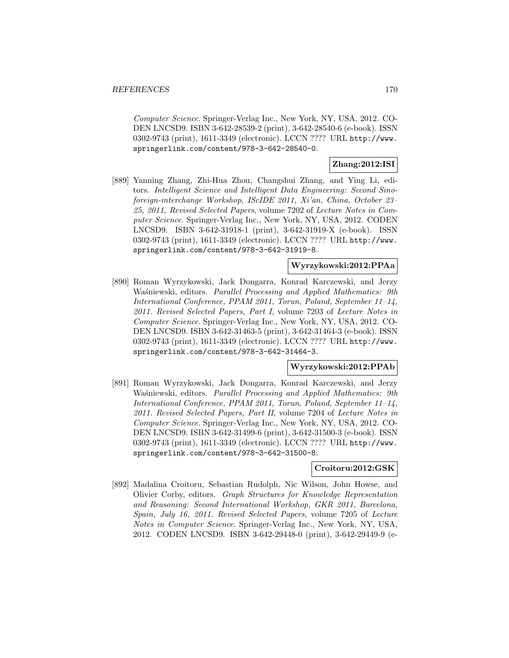Computer Science. Springer-Verlag Inc., New York, NY, USA, 2012. CO-DEN LNCSD9. ISBN 3-642-28539-2 (print), 3-642-28540-6 (e-book). ISSN 0302-9743 (print), 1611-3349 (electronic). LCCN ???? URL http://www. springerlink.com/content/978-3-642-28540-0.

# **Zhang:2012:ISI**

[889] Yanning Zhang, Zhi-Hua Zhou, Changshui Zhang, and Ying Li, editors. Intelligent Science and Intelligent Data Engineering: Second Sinoforeign-interchange Workshop, IScIDE 2011, Xi'an, China, October 23– 25, 2011, Revised Selected Papers, volume 7202 of Lecture Notes in Computer Science. Springer-Verlag Inc., New York, NY, USA, 2012. CODEN LNCSD9. ISBN 3-642-31918-1 (print), 3-642-31919-X (e-book). ISSN 0302-9743 (print), 1611-3349 (electronic). LCCN ???? URL http://www. springerlink.com/content/978-3-642-31919-8.

# **Wyrzykowski:2012:PPAa**

[890] Roman Wyrzykowski, Jack Dongarra, Konrad Karczewski, and Jerzy Waśniewski, editors. Parallel Processing and Applied Mathematics: 9th International Conference, PPAM 2011, Torun, Poland, September 11–14, 2011. Revised Selected Papers, Part I, volume 7203 of Lecture Notes in Computer Science. Springer-Verlag Inc., New York, NY, USA, 2012. CO-DEN LNCSD9. ISBN 3-642-31463-5 (print), 3-642-31464-3 (e-book). ISSN 0302-9743 (print), 1611-3349 (electronic). LCCN ???? URL http://www. springerlink.com/content/978-3-642-31464-3.

#### **Wyrzykowski:2012:PPAb**

[891] Roman Wyrzykowski, Jack Dongarra, Konrad Karczewski, and Jerzy Waśniewski, editors. Parallel Processing and Applied Mathematics: 9th International Conference, PPAM 2011, Torun, Poland, September 11–14, 2011. Revised Selected Papers, Part II, volume 7204 of Lecture Notes in Computer Science. Springer-Verlag Inc., New York, NY, USA, 2012. CO-DEN LNCSD9. ISBN 3-642-31499-6 (print), 3-642-31500-3 (e-book). ISSN 0302-9743 (print), 1611-3349 (electronic). LCCN ???? URL http://www. springerlink.com/content/978-3-642-31500-8.

#### **Croitoru:2012:GSK**

[892] Madalina Croitoru, Sebastian Rudolph, Nic Wilson, John Howse, and Olivier Corby, editors. Graph Structures for Knowledge Representation and Reasoning: Second International Workshop, GKR 2011, Barcelona, Spain, July 16, 2011. Revised Selected Papers, volume 7205 of Lecture Notes in Computer Science. Springer-Verlag Inc., New York, NY, USA, 2012. CODEN LNCSD9. ISBN 3-642-29448-0 (print), 3-642-29449-9 (e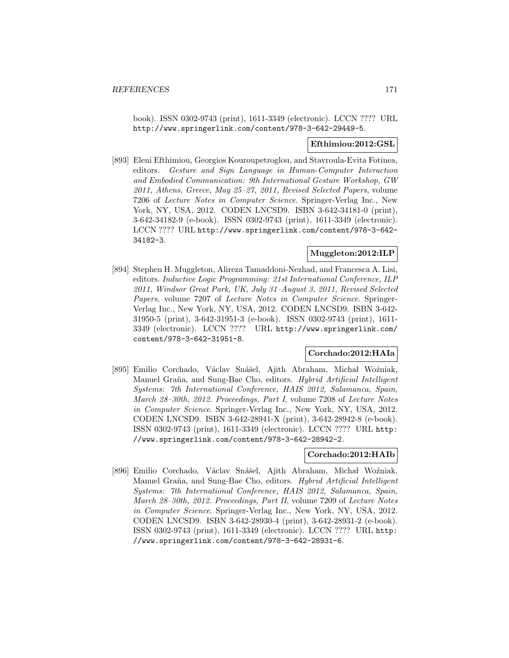book). ISSN 0302-9743 (print), 1611-3349 (electronic). LCCN ???? URL http://www.springerlink.com/content/978-3-642-29449-5.

#### **Efthimiou:2012:GSL**

[893] Eleni Efthimiou, Georgios Kouroupetroglou, and Stavroula-Evita Fotinea, editors. Gesture and Sign Language in Human-Computer Interaction and Embodied Communication: 9th International Gesture Workshop, GW 2011, Athens, Greece, May 25–27, 2011, Revised Selected Papers, volume 7206 of Lecture Notes in Computer Science. Springer-Verlag Inc., New York, NY, USA, 2012. CODEN LNCSD9. ISBN 3-642-34181-0 (print), 3-642-34182-9 (e-book). ISSN 0302-9743 (print), 1611-3349 (electronic). LCCN ???? URL http://www.springerlink.com/content/978-3-642- 34182-3.

## **Muggleton:2012:ILP**

[894] Stephen H. Muggleton, Alireza Tamaddoni-Nezhad, and Francesca A. Lisi, editors. Inductive Logic Programming: 21st International Conference, ILP 2011, Windsor Great Park, UK, July 31–August 3, 2011, Revised Selected Papers, volume 7207 of Lecture Notes in Computer Science. Springer-Verlag Inc., New York, NY, USA, 2012. CODEN LNCSD9. ISBN 3-642- 31950-5 (print), 3-642-31951-3 (e-book). ISSN 0302-9743 (print), 1611- 3349 (electronic). LCCN ???? URL http://www.springerlink.com/ content/978-3-642-31951-8.

#### **Corchado:2012:HAIa**

[895] Emilio Corchado, Václav Snášel, Ajith Abraham, Michał Woźniak, Manuel Graña, and Sung-Bae Cho, editors. Hybrid Artificial Intelligent Systems: 7th International Conference, HAIS 2012, Salamanca, Spain, March 28–30th, 2012. Proceedings, Part I, volume 7208 of Lecture Notes in Computer Science. Springer-Verlag Inc., New York, NY, USA, 2012. CODEN LNCSD9. ISBN 3-642-28941-X (print), 3-642-28942-8 (e-book). ISSN 0302-9743 (print), 1611-3349 (electronic). LCCN ???? URL http: //www.springerlink.com/content/978-3-642-28942-2.

#### **Corchado:2012:HAIb**

[896] Emilio Corchado, Václav Snášel, Ajith Abraham, Michał Woźniak, Manuel Graña, and Sung-Bae Cho, editors. Hybrid Artificial Intelligent Systems: 7th International Conference, HAIS 2012, Salamanca, Spain, March 28–30th, 2012. Proceedings, Part II, volume 7209 of Lecture Notes in Computer Science. Springer-Verlag Inc., New York, NY, USA, 2012. CODEN LNCSD9. ISBN 3-642-28930-4 (print), 3-642-28931-2 (e-book). ISSN 0302-9743 (print), 1611-3349 (electronic). LCCN ???? URL http: //www.springerlink.com/content/978-3-642-28931-6.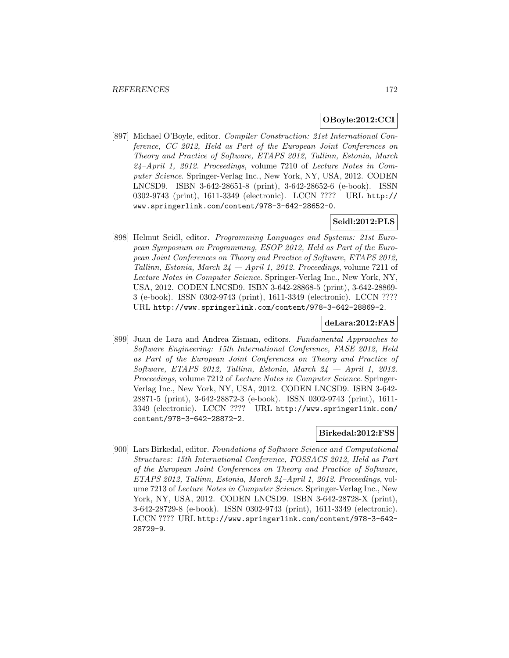#### **OBoyle:2012:CCI**

[897] Michael O'Boyle, editor. Compiler Construction: 21st International Conference, CC 2012, Held as Part of the European Joint Conferences on Theory and Practice of Software, ETAPS 2012, Tallinn, Estonia, March 24–April 1, 2012. Proceedings, volume 7210 of Lecture Notes in Computer Science. Springer-Verlag Inc., New York, NY, USA, 2012. CODEN LNCSD9. ISBN 3-642-28651-8 (print), 3-642-28652-6 (e-book). ISSN 0302-9743 (print), 1611-3349 (electronic). LCCN ???? URL http:// www.springerlink.com/content/978-3-642-28652-0.

## **Seidl:2012:PLS**

[898] Helmut Seidl, editor. Programming Languages and Systems: 21st European Symposium on Programming, ESOP 2012, Held as Part of the European Joint Conferences on Theory and Practice of Software, ETAPS 2012, Tallinn, Estonia, March  $24$  – April 1, 2012. Proceedings, volume 7211 of Lecture Notes in Computer Science. Springer-Verlag Inc., New York, NY, USA, 2012. CODEN LNCSD9. ISBN 3-642-28868-5 (print), 3-642-28869- 3 (e-book). ISSN 0302-9743 (print), 1611-3349 (electronic). LCCN ???? URL http://www.springerlink.com/content/978-3-642-28869-2.

#### **deLara:2012:FAS**

[899] Juan de Lara and Andrea Zisman, editors. Fundamental Approaches to Software Engineering: 15th International Conference, FASE 2012, Held as Part of the European Joint Conferences on Theory and Practice of Software, ETAPS 2012, Tallinn, Estonia, March  $24 - April 1$ , 2012. Proceedings, volume 7212 of Lecture Notes in Computer Science. Springer-Verlag Inc., New York, NY, USA, 2012. CODEN LNCSD9. ISBN 3-642- 28871-5 (print), 3-642-28872-3 (e-book). ISSN 0302-9743 (print), 1611- 3349 (electronic). LCCN ???? URL http://www.springerlink.com/ content/978-3-642-28872-2.

#### **Birkedal:2012:FSS**

[900] Lars Birkedal, editor. Foundations of Software Science and Computational Structures: 15th International Conference, FOSSACS 2012, Held as Part of the European Joint Conferences on Theory and Practice of Software, ETAPS 2012, Tallinn, Estonia, March 24–April 1, 2012. Proceedings, volume 7213 of Lecture Notes in Computer Science. Springer-Verlag Inc., New York, NY, USA, 2012. CODEN LNCSD9. ISBN 3-642-28728-X (print), 3-642-28729-8 (e-book). ISSN 0302-9743 (print), 1611-3349 (electronic). LCCN ???? URL http://www.springerlink.com/content/978-3-642- 28729-9.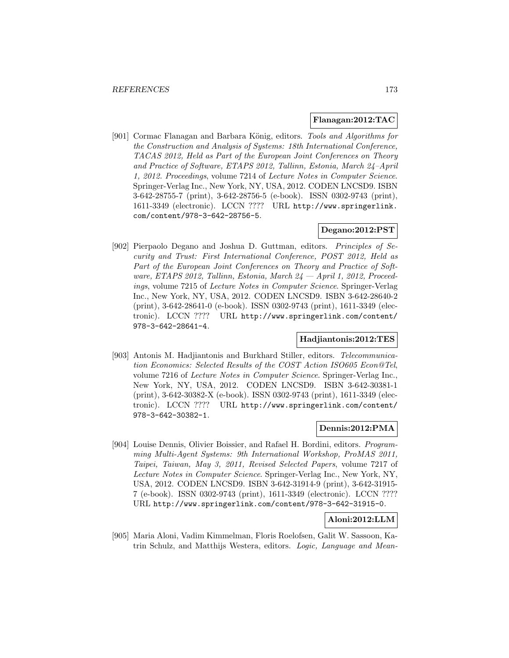#### **Flanagan:2012:TAC**

[901] Cormac Flanagan and Barbara König, editors. Tools and Algorithms for the Construction and Analysis of Systems: 18th International Conference, TACAS 2012, Held as Part of the European Joint Conferences on Theory and Practice of Software, ETAPS 2012, Tallinn, Estonia, March 24–April 1, 2012. Proceedings, volume 7214 of Lecture Notes in Computer Science. Springer-Verlag Inc., New York, NY, USA, 2012. CODEN LNCSD9. ISBN 3-642-28755-7 (print), 3-642-28756-5 (e-book). ISSN 0302-9743 (print), 1611-3349 (electronic). LCCN ???? URL http://www.springerlink. com/content/978-3-642-28756-5.

## **Degano:2012:PST**

[902] Pierpaolo Degano and Joshua D. Guttman, editors. Principles of Security and Trust: First International Conference, POST 2012, Held as Part of the European Joint Conferences on Theory and Practice of Software, ETAPS 2012, Tallinn, Estonia, March 24 – April 1, 2012, Proceedings, volume 7215 of Lecture Notes in Computer Science. Springer-Verlag Inc., New York, NY, USA, 2012. CODEN LNCSD9. ISBN 3-642-28640-2 (print), 3-642-28641-0 (e-book). ISSN 0302-9743 (print), 1611-3349 (electronic). LCCN ???? URL http://www.springerlink.com/content/ 978-3-642-28641-4.

## **Hadjiantonis:2012:TES**

[903] Antonis M. Hadjiantonis and Burkhard Stiller, editors. Telecommunication Economics: Selected Results of the COST Action ISO605 Econ@Tel, volume 7216 of Lecture Notes in Computer Science. Springer-Verlag Inc., New York, NY, USA, 2012. CODEN LNCSD9. ISBN 3-642-30381-1 (print), 3-642-30382-X (e-book). ISSN 0302-9743 (print), 1611-3349 (electronic). LCCN ???? URL http://www.springerlink.com/content/ 978-3-642-30382-1.

## **Dennis:2012:PMA**

[904] Louise Dennis, Olivier Boissier, and Rafael H. Bordini, editors. Programming Multi-Agent Systems: 9th International Workshop, ProMAS 2011, Taipei, Taiwan, May 3, 2011, Revised Selected Papers, volume 7217 of Lecture Notes in Computer Science. Springer-Verlag Inc., New York, NY, USA, 2012. CODEN LNCSD9. ISBN 3-642-31914-9 (print), 3-642-31915- 7 (e-book). ISSN 0302-9743 (print), 1611-3349 (electronic). LCCN ???? URL http://www.springerlink.com/content/978-3-642-31915-0.

## **Aloni:2012:LLM**

[905] Maria Aloni, Vadim Kimmelman, Floris Roelofsen, Galit W. Sassoon, Katrin Schulz, and Matthijs Westera, editors. Logic, Language and Mean-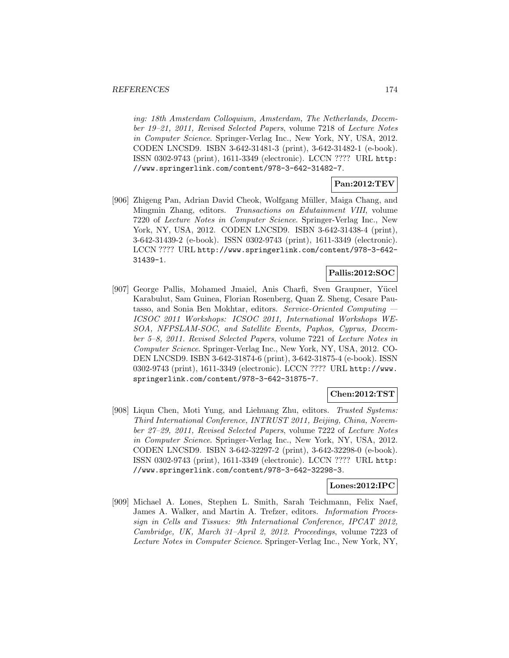ing: 18th Amsterdam Colloquium, Amsterdam, The Netherlands, December 19–21, 2011, Revised Selected Papers, volume 7218 of Lecture Notes in Computer Science. Springer-Verlag Inc., New York, NY, USA, 2012. CODEN LNCSD9. ISBN 3-642-31481-3 (print), 3-642-31482-1 (e-book). ISSN 0302-9743 (print), 1611-3349 (electronic). LCCN ???? URL http: //www.springerlink.com/content/978-3-642-31482-7.

## **Pan:2012:TEV**

[906] Zhigeng Pan, Adrian David Cheok, Wolfgang Müller, Maiga Chang, and Mingmin Zhang, editors. Transactions on Edutainment VIII, volume 7220 of Lecture Notes in Computer Science. Springer-Verlag Inc., New York, NY, USA, 2012. CODEN LNCSD9. ISBN 3-642-31438-4 (print), 3-642-31439-2 (e-book). ISSN 0302-9743 (print), 1611-3349 (electronic). LCCN ???? URL http://www.springerlink.com/content/978-3-642- 31439-1.

## **Pallis:2012:SOC**

[907] George Pallis, Mohamed Jmaiel, Anis Charfi, Sven Graupner, Yücel Karabulut, Sam Guinea, Florian Rosenberg, Quan Z. Sheng, Cesare Pautasso, and Sonia Ben Mokhtar, editors. Service-Oriented Computing — ICSOC 2011 Workshops: ICSOC 2011, International Workshops WE-SOA, NFPSLAM-SOC, and Satellite Events, Paphos, Cyprus, December 5–8, 2011. Revised Selected Papers, volume 7221 of Lecture Notes in Computer Science. Springer-Verlag Inc., New York, NY, USA, 2012. CO-DEN LNCSD9. ISBN 3-642-31874-6 (print), 3-642-31875-4 (e-book). ISSN 0302-9743 (print), 1611-3349 (electronic). LCCN ???? URL http://www. springerlink.com/content/978-3-642-31875-7.

#### **Chen:2012:TST**

[908] Liqun Chen, Moti Yung, and Liehuang Zhu, editors. Trusted Systems: Third International Conference, INTRUST 2011, Beijing, China, November 27–29, 2011, Revised Selected Papers, volume 7222 of Lecture Notes in Computer Science. Springer-Verlag Inc., New York, NY, USA, 2012. CODEN LNCSD9. ISBN 3-642-32297-2 (print), 3-642-32298-0 (e-book). ISSN 0302-9743 (print), 1611-3349 (electronic). LCCN ???? URL http: //www.springerlink.com/content/978-3-642-32298-3.

#### **Lones:2012:IPC**

[909] Michael A. Lones, Stephen L. Smith, Sarah Teichmann, Felix Naef, James A. Walker, and Martin A. Trefzer, editors. *Information Proces*sign in Cells and Tissues: 9th International Conference, IPCAT 2012, Cambridge, UK, March 31–April 2, 2012. Proceedings, volume 7223 of Lecture Notes in Computer Science. Springer-Verlag Inc., New York, NY,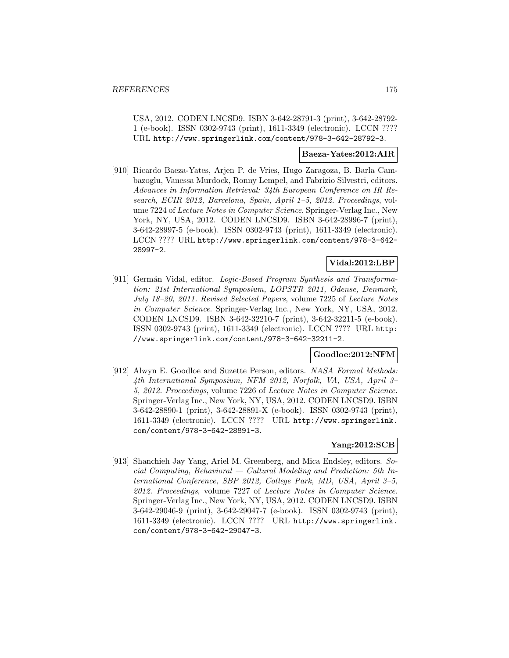USA, 2012. CODEN LNCSD9. ISBN 3-642-28791-3 (print), 3-642-28792- 1 (e-book). ISSN 0302-9743 (print), 1611-3349 (electronic). LCCN ???? URL http://www.springerlink.com/content/978-3-642-28792-3.

### **Baeza-Yates:2012:AIR**

[910] Ricardo Baeza-Yates, Arjen P. de Vries, Hugo Zaragoza, B. Barla Cambazoglu, Vanessa Murdock, Ronny Lempel, and Fabrizio Silvestri, editors. Advances in Information Retrieval: 34th European Conference on IR Research, ECIR 2012, Barcelona, Spain, April 1–5, 2012. Proceedings, volume 7224 of Lecture Notes in Computer Science. Springer-Verlag Inc., New York, NY, USA, 2012. CODEN LNCSD9. ISBN 3-642-28996-7 (print), 3-642-28997-5 (e-book). ISSN 0302-9743 (print), 1611-3349 (electronic). LCCN ???? URL http://www.springerlink.com/content/978-3-642- 28997-2.

## **Vidal:2012:LBP**

[911] Germán Vidal, editor. Logic-Based Program Synthesis and Transformation: 21st International Symposium, LOPSTR 2011, Odense, Denmark, July 18–20, 2011. Revised Selected Papers, volume 7225 of Lecture Notes in Computer Science. Springer-Verlag Inc., New York, NY, USA, 2012. CODEN LNCSD9. ISBN 3-642-32210-7 (print), 3-642-32211-5 (e-book). ISSN 0302-9743 (print), 1611-3349 (electronic). LCCN ???? URL http: //www.springerlink.com/content/978-3-642-32211-2.

#### **Goodloe:2012:NFM**

[912] Alwyn E. Goodloe and Suzette Person, editors. NASA Formal Methods: 4th International Symposium, NFM 2012, Norfolk, VA, USA, April 3– 5, 2012. Proceedings, volume 7226 of Lecture Notes in Computer Science. Springer-Verlag Inc., New York, NY, USA, 2012. CODEN LNCSD9. ISBN 3-642-28890-1 (print), 3-642-28891-X (e-book). ISSN 0302-9743 (print), 1611-3349 (electronic). LCCN ???? URL http://www.springerlink. com/content/978-3-642-28891-3.

#### **Yang:2012:SCB**

[913] Shanchieh Jay Yang, Ariel M. Greenberg, and Mica Endsley, editors. Social Computing, Behavioral  $-$  Cultural Modeling and Prediction: 5th International Conference, SBP 2012, College Park, MD, USA, April 3–5, 2012. Proceedings, volume 7227 of Lecture Notes in Computer Science. Springer-Verlag Inc., New York, NY, USA, 2012. CODEN LNCSD9. ISBN 3-642-29046-9 (print), 3-642-29047-7 (e-book). ISSN 0302-9743 (print), 1611-3349 (electronic). LCCN ???? URL http://www.springerlink. com/content/978-3-642-29047-3.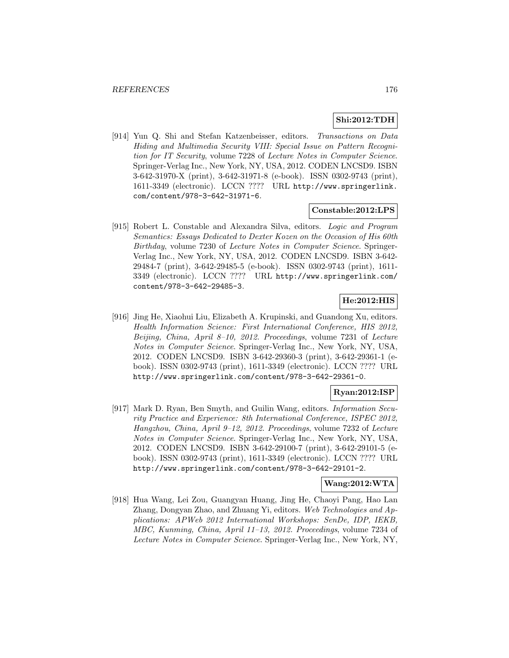## **Shi:2012:TDH**

[914] Yun Q. Shi and Stefan Katzenbeisser, editors. Transactions on Data Hiding and Multimedia Security VIII: Special Issue on Pattern Recognition for IT Security, volume 7228 of Lecture Notes in Computer Science. Springer-Verlag Inc., New York, NY, USA, 2012. CODEN LNCSD9. ISBN 3-642-31970-X (print), 3-642-31971-8 (e-book). ISSN 0302-9743 (print), 1611-3349 (electronic). LCCN ???? URL http://www.springerlink. com/content/978-3-642-31971-6.

#### **Constable:2012:LPS**

[915] Robert L. Constable and Alexandra Silva, editors. Logic and Program Semantics: Essays Dedicated to Dexter Kozen on the Occasion of His 60th Birthday, volume 7230 of Lecture Notes in Computer Science. Springer-Verlag Inc., New York, NY, USA, 2012. CODEN LNCSD9. ISBN 3-642- 29484-7 (print), 3-642-29485-5 (e-book). ISSN 0302-9743 (print), 1611- 3349 (electronic). LCCN ???? URL http://www.springerlink.com/ content/978-3-642-29485-3.

# **He:2012:HIS**

[916] Jing He, Xiaohui Liu, Elizabeth A. Krupinski, and Guandong Xu, editors. Health Information Science: First International Conference, HIS 2012, Beijing, China, April 8–10, 2012. Proceedings, volume 7231 of Lecture Notes in Computer Science. Springer-Verlag Inc., New York, NY, USA, 2012. CODEN LNCSD9. ISBN 3-642-29360-3 (print), 3-642-29361-1 (ebook). ISSN 0302-9743 (print), 1611-3349 (electronic). LCCN ???? URL http://www.springerlink.com/content/978-3-642-29361-0.

#### **Ryan:2012:ISP**

[917] Mark D. Ryan, Ben Smyth, and Guilin Wang, editors. Information Security Practice and Experience: 8th International Conference, ISPEC 2012, Hangzhou, China, April 9–12, 2012. Proceedings, volume 7232 of Lecture Notes in Computer Science. Springer-Verlag Inc., New York, NY, USA, 2012. CODEN LNCSD9. ISBN 3-642-29100-7 (print), 3-642-29101-5 (ebook). ISSN 0302-9743 (print), 1611-3349 (electronic). LCCN ???? URL http://www.springerlink.com/content/978-3-642-29101-2.

#### **Wang:2012:WTA**

[918] Hua Wang, Lei Zou, Guangyan Huang, Jing He, Chaoyi Pang, Hao Lan Zhang, Dongyan Zhao, and Zhuang Yi, editors. Web Technologies and Applications: APWeb 2012 International Workshops: SenDe, IDP, IEKB, MBC, Kunming, China, April 11–13, 2012. Proceedings, volume 7234 of Lecture Notes in Computer Science. Springer-Verlag Inc., New York, NY,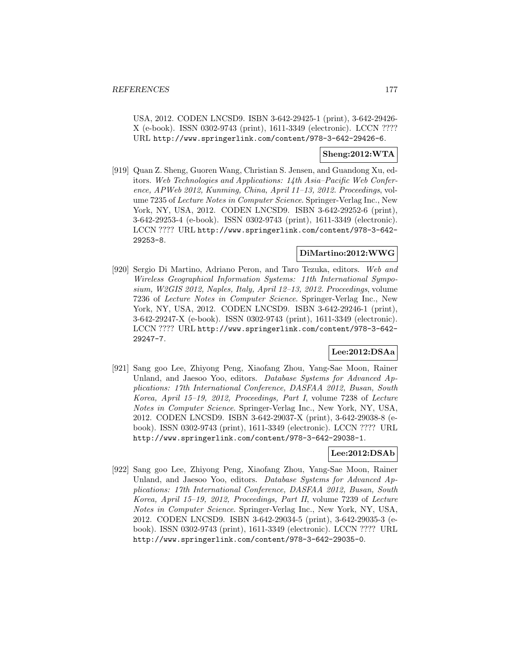USA, 2012. CODEN LNCSD9. ISBN 3-642-29425-1 (print), 3-642-29426- X (e-book). ISSN 0302-9743 (print), 1611-3349 (electronic). LCCN ???? URL http://www.springerlink.com/content/978-3-642-29426-6.

## **Sheng:2012:WTA**

[919] Quan Z. Sheng, Guoren Wang, Christian S. Jensen, and Guandong Xu, editors. Web Technologies and Applications: 14th Asia–Pacific Web Conference, APWeb 2012, Kunming, China, April 11–13, 2012. Proceedings, volume 7235 of Lecture Notes in Computer Science. Springer-Verlag Inc., New York, NY, USA, 2012. CODEN LNCSD9. ISBN 3-642-29252-6 (print), 3-642-29253-4 (e-book). ISSN 0302-9743 (print), 1611-3349 (electronic). LCCN ???? URL http://www.springerlink.com/content/978-3-642- 29253-8.

#### **DiMartino:2012:WWG**

[920] Sergio Di Martino, Adriano Peron, and Taro Tezuka, editors. Web and Wireless Geographical Information Systems: 11th International Symposium, W2GIS 2012, Naples, Italy, April 12–13, 2012. Proceedings, volume 7236 of Lecture Notes in Computer Science. Springer-Verlag Inc., New York, NY, USA, 2012. CODEN LNCSD9. ISBN 3-642-29246-1 (print), 3-642-29247-X (e-book). ISSN 0302-9743 (print), 1611-3349 (electronic). LCCN ???? URL http://www.springerlink.com/content/978-3-642- 29247-7.

#### **Lee:2012:DSAa**

[921] Sang goo Lee, Zhiyong Peng, Xiaofang Zhou, Yang-Sae Moon, Rainer Unland, and Jaesoo Yoo, editors. Database Systems for Advanced Applications: 17th International Conference, DASFAA 2012, Busan, South Korea, April 15–19, 2012, Proceedings, Part I, volume 7238 of Lecture Notes in Computer Science. Springer-Verlag Inc., New York, NY, USA, 2012. CODEN LNCSD9. ISBN 3-642-29037-X (print), 3-642-29038-8 (ebook). ISSN 0302-9743 (print), 1611-3349 (electronic). LCCN ???? URL http://www.springerlink.com/content/978-3-642-29038-1.

#### **Lee:2012:DSAb**

[922] Sang goo Lee, Zhiyong Peng, Xiaofang Zhou, Yang-Sae Moon, Rainer Unland, and Jaesoo Yoo, editors. Database Systems for Advanced Applications: 17th International Conference, DASFAA 2012, Busan, South Korea, April 15–19, 2012, Proceedings, Part II, volume 7239 of Lecture Notes in Computer Science. Springer-Verlag Inc., New York, NY, USA, 2012. CODEN LNCSD9. ISBN 3-642-29034-5 (print), 3-642-29035-3 (ebook). ISSN 0302-9743 (print), 1611-3349 (electronic). LCCN ???? URL http://www.springerlink.com/content/978-3-642-29035-0.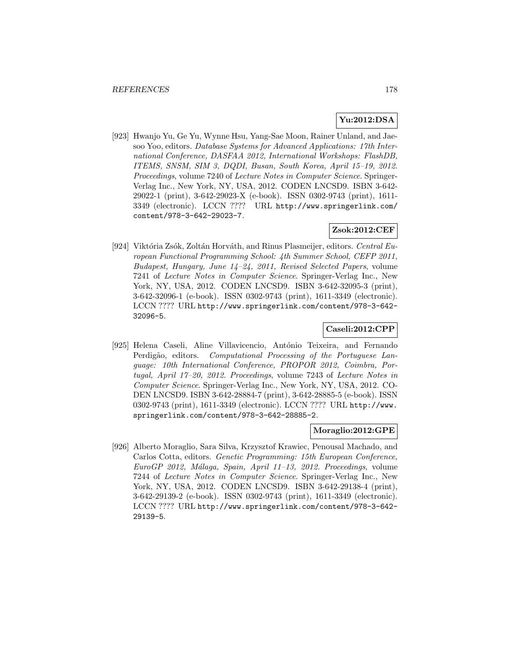## **Yu:2012:DSA**

[923] Hwanjo Yu, Ge Yu, Wynne Hsu, Yang-Sae Moon, Rainer Unland, and Jaesoo Yoo, editors. Database Systems for Advanced Applications: 17th International Conference, DASFAA 2012, International Workshops: FlashDB, ITEMS, SNSM, SIM 3, DQDI, Busan, South Korea, April 15–19, 2012. Proceedings, volume 7240 of Lecture Notes in Computer Science. Springer-Verlag Inc., New York, NY, USA, 2012. CODEN LNCSD9. ISBN 3-642- 29022-1 (print), 3-642-29023-X (e-book). ISSN 0302-9743 (print), 1611- 3349 (electronic). LCCN ???? URL http://www.springerlink.com/ content/978-3-642-29023-7.

## **Zsok:2012:CEF**

[924] Viktória Zsók, Zoltán Horváth, and Rinus Plasmeijer, editors. Central European Functional Programming School: 4th Summer School, CEFP 2011, Budapest, Hungary, June 14–24, 2011, Revised Selected Papers, volume 7241 of Lecture Notes in Computer Science. Springer-Verlag Inc., New York, NY, USA, 2012. CODEN LNCSD9. ISBN 3-642-32095-3 (print), 3-642-32096-1 (e-book). ISSN 0302-9743 (print), 1611-3349 (electronic). LCCN ???? URL http://www.springerlink.com/content/978-3-642- 32096-5.

# **Caseli:2012:CPP**

[925] Helena Caseli, Aline Villavicencio, António Teixeira, and Fernando Perdigão, editors. Computational Processing of the Portuguese Language: 10th International Conference, PROPOR 2012, Coimbra, Portugal, April 17–20, 2012. Proceedings, volume 7243 of Lecture Notes in Computer Science. Springer-Verlag Inc., New York, NY, USA, 2012. CO-DEN LNCSD9. ISBN 3-642-28884-7 (print), 3-642-28885-5 (e-book). ISSN 0302-9743 (print), 1611-3349 (electronic). LCCN ???? URL http://www. springerlink.com/content/978-3-642-28885-2.

### **Moraglio:2012:GPE**

[926] Alberto Moraglio, Sara Silva, Krzysztof Krawiec, Penousal Machado, and Carlos Cotta, editors. Genetic Programming: 15th European Conference, EuroGP 2012, Málaga, Spain, April 11-13, 2012. Proceedings, volume 7244 of Lecture Notes in Computer Science. Springer-Verlag Inc., New York, NY, USA, 2012. CODEN LNCSD9. ISBN 3-642-29138-4 (print), 3-642-29139-2 (e-book). ISSN 0302-9743 (print), 1611-3349 (electronic). LCCN ???? URL http://www.springerlink.com/content/978-3-642- 29139-5.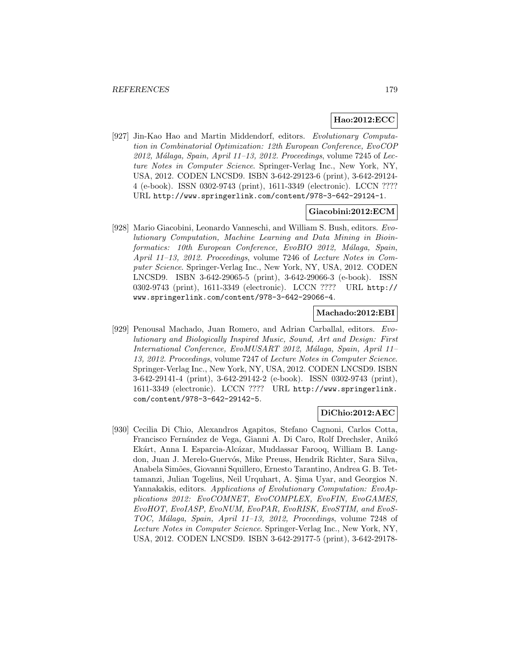## **Hao:2012:ECC**

[927] Jin-Kao Hao and Martin Middendorf, editors. Evolutionary Computation in Combinatorial Optimization: 12th European Conference, EvoCOP  $2012$ , Málaga, Spain, April 11–13, 2012. Proceedings, volume 7245 of Lecture Notes in Computer Science. Springer-Verlag Inc., New York, NY, USA, 2012. CODEN LNCSD9. ISBN 3-642-29123-6 (print), 3-642-29124- 4 (e-book). ISSN 0302-9743 (print), 1611-3349 (electronic). LCCN ???? URL http://www.springerlink.com/content/978-3-642-29124-1.

#### **Giacobini:2012:ECM**

[928] Mario Giacobini, Leonardo Vanneschi, and William S. Bush, editors. Evolutionary Computation, Machine Learning and Data Mining in Bioinformatics: 10th European Conference, EvoBIO 2012, Málaga, Spain, April 11–13, 2012. Proceedings, volume 7246 of Lecture Notes in Computer Science. Springer-Verlag Inc., New York, NY, USA, 2012. CODEN LNCSD9. ISBN 3-642-29065-5 (print), 3-642-29066-3 (e-book). ISSN 0302-9743 (print), 1611-3349 (electronic). LCCN ???? URL http:// www.springerlink.com/content/978-3-642-29066-4.

#### **Machado:2012:EBI**

[929] Penousal Machado, Juan Romero, and Adrian Carballal, editors. Evolutionary and Biologically Inspired Music, Sound, Art and Design: First International Conference, EvoMUSART 2012, Málaga, Spain, April 11– 13, 2012. Proceedings, volume 7247 of Lecture Notes in Computer Science. Springer-Verlag Inc., New York, NY, USA, 2012. CODEN LNCSD9. ISBN 3-642-29141-4 (print), 3-642-29142-2 (e-book). ISSN 0302-9743 (print), 1611-3349 (electronic). LCCN ???? URL http://www.springerlink. com/content/978-3-642-29142-5.

#### **DiChio:2012:AEC**

[930] Cecilia Di Chio, Alexandros Agapitos, Stefano Cagnoni, Carlos Cotta, Francisco Fernández de Vega, Gianni A. Di Caro, Rolf Drechsler, Anikó Ekárt, Anna I. Esparcia-Alcázar, Muddassar Farooq, William B. Langdon, Juan J. Merelo-Guervós, Mike Preuss, Hendrik Richter, Sara Silva, Anabela Sim˜oes, Giovanni Squillero, Ernesto Tarantino, Andrea G. B. Tettamanzi, Julian Togelius, Neil Urquhart, A. Sima Uyar, and Georgios N. Yannakakis, editors. Applications of Evolutionary Computation: EvoApplications 2012: EvoCOMNET, EvoCOMPLEX, EvoFIN, EvoGAMES, EvoHOT, EvoIASP, EvoNUM, EvoPAR, EvoRISK, EvoSTIM, and EvoS-TOC, Málaga, Spain, April 11–13, 2012, Proceedings, volume 7248 of Lecture Notes in Computer Science. Springer-Verlag Inc., New York, NY, USA, 2012. CODEN LNCSD9. ISBN 3-642-29177-5 (print), 3-642-29178